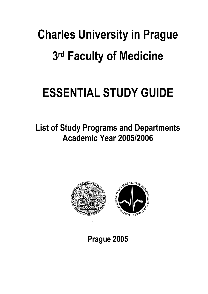# **Charles University in Prague 3rd Faculty of Medicine**

# **ESSENTIAL STUDY GUIDE**

**List of Study Programs and Departments Academic Year 2005/2006**



**Prague 2005**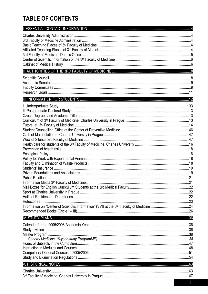## **TABLE OF CONTENTS**

| Refectories. |  |
|--------------|--|
|              |  |
|              |  |
|              |  |
|              |  |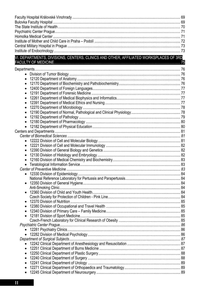## $.75$

| $\bullet$ |  |
|-----------|--|
|           |  |
|           |  |
|           |  |
|           |  |
|           |  |
|           |  |
|           |  |
|           |  |
|           |  |
|           |  |
|           |  |
|           |  |
|           |  |
|           |  |
|           |  |
|           |  |
|           |  |
|           |  |
| $\bullet$ |  |
|           |  |
|           |  |
|           |  |
|           |  |
|           |  |
|           |  |
|           |  |
|           |  |
|           |  |
|           |  |
|           |  |
|           |  |
|           |  |
|           |  |
|           |  |
|           |  |
|           |  |
|           |  |
|           |  |
|           |  |
|           |  |
|           |  |
|           |  |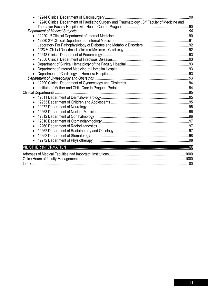|                                                                                               | .90 |
|-----------------------------------------------------------------------------------------------|-----|
| 12246 Clinical Department of Paediatric Surgery and Traumatology, 3rd Faculty of Medicine and |     |
|                                                                                               |     |
|                                                                                               |     |
|                                                                                               |     |
|                                                                                               |     |
|                                                                                               |     |
| $\bullet$                                                                                     |     |
|                                                                                               |     |
|                                                                                               |     |
|                                                                                               |     |
|                                                                                               |     |
|                                                                                               |     |
|                                                                                               |     |
|                                                                                               |     |
|                                                                                               |     |
|                                                                                               |     |
|                                                                                               |     |
|                                                                                               |     |
|                                                                                               |     |
|                                                                                               |     |
|                                                                                               |     |
|                                                                                               |     |
|                                                                                               |     |
|                                                                                               |     |
|                                                                                               |     |
|                                                                                               |     |
|                                                                                               |     |
|                                                                                               |     |
|                                                                                               |     |
|                                                                                               |     |
|                                                                                               |     |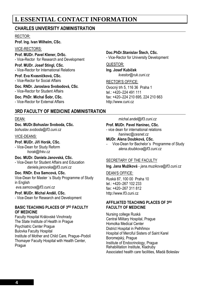## **I. ESSENTIAL CONTACT INFORMATION**

## **CHARLES UNIVERSITY ADMINISTRATION**

#### RECTOR:

**Prof. Ing. Ivan Wilhelm, CSc.** 

#### VICE-RECTORS:

**Prof. MUDr. Pavel Klener, DrSc.**  - Vice-Rector for Research and Development

**Prof. MUDr. Josef Stingl, CSc.**  - Vice-Rector for International Relations

**Prof. Eva Kvasničková, CSc.**  - Vice-Rector for Social Affairs

**Doc. RNDr. Jaroslava Svobodová, CSc**. - Vice-Rector for Student Affairs

**Doc. PhDr. Michal Šobr, CSc.**  - Vice-Rector for External Affairs

## **3RD FACULTY OF MEDICINE ADMINISTRATION**

#### DEAN:

**Doc. MUDr.Bohuslav Svoboda, CSc.**  *bohuslav.svoboda@lf3.cuni.cz* 

#### VICE-DEANS:

**Prof. MUDr. Jiří Horák, CSc.** 

- Vice-Dean for Study Reform *horak@fnkv.cz* 

#### **Doc. MUDr. Daniela Janovská, CSc.**

- Vice-Dean for Student Affairs and Education *daniela.janovska@lf3.cuni.cz* 

#### **Doc. RNDr. Eva Samcová, CSc.**

Vice-Dean for Master ´s Study Programme of Study in English

*eva.samcova@lf3.cuni.cz*

## **Prof. MUDr. Michal Anděl, CSc.**

- Vice-Dean for Research and Development

#### **BASIC TEACHING PLACES OF 3RD FACULTY OF MEDICINE**

Faculty Hospital Královské Vinohrady The State Institute of Health in Prague Psychiatric Center Prague Bulovka Faculty Hospital Institute of Mother and Child Care, Prague–Podolí Thomayer Faculty Hospital with Health Center, Prague

#### **Doc.PhDr.Stanislav Štech, CSc.**

- Vice-Rector for University Development

#### QUESTOR:

**Ing. Josef Kubíček**  *kvestor@ruk.cuni.cz* 

#### RECTOR'S OFFICE:

Ovocný trh 5, 116 36 Praha 1 tel.: +420–224 491 111 fax: +420–224 210 695, 224 210 663 http://www.cuni.cz

*michal.andel@lf3.cuni.cz* 

#### **Prof. MUDr. Pavel Haninec, CSc.**

- vice dean for international relations *haninec@cesnet.cz* 

#### **MUDr. Alena Doubková, CSc.**

- Vice-Dean for Bachelor´s Programme of Study *alena.doubkova@lf3.cuni.cz* 

#### SECRETARY OF THE FACULTY

**Ing. Jana Mužíková** - *jana.muzikova@lf3.cuni.cz*

#### DEAN'S OFFICE:

Ruská 87, 100 00 Praha 10 tel: +420-267 102 233 fax: +420–267 311 812 http://www.lf3.cuni.cz

#### **AFFILIATED TEACHING PLACES OF 3RD FACULTY OF MEDICINE**

Nursing college Ruská Central Military Hospital, Prague Homolka Medical Center District Hospital in Pelhřimov Hospital of Merciful Sisters of Saint Karel Boromejský, Prague Institute of Endocrinology, Prague Rehabilitation Institute, Kladruby Associated health care facilities, Mladá Boleslav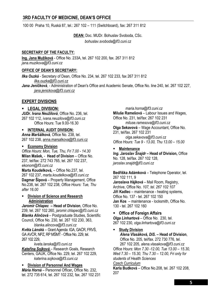## **3RD FACULTY OF MEDICINE, DEAN'S OFFICE**

100 00 Praha 10, Ruská 87, tel.: 267 102 – 111 (Switchboard), fax: 267 311 812

**DEAN:** Doc. MUDr. Bohuslav Svoboda, CSc. *bohuslav.svoboda@lf3.cuni.cz* 

#### **SECRETARY OF THE FACULTY:**

**Ing. Jana Mužíková** - Office No. 233A, tel. 267 102 200, fax. 267 311 812 *jana.muzikova@lf3.cuni.cz* 

#### **OFFICE OF DEAN'S SECRETARY:**

*Ilka Ouzká* - Secretary of Dean, Office No. 234, tel. 267 102 233, fax 267 311 812 *ilka.ouzka@lf3.cuni.cz*

*Jana Jeníčková*, - Administration of Dean's Office and Academic Senate, Office No. line 240, tel. 267 102 227, *jana.jenickova@lf3.cuni.cz*

#### **EXPERT DIVISIONS**

#### **LEGAL DIVISION:**

*JUDr. Ivana Neužilová*, Office No. 236, tel. 267 102 112, *ivana.neuzilova@lf3.cuni.cz*  Office Hours: Tue 9.00-16.30

#### **INTERNAL AUDIT DIVISION:**

*Anna Maršálková*, Office No. 238, tel. 267 102 238, anna.marsalkova@lf3.cuni.cz

#### **Economy Division**

*Office Hours: Mon, Tue, Thu, Fri 7.00 - 14.30*  **Milan Mašek***,* - **Head of Division** – Office No. 237, tel/fax: 272 743 765, tel. 267 102 237, *ekonom@lf3.cuni.cz*

**Marta Koudelková***,* – Office No.237, tel. 267 102 237, *marta.koudelkova@lf3.cuni.cz* **Dagmar Šípová** – Property Management, Office No.238, tel. 267 102 238, *Office Hours: Tue, Thu after 16.00* 

#### **Division of Science and Research Administration**

*Jaromír Chlapec* **– Head of Division**, Office No. 239, tel. 267 102 260*, jaromir.chlapec@lf3.cuni.cz Blanka Alinčová –* Postgraduate Studies, Scientific Council, Office No. 230, tel. 267 102 230, 363,

*blanka.alincova@lf3.cuni.cz* 

*Květa Lánsk***á** – Grant Agenda: IGA, GAĆR, FRVŚ, GA AVĆR, NPZ, RP MŚMT - Office No. 229, tel. 267 102 229,

*kveta.lanska@lf3.cuni.cz* 

*Kateřina Sojková* – Research Goals, Research Centers, GAUK, Office No. 229, tel. 267 102 229, *katerina.sojkova@lf3.cuni.cz* 

#### **Division of Personnel And Wages**

*Mária Horná* – Personnel Officer**,** Office No. 232, tel. 272 735 614, tel. 267 102 232, fax. 267 102 231 *maria.horna@lf3.cuni.cz* 

**Miluše Ramešová** – Labour Issues and Wages, Office No. 231, tel/fax: 267 102 231 *miluse.ramesova@lf3.cuni.cz* **Olga Sekavová** – Wage Accountant, Office No. 231, tel/fax. 267 102 231 *olga.sekavova@lf3.cuni.cz Office Hours: Tue 9 - 13.00, Thu 13.00 – 15.00* 

#### **Maintenance**

*Ing. Jaroslav Šnajdr* **– Head of Division,** Office No. 128, tel/fax. 267 102 128, *jaroslav.snajdr@lf3.cuni.cz* 

**Bedřiška Adámková** – Telephone Operator, tel. 267 102 111, 9

*Jaroslava Hájková* – Mail Room, Registry, Archive, Office No. *107, tel. 267 102 107*  **Jiří Kadlec** – maintenance - heating systems, Office No. 137 - tel. 267 102 150 **Jan Kos** – maintenance - locksmith, Office No. 130 - tel. 267 102 160

#### **Office of Foreign Affairs**

*Olga Linhartová* – Office No. 230, tel. 267 102 230*, olga.linhartova@lf3.cuni.cz* 

## **Study Division**

*Alena Vlasáková, DiS.* **– Head of Division**, Office No. 205, tel/fax. 272 730 776, tel. 267 102 205, *alena.vlasakova@lf3.cuni.cz Office Hours: Mon 7.30 -12.00, Tue 13.00 – 15.30, Wed 7.30 – 15.30, Thu 7.30 – 12.00, Fri only for students of Health Sciences* 

#### *Czech Curriculum*

**Karla Budková** – Office No.208, tel. 267 102 208, 207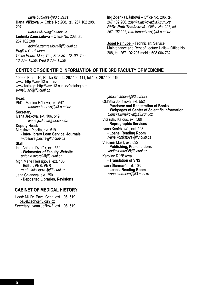*karla.budkova@lf3.cuni.cz*  **Hana Vlčková** ,– Office No.208, tel. 267 102 208, 207

*hana.vlckova@lf3.cuni.cz*  **Ludmila Zamrazilová** – Office No. 208, tel. 267 102 208

*ludmila.zamrazilova@lf3.cuni.cz English Curriculum Office Hours: Mon, Thu, Fri 8.30 - 12..00, Tue 13.00 – 15.30, Wed 8.30 – 15.30* 

**Ing Zdeňka Lásková** – Office No. 206, tel. 267 102 206, *zdenka.laskova@lf3.cuni.cz PhDr. Ruth Tománková - Office No. 206, tel. 267 102 206, ruth.tomankova@lf3.cuni.cz*

**Josef Nelhübel** - Technician; Service, Maintenance and Rent of Lecture Halls – Office No. 208, tel. 267 102 207,mobile 608 004 732

### **CENTER OF SCIENTIFIC INFORMATION OF THE 3RD FACULTY OF MEDICINE**

100 00 Praha 10, Ruská 87, tel.: 267 102 111, tel./fax: 267 102 519 www: http://wsvi.lf3.cuni.cz www katalog: http://wsvi.lf3.cuni.cz/katalog.html *e-mail: svi@lf3.cuni.cz* 

#### **Head:**

PhDr. Martina Hábová, ext. 547 *martina.habova@lf3.cuni.cz* 

**Secretary:** 

Ivana Ježková, ext. 106, 519 *ivana.jezkova@lf3.cuni.cz* 

#### **Deputy Head:**

Miroslava Plecitá, ext. 519 - **Inter-library Loan Service, Journals** *miroslava.plecita@lf3.cuni.cz* 

#### **Staff:**

Ing. Antonín Dvořák, ext. 552 - **Webmaster of Faculty Website** *antonin.dvorak@lf3.cuni.cz* 

Mgr. Marie Fleissigová, ext. 105 - **Editor, VNS, VNR** *marie.fleissigova@lf3.cuni.cz* 

Jana Chlanová, ext. 250 - **Deposited Libraries, Revisions** 

#### **CABINET OF MEDICAL HISTORY**

Head: MUDr. Pavel Čech, ext. 106, 519 pavel.cech@lf3.cuni.cz Secretary: Ivana Ježková, ext. 106, 519

*jana.chlanova@lf3.cuni.cz*  Oldřiška Jonáková, ext. 552 - **Purchase and Registration of Books, Webpages of Center of Scientific Information**  *oldriska.jonakova@lf3.cuni.cz*  Vítězslav Kalous, ext. 589 - **Reprographic Services** Ivana Konfrštová , ext. 103 - **Loans, Reading Room** *ivana.konfrstova@lf3.cuni.cz*  Vladimír Musil, ext. 532 - **Publishing, Presentations** *vladimir.musil@lf3.cuni.cz*  Karoline Růžičková - **Translation of VNS**  Ivana Šturmová, ext. 103 - **Loans, Reading Room** *ivana.sturmova@lf3.cuni.cz*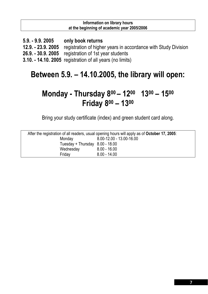#### **Information on library hours at the beginning of academic year 2005/2006**

**5.9. - 9.9. 2005 only book returns 12.9. - 23.9. 2005** registration of higher years in accordance with Study Division **26.9. - 30.9. 2005** registration of 1st year students **3.10. - 14.10. 2005** registration of all years (no limits)

## **Between 5.9. – 14.10.2005, the library will open:**

## **Monday - Thursday 800 – 1200 1300 – 1500 Friday 800 – 1300**

Bring your study certificate (index) and green student card along.

| After the registration of all readers, usual opening hours will apply as of October 17, 2005: |                          |  |
|-----------------------------------------------------------------------------------------------|--------------------------|--|
| Monday                                                                                        | 8.00-12.00 - 13.00-16.00 |  |
| Tuesday + Thursday $8.00 - 18.00$                                                             |                          |  |
| Wednesday                                                                                     | $8.00 - 16.00$           |  |
| Friday                                                                                        | $8.00 - 14.00$           |  |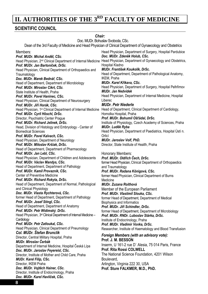## **II. AUTHORITIES OF THE 3<sup>RD</sup> FACULTY OF MEDICINE**

### **SCIENTIFIC COUNCIL**

*Chair:*  Doc. MUDr. Bohuslav Svoboda, CSc. Dean of the 3rd Faculty of Medicine and Head Physician of Clinical Department of Gynaecology and Obstetrics Members: *Prof. MUDr. Michal Anděl, CSc.*  Head Physician, 2<sup>nd</sup> Clinical Department of Internal Medicine Head Physician, Department of Gynaecology and Obstetrics, *Prof. MUDr. Jan Bartoníček, DrSc.*  Head Physician, Clinical Department of Orthopaedics and Traumatology *Doc. MUDr. Marek Bednář, CSc.*  Head of Department, Department of Microbiology *Prof. MUDr. Miroslav Cikrt, CSc.*  State Institute of Health, Praha *Prof. MUDr. Pavel Haninec, CSc.*  Head Physician, Clinical Department of Neurosurgery *Prof. MUDr. Jiří Horák, CSc.*  Head Physician, 1<sup>st</sup> Clinical Department of Internal Medicine Head of Department, Clinical Department of Cardiology, *Prof. MUDr. Cyril Höschl, DrSc.*  Director, Psychiatric Center Prague *Prof. MUDr. Richard Jelínek, DrSc.*  Head, Division of Histology and Embryology - Center of Biomedical Sciences *Prof. MUDr. Pavel Kalvach, CSc.*  Head Physician, Department of Neurology *Prof. MUDr. Miloslav Kršiak, DrSc.*  Head of Department, Department of Pharmacology *Prof. MUDr. Jan Lebl, CSc.*  Head Physician, Department of Children and Adolescents *Prof. MUDr. Václav Mandys, CSc.*  Head of Department, Department of Pathology *Prof. MUDr. Kamil Provazník, CSc.*  Center of Preventive Medicine *Prof. MUDr. Richard Rokyta, DrSc.*  Head of Department, Department of Normal, Pathological and Clinical Physiology *Doc. MUDr. Vlasta Rychterová, CSc.*  former Head of Department, Department of Pathology *Prof. MUDr. Josef Stingl, CSc.*  Head of Department, Department of Anatomy *Prof. MUDr. Petr Widimský, DrSc.*  Head Physician, 3<sup>rd</sup> Clinical Department of Internal Medicine -**Cardiology** *Prof. MUDr. Petr Zatloukal, CSc.*  Head Physician, Clinical Department of Pneumology *Col. MUDr. Štefan Brunclík* Director, Central Military Hospital, Praha *MUDr. Miroslav Čerbák*  Department of Internal Medicine, Hospital Česká Lípa *Doc. MUDr. Jaroslav Feyereisl, CSc.*  Director, Institute of Mother and Child Care, Praha *MUDr. Karel Filip, CSc.*  Director, IKEM Praha *Doc. MUDr. Vojtěch Hainer, CSc.*  Director, Institute of Endocrinology, Praha *Doc. MUDr. Karel Havlíček, CSc.*  Head Physician, Department of Surgery, Hospital Pardubice *Doc. MUDr. Zdeněk Holub, CSc.*  Hospital Kladno *MUDr. František Koukolík, DrSc.*  Head of Department, Department of Pathological Anatomy, IKEM, Praha *MUDr. Karel Křikava, CSc.*  Head Physician, Department of Surgery, Hospital Pelhřimov *MUDr. Jan Nedvídek*  Head Physician, Department of Internal Medicine, Hospital Liberec *MUDr. Petr Niederle*  Homolka Hospital, Praha *Prof. MUDr. Bohumil Ošťádal, DrSc.*  Institute of Physiology, Czech Academy of Sciences, Praha *MUDr. Luděk Ryba*  Head Physician, Department of Paediatrics, Hospital Ústí n. Orlicí *MUDr. Jaroslav Volf, PhD.*  Director, State Institute of Health, Praha Honorary Members: *Prof. MUDr. Oldřich Čech, DrSc.*  former Head Physician, Clinical Department of Orthopaedics and Traumatology *Prof. MUDr. Radana Königová, CSc.*  former Head Physician, Clinical Department of Burns Medicine *MUDr. Zuzana Roithová*  Member of the European Parliament *Prof. MUDr. Vlastimil Slouka, CSc.*  former Head of Department, Department of Medical Biophysics and Informatics *Prof. MUDr. Jiří Schindler, DrSc.*  former Head of Department, Department of Microbiology *Prof. MUDr. RNDr. Luboslav Stárka, DrSc.*  Institute of Endocrinology, Praha *Prof. MUDr. Vladimír Vonka, DrSc.*  Researcher, Institute of Haematology and Blood Transfusion *Foreign Members (with an advisory vote):*  **Prof. J. M. BESSON**  Inserm, U 161-2 rue D` Alesia, 75 014 Paris, France **Prof. Rita Rossi COLWELL**  The National Science Foundation, 4201 Wilson Boulevard, Arlington, Virginia 222 30, USA **Prof. Sture FALKMER, M.D., PhD.**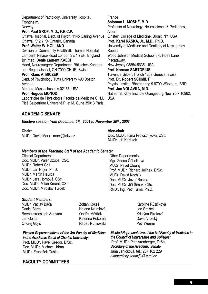Department of Pathology, University Hospital, Trondheim, Norway **Prof. Paul GROF, M.D., F.R.C.P.**  Ottawa Hospital, Dept. of Psych. 1145 Carling Avenue Ottawa, K12 7 K4 Ontario, Canada **Prof. Walter W. HOLLAND**  Division of Community Health St. Thomas Hospital Lamberth Palace Road London SE 1 7EH, England **Dr. med. Denis Laurent KAECH**  Haed, Neurosurgery Department, Rätisches Kantons und Regionalspital, CH-7000 CHUR, Swiss **Prof. Klaus A. MICZEK**  Dept. of Psychology Tufts University 490 Boston Avenue, Medford Massachusetss 02155, USA. **Prof. Hugues MONOD**  Laboratoire de Physiologie Faculté de Medicine C.H.U. USA Pitié Salpetriére Université P. et M. Curie 35013 Paris, France **Solomon L. MOSHÉ, M.D.**  Professor of Neurology, Neuroscience & Pediatrics, Albert Einstein College of Medicine, Bronx, NY, USA **Prof. Karel RAŠKA, Jr., M.D., Ph.D.**  University of Medicine and Dentistry of New Jersey Robert Wood Johnson Medical School 675 Hoes Lane Piscataway, New Jersey 08854-5635, USA. **Prof. Norman SARTORIUS**  1 avenue Gilbert Trolich 1209 Geneva, Swiss **Prof. Dr. Robert SCHMIDT**  Physiol. Institut Röntgenring 9 8700 Würzburg, BRD **Prof. Jan VOLAVKA, M.D.**  Nathan S. Kline Institute Orangeburg New York 10962,

### **ACADEMIC SENATE**

*Elective session from December 1st, 2004 to November 30th , 2007* 

**Chair***:*  MUDr. David Marx - marx@fnkv.cz

**Vice-chair:**  Doc. MUDr. Hana Provazníková, CSc. MUDr. Jiří Karásek

#### *Members of the Teaching Staff of the Academic Senate:*

Clinical Departments: Doc. MUDr. Valér Džupa, CSc. MUDr. Robert Grill MUDr. Jan Hajer, Ph.D. MUDr. Martin Havrda MUDr. Jara Hornová, CSc. Doc. MUDr. Milan Kment, CSc. Doc. MUDr. Miroslav Tvrdek

#### *Student Members:*

MUDr. Václav Báča Daniel Bárta Beenessreesingh Sanyam Jan Gojda Ondřej Gojiš

Zoltán Kokeš Helena Krumlová Ondřej Měšťák Kateřina Pokorná Radek Rutkowski

*Elected Representatives of the 3rd Faculty of Medicine* 

*in the Academic Senat of Charles University:*  Prof. MUDr. Pavel Gregor, DrSc. Doc. MUDr. Michael Urban MUDr. František Duška

## **FACULTY COMMITTEES**

Other Departments: Mgr. Zdena Čábelková MUDr. Pavel Dlouhý Prof. MUDr. Richard Jelínek, DrSc. MUDr. David Kachlík Doc. MUDr. Jozef Rosina Doc. MUDr. Jiří Šimek, CSc. RNDr. Ing. Petr Tůma, Ph.D.

> Karoline Růžičková Jan Smíšek Kristýna Straková David Vrbický Petr Werner

*Elected Representative of the 3rd Faculty of Medicine in the Council of Universities and Colleges:*  Prof. MUDr. Petr Arenberger, DrSc. *Secretary of the Academic Senate:*  Jana Jeníčková, tel.: 267 102 229 *akademicky.senat@lf3.cuni.cz*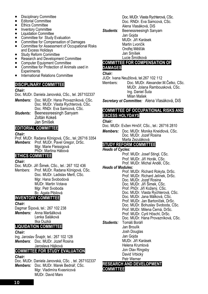- Disciplinary Committee
- Editorial Committee
- Ethics Committee
- Inventory Committee
- Liquidation Committee
- Committee for Study Evaluation
- Committee for Compensation of Damages
- Committee for Assessment of Occupational Risks and Excess Holidays
- Study Reform Committee
- Research and Development Committee
- Computer Equipment Committee
- Committee for Protection of Animals used in **Experiments**
- International Relations Committee

#### **DISCIPLINARY COMMITTEE**

#### *Chair:*

Doc. MUDr. Daniela Janovská, CSc., tel. 267102337

- *Members:* Doc. MUDr. Hana Provazníková, CSc. Doc. MUDr. Vlasta Rychterová, CSc. Doc. RNDr. Eva Samcová, CSc. *Students:* Beenessreesingh Sanyam Zoltán Kokeš
- Jan Smíšek

## **EDITORIAL COMMITTEE**

#### *Chair:*

Prof. MUDr. Radana Königová, CSc., tel.:26716 3354 *Members*: Prof. MUDr. Pavel Gregor, DrSc. Mgr. Marie Fleissigová PhDr. Martina Hábová

#### **ETHICS COMMITTEE**

#### *Chair:*

Doc. MUDr. Jiří Šimek, CSc., tel.: 267 102 436

Members: Prof. MUDr. Radana Königová, CSc. Doc. MUDr. Ladislav Mertl, CSc. Mgr. Hana Svobodová MUDr. Martin Votava Mgr. Petr Svoboda Bc. Agata Pibilová

## **INVENTORY COMMITTEE**

#### *Chair:*

Dagmar Šípová, tel.: 267 102 238 *Members:* Anna Maršálková Lenka Saláková Ilka Ouzká

#### **LIQUIDATION COMMITTEE**

#### *Chair:*

Ing. Jaroslav Šnajdr, tel.: 267 102 128 *Members*: Doc. MUDr. Jozef Rosina Jaroslava Hájková

#### **COMMITTEE FOR STUDY EVALUATION**

#### *Chair:*

Doc. MUDr. Daniela Janovská, CSc. , tel. 267102337 *Members:* Doc. MUDr. Marek Bednář, CSc. Mgr. Vladimíra Kvasnicová MUDr. David Marx

Doc. MUDr. Vlasta Rychterová, CSc. Doc. RNDr. Eva Samcová, CSc. Alena Vlasáková, DiS *Students*: Beenessreesingh Sanyam Jan Gojda MUDr. Jiří Karásek Martin Lvončík Ondřej Měšťák Jan Smíšek Lucie Šmídková

#### **COMMITTEE FOR COMPENSATION OF DAMAGES**

#### *Chair:*

JUDr. Ivana Neužilová, tel.267 102 112

Members: Doc. MUDr. Alexander.M.Čelko, CSc. MUDr. Jolana Rambousková, CSc. Ing. Daniel Šuta Milan Mašek

*Secretary ot Committee:* Alena Vlasáková, DiS

#### **COMMITTEE OF OCCUPATIONAL RISKS AND EXCESS HOLYDAYS**

#### *Chair:*

Doc. MUDr. Evžen Hrnčíř, CSc., tel.: 26716 2810

*Members:* Doc. MUDr. Monika Kneidlová, CSc. Doc. MUDr. Jozef Rosina Marta Zezuláková

## **STUDY REFORM COMMITTEE**

#### *Heads of Cycles:*

Prof. MUDr. Josef Stingl, CSc.

Prof. MUDr. Jiří Horák, CSc.

Prof. MUDr. Michal Anděl, CSc.

#### *Heads of Modules:*

Prof. MUDr. Richard Rokyta, DrSc. Prof. MUDr. Richard Jelínek, DrSc. Doc. MUDr. Jozef Rosina Doc. MUDr. Jiří Šimek, CSc. Prof. PhDr. Jiří Kožený, CSc. Doc. MUDr. Vlasta Rychterová, CSc. Doc. MUDr. Jana Málková, CSc. Prof. MUDr. Jan Bartoníček, DrSc. Doc. MUDr. Bohuslav Svoboda, CSc. Prof. MUDr. Milena Černá, DrSc. Prof. MUDr. Cyril Höschl, DrSc. Doc. MUDr. Hana Provazníková, CSc. *Students:* Tomáš Boráň Jan Broulík Josh Douglas Jan Gojda MUDr. Jiří Karásek Helena Krumlová Jon Olav Ringsby David Vrbický

Petr Werner

#### **RESEARCH AND DEVELOPMENT COMMITTEE**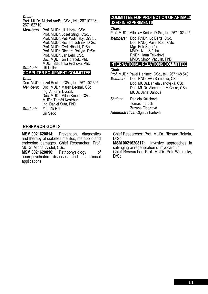#### *Chair:*

Prof. MUDr. Michal Anděl, CSc., tel.: 267102230, 267162710

*Members:* Prof. MUDr. Jiří Horák, CSc. Prof. MUDr. Josef Stingl, CSc. . Prof. MUDr. Petr Widimský, DrSc. . Prof. MUDr. Richard Jelínek, DrSc. Prof. MUDr. Cyril Höschl, DrSc. Prof. MUDr. Richard Rokyta, DrSc. Prof. MUDr. Jan Lebl, CSc. Doc. MUDr. Jiří Horáček, PhD. MUDr. Štěpánka Průhová, PhD. *Student:* Jiří Keller

## **COMPUTER EQUIPMENT COMMITTEE**

*Chair:* 

- Doc. MUDr. Jozef Rosina, CSc., tel.: 267 102 305
- *Members:* Doc. MUDr. Marek Bednář, CSc. Ing. Antonín Dvořák Doc. MUDr. Milan Kment, CSc. MUDr. Tomáš Kostrhun Ing. Daniel Šuta, PhD. *Student:* Zdeněk Hřib Jiří Šedo

## **COMMITTEE FOR PROTECTION OF ANIMALS USED IN EXPERIMENTS**

#### *Chair:*

Prof. MUDr. Miloslav Kršiak, DrSc., tel.: 267 102 405

*Members:* Doc. RNDr. Ivo Bárta, CSc. Doc. RNDr. Pavel Rödl, CSc. Mgr. Petr Šmerák MVDr. Ivan Štácha RNDr. Hana Tejkalová MVDr. Šimon Vaculín, PhD.

#### **INTERNATIONAL RELATIONS COMMITTEE**

#### *Chair:*

Prof. MUDr. Pavel Haninec, CSc., tel.: 267 168 540

- *Members:* Doc. RNDr.Eva Samcová, CSc. Doc. MUDr.Daniela Janovská, CSc. Doc. MUDr. Alexander M.Čelko, CSc. MUDr. Jana Dáňová
- *Student***:** Daniela Kulichová Tomáš Indruch Zuzana Elbertová *Administrativa:* Olga Linhartová

#### **RESEARCH GOALS**

**MSM 0021620814:** Prevention, diagnostics and therapy of diabetes mellitus, metabolic and endocrine damages. Chief Researcher: Prof. MUDr. Michal Anděl, CSc.

**MSM 0021620816:** Pathophysiology of neuropsychiatric diseases and its clinical applications

Chief Researcher: Prof. MUDr. Richard Rokyta,

DrSc.<br>MSM 0021620817: **MSM 0021620817:** Invasive approaches in salvaging or regeneration of myocardium Chief Researcher: Prof. MUDr. Petr Widimský, DrSc.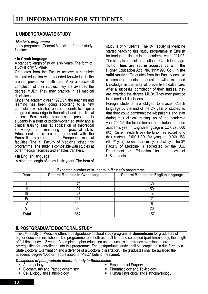## **I. UNDERGRADUATE STUDY**

#### *Master's programme*

study programme General Medicine - form of study: full-time

#### **• in Czech language**

**• in English language** 

A standard length of study is six years. The form of study is only full-time.

Graduates from the Faculty achieve a complete medical education with extended knowledge in the area of preventive health care. After a succesfull completion of their studies, they are awarded the degree MUDr. They may practice in all medical disciplines.

Since the academic year 1996/97, the teaching and learning has been going according to a new curriculum, which shall enable students to acquire integrated knowledge in theoretical and pre-clinical subjects. Basic clinical problems are presented to students in a form of problem-oriented study and a clinical training aims at application of theoretical knowledge and mastering of practical skills. Educational goals are in agreement with the Euroskills programme of European medical faculties. The  $3<sup>rd</sup>$  Faculty of Medicine joined this programme. The study is compatible with studies at other medical faculties and enables transfers.

A standard length of study is six years. The form of

#### study is only full-time. The 3rd Faculty of Medicine started teaching this study programme in English for foreign applicants in the academic year 1991/92. The study is parallel to edcation in Czech language. **Tuition fees are set in accordance with the Higher Education Act No. 111/1998 Coll. in the valid version.** Graduates from the Faculty achieve a complete medical education with extended knowledge in the area of preventive health care. After a succesfull completion of their studies, they are awarded the degree MUDr. They may practice in all medical disciplines.

Foreign students are obliged to master Czech language by the end of the 2<sup>nd</sup> year of studies so that they could communicate wit patients and staff during their clinical training. As of the academic year 2004/5, the tuition fee per one student and one academic year in English language is CZK 290.000 (Kč). Current students pay the tuition fee according to their contract.. 8.500 USD (3rd year) or –9.000 USD (4th-6<sup>th</sup> year) per one academic year of study. The  $3<sup>rd</sup>$ Faculty of Medicine is accredited by the U.S. Department of Education for a study of U.S.students.

| Year  | <b>General Medicine in Czech language</b> | <b>General Medicine in English language</b> |
|-------|-------------------------------------------|---------------------------------------------|
|       | 70                                        | 60                                          |
|       | 197                                       | 50                                          |
|       | 148                                       |                                             |
|       | 127                                       |                                             |
|       | 142                                       |                                             |
|       | 68                                        | 20                                          |
| Total | 852                                       | 157                                         |

#### **Expected number of students in Master´s programme**

### **II. POSTGRADUATE DOCTORAL STUDY**

The 3rd Faculty of Medicine offers a postgraduate doctoral study programme **Biomedicine** for graduates of higher education institutions. The programme runs both as a full-time and combined (part-time) study; the length of full-time study is 3 years. A complete higher education and a success in entrance examination are prerequisites for enrollment into this programme. The postgraduate study shall be completed in due form by a State Doctoral Examination and a defence of a Doctoral dissertation. The graduates shall be awarded the academic degree "Doctor" (abbreviated to "Ph.D." behind the name).

#### *Disciplines of postgraduate doctoral study in Biomedicine*

- Anthropology
- Biochemistry and Pathobiochemistry
- Cell Biology and Pathobiology
- **Experimental Surgery**
- Pharmacology and Toxicology
- Human Physiology and Pathophysiology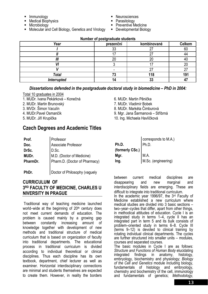- 
- **External metallicity**<br> **Medical Biophysics**<br> **Microbiology**
- 
- Molecular and Cell Biology, Genetics and Virology
- Neurosciences<br>■ Parasitology<br>■ Preventive Medicine
- 
- 
- Developmental Biology

| Year               | prezenční | kombinované | <b>Celkem</b> |
|--------------------|-----------|-------------|---------------|
|                    | 33        |             | 60            |
|                    |           |             | 44            |
| Ш                  | 20        | 20          | 40            |
|                    |           |             | 20            |
|                    |           |             |               |
| <b>Total</b>       | IJ        | 118         | 191           |
| <b>Interrupted</b> |           | აა          |               |

#### **Number of postgraduate students**

#### *Dissertations defended in the postgraduate doctoral study in biomedicine – PhD in 2004:*

- Total 10 graduates in 2004
- 1. MUDr. Ivana Pekárková Konečná
- 2. MUDr. Martin Brunovský
- 3. MVDr. Šimon Vaculín
- 4. MUDr.Pavel Osmančík
- 5. MUDr. Jiří Krupička

## **Czech Degrees and Academic Titles**

| Prof.    |                                                            |
|----------|------------------------------------------------------------|
| Doc.     | Professor<br>Associate Professor                           |
| DrSc.    | D.Sc.                                                      |
| MUDr.    |                                                            |
| PharmDr. | M.D. (Doctor of Medicine)<br>Pharm.D. (Doctor of Pharmacy) |
| PhDr.    | Doctor of Philosophy (vaguely                              |

## **CURRICULUM OF 3RD FACULTY OF MEDICINE, CHARLES U NIVERSITY IN PRAGUE**

 Traditional way of teaching medicine launched world–wide at the beginning of  $20<sup>th</sup>$  century does not meet current demands of education. The problem is caused mainly by a growing gap between constantly increasing amount of knowledge together with development of new methods and traditional structure of medical curriculum that is based on organization of faculty into traditional departments. The educational process in traditional curriculum is divided according to individual theoretical or clinical disciplines. Thus each discipline has its own textbook, department, chief lecturer as well as examiner. Horizontal interdisciplinary connections are minimal and students themselves are expected to create them. However, in reality the borders

- 6. MUDr. Martin Pěnička
- 7. MUDr. Vladimír Bobek
- 8. MUDr. Markéta Čimburová
- 9. Mgr. Jana Šarmanová Stříbrná
- 10. Ing. Michaela Havlíčková

|                 | corresponds to M.A.) |
|-----------------|----------------------|
| Ph.D.           | Ph.D.                |
| (formerly CSc.) |                      |
| Mgr.            | M.A.                 |
| Ing.            | M.Sc. (engineering)  |

between current medical disciplines are disappearing and new marginal and interdisciplinary fields are emerging. These are difficult to integrate into traditional curriculum.

In the academic year 1996/97, the 3rd Faculty of Medicine established a new curriculum where medical studies are divided into 3 basic sections – two–year–cycles that differ, apart from other things, in methodical attitudes of education. Cycle I is an integrated study in terms 1–4, cycle II has an integrated part in term 5 and its bulk consists of problem–oriented study in terms 6–8. Cycle III (terms 9–12) is devoted to clinical training by rotating individual clinical departments. The cycles are further structured into smaller units – modules, courses and separated courses.

The basic modules in Cycle I are as follows: *Structure and Functions of Human Body* elucidating integrated findings in anatomy, histology, embryology, biochemistry and physiology; *Biology of the Cell and Genetics* module including biology, fundamentals of histology and embryology, chemistry and biochemistry of the cell, immunology and fundamentals of genetics; *Methodology*,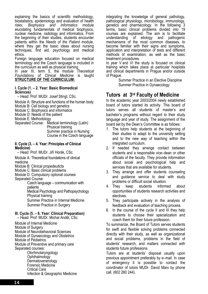explaining the basics of scientific methodology, biostatistics, epidemiology and evaluation of health risks; *Biophysics and Informatics* module elucidating fundamentals of medical biophysics, nuclear medicine, radiology and informatics. From the beginning of their studies, students encounter patients within the *Needs of the Patient* module, where they get the basic ideas about nursing techniques, first aid, psychology and medical ethics.

Foreign language education focused on medical terminology and the Czech language is included in the curriculum as well as physical training.

In year III, term 5, the module *Theoretical Foundations of Clinical Medicine* is taught **STRUCTURE OF THE CURRICULUM:**

#### **I. Cycle (1. – 2. Year: Basic Biomedical Sciences)**

– Head: Prof. MUDr. Josef Stingl, CSc.

- Module A: Structure and functions of the human body Module B: Cell biology and genetics
- Module C: Biophysics and informatics
- Module D: Needs of the patient

Module E: Methodology

Separated Course: Medical terminology (Latin) Physical training Summer practice in Nursing Course in the Czech language

#### **II. Cycle (3. – 4. Year: Principles of Clinical Medicine)**

– Head: Prof. MUDr. Jiří Horák, CSc.

Module A: Theoretical foundations of clinical medicine

- Module B: Clinical propedeuticts
- Module C: Basic clinical problems
- Module D: Compulsory optional courses Separated Course:

Czech language – communication with patients

Medical Psychology and Pathopsychology Physical training

Summer Practice in Internal Medicine Summer Practice in Surgery

#### **III. Cycle (5. – 6. Year: Clinical Preparation)**

– Head: Prof. MUDr. Michal Anděl, CSc.

Module of Internal Medicine Module of Surgery Module of Neurobehavioral Sciences Module of Gynaecology and Obstetrics Module of Pediatrics Module of Preventive and primary care Separated courses: **Otorhinolaryngology Ophthalmology Dermatovenerology** Forensic Medicine Critical Care Infection & Geographic Medicine

integrating the knowledge of general pathology, pathological physiology, microbiology, immunology, genetics and pharmacology. In the following 3 terms, basic clinical problems divided into 19 courses are explained. The aim is to facilitate understanding of etiology and pathogenic mechanisms of the most common diseases, to become familiar with their signs and symptoms, application and interpretation of tests and different methods of examination, as well as the basic treatment procedures.

In year V and VI the study is focused on clinical training which takes place at particular hospitals and clinical departments in Prague and/or outside of Prague.

Summer Practice in an Elective Discipline Summer Practice in Gynaecology

## **Tutors at 3rd Faculty of Medicine**

In the academic year 2003/2004 newly established board of tutors started its activity. This board of tutors serves all students of master's and bachelor's programs without regard to their study language and year of study. The assignment of the board set by the Dean's Committee is as follows:

- 1. The tutors help students at the beginning of their studies to adapt to the university setting and to the new way of teaching within the integrated curriculum.
- 2. If needed they arrange contact between students and a responsible vice–dean or other officials of the faculty. They provide information about social and psychological help and services that are available for students.
- 3. They arrange and offer students counseling and guidance service to deal with study problems or difficult social situation.
- 4. They keep students informed about opportunities of students research activities and electives.
- 5. They participate actively in the analysis of feedback and evaluation of teaching process.
- 6. In the course of the cycle II and III they help students to choose their specialization and coach them for their future profession.

To summarize, the Board of Tutors serves students for swift and flexible solving problems connected directly with their study, as well as organizational and social problems, problems in the field of students' research, and matters connected with students future professions.

Tutors are at students' disposal usually upon previous appointment preferably by e–mail. In case of emergency it is possible to contact the coordinator of tutors MUDr. David Marx by phone call. (602 260 244).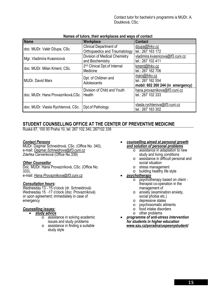Contact tutor for bachelor's programms is MUDr. A. Doubková, CSc.

| <b>Name</b>                        | <b>TWINGS</b> OF MIDI OF MOIN HOTING MOOD MIM HAYO OF OUTHOUT<br>Workplace | <b>Contact</b>                    |
|------------------------------------|----------------------------------------------------------------------------|-----------------------------------|
|                                    | <b>Clinical Department of</b>                                              | dzupa@fnkv.cz                     |
| doc. MUDr. Valér Džupa, CSc.       | <b>Orthopaedics and Traumatology</b>                                       | tel.: 267 163 172                 |
| Mgr. Vladimíra Kvasnicová          | Division of Medical Chemistry                                              | vladimira.kvasnicova@lf3.cuni.cz  |
|                                    | and Biochemistry                                                           | tel.: 267 102 411                 |
| doc. MUDr. Milan Kment, CSc.       | 2 <sup>nd</sup> Clinical Dpt.of Internal                                   | kment@fnkv.cz                     |
|                                    | Medicine                                                                   | tel.: 267 162 706                 |
|                                    | Dpt. of Children and                                                       | marx@fnkv.cz                      |
| <b>MUDr. David Marx</b>            | Adolescents                                                                | tel.: 267 162 554                 |
|                                    |                                                                            | mobil: 602 260 244 (in emergency) |
|                                    | Division of Child and Youth                                                | hana.provaznikova@lf3.cuni.cz     |
| doc. MUDr. Hana Provazníková, CSc. | Health                                                                     | tel.: 267 102 333                 |
|                                    |                                                                            |                                   |
|                                    | Dpt.of Pathology                                                           | vlasta.rychterova@lf3.cuni.cz     |
| doc. MUDr. Vlasta Rychterová, CSc. |                                                                            | tel.: 267 163 302                 |

#### **Names of tutors, their workplaces and ways of contact**

## **STUDENT COUNSELLING OFFICE AT THE CENTER OF PREVENTIVE MEDICINE**

Ruská 87, 100 00 Praha 10, tel: 267 102 340, 267102 339

#### *Contact Persons*

MUDr. Dagmar Schneidrová, CSc. (Office No. 340), e-mail: *Dagmar.Schneidrova@lf3.cuni.cz* Zdeňka Červenková (Office No.339)

#### *Other Counsellor*

Doc. MUDr. Hana Provazníková, CSc. (Office No. 333), e-mail: *Hana.Provaznikova@lf3.cuni.cz*

#### *Consultation hours:*

Wednesday 13 - 15 o'clock (dr. Schneidrová) Wednesday 15 -17 o'clock (doc. Provazníková) or upon agreement; immediately in case of emergency

#### *Counselling issues:*

#### • *study advice*

- o assistance in solving academic issues and study problems
- $\circ$  assistance in finding a suitable study style
- *counselling aimed at personal growth and solution of personal problems*
	- o assistance in adaptation to new study and living conditions
	- o assistance in difficult personal and social situation
	- o stress management
	- $\circ$  building healthy life style

#### • *psychotherapy*

- o psychotherapy based on client therapist co-operation in the management of
- o anxiety (examination anxiety, social phobia etc.)
- o depressive states
- o psychosomatic ailments
- o food intake disorders
- o other problems
- *programme of anti-stress intervention for students in higher education*  **www.szu.cz/poradna/uspesnystudent/**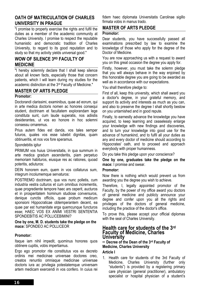#### **OATH OF MATRICULATION OF CHARLES UNIVERSITY IN PRAGUE**

"I promise to properly exercise the rights and fulfil the duties as a member of the academic community at Charles University. I promise to respect the reputable humanistic and democratic tradition of Charles University, to regard to its good reputation and to study so that my activity yields universal good."

### **WOW OF SILENCE 3RD FACULTY OF MEDICINE**

"I hereby solemnly declare that I shall keep silence about all known facts, especially those that concern patients, which I will learn during my studies for the academic distinction at the 3rd Faculty of Medicine."

#### **MASTER OF ARTS PLEDGE**

#### **Promotor:**

Doctorandi clarissimi, examinibus, quae ad eorum, qui in arte medica doctoris nomen ac honores consequi student, doctrinam et facultatem explorandam lege constituta sunt, cum laude superatis, nos adiistis desiderantes, ut vos eo honore in hoc solemni consessu ornaremus.

Prius autem fides est danda, vos tales semper futuros, quales vos esse iubebit dignitas, quam obtinueritis, et nos vos fore speramus.

#### Spondebitis igitur

PRIMUM vos huius Universitatis, in qua summum in arte medica gradum ascenderitis, piam perpetuo memoriam habituros, eiusque res ac rationes, quoad poteritis, adiuturos:

DEIN honorem eum, quem in vos collaturus sum, integrum incolumemque servaturos:

POSTREMO doctrinam, qua vos nunc polletis, cum industria vestra culturos et cum omnibus incrementis, quae progrediente tempore haec ars ceperit, aucturos et in prosperitatem hominum studiose conversuros, denique cunctis officiis, quae probum medicum sponsioni Hippocraticae obtemperantem decent, ea quae par est humanitate erga quemcunque functuros esse; HAEC VOS EX ANIMI VESTRI SENTENTIA SPONDEBITIS AC POLLICEBIMINI?

**One by one, M. D. students take the pledge on the mace:** SPONDEO AC POLLICEOR

#### **Promotor:**

Itaque iam nihil impedit, quominus honores quos obtinere cupitis, vobis impertiamus.

Ergo ego promotor rite constitutus vos ex decreto ordinis mei medicinae universae doctores creo, creatos renuntio omniaque medicinae universae doctoris iura ac privilegia potestatemque universam artem medicam exercendi in vos confero. In cuius rei fidem haec diplomata Universitatis Carolinae sigillo firmata vobis in manus trado.

## **MASTER OF ARTS PLEDGE**

#### **Promotor:**

Dear students, you have successfully passed all examinations prescribed by law to examine the knowledge of those who apply for the degree of the Doctor of Medicine.

You are now approaching us with a request to award you on this great occasion the degree you apply for.

Firstly, however, you must take the solemn pledge that you will always behave in the way enjoined by this honorable degree you are going to be awarded as well as in accordance with our expectations.

You shall therefore pledge to:

First of all, keep this university, which shall award you a doctor's degree, in your grateful memory, and support its activity and interests as much as you can, and also to preserve the degree I shall shortly bestow on you untarnished and in good repute.

Finally, to earnestly advance the knowledge you have acquired, to keep learning and ceaselessly enlarge your knowledge with new findings and discoveries, and to turn your knowledge into good use for the advance of humankind, and to fulfil all your duties as any and every doctor of medicine should according to Hippocrates' oath, and to proceed and approach everybody with proper humanness.

Do you take this pledge upon your conscience?

**One by one, graduates take the pledge on the mace:** I promise and swear.

#### **Promotor:**

Now there is nothing which would prevent us from awarding you the degree you wish to achieve.

Therefore, I, legally appointed promotor of the Faculty, by the power of my office award you doctors of general medicine and publicly announce your degree and confer upon you all the rights and privileges of the doctors of general medicine, including the practice of the doctor's office.

To prove this, please accept your official diplomas with the seal of Charles University.

#### **Health care for students of the 3rd Faculty of Medicine, Charles University**

**– Decree of the Dean of the 3rd Faculty of Medicine, Charles University**

#### **Article I**

1. Health care for students of the 3rd Faculty of Medicine, Charles University (further only "students") is provided by a registering primary care physician (general practitioner), ambulatory specialist or hospital physician of a student's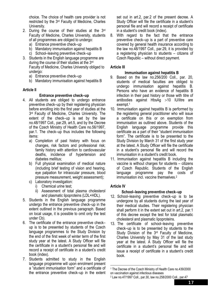choice. The choice of health care provider is not restricted by the 3rd Faculty of Medicine, Charles University.

- 2. During the course of their studies at the 3rd Faculty of Medicine, Charles University, students of all programmes are obliged to undergo:
	- a) Entrance preventive check–up
	- b) Mandatory immunisation against hepatitis B
	- c) School–leaving preventive check–up
- 3. Students in the English language programme are during the course of their studies at the 3rd Faculty of Medicine, Charles University obliged to undergo:
	- a) Entrance preventive check–up
	- b) Mandatory immunisation against hepatitis B

#### **Article II**

#### **Entrance preventive check–up**

- 4. All students are obliged to undergo entrance preventive check–up by their registering physician before enrolling into the first year of studies at the  $3<sup>rd</sup>$  Faculty of Medicine, Charles University. The extent of the check–up is set by the law no.48/1997 Coll., par.29, art.5, and by the Decree of the Czech Ministry of Health Care no.56/1997, par.1. The check–up thus includes the following items:
	- a) Completion of past history with focus on changes, risk factors and professional risk; family history with attention to cardiovascular deaths, incidence of hypertension and diabetes mellitus;
	- b) Full physical examination of medical nature (including brief testing of vision and hearing, eye palpation for intraocular pressure, blood pressure measurement, weight assessment);
	- c) Laboratory investigation:
		- i) Chemical urine test;
		- ii) Assessment of total plasma cholesterol and plasmatic lipoproteins (LDL+HDL).
- 5. Students in the English language programme undergo the entrance preventive check–up in the extent outlined in the previous paragraph. Based on local usage, it is possible to omit only the test under Cb).
- 6. The certificate of the entrance preventive check– up is to be presented by students of the Czech language programmes to the Study Division by the end of the first week of winter term of the first study year at the latest. A Study Officer will file the certificate in a student's personal file and will record a receipt of certificate in a student's credit book (index).
- 7. Students admitted to study in the English language programme will upon enrolment present a "student immunisation form" and a certificate of the entrance preventive check–up in the extent

set out in art.2, par.2 of the present decree. A Study Officer will file the certificate in a student's personal file and will record a receipt of certificate in a student's credit book (index).

8. With regard to the fact that the entrance preventive check–up is a part of preventive care covered by general health insurance according to the law no.48/1997 Coll., par.29, it is provided by a registering physician to students – citizens of Czech Republic – without direct payment.

#### **Article III**

#### **Immunisation against hepatitis B**

- 9. Based on the law no.256/200 Coll., par. 20, students of medical faculties are obliged to undergo immunisation against hepatitis B. Persons who have an evidence of hepatitis B infection in their past history or those with titre of antibodies against HbsAg >10 IU/litre are exempt.1
- 10. Immunisation against hepatitis B is performed by the registering general practitioner who will issue a certificate on this or on exemption from immunisation as outlined above. Students of the English language programme provide this certificate as a part of their "student immunisation form". The certificate is to be presented to the Study Division by March 31 of the first study year at the latest. A Study Officer will file the certificate in a student's personal file and will record the immunisation in a student's credit book.
- 11. Immunisation against hepatitis B including the vaccine is without charges for students – citizens of Czech Republic. Students of the English language programme pay the costs of immunisation incl. vaccine themselves.2

#### **Article IV**

#### **School–leaving preventive check–up**

- 12. School–leaving preventive check–up is to be undergone by all students during the last year of their medical studies. Their registering physician shall perform it in the extent set out in art.2, par.1 of this decree except the test for total plasmatic cholesterol and plasmatic lipoproteins.
- 13. The certificate of school–leaving preventive check–up is to be presented by students to the Study Division of the 3rd Faculty of Medicine, Charles University by May 31 of the last study year at the latest. A Study Officer will file the certificate in a student's personal file and will issue a receipt of certificate in a student's credit book.

<sup>&</sup>lt;u>.</u> 1 The Decree of the Czech Ministry of Health Care no.439/2000 on vaccination against infectious diseases

<sup>2</sup> Law no.47/1997 Coll., par.30, law no.258/2000 Coll., par.47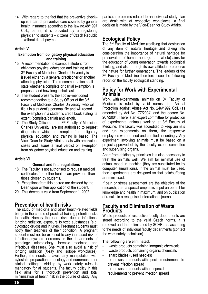14. With regard to the fact that the preventive check– up is a part of preventive care covered by general health insurance according to the law no.48/1997 Coll., par.29, it is provided by a registering physician to students – citizens of Czech Republic – without direct payment.

#### **Article V**

#### **Exemption from obligatory physical education and training**

- 15. A recommendation to exempt a student from obligatory physical education and training at the 3<sup>rd</sup> Faculty of Medicine, Charles University is issued either by a general practitioner or another attending physician. The recommendation shall state whether a complete or partial exemption is proposed and how long it shall last.
- 16. The student presents the above–mentioned recommendation to a Study Officer of the 3rd Faculty of Medicine, Charles University, who will file it in a student's personal file and will record the exemption in a student's credit book stating its extent (complete/partial) and length.
- 17. The Study Officers at the 3rd Faculty of Medicine, Charles University, are not authorised to request diagnosis on which the exemption from obligatory physical education and training is based. The Vice–Dean for Study Affairs deals with ambivalent cases and issues a final verdict on exemption from obligatory physical education and training.

#### **Article VI**

#### **General and final regulations**

- 18. The Faculty is not authorised to request medical certificates from other health care providers than those chosen by students.
- 19. Exceptions from this decree are decided by the Dean upon written application of the student.
- 20. This decree is valid from September 1, 2002.

## **Prevention of health risks**

The study of medicine and other health-related fields brings in the course of practical training potential risks to health. Namely there are risks due to infections, ionizing radiation, exposure to toxic substances (e.g. cytostatic drugs) and injuries. Pregnant students must notify their teachers of their condition. A pregnant student must not be exposed to any increased risk of infection anywhere (foremost in the departments of pathology, microbiology, forensic medicine, and infectious diseases). She must also avoid a risk of ionizing radiation (X-ray and isotope workplaces). Further, she needs to avoid any manipulation with cytostatic preparations (oncology and numerous other clinical settings). Abiding by work safety rules is mandatory for all students. The faculty policy in this field aims for a thorough prevention and total minimization of health risk in the course of study. Any

particular problems related to an individual study plan are dealt with at respective workplaces, a final decision is made by the Vice-Dean for Study Affairs.

## **Ecological Policy**

The 3rd Faculty of Medicine (realising that destruction of any item of natural heritage and taking into consideration the importance of natural heritage for preservation of human heritage as a whole) aims for the education of young generation towards ecological thinking, and also through its own attitude to preserve the nature for further generations. The leaders of the 3<sup>rd</sup> Faculty of Medicine therefore issue the following report on the faculty ecological standing.

### **Policy for Work with Experimental Animals**

Work with experimental animals on 3<sup>rd</sup> Faculty of Medicine is ruled by valid norms, i.e. Animal Protection against Abuse Act No. 246/1992 Coll. (as amended by Act No. 77/2004) and the decree No. 207/2004. There is an expert committee for protection of experimental animals working at 3<sup>rd</sup> Faculty of Medicine. The faculty was accredited to keep animals and run experiments on them, the respective employees were trained and certified accordingly. Any experiment involving animals must be based on a project approved of by the faculty expert committee and supervising organs.

Apart from abiding by principles it is also necessary to treat the animals well. We aim for minimal use of animal model in teaching (they are substituted for by computer simulations). If the animal must be used, then experiments are designed so that pain/suffering are minimised.

If pain or stress assessment are the objective of the research, then a special emphasis is put on benefit for knowledge and health in maximum, and on publication of results in a recognised international journal.

## **Faculty and Elimination of Waste Products**

Waste products of respective faculty departments are stored according to the valid Czech norms. It is removed and then eliminated by SCHB a.s. according to the needs of individual faculty departments (contact the work safety technician).

#### **The following are eliminated:**

- waste products containing inorganic chemicals
- waste products containing organic chemicals
- sharp blades (used needles)
- other waste products with special requirements to prevent infection spread
- other waste products without special requirements to prevent infection spread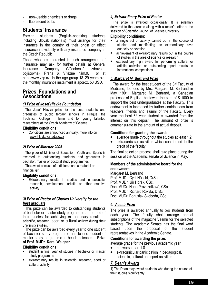- non–usable chemicals or drugs
- fluorescent bulbs

## **Students' Insurance**

Foreign students (English–speaking students including Slovak nationals) must arrange for their insurance in the country of their origin or effect insurance individually with any insurance company in the Czech Republic.

Those who are interested in such arrangement of insurance may ask for further details at General Insurance Company (Všeobecná zdravotní pojišťovna): Praha 6, Vítězné nám.9, or at http://www.vzp.cz. In the age group 18–29 years old, the monthly insurance instalment is aporox. 50 USD.

#### **Prizes, Foundations and Associations**

#### *1) Prize of Josef Hlávka Foundation*

The Josef Hlávka prize for the best students and graduates of public tertiary schools in Prague, the Technical College in Brno and for young talented researchers at the Czech Academy of Science.

#### **Eligibility conditions:**

 Conditions are announced annually, more info on www.hlavkovanadace.cz

#### *2) Prize of Minister 2005*

The prize of Minister of Education, Youth and Sports is awarded to outstanding students and graduates in bachelor, master or doctoral study programmes.

The award consists of a diploma and a material or financial gift.

#### **Eligibility conditions:**

**Extraordinary results in studies and in scientific,** research, development, artistic or other creative activity

#### *3) Prize of Rector of Charles University for the best graduate*

This prize can be awarded to outstanding students of bachelor or master study programme at the end of their studies for achieving extraordinary results in scientific, research, sport or cultural activity during their university studies.

The prize can be awarded every year to one student of bachelor study programme and to one student of master study programme in health sciences – **Prize of Prof. MUDr. Karel Weigner**.

#### **Eligibility conditions:**

- student in final year of studies in bachelor or master study programme
- extraordinary results in scientific, research, sport or cultural activity

#### *4) Extraordinary Prize of Rector*

The prize is awarded occasionally. It is solemnly delivered to the laureate along with a rector's letter at the session of Scientific Council of Charles University.

#### **Eligibility conditions:**

- a single act or activity carried out in the course of studies and manifesting an extraordinary civic audacity or devotion
- achievement of extraordinary results out in the course of studies in the area of science or research
- extraordinary high award for performing cultural or artistic activities or outstanding sport results in international competitions

#### *5. Margaret M. Bertrand Prize*

The award for the best student of the 3rd Faculty of Medicine, founded by Mrs. Margaret M. Bertrand in May 1991. Margaret M. Bertrand, a Canadian professor of English, bestowed the sum of \$ 1000 to support the best undergraduates at the Faculty. This endowment is increased by further contributions from teachers, friends and alumni of the Faculty. Every year the best  $6<sup>th</sup>$  year student is awarded from the interest on this deposit. The amount of prize is commensurate to the amount of actual deposit.

#### **Conditions for granting the award:**

- average grade throughout the studies at least 1.2
- extracurricular activities which contributed to the credit of the faculty

The final selection process shall take place during the session of the Academic senate of Science in May.

#### **Members of the administrative board for the endowment:**

Margaret M. Bertrand Prof. MUDr. Cyril Höschl, DrSc. Prof. MUDr. Jiří Horák, CSc. Doc. MUDr. Hana Provazníková, CSc. Prof. MUDr. Richard Rokyta, DrSc. Doc. MUDr. Bohuslav Svoboda, CSc.

#### *6. Vesmír Prize*

The prize is awarded annually to two students from each year. The faculty shall arrange annual subscriptions of the magazine Vesmír for the selected students. The Academic Senate has the final word based upon the proposal of the student representatives in the Academic Senate.

#### **Conditions for awarding the prize:**

average grade for the previous academic year

- not worse than 1.8
- extracurricular participation in pedagogical, scientific, cultural and sport activities

#### *7. Dean's Award*

1) The Dean may award students who during the course of their studies significantly: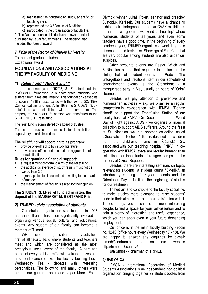- a) manifested their outstanding study, scientific, or teaching skills;
- b) represented the 3<sup>rd</sup> Faculty of Medicine:

c) participated in the organisation of faculty life. 2) The Dean announces his decision to award and it is published by usual faculty means. The decision also includes the form of award.

#### *7. Prize of the Rector of Charles University*

To the best graduate student Exceptional award

## **FOUNDATIONS AND ASSOCIATIONS AT THE 3RD FACULTY OF MEDICINE**

#### *1) Relief Fund "Student 3. LF"*

In the academic year 1992/93, 3. LF established the PROBIMED foundation to support gifted students who suffered from a material misery. This foundation ceased its function in 1998 in accordance with the law no. 227/1997 "On foundations and funds". In 1999 the STUDENT 3. LF relief fund was established with the same aim. The property of PROBIMED foundation was transferred to the STUDENT 3. LF relief fund.

The relief fund is administered by a board of trustees:

The board of trustees is responsible for its activities to a supervisory board chaired by:

#### **The relief fund will according to its program:**

- provide one-off aid to buy study literature
- provide one-off support in a sudden aggravation of social situation

#### **Rules for granting a financial support:**

- a request must conform to aims of the relief fund
- the applicant's average of study results must not be worse than 2,0
- a grant application is submitted in writing to the board of trustees
- the management of faculty is asked for their opinion

#### **The STUDENT 3. LF relief fund administers the deposit of the MARGARET M. BERTRAND Prize.**

#### *2) TRIMED - civic association of students*

Our student organisation was founded in 1997 and since then it has been significantly involved in organising various social, cultural and educational events. Any student of out faculty can become a member of Trimed.

WE participate in organisation of many activities, first of all faculty balls where students and teachers meet and which are considered as the most prestigious social event of the faculty. A part and parcel of every ball is a raffle with valuable prizes and a student dance show. The faculty building hosts Wednesday Tea - debates with interesting personalities. The following and many others were among our guests - actor and singer Marek Eben,

Olympic winner Lukáš Polert, senator and preacher Svatopluk Karásek. Our students have a chance to exhibit their photographs at regular CVAK exhibitions. In autumn we go on a weekend "school trip" where numerous students of all years and even some teachers have a good time. In the beginning of every academic year, TRIMED organises a week-long sale of second-hand textbooks. Showings of Film Club that are very popular among students are also under our auspices.

Other favourite events are Easter, Witch and St.Nicholas parties that regularly take place in the dining hall of student dorms in Podolí. The unforgettable and traditional item in our schedule of entertainment events is the Steamboat - a masquerade party in May usually on board of "Odra" steamer.

Besides, we pay attention to preventive and humanitarian activities – e.g. we organise a regular competition in co-operation with IFMSA "Donate blood!" to support the Transfusion Station of our faculty hospital FNKV. On December 1 - the World Day of Fight against AIDS - we organise a financial collection to support AIDS sufferers. Around the feast of St. Nicholas we run another collection called .Chocolate for Nicholas" that is destined for children from the children's home in Říčanská St., associated with our teaching hospital FNKV. In cooperation with IFMSA, there are regular humanitarian collections for inhabitants of refugee camps on the territory of Czech Republic.

Besides, there are interesting seminars on topics relevant for students, a student journal "3Medik", an introductory meeting of 1st-year students and the Orientation Day to facilitate the beginning of studies for our freshmen.

Trimed aims to contribute to the faculty social life, to make studies more pleasant, to raise students´ pride in their alma mater and their satisfaction with it. Trimed brings you a chance to meet interesting people, to find a space for your self-assertion and to gain a plenty of interesting and useful experience, which you can apply even in your future demanding employment.

Our office is in the main faculty building - room no. 124C (office hours every Wednesday 17 - 18). We are happy to answer any enquiries by e-mail: trimed@centrum.cz or on our website http://trimed.lf3.cuni.cz/

Jan Smíšek - chairman of TRIMED

#### *3) IFMSA CZ*

IFMSA - International Federation of Medical Students Associations is an independent, non-political organisation bringing together 92 student bodies from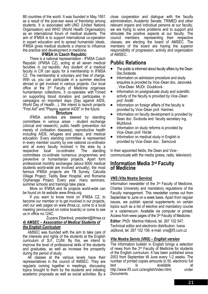88 countries of the world. It was founded in May 1951 as a result of the post-war wave of friendship among students. It is associated with UNO (United Nations Organisation) and WHO (World Health Organisation) as an international forum of medical students. The aim of IFMSA is to support international co-operation in expert education and to spread humanistic ideals. IFMSA gives medical students a chance to influence the practice and development in medicine.

#### **IFMSA in Czech Republic**

There is a national representation - IFMSA Czech Republic (IFMSA CZ), acting at all seven medical faculties in our republic. Any student of a medical faculty in CR can apply for a membership in IFMSA CZ. The membership is voluntary and free of charge. With us, you can participate in a summer elective abroad or get involved in various projects. Our local office at the 3<sup>rd</sup> Faculty of Medicine organises humanitarian collections, it co-operates with Trimed on supporting blood donation and participates in campaigns on important days (Day against AIDS, World Day of Health…). We intend to launch projects "First Aid" and "Playing against AIDS" in the future.

#### **Structure**

IFMSA activities are steered by standing committees in various areas - student exchange (clinical and research), public health (prevention not merely of civilisation diseases), reproductive health including AIDS, refugees and peace, and medical education. Every standing committee is represented in every member country by one national co-ordinator and at every faculty involved n the area by a respective local co-ordinator. The standing committees co-ordinate numerous programmes and preventive or humanitarian projects. Apart form professional monthly exchanges (about 6000 medical students world-wide are involved annually), the most famous IFMSA projects are TB Survey, Calcutta Village Project, Teddy Bear Hospital, and Romania Orphanage Project. Every year, many seminars, summer schools and trainings take place.

More on IFMSA and its projects world-wide can be found on its website www.ifmsa.org.

If you want to know more on IFMSA CZ, to become our member or to get involved in our projects, visit our web pages on www.ifmsa.cz, come to a local meeting (announced on notice boards) or come to see us in office no.124C.

#### Zuzana Elbertová, president@ifmsa.cz *4) AMSEC – Association of Medical Students of the English Curriculum*

AMSEC was founded with the aim to take care of the interests and rights of the students at the English curriculum of 3LF, CUNI. By this, we intend to improve the level of professional skills of the students and graduates, as well as increase the prosperity during the period of study.

All classes at the various levels have their representatives in the council of AMSEC. They are regularly coming together in meetings, discussing topics brought to them by the students and initiating academic proposals as well as social activities. By a close cooperation and dialogue with the faculty administration, Academic Senate, TRIMED and other relevant organs and individual persons at our faculty, we are trying to solve problems and to support and stimulate the positive aspects at our faculty. The council members, representing their respective classes, are electing the board of AMSEC. The members of the board are having the superior responsibility of progression, activity and organization of AMSEC.

## **Public Relations**

- The public is informed about faculty affairs by the Dean Doc.Svoboda .
- Information on admission procedure and study enquiires is provided by Vice–Dean doc. Janovská , Vice-Dean MUDr. Doubková
- Information on postgraduate study and scientific activity of the faculty is provided by Vice–Dean prof. Anděl
- Information on foreign affairs of the faculty is provided by Vice–Dean prof. Haninec
- Information on faculty development is provided by Dean doc. Svoboda and faculty secretary ing. Mužíková
- Information on study reforms is provided by Vice–Dean prof. Horák
- Information on medical study in English is provided by Vice–Dean doc. Samcová

In their appointed fields, the Dean and Vice– communicate with the media (press, radio, television)

## **Information Media 3rd Faculty of Medicine**

#### *VNS (Vita Nostra Service)*

Information newsletter of the 3rd Faculty of Medicine, Charles University and mandatory regulations of the Faculty management. This newsletter comes out from September to June on a week basis. Apart from regular issues, we publish special supplements on certain topics such as a list of elective and mandatory course or a vademecum. Available via computer or printed. Access from www pages of the 3rd Faculty of Medicine.

**Editor:** PhDr. Martina Hábová, tel. 267 102 547. Technical editor and electronic distribution: Ivana Ježková, tel. 267 102 106, e-mail: vns@lf3.cuni.cz

#### *Vita Nostra Servis (VNS) – English version*

The information bulletin in English brings a selection of news from the 3rd Faculty of Medicine for students of the English curriculum. It has been published since 2003 from September till June every 1-2 weeks. The number of printed copies amounts to 50, electronic full text is available at http://www.lf3.cuni.cz/english/index.html, under Documents.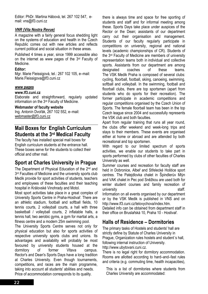Editor: PhDr. Martina Hábová, tel. 267 102 547, email: vns@lf3.cuni.cz

#### *VNR (Vita Nostra Revue)*

A magazine with a fairly general focus shedding light on the systems of education and health in the Czech Republic comes out with new articles and reflects current political and social situation in these areas.

Published 4 times a year, since 1999 accessible also on the internet as www pages of the 3rd Faculty of Medicine.

#### **Editor:**

Mgr. Marie Fleissigová, tel.: 267 102 105, e–mail: Marie.Fleissigova@lf3.cuni.cz

#### *www pages*

#### **www.lf3.cuni.cz**

Elaborate and straightforward, regularly updated information on the 3rd Faculty of Medicine.

#### **Webmaster of faculty website**

Ing. Antonín Dvořák, 267 102 552, e–mail: webmaster@lf3.cuni.cz

## **Mail Boxes for English Curriculum Students at the 3rd Medical Faculty**

The faculty has installed special mail boxes for English curriculum students at the entrance hall. These boxes serve for the students to collect their official and other mail.

## **Sport at Charles University in Prague**

The Department of Physical Education of the 2<sup>nd</sup> and 3<sup>rd</sup> Faculties of Medicine and the university sports club Medik provide for sport activities of students, teachers and employees of these faculties and their teaching hospital in Královské Vinohrady and Motol.

Most sport activities take place in a great complex of University Sports Centre in Praha-Hostivař. There are an athletic stadium, football and softball fields, 10 tennis courts, 2 volleyball courts, a hall with three basketball / volleyball courts, 2 inflatable halls, a tennis hall, two aerobic gyms, a gym for martial arts, a fitness centre and a modern 25m swimming pool.

The University Sports Centre serves not only for physical education but also for sports activities of respective university sports clubs and unions. Its advantages and availability will probably be most favoured by university students housed at the dormitory of former Vltava campus. Rector's and Dean's Sports Days have a long tradition at Charles University. Even though tournaments, competitions, and races are the main programme, taking into account all students' abilities and needs. Price of accommodation corresponds to its quality.

there is always time and space for free sporting of students and staff and for informal meeting among these. Sports Days take place under auspices of the Rector or the Dean; assistants of our department carry out their organisation and management. Students of our faculty regularly participate in competitions on university, regional and national levels (academic championships of CR). Students of the 3rd Faculty of Medicine are members of university representation teams both in individual and collective sports. Assistants from our department are among designated coaches of these teams. The VSK Medik Praha is composed of several clubs: cycling, floorball, football, skiing, canoeing, swimming, softball and volleyball. In the swimming, football and floorball clubs, there are top sportsmen (apart from students who do sports for their recreation). The former participate in academic competitions and regular competitions organised by the Czech Union of Sports. The female floorball team has been in the top Czech league since 2004 and successfully represents the VSK club and both faculties.

Apart from regular training that runs all year round, the clubs offer weekend and week-long trips and stays to their members. These events are organised either at home or abroad and are attended by both recreational and top sportsmen.

With regard to our limited spectrum of sports activities, we enable our students to take part in sports performed by clubs of other faculties of Charles University as well.

Summer courses and recreation for faculty staff are held in Dobronice, Albeř and Střelecké Hoštice sport centres. The Patejdlovka chalet in Špindlerův Mlýn and VAK chalet in Pec pod Sněžkou are used both for winter student courses and family recreation of university staff.

Information on all events organised by our department or by the VSK Medik is published in VNS and on http://www.lf3.cuni.cz/telovychova/index.htm.

Detailed info can be obtained from department staff in their office on Bruslařská 10, Praha 10 - Hostivař.

## **Halls of Residence – Dormitories**

The primary tasks of Hostels and students' hall are strictly define by Statute of Charles University in Prague, Organization rules hostels and student´s hall, following internal instruction of University.

http://www.ubytovani.cuni.cz.

There is no legal right for dormitory accommodation. Rooms are allotted according to hard–and–fast rules and criteria (e.g. commuting time, health incapacities),

This is a list of dormitories where students from Charles University are accommodated: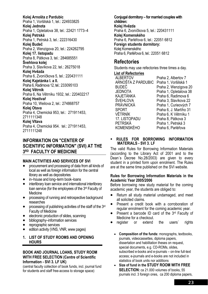**Kolej Arnošta z Pardubic**  Praha 1, Voršilská 1, tel.: 224933825 **Kolej Jednota**  Praha 1, Opletalova 38, tel.: 22421 1773–4 **Kolej Petrská**  Praha 1, Petrská 3, tel.: 222316430 **Kolej Budeč** Praha 2, Wenzigova 20, tel.: 224262795 **Kolej 17. listopadu**  Praha 8, Pátkova 3, tel.: 284685551 **Švehlova kolej**  Praha 3, Slavíkova 22, tel.: 26275018 **Kolej Hvězda**  Praha 6, Zvoníčkova 5, tel.: 220431111 **Kolej Kajetánka I. a II.**  Praha 6, Radimova 12, tel.: 233095103 **Kolej Větrník**  Praha 6, Na Větrníku 1932, tel.: 220402217 **Kolej Hostivař** Praha 10, Weilova 2, tel.: 274868757 **Kolej Otava**  Praha 4, Chemická 953, tel.: 271911453, 2711111348 **Kolej Vltava**  Praha 4, Chemická 954. tel.: 271911453, 2711111248

### **INFORMATION ON "CENTER OF SCIENTIFIC INFORMATION" (SVI) AT THE 3RD FACULTY OF MEDICINE**

#### **MAIN ACTIVITIES AND SERVICES OF SVI**

- procurement and processing of data from all kinds of local as well as foreign information for the central library as well as depositories
- in–house and long–term book–loans
- interlibrary loan service and international interlibrary loan service (for the employees of the 3rd Faculty of **Medicine**
- processing of running and retrospective background researches
- processing of publishing activities of the staff of the 3rd Faculty of Medicine
- electronic production of slides, scanning
- bibliography–information services
- reprographic services
- edition activity (VNS, VNR, www pages)

#### **1. LIST OF STUDY ROOMS AND OPENING HOURS**

#### **BOOK AND JOURNAL LOANS, STUDY ROOM WITH FREE SELECTION (Centre of Scientific Information - SVI 3. LF UK)**

(central faculty collection of book funds, incl. journal fund for students and staff free-access to storage space)

**Conjugal dormitory – for married couples with children: Kolej Hvězda**  Praha 6, Zvoníčkova 5, tel.: 220431111 **Kolej Komenského**  Praha 6, Parléřova 6, tel.: 22051 6812 **Foreign students dormitory:**  Kolej Komenského Praha 6, Parléřova 6, tel.: 22051 6812

#### **Refectories**

Students may use refectories three times a day.

## **List of Refectories**

Praha 2, Albertov 7 ARNOŠTA Z PARDUBIC Praha 1, Voršilská 1 BUDEČ Praha 2, Wenzigova 20 JEDNOTA Praha 1, Opletalova 38 KAJETÁNKA Praha 6, Radimova 6 ŠVEHLOVA Praha 3, Slavíkova 22 PRÁVNICKÁ Praha 1, Curieových 7 SPORT Praha 6, J. Martího 31 VĚTRNÍK Praha 6, K Větrníku 1 17. LISTOPADU Praha 8, Pátkova 3 PETRSKÁ Praha 1. Petrská 3 KOMENSKÉHO Praha 6, Parléřova

#### **RULES FOR BORROWING INFORMATION MATERIALS - SVI 3. LF**

The valid Rules for Borrowing Information Materials (according to the Library Act of 2001 and to the Dean´s Decree No.28/2003) are given to every student in a printed form upon enrolment. The Rules are at the same time published on the SVI website.

#### **Rules for Borrowing Information Materials in the Academic Year 2005/2006**

Before borrowing new study material for the coming academic year, the students are obliged to:

- Return all study material undamaged, and meet all solicited claims.
- Present a credit book with a corroboration of regular enrolment for the coming academic year.
- Present a barcode ID card of the 3rd Faculty of Medicine for a checkout.
- register or extend the users' rights
	- **Composition of the funds:** monographs, textbooks, journals, videocassettes, diploma papers, dissertation and habilitation theses on request, special documents, e.g. CD-ROMs, slides, subscribed e-books and e-journals – on-line full-text access; e-journals and e-books are not included in statistics of book units nor additions
	- **Size of fund in the STUDY ROOM WITH FREE SELECTION:** ca 21,000 volumes of books, 55 journals incl. 3 foreign ones, ca 200 diploma papers,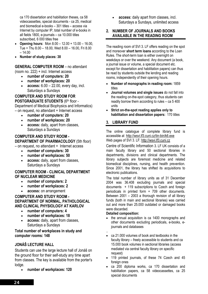ca 170 dissertation and habilitation theses, ca 58 videocassettes, special documents - ca 25, medical and biomedical e-books – 301 titles – access via Internet by computer IP, total number of e-books in all fields 1800, e-journals – ca 10.000 titles subscribed, 6 000 titles free

- **Opening hours:** Mon 8.00 12.00 + 13.00 16.00, Tue + Thu 8.00 – 18.00, Wed 8.00 – 16.00, Fri 8.00  $-14.00$
- **Number of study places: 38**

#### **GENERAL COMPUTER ROOM** – no attendant

(room no. 222) + incl. Internet access

- **number of computers: 20**
- **number of workplaces: 20**
- **access:** 6.00 22.00, every day, incl. Saturdays a Sundays

#### **COMPUTER AND STUDY ROOM FOR**

**POSTGRADUATE STUDENTS (6th floor -**Department of Medical Biophysics and Informatics) – on request, no attendant + Internet access

- **number of computers: 20**
- **number of workplaces: 20**
- **access:** daily, apart from classes, Saturdays a Sundays

**COMPUTER AND STUDY ROOM - DEPARTMENT OF PHARMACOLOGY** (5th floor) – on request, no attendant + Internet access

- **number of computers: 30**
- **number of workplaces: 50**
- **access:** daily, apart from classes, Saturdays a Sundays

#### **COMPUTER ROOM - CLINICAL DEPARTMENT OF NUCLEAR MEDICINE**

- **number of computers: 2**
- **number of workplaces: 2**
- **access:** on arrangement

#### **COMPUTER AND STUDY ROOM - DEPARTMENT OF NORMAL, PATHOLOGICAL AND CLINICAL PHYSIOLOGY AT KARLOV**

- **number of computers: 4**
- **number of workplaces: 18**
- **access:** daily, apart from classes, Saturdays a Sundays

#### **Total number of workplaces in study and computer rooms: 148**

#### **JONÁŠ LECTURE HALL**

Students can use the large lecture hall of Jonáš on the ground floor for their self-study any time apart from classes. The key is available from the porter's lodge.

• **number of workplaces: 120** 

• **access:** daily apart from classes, incl. Saturdays a Sundays, unlimited access

#### **2. NUMBER OF JOURNALS AND BOOKS AVAILABLE IN THE READING ROOM**

The reading room of SVI 3. LF offers reading on the spot and moreover **short term loans** according to the Loan Rules. The short-term loan is either overnight on weekdays or over the weekend. Any document (a book, a journal issue or volume, a special document etc. except for dissertation and habilitation papers) can thus be read by students outside the lending and reading rooms, independently of their opening hours.

- **Number of monographs in reading room:** 1859 titles
- **Journal volumes and single issues** do not fall into the reading on-the-spot category, thus students can readily borrow them according to rules – ca 5 400 units
- **Strict on-the-spot reading applies only to habilitation and dissertation papers:** 170 titles

#### **3. LIBRARY FUND**

The online catalogue of complete library fund is accessible at http://wsvi.lf3.cuni.cz/tin-bin/k6.exe Web pages of SVI 3. LF: http://wsvi.lf3.cuni.cz

Centre of Scientific Information 3. LF UK consists of a main faculty library and 50 sectional libraries in departments, divisions and clinical departments. The library subjects are foremost medicine and related biomedical disciplines, nursing, and health prevention. Since 2001, the library has shifted its acquisitions to electronic publications.

The total number of library units as of 31 December 2004 was 36.408 excluding journals and special documents + 119 subscriptions to Czech and foreign periodicals in printed form + 709 other documents. Between 2001 – 2003 a thorough revision of all library funds (both in main and sectional libraries) was carried out and more than 25.000 outdated or damaged books were discarded.

#### **Detailed composition:**

- the annual acquisition is ca 1400 monographs and other documents excluding periodicals, e-books, ejournals and databases
- .. • ca 21.000 volumes of book and textbooks in the faculty library – freely accessible to students and ca 15.000 book volumes in sectional libraries (access mediated via central faculty library on specific request)
- 119 printed journals, of these 74 Czech and 45 foreign ones
- ca 200 diploma works, ca 170 dissertation and habilitation papers, ca 58 videocassettes, ca 25 special documents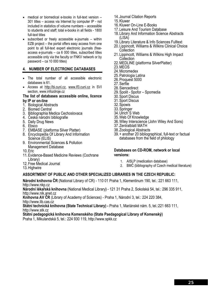- medical or biomedical e-books in full-text version 301 titles – access via Internet by computer IP - not included in statistics of volume numbers – accessible to students and staff; total e-books in all fields - 1800 full-text titles
- subscribed or freely accessible e-journals within EZB project – the portal offers easy access from one point to all full-text expert electronic journals (freeaccess e-journals – ca 6 000 titles, subscribed titles accessible only via the faculty or FNKV network or by password – ca 10 000 titles)

#### **4. NUMBER OF ELECTRONIC DATABASES**

- The total number of all accessible electronic databases is 61.
- Access at http://bi.cuni.cz, www.lf3.cuni.cz in SVI section, www.infozdroje.cz

#### **The list of databases accessible online, licence by IP or on-line**

- 1. Biological Abstracts
- 2. Biomed Central
- 3. Bibliographia Medica Cechoslovaca
- 4. Česká národní bibliografie
- 5. Daily Drug News
- 6. Ebsco
- 7. EMBASE (platforma Silver Platter)
- 8. Encyclopedia Of Library And Information Science (ELIS)
- 9. Environmental Sciences & Pollution Management Database
- 10.Eric
- 11.Evidence-Based Medicine Reviews (Cochrane Library)
- 12.Free Medical Journal
- 13.Highwire

## **ASSORTMENT OF PUBLIC AND OTHER SPECIALIZED LIBRARIES IN THE CZECH REPUBLIC:**

**Národní knihovna ČR** (National Library of CR) - 110 01 Praha 1, Klementinum 190, tel.: 221 663 111, http://www.nkp.cz

**Národní lékařská knihovna** (National Medical Library**)** - 121 31 Praha 2, Sokolská 54, tel.: 296 335 911, http://www.nlk.anet.cz

**Knihovna AV ČR** (Library of Academy of Sciences) - Praha 1, Národní 3, tel.: 224 220 384, http://www.lib.cas.cz

**Státní technická knihovna (State Technical Library) -** Praha 1, Mariánské nám. 5, tel.:221 663 111, http://www.stk.cz

**Státní pedagogická knihovna Komenského (State Paedagogical Library of Komenský)** 

Praha 1, Mikulandská 5, tel.: 224 930 119, http://www.spkk.cz

- 14. Journal Citation Reports
- 15.Kluwer
- 16.Kluwer On-Line E-Books
- 17.Leisure And Tourism Database
- 18.Library And Information Science Abstracts (LISA)
- 19.Library Literature & Info Sciences Fulltext
- 20.Lippincott, Williams & Wilkins Clinical Choice **Collection**
- 21.Lippincott, Williams & Wilkins High Impact **Collection**
- 22.MEDLINE (platforma SilverPlatter)
- 23.MEOS
- 24.Micromedex
- 25.Patrologia Latina
- 26.Proquest 5000
- 27.Serfile
- 28.Siencedirect
- 29.Spolit Spofor Spomedia
- 30.Sport Discus
- 31.Sport Discus
- 32.Spowis
- 33.Springer
- 34.Ulrich´S Web
- 35.Web Of Knowledge
- 36.Wiley Interscience (John Wiley And Sons)
- 37.Zentralblatt MATH
- 38.Zoological Abstracts
- 39.+ another 20 bibliographical, full-text or factual databases from the field of philology

#### **Databases on CD-ROM, network or local versions:**

- 1. AISLP (medication database)
- 2. BMČ (bibliography of Czech medical literature)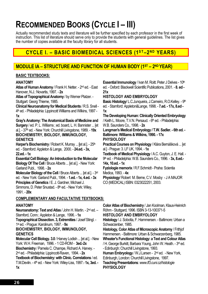## **RECOMMENDED BOOKS (CYCLE I – III)**

Actually recommended study texts and literature will be further specified by each professor in the first week of instruction. This list of literature should serve only to provide the students with general guidelines. The list gives the number of copies available at the faculty library for all students.

## **CYCLE I. - BASIC BIOMEDICAL SCIENCES (1ST-2ND YEARS)**

## **MODULE IA – STRUCTURE AND FUNCTION OF HUMAN BODY (1ST – 2ND YEAR)**

#### **BASIC TEXTBOOKS:**

#### **ANATOMY**

**Atlas of Human Anatomy** / Frank H. Netter. - 2nd ed. - East Hanover, N.J.: Novartis, 1997. - **2x**

**Atlas of Topographical Anatomy** / by Werner Platzer. - Stuttgart: Georg Thieme, 1985.

**Clinical Neuroanatomy for Medical Students** / R.S. Snell - 4th ed. - Philadelphia: Lippincott Williams and Wilkins, 1997 - **1x**

**Gray's Anatomy: The Anatomical Basis of Medicine and Surgery** / ed. P. L. Williams ; ed. board, L. H. Bannister ... [et al.]. - 37th ed. - New York: Churchill Livingstone, 1989. - **19x BIOCHEMISTRY, BIOLOGY, IMMUNOLOGY, GENETICS** 

**Harper's Biochemistry** / Robert K. Murray ... **[et al.].** - 25<sup>th</sup> ed. - Stamford: Appleton & Lange, 2000. - **24.ed. - 3x, 22.ed. - 1x** 

**Essential Cell Biology: An Introduction to the Molecular Biology Of The Cell** / Bruce Alberts ... [et al.]. - New York: Garland Publ., 1998. - **2x**

**Molecular Biology of the Cell** / Bruce Alberts ... [et al.]. - 3rd ed. - New York: Garland Publ., 1994. - **1.ed. - 1x, 4.ed. - 3x Principles of Genetics** / E. J. Gardner, Michael J. Simmons, D. Peter Snustad. - 8<sup>th</sup> ed. - New York: Wiley, 1991. - **20x**

#### **COMPLEMENTARY AND FACULTATIVE TEXTBOOKS:**

#### **ANATOMY**

**Neuroanatomy: Text and Atlas** / John H. Martin. - 2<sup>nd</sup> ed. -Stamford, Conn.: Appleton & Lange, 1996. - **1x Topographical Dissection. 3, Extremities** / Josef Stingl. - 1st ed. - Prague: Karolinum, 1997. - **9x BIOCHEMISTRY, BIOLOGY, IMMUNOLOGY, GENETICS** 

**Molecular Cell Biology. 3.0** / Harvey Lodish ... [et al.]. - New York: W.H. Freeman, 1996. - 1 CD-ROM - **3ed.-2x Biochemistry** / Pamela C. Champe, Richard A. Harvey. - 2nd ed. - Philadelphia: Lippincott-Raven, 1994. - **2x Textbook of Biochemistry: with Clinic. Correlations** / ed. T.M.Devlin. - 4th ed. - New York: Wiley-Liss, 1997.- **1x, 3ed. - 1x** 

**Essential Immunology** / Ivan M. Roitt. Peter J Delves - 10<sup>th</sup> ed. - Oxford: Blackwell Scientific Publications, 2001. - **8. ed - 21x** 

#### **HISTOLOGY AND EMBRYOLOGY**

**Basic Histology/ L.C.Junqueira, J.Carneiro, R.O.Kelley. - 9th** ed. - Stamford: Appleton&Lange, 1998. - **7.ed. - 17x, 8.ed - 1x**

**The Developing Human: Clinically Oriented Embryology** / Keith L. Moore, T.V.N. Persaud. - 6<sup>th</sup> ed. - Philadelphia:

W.B. Saunders Co., 1998. - **2x**

**Langman's Medical Embryology / T.W. Sadler. - 6th ed. - Baltimore: Williams & Wilkins, 1990. - 17x PHYSIOLOGY** 

**Practical Courses on Physiology** / Klára Bernášková ... [et al.] - Prague: 3. LF UK, 1994. - **1x**

**Textbook of Medical Physiology** / A.C. Guyton, J. E. Hall. - 9th ed. - Philadelphia: W.B. Saunders Co., 1996. - **3x, 8.ed.- 14x, 10.ed. - 1x**

**Fyziologie memorix** / R.F.Schmidt - Praha: Scientia Medica, 1993. - **4x**

**Physiology**/ Robert M. Berne, C.V. Mosby - J A MAJOR CO (MEDICAL) ISBN: 0323022251, 2003.

**Color Atlas of Biochemistry** / Jan Koolman, Klaus-Heinrich Röhm - Stuttgard, 1996. ISBN 3-13-100371-5

**HISTOLOGY AND EMBRYOLOGY** 

**Histology** / J. Sobotta, F. Hammersen. - Baltimore: Urban a Schwarzenber, 1985.

**Histology, Color Atlas of Microscopic Anatomy** / Frithjof Hammersen. - Baltimore: Urban & Schwarzenberg, 1985.

**Wheater's Functional Histology: a Text and Colour Atlas**  / H. George Burkitt, Barbara Young, John W. Heath. - 3rd ed. - Edinburgh: Churchill Livingstone, 1993.

**Human Embryology** / W.J.Larsen - 2nd ed. - New York, Edinburgh, London: Churchill Livingstone, 1997.

**Teaching Presentations***: www.lf3.cuni.cz/histologie* **PHYSIOLOGY**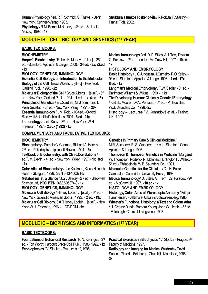**Human Physiology** / ed. R.F. Schmidt, G. Thews. - Berlin; New York: Springer-Verlag, 1983. **Physiology** / R.M. Berne, M.N. Levy. - 4<sup>th</sup> ed. - St. Louis: Mosby, 1998. - **1x**

**Struktura a funkce lidského těla** / R.Rokyta, F.Šťastný - Praha: Tigis, 2002.

## **MODULE IB – CELL BIOLOGY AND GENETICS (1ST YEAR)**

#### **BASIC TEXTBOOKS:**

#### **BIOCHEMISTRY**

**Harper's Biochemistry** / Robert K. Murray ... [et al.]. - 25<sup>th</sup> ed. - Stamford: Appleton & Lange, 2000. - **24.ed. - 3x, 22.ed - 1x** 

#### **BIOLOGY, GENETICS, IMMUNOLOGY**

**Essential Cell Biology: an Introduction to the Molecular Biology of the Cell** / Bruce Alberts ... [et al.]. - New York: Garland Publ., 1998. - **2x**

**Molecular Biology of the Cell** / Bruce Alberts ... [et al.]. - 3rd ed. - New York: Garland Publ., 1994. - **1.ed. - 1x, 4.ed. - 3x Principles of Genetics** / E.J.Gardner, M. J. Simmons, D. Peter Snustad. - 8th ed. - New York: Wiley, 1991. - **20x Essential Immunology** / I. M. Roitt. - 10<sup>th</sup> ed. - Oxford: Blackwell Scientific Publications, 2001.- **8.ed.- 21x Immunology** / Janis Kuby. - 3rd ed. - New York: W.H. Freeman, 1997. - **2.ed.- (1992) - 1x**

#### **COMPLEMENTARY AND FACULTATIVE TEXTBOOKS:**

#### **BIOCHEMISTRY**

**Biochemistry** / Pamela C. Champe, Richard A. Harvey. - 2nd ed. - Philadelphia: Lippincott-Raven, 1994. - **2x Textbook of Biochemistry: with Clinic.Correlations** / ed.T. M. Devlin. - 4th ed. - New York: Wiley, 1997. - **1x, 3ed. - 1x Color Atlas of Biochemistry** / Jan Koolman, Klaus-Heinrich Röhm - Stuttgard, 1996. ISBN 3-13-100371-5

**Metabolism at a Glance** / J.G . Salway - 2nd ed. - Blackwell Science Ltd, 1999. ISBN 0-632-05274-0 - **1x**

**BIOLOGY, GENETICS, IMMUNOLOGY** 

**Molecular Cell Biology / Harvey Lodish ... [et al.]. - 3<sup>rd</sup> ed. -**New York: Scientific American Books, 1995. - **2.ed. - 19x Molecular Cell Biology. 3.0** / Harvey Lodish ... [et al.]. - New York: W.H. Freeman, 1996. - 1 CD-ROM - **1x**

**Medical Immunology** / ed. D. P. Stites, A. I. Terr, Tristram G. Parslow. - 9thed. - London: Mc Graw-Hill, 1997. - **10.ed.- 1x**

#### **HISTOLOGY AND EMBRYOLOGY**

**Basic Histology** / L.C.Junqueira, J.Carneiro, R.O.Kelley. - 9th ed. - Stamford: Appleton & Lange, 1998. - **7.ed - 17x, 8.ed. - 1x** Langman's Medical Embryology / T.W. Sadler. - 6<sup>th</sup> ed. -

Baltimore: Williams & Wilkins, 1990. - **17x**

**The Developing Human: Clinically Oriented Embryology**  / Keith L. Moore, T.V.N. Persaud. - 6<sup>th</sup> ed. - Philadelphia: W.B. Saunders Co., 1998.- **2x**

**Histology – Lectures** / V. Konrádová et al. - Praha: UK, 1997.

#### **Genetics in Primary Care & Clinical Medicine** /

M.R..Seashore, R, S. Wappner. - 1st ed. - Stamford; Conn.: Appleton & Lange, 1996.

**Thompson & Thompson Genetics in Medicine** / Margaret W. Thompson, Roderick R. McInnes, Huntington F. Willard. - 5th ed. - Philadelphia: W.B. Saunders Co., 1991. **Molecular Genetics for the Clinician** / D.J.H. Brock. -

Cambridge: Cambridge University Press, 1993.

**Medical Immunology/ D. Stites, A.I. Terr, T.G. Parslow. - 9th** ed. - McGraw Hill, 1997. **- 10.ed - 1x**

#### **HISTOLOGY AND EMBRYOLOGY**

**Histology, Color Atlas of Microscopic Anatomy** / Frithjof Hammersen. - Baltimore: Urban & Schwarzenberg, 1985. **Wheater's Functional Histology: a Text and Colour Atlas**  / H. George Burkitt, Barbara Young, John W. Heath. - 3rd ed.

- Edinburgh: Churchill Livingstone, 1993.

### **MODULE IC – BIOPHYSICS AND INFORMATICS (1ST YEAR)**

#### **BASIC TEXTBOOKS:**

**Foundations of Behavioral Research** / F. N. Kerlinger. - 3rd ed. - Fort Worth: Harcourt Brace Coll. Publ., 1986, 1992. - **1x Ecobiophysics** / V. Slouka. - Prague: [s.n.], 1996.

**Practical Exercises in Biophysics** / V. Slouka. - Prague: 3rd Faculty of Medicine, 1997. **Radiology and Imaging for Medical Students** / David Sutton. - 7th ed. - Edinburgh: Churchill Livingstone, 1998. - **3x**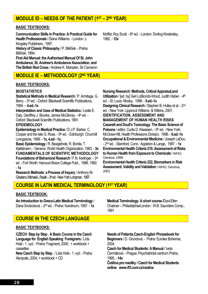## **MODULE ID – NEEDS OF THE PATIENT (1ST – 2ND YEAR)**

#### **BASIC TEXTBOOKS:**

**Communication Skills In Practice: A Practical Guide for Health Professionals** / Diana Williams. - London: J. Kingsley Publishers, 1997.

**History of Classic Philosophy** / P. Bělíček. - Praha: Bělíček, 1994.

**First Aid Manual: the Authorised Manual Of St. John Ambulance, St. Andrew's Ambulance Association, and The British Red Cross** / Andrew K. Marsden, Sir Cameron

### **MODULE IE – METHODOLOGY (2ND YEAR)**

#### **BASIC TEXTBOOKS:**

#### **BIOSTATISTICS**

**Statistical Methods in Medical Research** / P. Armitage, G. Berry. - 3rd ed. - Oxford: Blackwell Scientific Publications, 1994. – **4.ed.-1x**

**Interpretation and Uses of Medical Statistics** / Leslie E. Daly, Geoffrey J. Bourke, James McGilvray. - 4th ed. -Oxford: Blackwell Scientific Publications, 1991.

#### **EPIDEMIOLOGY**

**Epidemiology in Medical Practice** / D.J.P. Barker, C. Cooper and the late G. Rose. - 5<sup>th</sup> ed. - Edinburgh: Churchill Livingstone, 1998. - **1x, 4.ed - 1x,**

**Basic Epidemiology** / R. Beaglehole, R. Bonita, T. Kjellstroem. - Geneva: World Health Organization, 1993. - **3x FUNDAMENTALS OF SCIENTIFIC METHODOLOGY Foundations of Behavioral Research** / F.N. Kerlinger. - 3rd ed. - Fort Worth: Harcourt Brace College Publ., 1986, 1992. - **1x**

**Research Methods: a Process of Inquiry** / Anthony M. Graziano, Michael L. Raulin. - 3rd ed. - New York: Longman, 1997.

Moffat, Roy Scott. - 6<sup>th</sup> ed. - London: Dorling Kindersley, 1992. - **12x**

#### **Nursing Research: Methods, Critical Appraisal,and**

**Utilization** / [ed. by] Geri LoBiondo-Wood, Judith Haber. - 4<sup>th</sup> ed. - St. Louis: Mosby, 1998. - **5.ed.-1x Designing Clinical Research** / Stephen B. Hulley et al. - 2nd ed. - New York: Lippincot Williams & Wilkins, 2001. **IDENTIFICATION, ASSESSMENT AND MANAGEMENT OF HUMAN HEALTH RISKS Casarett and Doull's Toxicology: The Basic Science of Poisons** / editor, Curtis D. Klaassen. - 5<sup>th</sup> ed. - New York: McGraw-Hill, Health Professions Division, 1996. - **6.ed.-1x Occupational & Environmental Medicine** / Joseph LaDou. - 2nd ed. - Stamford, Conn.: Appleton & Lange, 1997. - **1x Environmental Health Criteria 210, Assessment of Risks to Human Health from Exposure to Chemicals** / WHO, Geneva, 1999

**Environmental Health Criteria 222, Biomarkers in Risk Assessment. Validity and Validation** / WHO, Geneva, 2001

### **COURSE IN LATIN MEDICAL TERMINOLOGY (1ST YEAR)**

#### **BASIC TEXTBOOK:**

**An Introduction to Greco-Latin Medical Terminology** / Dana Svobodová. - 2nd ed. - Praha: Karolinum, 1997. - **1x** 

## **COURSE IN THE CZECH LANGUAGE**

#### **BASIC TEXTBOOKS:**

**CZECH Step by Step . A Basic Course in the Czech Language for English Speaking Foreigners** / Lída Holá - 1. vyd. - Praha: Fragment, 2000, + workbook + cassettes

**New Czech Step by Step.** / Lída Holá - 1. vyd. - Praha: Akropolis, 2004, + workbook + CD

**Medical Terminology: A short course /**Davi-Ellen Chabner – Philadelphia/London : W.B. Saunders Comp., 1991

**Needs of Patients.Czech-English Phrasebook for Beginners** / D. Grundová. - Praha: Eurolex Bohemia, 2004.

**Czech for Medical Students: A Manual** / Iveta Čermáková. - Prague: Psychiatrické centrum Praha, 1995. - **14x** 

**Čeština pro mediky / Czech for Medical Students online:** *www.lf3.cuni.cz/cestina*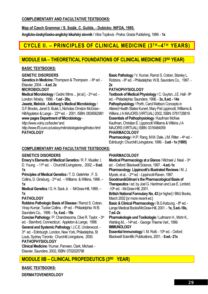#### **COMPLEMENTARY AND FACULTATIVE TEXTBOOKS:**

**Map of Czech Grammar / S. Soják, C. Guilds. - Dubicko: INFOA, 1995.**

**Anglicko-český/česko-anglický lékařský slovník** / Věra Topilová - Praha: Grada Publishing, 1999. - **1x** 

## **CYCLE II. - PRINCIPLES OF CLINICAL MEDICINE (3TH-4TH YEARS)**

## **MODULE IIA – THEORETICAL FOUNDATIONS OF CLINICAL MEDICINE (3RD YEAR)**

#### **BASIC TEXTBOOKS:**

**GENETIC DISORDERS** 

**Genetics in Medicine** /Thompson & Thompson . - 6<sup>th</sup> ed. -Elsevier, 2004. – **4.ed. 2x**

**MICROBIOLOGY** 

**Medical Microbiology** / Cedric Mims ... [et al.]. - 2nd ed. - London: Mosby, 1998. - **1.ed - 20x,**

**Jawetz, Melnick , Adelberg's Medical Microbiology** /

G.F.Brooks, Janet S. Butel, L.Nicholas Ornston McGraw - Hill/Appleton & Lange - 22nd ed. - 2001. ISBN: 0838562981 **www pages Department of Microbiology** -

*http://www.volny.cz/bacter/* and

*http://www.lf3.cuni.cz/ustavy/mikrobiologie/engl/index.html*  **PATHOLOGY** 

#### **COMPLEMENTARY AND FACULTATIVE TEXTBOOKS:**

#### **GENETICS DISORDERS**

**Emery's Elements of Medical Genetics** / R. F. Mueller, I. D. Young. - 11<sup>th</sup> ed. - Churchill Livingstone., 2002. - 9.ed. **1x**

**Principles of Medical Genetics** / T. D. Gelehrter , F. S. Collins, D. Ginsburg. - 2nd ed. – Williams & Wilkins, 1998. – **1x**

**Medical Genetics** / G. H. Sack Jr. - MrGraw-Hill, 1999. – **1x**

#### **PATHOLOGY**

**Robbins Pathologic Basis of Disease** / Ramzi S. Cotran, Vinav Kumar. Tucker Collins. - 6<sup>th</sup> ed. - Philadelphia: W.B. Saunders Co., 1999. - **1x, 4.ed. - 19x**

**Concise Pathology** / P. Chandrasoma, Clive R. Taylor. - 3rd ed. - Stamford, Connecticut:: Appleton & Lange, 1998.

**General and Systemic Pathology** / J.C.E. Underwood. - 3<sup>rd</sup> ed. - Edinburgh, London, New York, Philadelphia, St Louis, Sydney Toronto: Churchill Livingstone, 2000. **PATHOPHYSIOLOGY** 

**Clinical Medicine** / Kumar, Parveen, Clark, Michael. - Elsevier, Saunders, 2002, ISBN: 0702025798

**Basic Pathology** / V. Kumar, Ramzi S. Cotran, Stanley L. Robbins. - 6<sup>th</sup> ed. - Philadelphia: W.B. Saunders Co., 1997. -**2x**

#### **PATHOPHYSIOLOGY**

**Textbook of Medical Physiology** / C. Guyton, J.E. Hall - 9th ed. - Philadelphia: Saunders, 1996. - **3x, 8.ed. - 14x Pathophysiology** / Porth, Carol Mattson Concepts in Altered Health States Kunert, Mary Pat Lippincott, Williams & Wilkins J A MAJORS (VIRTUAL) 2002, ISBN: 0781728819 **Essentials of Pathophysiology** / Kaufman McKee Kaufman, Christian E. Lippincott Williams & Wilkins J A MAJORS (VIRTUAL) ISBN: 0316484059 **PHARMACOLOGY** 

Pharmacology / H.P. Rang, M.M. Dale, J.M. Ritter. - 4<sup>th</sup> ed. -Edinburgh: Churchill Livingstone, 1999. - **3.ed - 1x (1995)**

#### **PHARMACOLOGY**

**Medical Pharmacology at a Glance** / Michael J. Neal. - 3rd ed. - Oxford: Blackwell Science, 1997. - **4.ed.-1x Pharmacology**. **Lippincott's Illustrated Reviews** / M. J. Mycek, et al.. - 2<sup>nd</sup> ed. - Lippincott-Raven, 1997. **Goodman&Gilman's the Pharmacological Basis of Therapeutics** / ed. by Joel G. Hardman and Lee E. Limbird.  $-10$ <sup>th</sup> ed. - McGraw-Hill, 2001. **British National Formulary No. 43** [or higher] / BMJ Books, March 2002 [or more recent ed.] Basic & Clinical Pharmacology / B.G.Katzung. - 8th ed. -Lange Medical Books/McGraw-Hill, 2001. - **1x, 5.ed.-18x, 7.ed.-2x Pharmakologie und Toxikologie** / Lullmann H., Mohr K., Wehling M., - 14<sup>th</sup> ed. - George Thieme Verl., 1999. **IMMUNOLOGY Essential Immunology/ I. M. Roitt. - 10th ed. - Oxford:** Blackwell Scientific Publications, 2001. - **8.ed.- 21x** 

## **MODULE IIB – CLINICAL PROPEDEUTICS (3RD YEAR)**

**BASIC TEXTBOOKS:** 

**DERMATOVENEROLOGY**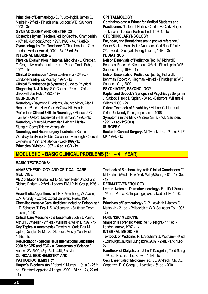**Principles of Dermatology**/ D. P. Lookingbill, James G. Marks-jr - 2nd ed. - Philadelphia, London: W.B. Saunders, 1993. - **3x**

#### **GYNEACOLOGY AND OBSTERICS**

**Obstetrics by ten Teachers**/ ed. by Geoffrey Chamberlain. - 16th ed. - London: Arnold, 1997, 1995. - **4x, 17.ed-3x** 

**Gynaecology by Ten Teachers/ G.Chambrelain - 17th ed. -**London: Hodder Arnold, 2000. - **3x, 16.ed.-5x** 

#### **INTERNAL MEDICINE**

**Physical Examination in Internal Medicine** / L. Chrobák, T. Gral, J. Kvasnička et al. - 1st ed. - Praha: Grada Publ., 1997. - **1x**

**Clinical Examination** / Owen Epstein et al - 2nd ed. - London-Philadelphia: Moshby, 1997. - **1x**

**Clinical Examination (a Systemic Guide to Physical Diagnosis)** / N.J. Talley, S O´Connor - 2nd ed – Oxford: Blackwell Scie.Publ., 1992. **- 19x**

#### **NEUROLOGY**

**Neurology** / Raymond D. Adams, Maurice Victor, Allan H. Ropper. - 6<sup>th</sup> ed. - New York: McGraw-Hill, Health Professions **Clinical Skills in Neurology** / Michael J. G. Harrison - Oxford: Butterworth - Heinemann, 1996. - **1x Neurology** / Marco Mumenthaler, Heinrich Mattle -

#### Stuttgart: Georg Thieme Verlag - **6x**

**Neurology and Neurosurgery Illustrated** / Kenneth W.Lidsay, Ian Bone, Robbin Callander - Edinburgh: Churchill Livingstone, 1991 and later on - **3.ed.(1997)-1x Principles Division** - 1997. - **6.ed. z CD - 1x** 

#### **OPHTALMOLOGY**

**Ophthalmology: A Primer for Medical Students and Practitioners** / Calbert I. Phillips, Charles V. Clark, Shigeo Tsukahara. - London: Bailliére Tindall, 1994. - **1x**

### **OTORHINOLARYNGOLOGY**

**Ear, nose, and throat diseases: a pocket reference** / Walter Becker, Hans Heinz Naumann, Carl Rudolf Pfaltz. - 2nd, rev. ed. - Stuttgart:: Georg Thieme, 1994. - **2x PEDIATRICS** 

**Nelson Essentials of Pediatrics** / [ed. by] Richard E. Behrman, Robert M. Kliegman. - 3rd ed. - Philadelphia: W.B. Saunders Co., 1998. - **1x** 

**Nelson Essentials of Pediatrics** / [ed. by] Richard E. Behrman, Robert M. Kliegman. -4th ed. - Philadelphia: W.B. Saunders Co., 2002.

#### **PSYCHIATRY, PSYCHOLOGY**

**Kaplan and Sadock´s Synopsis of Psychiatry** / Benjamin J. Sadock, Harold I. Kaplan. - 8<sup>th</sup> ed. - Baltimore: Williams & Wilkins, 1998. - **2x** 

**Oxford Textbook of Psychiatry** / Michael Gelder, et al. - Oxford University Press, paperback – 1996.

**Symptoms in the Mind / Andrew Sims. - WB Saunders.** 1995. - **3.ed.-1x(2003)**

#### **SURGERY**

**Basics in General Surgery** / M. Tvrdek et al. - Praha: 3. LF UK, 1994. - **1x**

## **MODULE IIC – BASIC CLINICAL PROBLEMS (3RD – 4TH YEAR)**

#### **BASIC TEXTBOOKS:**

#### **ANAESTHESIOLOGY AND CRITICAL CARE MEDICINE**

**ABC of Major Trauma** / ed. D. Skinner, Peter Driscoll and Richard Earlam. - 2nd ed. - London: BMJ Publ. Group, 1996. - **1x**

**Anaesthetic Algorithms** / ed. R.F. Armstrong, W. Aveling, E.M. Grundy. - Oxford: Oxford University Press, 1996. **Checklist Intensive Care Medicine: Including Poisoning** / H.P. Schuster, T. Pop, L.S..Weilemann. - Stuttgart: Georg Thieme, 1990.

**Critical Care Medicine - the Essentials** / John J. Marini, Arthur P. Wheeler. - 2nd ed. - Williams & Wilkins, 1997. - **1x**

**Key Topics in Anesthesia** / Timothy M. Craft, Paul M. Upton, Douglas G. Martz. - St. Louis: Mosby-Year Book, 1995. - **1x**

**Resuscitation - Special Issue International Guidelines 2000 for CPR and ECC - A Consensus of Science** / August 23, 2000, 46 (1-3) 1 - 448, Elsevier

**CLINICAL BIOCHEMISTRY AND** 

#### **PATHOBIOCHEMISTRY**

**Harper's Biochemistry / Robert K. Murray ... (et al.) - 25.<sup>th</sup>** ed.- Stamford: Appleton & Lange, 2000. - **24.ed. - 2x, 22.ed. - 1x** 

**Textbook of Biochemistry: with Clinical Correlations** / T. M. Devlin - 5th ed. - New York: Wiley&Sons, 2001. - **1x, 3ed. - 1x**

#### **DERMATOVENEROLOGY**

**Lecture Notes on Dermatovenerology** / František Záruba. - 1st ed. - Praha: Státní pedagogické nakladatelství, 1990. - **6x**

**Principles of Dermatology** / D. P. Lookingbill, James G. Marks, Jr. - 2nd ed. - Philadelphia: W.B. Saunders Co., 1993. - **2x**

#### **FORENSIC MEDICINE**

**Simpson's Forensic Medicine / B. Knight. - 11th ed. -**London: Arnold, 1997. - **1x**

#### **INTERNAL MEDICINE**

**Textbook of Medicine** / R. L. Souhami, J. Moxham - 4<sup>th</sup> ed - Edinburgh:Churchill Livingstone, 2002. - **2.ed. - 17x, 1.ed-2x**

**Handbook of Dialysis** / ed. John T. Daugirdas, Todd S. Ing. - 2nd ed. - Boston: Little, Brown, 1994.- **1x**

**Cecil Essentialsof Medicine** / ed.T. E. Andreoli , Ch. C.J. Carpenter, R..C.Griggs, J. Loscalzo - 6<sup>th</sup> ed. - 2004.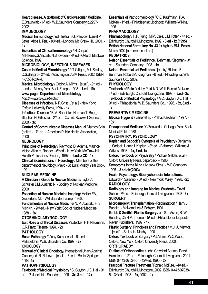#### **Heart disease. A textbook of Cardiovascular Medicine** /

E.Braunwald.- 6<sup>th</sup> ed.- W.B.Saunders Company p.2297-2002.

#### **IMMUNOLOGY**

**Medical Immunology** / ed. Tristram G. Parslow, Daniel P. Stites, Abba I. Terr. - 10<sup>th</sup> ed. - London: Mc Graw-Hill, 2001. -**1x**

**Essentials of Clinical Immunology** / H.Chapel,

M.Haeney, S.Misbah, N.Snowden. - 4<sup>th</sup> ed - Oxford: Blackwel Science, 1999.

#### **MICROBIOLOGY, INFECTIOUS DISEASES**

**Cases in Medical Microbiology** / P.T.Gilligan, M.L.Smiley, D.S.Shapiro - 2nd ed. - Washington: ASM Press, 2002, ISBN 1-55581-207-4.

**Medical Microbiology** / Cedric A. Mims... [et al.]. - 2nd ed. - London: Mosby-Year Book Europe, 1998. - **1.ed - 19x**

## **www pages Department of Microbiology** -

*http://www.volny.cz/bacter/* 

**Diseases of Infection** / N.R.Grist....[et al.] - New York: Oxford University Press, 1994. - **1x**

**Infectious Disease** / B. A. Bannister, Norman T. Begg, Stephen H. Gillespie. - 2<sup>nd</sup> ed. - Oxford: Blackwell Science, 2000. - **3x**

**Control of Communicable Diseases Manual** / James Chin (editor) - 17<sup>th</sup> ed. - American Public Health Association, 2000.

#### **NEUROLOGY**

**Principles of Neurology** / Raymond D. Adams, Maurice Victor, Allan H. Ropper. - 6<sup>th</sup> ed. - New York: McGraw-Hill, Health Professions Division, 1997. - **6.ed. z CD - 1x Clinical Examinations in Neurology** / Members of the department of Neurology, Mayo - St. Luis: Mosby Year Book, 1991.

#### **NUCLEAR MEDICINE**

**A Clinician´s Guide to Nuclear Medicine**/Taylor A, Schuster DM, Alazraki N. - Society of Nuclear Medicine, 2000.

**Essentials of Nuclear Medicine Imaging**/ Mettler FA, Guiberteau MJ - WB Saunders comp., 1998.

**Fundamentals of Nuclear Medicine**/ N. P. Alazraki, F. S. Mishkin. - 2nd ed. - New York: Soc. of Nuclear Medicine, 1988. - **9x**

#### **OTORHINOLARYNGOLOGY**

**Ear, Nose and Throat Diseases**/ W.Becker, H.H.Naumann, C.R.Pfaltz: Thieme, 1994. - **2x**

**PATHOLOGY** 

**Basic Pathology** / Vinay Kumar et al. - 6th ed. - Philadelphia: W.B. Saunders Co, 1997. - **2x** 

#### **ONCOLOGY**

**Manual of Clinical Oncology**/ International Union Against Cancer; ed. R..R..Love... [et al.]. - 6<sup>th</sup>ed. - Berlin: Springer 1994.-**9x**

#### **PATHOPHYSIOLOGY**

**Textbook of Medical Physiology** / C. Guyton, J.E. Hall - 9th ed. - Philadelphia: Saunders, 1996. - **3x, 8.ed. - 14x**

**Essentials of Pathophysiology** / C.E. Kaufmann, P.A. McKee - 1st ed. - Philadelphia: Lippincott, Williams-Wilkins, 1996.

#### **PHARMACOLOGY**

**Pharmacology / H.P. Rang, M.M. Dale, J.M. Ritter. - 4th ed. -**Edinburgh: Churchill Livingstone, 1999. - **3.ed - 1x (1995) British National Formulary No. 43** [or higher]/ BMJ Books, March 2002 [or more recent ed.]

#### **PEDIATRICS**

**Nelson Essentials of Pediatrics** / Behrman, Kliegman - 3rd ed. - Saunders Company, 1998. - **1x** 

**Nelson Essentials of Pediatrics** / [ed. by] Richard E. Behrman, Robert M. Kliegman. -4th ed. - Philadelphia: W.B. Saunders Co., 2002.

#### **PHYSIOLOGY**

**Textbook of Pain** / ed. by Patrick D. Wall, Ronald Melzack. - 4th ed. - Edinburgh: Churchill Livingstone, 1999. - **3.ed - 2x Textbook of Medical Physiology** / A.C. Guyton, J.E. Hall. -

9th ed. - Philadelphia: W.B. Saunders Co., 1996. - **3x, 8.ed. - 1x**

#### **PREVENTIVE MEDICINE**

**Medical Hygiene** / Lener et al. - Praha: Karolinum, 1997. - **10x**

**Occupational Medicine** / C.Zenz(ed.) - Chicago: Year Book Medical Publ., 1988.

#### **PSYCHIATRY, PSYCHOLOGY**

**Kaplan and Sadock´s Synopsis of Psychiatry** / Benjamin J. Sadock, Harold I. Kaplan. - 8<sup>th</sup> ed. - Baltimore: Williams & Wilkins, 1998. - **2x, 7.ed. 1x** 

**Oxford Textbook of Psychiatry** / Michael Gelder, et al. - Oxford University Press, paperback – 1996.

**Symptoms in the Mind** / Andrew Sims. - WB Saunders, 1995. - **3.ed.-1x(2003)**

**Health Psychology: Biopsychosocial Interactions** / Edward P. Sarafino. - 3rd ed. - New York: Wiley, 1998. - **2x RADIOLOGY** 

**Radiology and Imaging for Medical Students** / David Sutton - 7th ed. - Edinburgh: Curchill Livingstone, 1998 - **3x SURGERY** 

**Microsurgery: Transplantation - Replantation** / Harry J. Buncke. - Malvern: Lea & Febiger, 1991.

**Grabb & Smith's Plastic Surgery** / ed. S.J. Aston, R. W. Beasley, Ch.H.M. Thorne. - 5<sup>th</sup> ed. - Philadelphia: Lippicott-Raven Publishers, 1997. - **1x**

**Plastic Surgery: Principles and Practice** / M.J. Jurkiewicz ... [et al.]. - St. Louis: Mosby, 1990.

**Oxford Textbook of Surgery** / P.J.Morris, W.C.Wood. - Oxford, New York: Oxford University Press, 2000.

#### **ORTHOPAEDY**

**Outline of Orthopaedics** / John Crawford Adams, David L. Hamblen. - 14<sup>th</sup> ed. - Edinburgh: Churchill Livingstone, 2001. ISBN 0-443-07024-5. - 12th ed. 1995. - **2x** 

**Practical Fracture Treatment / Ronald McRae. - 4th ed. -**Edinburgh: Churchill Livingstone, 2002. ISBN 0-443-07038- 5. - 3rd ed . 1998 - **2x,** 2002 **– 1x**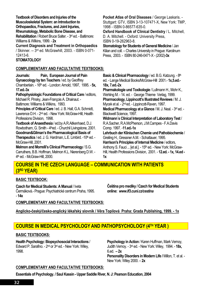**Textbook of Disorders and Injuries of the Musculoskeletal System: an Introduction to Orthopaedics, Fractures, and Joint Injuries, Rheumatology, Metabolic Bone Disease, and Rehabilitation** / Robert Bruce Salter. - 3rd ed. - Baltimore: Williams & Wilkins, 1999. - **2x Current Diagnosis and Treatment in Orthopaedics**  / Skinner. -- 3rd ed. McGrawhill, 2003. - ISBN 0-071- 12413-6. **STOMATOLOGY Pocket Atlas of Oral Diseases** / George Laskaris. - Stuttgart: GTV, ISBN 3-13-107471-X, New York: TMP, 1998 - ISBN 0-86577-635-0. **Oxford Handbook of Clinical Dentistry** / L. Mitchell, D. A. Mitchell. - Oxford: University Press, ISBN 0-19-262963-8. **Stomatology for Students of General Medicine** / Jan Kilian and coll. – Charles University in Prague: Karolinum Press, 2003. - ISBN 80-246-0471-X - (2002)**-3x COMPLEMENTARY AND FACULTATIVE TEXTBOOKS: Journals: Pain, European Journal of Pain Gynaecology by ten Teachers** / ed. by Geoffrey Chamberlain. - 16th ed. - London: Arnold, 1997, 1995. - **5x, 17.ed.-3x Pathophysiologic Foundations of Critical Care** / editors, Michael R. Pinsky, Jean-François A. Dhainaut. - Baltimore: Williams & Wilkins, 1993. **Principles of Critical Care** / ed. J. B. Hall, G.A. Schmidt, Lawrence D.H. - 2nd ed. - New York: McGraw-Hill, Health Professions Division, 1998. **Textbook of Anaesthesia** / ed.by A.R.Aitkenhaed, D.J. Rowbotharn, G. Smith - 4<sup>th</sup>ed. - Churchil Livingstone, 2001. **Goodman&Gilman's the Pharmacological Basis of**  Therapeutics / ed. J. G. Hardman, L.E. Limbird. -10<sup>th</sup> ed. -McGraw-Hill, 2001. **Melmon and Morrelli's Clinical Pharmacology** / S.G. Carruthers, B.B. Hoffman, Melmon K.L. Nierenberg D.W. - 4th ed. - McGraw-Hill, 2000. **Basic & Clinical Pharmacology / ed. B.G. Katzung. - 8th** ed. - Lange Medical Books/McGraw-Hill 2001.- **1x,5.ed.- 18x, 7.ed.-2x Pharmakologie und Toxikologie** / Lullmann H., Mohr K., Wehling M. - 14. ed. - George Thieme Verlag, 1999. **Pharmacology, Lippincott's Illustrated Reviews** / M. J. Mycek et al. - 2<sup>nd</sup> ed. - Lippincott-Raven, 1997. **Medical Pharmacology at a Glance** / M. J. Neal. - 3rd ed. - Blackwell Science, 1997. **Widmann´s Clinical Interpretation of Laboratory Test** / R.A.Sacher, R.A.McPherson, J.M.Campes - F.A.Davis Comp. 1997. -**11.ed.-1x Lehrbuch der Klinischen Chemie und Pathobiochemie** / Greiling H., Gressner A.M. - Schattauer, 1995. **Harrison's Principles of Internal Medicine** / editors, Anthony S. Fauci ... [et al.]. - 15<sup>th</sup> ed. - New York: McGraw-Hill, Health Professions Division, 2001. - **12.ed. - 1x, 14.ed - 1x**

## **COURSE IN THE CZECH LANGUAGE – COMMUNICATION WITH PATIENTS (3RD YEAR)**

#### **BASIC TEXTBOOK:**

**Czech for Medical Students: A Manual** / Iveta Čermáková.- Prague: Psychiatrické centrum Praha, 1995. - **14x** 

**Čeština pro mediky / Czech for Medical Students online:** *www.lf3.cuni.cz/cestina*

**COMPLEMENTARY AND FACULTATIVE TEXTBOOKS:** 

**Anglicko-český/česko-anglický lékařský slovník / Věra Topilová Praha: Grada Publishing, 1999. - 1x**

## **COURSE IN MEDICAL PSYCHOLOGY AND PATHOPSYCHOLOGY (4TH YEAR )**

#### **BASIC TEXTBOOKS:**

**Health Psychology: Biopsychosocial Interactions** / Edward P. Sarafino. - 2nd or 3rd ed. - New York: Wiley, 1998.

**Psychology in Action / Karen Huffman, Mark Vernoy,** Judith Vernoy. - 3rd ed. - New York: Wiley, 1994. - **18x,**   $6ed - 2x$ **Personality Disorders in Modern Life /** Millon, T. et al. - New York: Wiley 2000. – **2x**

#### **COMPLEMENTARY AND FACULTATIVE TEXTBOOKS:**

**Essentials of Psychology. / Saul Kassin - Upper Saddle River, N. J: Pearson Education, 2004**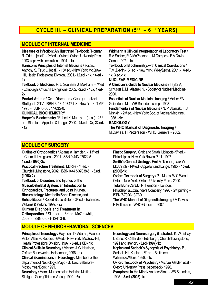## **CYCLE III. - CLINICAL PREPARATION (5TH - 6TH YEARS)**

## **MODULE OF INTERNAL MEDICINE**

**Diseases of Infection: An Illustrated Textbook** / Norman R. Grist ... [et al.]. - 2nd ed. - Oxford: Oxford University Press, 1993, repr. with correlations 1994. - **1x**

**Harrison's Principles of Internal Medicine** / editors, Anthony S. Fauci ... [et al.]. - 15<sup>th</sup> ed. - New York: McGraw-Hill, Health Professions Division, 2001.- **12.ed. - 1x, 14.ed - 1x**

**Textbook of Medicine** / R. L. Souhami, J. Moxham. - 4<sup>th</sup> ed - Edinburgh: Churchill Livingstone, 2002. - **2.ed. - 18x, 1.ed-2x** 

**Pocket Atlas of Oral Diseases** / George Laskaris. - Stuttgart: GTV, ISBN 3-13-107471-X, New York: TMP, 1998 - ISBN 0-86577-635-0.

#### **CLINICAL BIOCHEMISTRY**

**Harper's Biochemistry / Robert K. Murray ... (et al.) - 25<sup>th</sup>** ed.- Stamford: Appleton & Lange, 2000.- **24.ed. - 3x, 22.ed. - 1x** 

**Widmann´s Clinical Interpretation of Laboratory Test** / R.A.Sacher, R.A.McPherson, J.M.Campes - F.A.Davis Comp. 1997. - **1x**

**Textbook of Biochemistry:with Clinical Correlations** / T.M .Devlin - 5th ed. - New York: Wiley&sons, 2001. - **4.ed.- 1x, 3.ed.-1x**

#### **NUCLEAR MEDICINE**

**A Clinician´s Guide to Nuclear Medicine** / Taylor A, Schuster D.M., Alazraki N. - Society of Nuclear Medicine, 2000.

**Essentials of Nuclear Medicine Imaging** / Mettler FA, Guiberteau MJ - WB Saunders comp., 1998. **Fundamentals of Nuclear Medicine** / N. P. Alazraki, F.S. Mishkin. - 2nd ed. - New York: Soc. of Nuclear Medicine,

#### 1988. - **9x RADIOLOGY**

**The WHO Manual of Diagnostic Imaging** /

M.Davies, H.Pettersson - WHO Geneva - 2002.

## **MODULE OF SURGERY**

**Outline of Orthopaedics / Adams a Hamblen. - 13th ed.** – Churchill Livingstone, 2001. ISBN 0-443-07024-5 - **12.ed. (1995)-2x Practical Fracture Treatment / McRae - 4th ed. -**Churchill Livingstone, 2002. ISBN 0-443-07038-5. - **3.ed. (1998)-2x Textbook of Disorders and Injuries of the Musculoskeletal System: an Introduction to Orthopaedics, Fractures, and Joint Injuries, Rheumatology, Metabolic Bone Disease, and Rehabilitation** / Robert Bruce Salter. - 3rd ed. - Baltimore: Williams & Wilkins, 1999. - **2x Current Diagnosis and Treatment in** 

**Orthopaedics** / Skinner. -- 3rd ed. McGrawhill, 2003. - ISBN 0-071-12413-6.

**Plastic Surgery / Grab and Smith, Lipincott - 5th ed. -**Philadelphia: New York Raven Publ., 1997. **Smith´s General Urology** / Emil A. Tanago, Jack W. McAninch - 14th ed - Appelton and Lange, 1995. - **15.ed. (2000)-1x**

**Oxford Textbook of Surgery** / P.J.Morris, W.C.Wood. - Oxford, New York: Oxford University Press, 2000. **Total Burn Care**/D. N. Herndon - London, Philadelphia…:Saunders Company, 1996 - 2nd printing – ISBN 7-7020-1827-9.

**The WHO Manual of Diagnostic Imaging / M.Davies,** H.Pettersson - WHO Geneva – 2002.

## **MODULE OF NEUROBEHAVIORAL SCIENCES**

**Principles of Neurology** / Raymond D. Adams, Maurice Victor, Allan H. Ropper. - 6<sup>th</sup> ed. - New York: McGraw-Hill, Health Professions Division, 1997. - **6.ed. z CD - 1x Clinical Skills in Neurology** / Michael J. G. Harrison, Oxford: Butterworth - Heinemann, 1996. - **1x Clinical Examinations in Neurology** / Members of the department of Neurology, Mayo - St. Luis, Baltimore - Mosby Year Book, 1991. **Neurology** / Marco Mumenthaler, Heinrich Mattle - Stuttgart: Georg Thieme Verlag, 1990. - **6x**

**Neurology and Neurosurgery illustrated** / K. W.Lidsay, I. Bone, R. Callander - Edinburgh, Churchill Livingstone, 1991 and later on. - **3.ed.(1997)-1x Kaplan and Sadock´s Synopsis of Psychiatry** / B.J. Sadock, H.I. Kaplan. - 8<sup>th</sup> ed. - Baltimore: Williams&Wilkins, 1998. - **1x Oxford Textbook of Psychiatry** / Michael Gelder, et al. - Oxford University Press, paperback - 1996. **Symptoms in the Mind** / Andrew Sims. - WB Saunders, 1995. - **3.ed. (2003)-1x**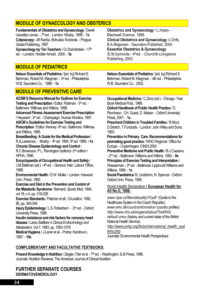## **MODULE OF GYNAECOLOGY AND OBSTERICS**

**Fundamentals of Obstetrics and Gynaecology** / Derek Llewellyn-Jones. - 7<sup>th</sup> ed. - London: Mosby, 1999. - 1x **Colposcopy** / Jiří Kanka, Bohuslav Svoboda. - Prague: Grada Publishing, 1997.

Gynaecology by Ten Teachers / G.Chambrelain - 17<sup>th</sup> ed. – London: Hodder Arnold, 2000. - **3x**

## **MODULE OF PEDIATRICS**

**Nelson Essentials of Pediatrics** / [ed. by] Richard E. Behrman, Robert M. Kliegman. - 3rd ed. - Philadelphia: W.B. Saunders Co., 1998. - **1x** 

## **MODULE OF PREVENTIVE CARE**

**ACSM´S Resource Manual for Guilines for Exercise Testing and Prescription** / Editor: Roitman - 3rd ed. - Baltimore: Willimas and Wilkins, 1998.

**Advanced Fitness Assessment Exercise Prescription**  / Heyward - 3rd ed. - Champaign, Human Kinetics, 1997.

**ASCM´s Guidelines for Exercise Testing and Prescription / Editor: Kenney -5th ed.- Baltimore: Willimas** and Wilkins, 1995.

**Breastfeeding: A Guide for the Medical Profession** / R.A.Lawrence. - Mosby - 4th.ed. 1994, 5th ed. 1999. -**-1x Chronic Disease Epidemiology and Control** /

R.C.Brownson, P.L. Remington (editors)- 2nd edition / APHA, 1998.

**Encyclopaedia of Occupational Health and Safety** / J.M.Stellman (ed.) - 4<sup>th</sup>.ed. - Geneva: Inter. Labour Office, 1988.

**Environmental Health** / D.W. Moller - London: Harward Univ. Press, 1992.

**Exercise and Diet in the Prevention and Control of the Metabolic Syndrome** / Barnard; *Sports Med,* 1994, vol.18, n.4, pp. 218-228

**Exercise Standards** / Flatcher et all.; *Circulation*, 1992, 86, pp. 340-344

**Injury Epidemiology** / L.S. Robertson - 2nd ed. - Oxford University Press, 1998.

**Insulin resistance and risk factors for coronary heart disease** / Laws; Bailliere´s *Clinical Endocrinology and Metabolism*, Vol.7, 1993, pp. 1063-1078

**Medical Hygiene** / J.Lener et al. - Praha: Karolinum, 1997. - **10x**

**Obstetrics and Gynaecology** / L.Impey - Blackwell Science, 1998. **Clinical Obstetrics and Gynaecology** /J.Drife, B.A.Magowan - Saunders-Published, 2004. **Essential Obstetrics & Gynaecology**  /E.M.Symonds - 4<sup>th</sup>ed. - Churchill-Livingstone Publishing, 2003.

**Nelson Essentials of Pediatrics** / [ed. by] Richard E. Behrman, Robert M. Kliegman. - 4th ed. - Philadelphia: W.B. Saunders Co., 2002.

**Occupational Medicine** / C.Zenz (ed.) - Chicago: Year Book Medical Publ., 1988.

**Oxford Handbook of Public Health Practice** / D.

Pencheon , CH. Guest, D. Melzer. - Oxford University Press, 2001. - **1x**

**Preschool Children in Troubled Families** / R.Nicol, D.Stretch, T.Fundudis. - London: John Wiley and Sons, 1993.

**Prevention in Primary Care. Recommendations for promoting good practice** / WHO Regional Office for Europe - Copenhagen. CINDI 2000.

**Preventive Medicine and Public Health** / B.J.Cassens. - 2nd ed. - Baltimore: Williams and Wilkins, 1992. - **9x Principles of Exercise Testing and Interpretation** /

Wasserman - 3rd ed. - Baltimore: Lippincott Williams and Wilkins, 1999. - **1x**

**Social Paediatrics**/ B. Lindstrom, N. Spencer - Oxford: Oxford Univ. Press, 1995.

#### World Health Declaration **/ European Health for All No.5; 1998.**

*www.izpe.cz/files/aktuality/31pdf* (Guide to the Healthcare System in the Czech Republic) *www.who.dk/countryinformation* (country profiles) *http://www.nhs.uk/england/aboutTheNHS/ default.cmsx* (history and current state of the British National Health Service) *http://www.pnhp.org/facts/international\_health\_syst ems.php*

Journals: Environmental Health Perspectives

### **COMPLEMENTARY AND FACULTATIVE TEXTBOOKS:**

**Present Knowledge in Nutrition / Ziegler, Filer et al. - 7<sup>th</sup> ed. - Washington: ILSI Press, 1996.** Journals: Nutrition Reviews; The American Journal of Clinical Nutrition

#### **FURTHER SEPARATE COURSES DERMATOVENEROLOGY**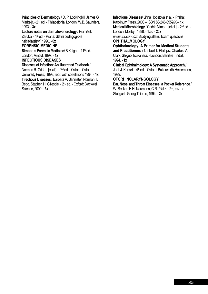**Principles of Dermatology** / D. P. Lookingbill, James G. Marks-jr. - 2nd ed. - Philadelphia, London: W.B. Saunders, 1993. - **3x**

**Lecture notes on dermatovenerology** / František Záruba. - 1st ed. - Praha: Státní pedagogické

nakladatelství, 1990. - **6x**

### **FORENSIC MEDICINE**

**Simpon's Forensic Medicine/ B.Knight. - 11th ed. -**London: Arnold, 1997. - **1x** 

**INFECTIOUS DISEASES** 

**Diseases of Infection: An Illustrated Textbook** /

Norman R. Grist ... [et al.]. - 2nd ed. - Oxford: Oxford University Press, 1993, repr. with correlations 1994. - **1x Infectious Diseases** / Barbara A. Bannister, Norman T. Begg, Stephen H. Gillespie. - 2nd ed. - Oxford: Blackwell Science, 2000. - **3x** 

**Infectious Diseases**/ Jiřina Hobstová et al. - Praha: Karolinum Press, 2003 – ISBN 80-246-0552-X – **1x Medical Microbiology** / Cedric Mims ... [et al.]. - 2nd ed. -

London: Mosby, 1998. - **1.ed - 20x**  *www.lf3.cuni.cz:* Studying affairs: Examquestions **OPHTHALMOLOGY** 

**Ophthalmology: A Primer for Medical Students** 

**and Practitioners** / Calbert I. Phillips, Charles V. Clark, Shigeo Tsukahara. - London: Bailliére Tindall, 1994. - **1x**

**Clinical Ophthalmology: A Systematic Approach** / Jack J. Kanski. - 4<sup>th</sup> ed. - Oxford: Butterworth-Heinemann, 1999.

#### **OTORHINOLARYNGOLOGY**

**Ear, Nose, and Throat Diseases: a Pocket Reference** / W. Becker, H.H. Naumann, C.R. Pfaltz. - 2nd, rev. ed. - Stuttgart:: Georg Thieme, 1994. - **2x**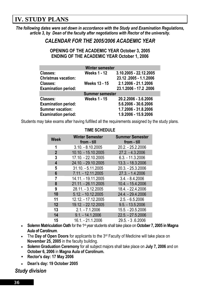# **IV. STUDY PLANS**

*The following dates were set down in accordance with the Study and Examination Regulations, article 3, by Dean of the faculty after negotiations with Rector of the university.* 

### *CALENDAR FOR THE 2005/2006 ACADEMIC YEAR*

#### **OPENING OF THE ACADEMIC YEAR October 3, 2005 ENDING OF THE ACADEMIC YEAR October 1, 2006**

| <b>Winter semester</b>     |                        |                        |  |  |  |  |  |  |  |
|----------------------------|------------------------|------------------------|--|--|--|--|--|--|--|
| Classes:                   | <b>Weeks 1 - 12</b>    | 3.10.2005 - 22.12.2005 |  |  |  |  |  |  |  |
| <b>Christmas vacation:</b> |                        | 23.12.2005 - 1.1.2006  |  |  |  |  |  |  |  |
| Classes:                   | <b>Weeks 13 - 15</b>   | 2.1.2006 - 21.1.2006   |  |  |  |  |  |  |  |
| <b>Examination period:</b> |                        | 23.1.2006 - 17.2.2006  |  |  |  |  |  |  |  |
|                            | <b>Summer semester</b> |                        |  |  |  |  |  |  |  |
| Classes:                   | <b>Weeks 1 - 15</b>    | 20.2.2006 - 3.6.2006   |  |  |  |  |  |  |  |
| <b>Examination period:</b> |                        | 5.6.2006 - 30.6.2006   |  |  |  |  |  |  |  |
| <b>Summer vacation:</b>    |                        | 1.7.2006 - 31.8.2006   |  |  |  |  |  |  |  |
| <b>Examination period:</b> |                        | 1.9.2006 - 15.9.2006   |  |  |  |  |  |  |  |

Students may take exams after having fulfilled all the requirements assigned by the study plans.

| <b>Week</b>    | <b>Winter Semester</b><br>from - till | <b>Summer Semester</b><br>from - till |
|----------------|---------------------------------------|---------------------------------------|
| 1              | $3.10 - 8.10.2005$                    | 20.2. - 25.2.2006                     |
| $\overline{2}$ | 10.10. - 15.10.2005                   | 27.2. - 4.3.2006                      |
| 3              | 17.10. - 22.10.2005                   | $6.3 - 11.3.2006$                     |
| 4              | 24.10. - 29.10.2005                   | 13.3. - 18.3.2006                     |
| 5              | 31.10. - 5.11.2005                    | 20.3. - 25.3.2006                     |
| 6              | 7.11. - 12.11.2005                    | 27.3. - 1.4.2006                      |
| 7              | 14.11. - 19.11.2005                   | $3.4. - 8.4.2006$                     |
| 8              | 21.11. - 26.11.2005                   | 10.4. - 15.4.2006                     |
| 9              | 28.11. - 3.12.2005                    | 18.4. - 22.4.2006                     |
| 10             | 5.12. - 10.12.2005                    | 24.4. - 29.4.2006                     |
| 11             | 12.12. - 17.12.2005                   | $2.5. - 6.5.2006$                     |
| 12             | 19.12. - 22.12.2005                   | $9.5. - 13.5.2006$                    |
| 13             | $2.1 - 7.1.2006$                      | 15.5. - 20.5.2006                     |
| 14             | $9.1 - 14.1.2006$                     | 22.5. - 27.5.2006                     |
| 15             | 16.1. - 21.1.2006                     | 29.5. - 3.6.2006                      |

#### **TIME SCHEDULE**

- **Solemn Matriculation Oath** for the 1st year students shall take place on **October 7, 2005 in Magna Aula of Carolinum**.
- The **Day of Open Doors** for applicants to the 3rd Faculty of Medicine will take place on **November 25, 2005** in the faculty building.
- **Solemn Graduation Ceremony** for all subject majors shall take place on **July 7, 2006** and on **October 6, 2006** in **Magna Aula of Carolinum.**
- **Rector's day: 17 May 2006**
- **Dean's day: 19 October 2005**

*Study division*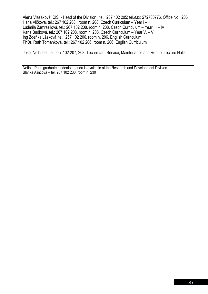Alena Vlasáková, DiS. - Head of the Division , tel.: 267 102 205; tel./fax: 272730776, Office No. 205 Hana Vlčková, tel.: 267 102 208 , room n. 208, Czech Curriculum – Year I – II Ludmila Zamrazilová, tel.: 267 102 208, room n. 208, Czech Curriculum – Year III – IV Karla Budková, tel.: 267 102 208, room n. 208, Czech Curriculum – Year V. – VI. Ing Zdeňka Lásková, tel.: 267 102 206, room n. 206, English Curriculum PhDr. Ruth Tománková, tel.: 267 102 206, room n. 206, English Curriculum

Josef Nelhübel, tel. 267 102 207, 208, Technician, Service, Maintenance and Rent of Lecture Halls

Notice: Post–graduate students agenda is available at the Research and Development Division. Blanka Alinčová – tel. 267 102 230, room n. 230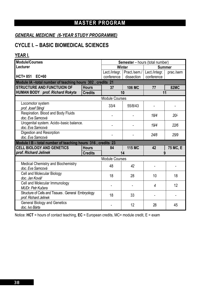# **MASTER PROGRAM**

### *GENERAL MEDICINE (6-YEAR STUDY PROGRAMME)*

# **CYCLE I. – BASIC BIOMEDICAL SCIENCES**

#### **YEAR I.**

| <b>Module/Courses</b>                                                        |                | Semester - hours (total number) |               |               |             |  |  |  |  |  |
|------------------------------------------------------------------------------|----------------|---------------------------------|---------------|---------------|-------------|--|--|--|--|--|
| Lecturer                                                                     |                |                                 | <b>Winter</b> | <b>Summer</b> |             |  |  |  |  |  |
|                                                                              |                | Lect./integr.                   | Pract./sem./  | Lect./integr. | prac./sem   |  |  |  |  |  |
| <b>EC=60</b><br>$HCT = 851$                                                  |                | conference                      | dissection    | conference    |             |  |  |  |  |  |
| Module IA-total number of teaching hours 302, credits 21                     |                |                                 |               |               |             |  |  |  |  |  |
| <b>STRUCTURE AND FUNCTUION OF</b>                                            | <b>Hours</b>   | 37                              | <b>106 MC</b> | 77            | <b>82MC</b> |  |  |  |  |  |
| HUMAN BODY prof. Richard Rokyta                                              | <b>Credits</b> |                                 | 10            | 11            |             |  |  |  |  |  |
|                                                                              |                | <b>Module Courses</b>           |               |               |             |  |  |  |  |  |
| Locomotor system<br>prof. Josef Stingl                                       |                | 33/4                            | 55/8/43       |               |             |  |  |  |  |  |
| Respiration. Blood and Body Fluids<br>doc. Eva Samcová                       |                |                                 | 18/4          | 20/           |             |  |  |  |  |  |
| Urogenital system. Acido-basic balance.<br>doc. Eva Samcová                  |                |                                 | 19/4          | 22/6          |             |  |  |  |  |  |
| Digestion and Resorption<br>doc. Eva Samcová                                 |                |                                 |               | 24/8          | 25/9        |  |  |  |  |  |
| Module I B - total number of teaching hours 316, credits 23                  |                |                                 |               |               |             |  |  |  |  |  |
| <b>CELL BIOLOGY AND GENETICS</b>                                             | <b>Hours</b>   | 84                              | <b>115 MC</b> | 42            | 75 MC, E    |  |  |  |  |  |
| prof. Richard Jelinek                                                        | <b>Credits</b> |                                 | 14            | 9             |             |  |  |  |  |  |
|                                                                              |                | <b>Module Courses</b>           |               |               |             |  |  |  |  |  |
| Medical Chemistry and Biochemistry<br>doc. Eva Samcová                       |                | 48                              | 42            |               |             |  |  |  |  |  |
| Cell and Molecular Biology<br>doc. Jan Kovář                                 |                | 18                              | 28            | 10            | 18          |  |  |  |  |  |
| Cell and Molecular Immunology<br><b>MUDr. Petr Kučera</b>                    |                |                                 | 4             | 12            |             |  |  |  |  |  |
| Structure of Cells and Tissues . General Embryology<br>prof. Richard Jelinek | 18<br>33       |                                 |               |               |             |  |  |  |  |  |
| <b>General Biology and Genetics</b><br>doc. Ivo Bárta                        |                |                                 | 12            | 28            | 45          |  |  |  |  |  |

Notice: **HCT** = hours of contact teaching, **EC** = European credits, MC= module credit, E = exam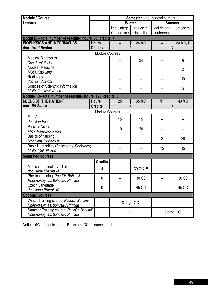| Module / Course                                         |                       | Semester - hours (total number) |              |                |              |  |  |  |  |
|---------------------------------------------------------|-----------------------|---------------------------------|--------------|----------------|--------------|--|--|--|--|
| Lecturer                                                |                       | <b>Winter</b>                   |              | <b>Summer</b>  |              |  |  |  |  |
|                                                         |                       | Lect./integr.                   | prac./sem./  | lect./integr.  | prac/sem.    |  |  |  |  |
|                                                         |                       | Conference                      | dissection   | conference     |              |  |  |  |  |
| Modul IC - total number of teaching hours 53, credits 4 |                       |                                 |              |                |              |  |  |  |  |
| <b>BIOPHYSICS AND INFORMATICS</b>                       | <b>Hours</b>          |                                 | <b>24 MC</b> |                | 29 MC, E     |  |  |  |  |
| doc. Jozef Rosina                                       | <b>Credits</b>        | $\overline{2}$                  |              | $\overline{2}$ |              |  |  |  |  |
|                                                         | <b>Module Courses</b> |                                 |              |                |              |  |  |  |  |
| <b>Medical Biophysics</b><br>Doc. Jozef Rosina          |                       |                                 | 24           |                | 6            |  |  |  |  |
| <b>Nuclear Medicine</b>                                 |                       |                                 |              |                |              |  |  |  |  |
| MUDr. Otto Lang                                         |                       |                                 |              |                | 8            |  |  |  |  |
| Radiology                                               |                       |                                 |              |                |              |  |  |  |  |
| doc. Jan Šprindrich                                     |                       |                                 |              |                | 10           |  |  |  |  |
| Sources of Scientific Information                       |                       |                                 |              |                |              |  |  |  |  |
| MUDr. Tomáš Kostrhun                                    |                       |                                 |              |                | 5            |  |  |  |  |
| Module ID-total number of teaching hours 120, credits 8 |                       |                                 |              |                |              |  |  |  |  |
| <b>NEEDS OF THE PATIENT</b>                             | <b>Hours</b>          | 25                              | <b>35 MC</b> | 17             | <b>43 MC</b> |  |  |  |  |
| doc. Jiří Šimek                                         | <b>Credits</b>        | 4                               |              |                | 4            |  |  |  |  |
|                                                         | <b>Module Courses</b> |                                 |              |                |              |  |  |  |  |
| <b>First Aid</b>                                        |                       | 15                              | 15           |                |              |  |  |  |  |
| doc. Jan Pachl                                          |                       |                                 |              |                |              |  |  |  |  |
| Patient's Needs                                         |                       | 10                              | 20           |                |              |  |  |  |  |
| PhDr. Marie Zvoníčková                                  |                       |                                 |              |                |              |  |  |  |  |
| <b>Basics of Nursing</b>                                |                       |                                 |              | $\overline{2}$ | 28           |  |  |  |  |
| Mgr. Hana Svobodová                                     |                       |                                 |              |                |              |  |  |  |  |
| Basic Humanities (Philosophy, Sociology)                |                       |                                 |              | 15             | 15           |  |  |  |  |
| MUDr. Lýdie Fialová                                     |                       |                                 |              |                |              |  |  |  |  |
| <b>Separated courses</b>                                | <b>Credits</b>        |                                 |              |                |              |  |  |  |  |
| Medical terminology - Latin                             |                       |                                 |              |                |              |  |  |  |  |
| doc. Jana Přívratská                                    | 4                     |                                 | 30 CC, E     |                |              |  |  |  |  |
| Physical training PaedDr. Bohumil                       |                       |                                 |              |                |              |  |  |  |  |
| Hněvkovský, as. Bohuslav Příhoda                        | $\mathbf 0$           |                                 | 30 CC        |                | 30 CC        |  |  |  |  |
| Czech Language                                          | 0                     |                                 | 45 CC        |                | 45 CC        |  |  |  |  |
| doc. Jana Přívratská                                    |                       |                                 |              |                |              |  |  |  |  |
| <b>Optional Courses</b>                                 |                       |                                 |              |                |              |  |  |  |  |
| Winter Training course PaedDr. Bohumil                  |                       | 8 days CC                       |              |                |              |  |  |  |  |
| Hněvkovský, as. Bohuslav Příhoda                        |                       |                                 |              |                |              |  |  |  |  |
| Summer Training course PaedDr. Bohumil                  |                       |                                 |              | 8 days CC      |              |  |  |  |  |
| Hněvkovský, as. Bohuslav Příhoda                        |                       |                                 |              |                |              |  |  |  |  |

Notice: **MC** – module credit, **E** – exam, CC = course credit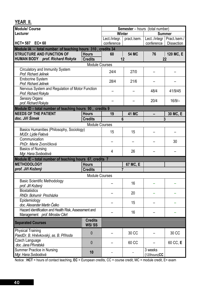| <b>Module/ Course</b>                                                                    | <b>Semester</b> – hours (total number) |                |                |                               |                   |  |  |  |
|------------------------------------------------------------------------------------------|----------------------------------------|----------------|----------------|-------------------------------|-------------------|--|--|--|
| Lecturer                                                                                 |                                        | Winter         |                |                               | <b>Summer</b>     |  |  |  |
|                                                                                          |                                        | Lect./integr.  | pract./sem.    | Lect/integr                   | Pract./sem./      |  |  |  |
| HCT= 587 EC= 60                                                                          |                                        | conference     |                | conference                    | <b>Dissection</b> |  |  |  |
| Module IA - total number of teaching hours 310, credits 34                               |                                        |                |                |                               |                   |  |  |  |
| <b>STRUCTURE AND FUNCTION OF</b>                                                         | <b>Hours</b>                           | 60             | <b>54 MC</b>   | 76                            | 120 MC, E         |  |  |  |
| <b>HUMAN BODY</b> prof. Richard Rokyta                                                   | <b>Credits</b>                         |                | 12             | 22                            |                   |  |  |  |
|                                                                                          | <b>Module Courses</b>                  |                |                |                               |                   |  |  |  |
| Circulatory and Immunity System<br>Prof. Richard Jelinek                                 | 24/4                                   | 27/0           |                |                               |                   |  |  |  |
| <b>Endocrine System</b><br>Prof. Richard Jelinek                                         |                                        | 28/4           | 21/6           |                               |                   |  |  |  |
| Nervous System and Regulation of Motor Function<br>Prof. Richard Rokyta                  |                                        |                |                | 48/4                          | 41/9/45           |  |  |  |
| Sensory Organs<br>prof. Richard Rokyta                                                   |                                        |                |                | 20/4                          | $16/9/-$          |  |  |  |
| Module ID - total number of teaching hours 90, credits 9                                 |                                        |                |                |                               |                   |  |  |  |
| <b>NEEDS OF THE PATIENT</b>                                                              | <b>Hours</b>                           | 19             | <b>41 MC</b>   |                               | 30 MC, E          |  |  |  |
| doc. Jiří Šimek                                                                          | <b>Credits</b>                         |                | 6              | 3                             |                   |  |  |  |
|                                                                                          | <b>Module Courses</b>                  |                |                |                               |                   |  |  |  |
| Basics Humanities (Philosophy, Sociology)<br>MUDr. Lýdie Fialová                         |                                        | 15             | 15             |                               |                   |  |  |  |
| Communication<br>PhDr. Marie Zvoníčková                                                  |                                        |                |                |                               | 30                |  |  |  |
| <b>Basics of Nursing</b>                                                                 |                                        |                |                |                               |                   |  |  |  |
| Mgr. Hana Svobodová                                                                      |                                        | $\overline{4}$ | 26             |                               |                   |  |  |  |
| Module IE - total number of teaching hours 67, credits 7                                 |                                        |                |                |                               |                   |  |  |  |
| <b>METHODOLOGY</b>                                                                       | <b>Hours</b>                           |                | 67 MC, E       |                               |                   |  |  |  |
| prof. Jiří Kožený                                                                        | <b>Credits</b>                         |                | $\overline{7}$ |                               |                   |  |  |  |
|                                                                                          | <b>Module Courses</b>                  |                |                |                               |                   |  |  |  |
| <b>Basic Scientific Methodology</b><br>prof. Jiří Kožený                                 |                                        |                | 16             |                               |                   |  |  |  |
| <b>Biostatistics</b><br>RNDr. Bohumír Procházka                                          |                                        |                | 20             |                               |                   |  |  |  |
| Epidemiology<br>doc. Alexander Martin Čelko                                              |                                        |                | 15             |                               |                   |  |  |  |
| Hazard identification and Health Risk, Assessment and<br>Management prof. Miroslav Cikrt |                                        |                | 16             |                               |                   |  |  |  |
| <b>Separated Courses</b>                                                                 | <b>Credits</b><br>WS/SS                |                |                |                               |                   |  |  |  |
| <b>Physical Training</b><br>PaedDr. B. Hněvkovský, as. B. Příhoda                        | $\mathbf{0}$                           |                | 30 CC          |                               | 30 CC             |  |  |  |
| Czech Language<br>doc. Jana Přívratská                                                   | 0                                      |                | 60 CC          |                               | 60 CC, E          |  |  |  |
| <b>Summer Practice in Nursing</b><br>Mgr. Hana Svobodová                                 | 10                                     |                |                | 3 weeks<br>$(120$ hours) $CC$ |                   |  |  |  |

Notice : **HCT** = hours of contact teaching, **EC** = European credits, CC = course credit, MC = module credit, E= exam

**YEAR II.**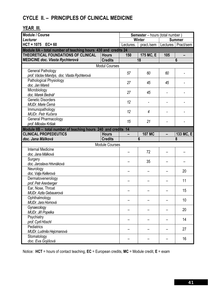# **CYCLE II. – PRINCIPLES OF CLINICAL MEDICINE**

### **YEAR III.**

| Module / Course                                                |                       |           | <b>Semester</b> - hours (total number) |          |               |  |  |  |  |  |
|----------------------------------------------------------------|-----------------------|-----------|----------------------------------------|----------|---------------|--|--|--|--|--|
| Lecturer                                                       |                       |           | <b>Winter</b>                          |          | <b>Summer</b> |  |  |  |  |  |
| $HCT = 1075$<br>$EC = 60$                                      |                       | Lectures. | pract./sem                             | Lectures | Pract/sem     |  |  |  |  |  |
| Module IIA - total number of teaching hours 430 and credits 24 |                       |           |                                        |          |               |  |  |  |  |  |
| THEORETICAL FOUNDATIONS OF CLINICAL                            | <b>Hours</b>          | 150       | 175 MC, E                              | 105      | -             |  |  |  |  |  |
| <b>MEDICINE doc. Vlasta Rychterová</b>                         | <b>Credits</b>        |           | 18                                     |          | 6             |  |  |  |  |  |
|                                                                | <b>Modul Courses</b>  |           |                                        |          |               |  |  |  |  |  |
| <b>General Pathology</b>                                       |                       | 57        | 60                                     | 60       |               |  |  |  |  |  |
| prof. Václav Mandys, doc. Vlasta Rychterová                    |                       |           |                                        |          |               |  |  |  |  |  |
| Pathological Physiology                                        |                       | 27        | 45                                     | 45       |               |  |  |  |  |  |
| doc. Jan Mareš                                                 |                       |           |                                        |          |               |  |  |  |  |  |
| Microbiology                                                   |                       | 27        | 45                                     |          |               |  |  |  |  |  |
| doc. Marek Bednář                                              |                       |           |                                        |          |               |  |  |  |  |  |
| <b>Genetic Disorders</b>                                       |                       | 12        |                                        |          |               |  |  |  |  |  |
| MUDr. Marie Černá                                              |                       |           |                                        |          |               |  |  |  |  |  |
| Immunopathology                                                |                       | 12        | $\overline{4}$                         |          |               |  |  |  |  |  |
| MUDr. Petr Kučera                                              |                       |           |                                        |          |               |  |  |  |  |  |
| General Pharmacology                                           |                       | 15        | 21                                     |          |               |  |  |  |  |  |
| prof. Miloslav Kršiak                                          |                       |           |                                        |          |               |  |  |  |  |  |
| Module IIB - total number of teaching hours 240 and credits 14 |                       |           |                                        |          |               |  |  |  |  |  |
| <b>CLINICAL PROPEDEUTICS</b>                                   | <b>Hours</b>          |           | <b>107 MC</b>                          |          | 133 MC, E     |  |  |  |  |  |
| doc. Jana Málková                                              | <b>Credits</b>        |           | $6\phantom{1}6$                        |          | 8             |  |  |  |  |  |
|                                                                | <b>Module Courses</b> |           |                                        |          |               |  |  |  |  |  |
| <b>Internal Medicine</b>                                       |                       |           | 72                                     |          |               |  |  |  |  |  |
| doc. Jana Málková                                              |                       |           |                                        |          |               |  |  |  |  |  |
| Surgery                                                        |                       |           | 35                                     |          |               |  |  |  |  |  |
| doc. Jaroslava Hrivnáková                                      |                       |           |                                        |          |               |  |  |  |  |  |
| Neurology                                                      |                       |           |                                        |          | 20            |  |  |  |  |  |
| doc. Valja Kellerová                                           |                       |           |                                        |          |               |  |  |  |  |  |
| Dermatovenerology                                              |                       |           |                                        |          | 11            |  |  |  |  |  |
| prof. Petr Arenberger                                          |                       |           |                                        |          |               |  |  |  |  |  |
| Ear, Nose, Throat                                              |                       |           |                                        |          | 15            |  |  |  |  |  |
| MUDr. Azita Gebauerová                                         |                       |           |                                        |          |               |  |  |  |  |  |
| Ophthalmology                                                  |                       |           |                                        |          | 10            |  |  |  |  |  |
| MUDr. Jara Hornová                                             |                       |           |                                        |          |               |  |  |  |  |  |
| Gynaecology                                                    |                       |           |                                        |          | 20            |  |  |  |  |  |
| MUDr. Jiří Popelka                                             |                       |           |                                        |          |               |  |  |  |  |  |
| Psychiatry                                                     |                       |           |                                        |          | 14            |  |  |  |  |  |
| prof. Cyril Höschl                                             |                       |           |                                        |          |               |  |  |  |  |  |
| Pediatrics                                                     |                       |           |                                        |          | 27            |  |  |  |  |  |
| MUDr. Ludmila Hejcmanová                                       |                       |           |                                        |          |               |  |  |  |  |  |
|                                                                |                       |           |                                        |          |               |  |  |  |  |  |
| Stomatology<br>doc. Eva Gojišová                               |                       |           |                                        |          | 16            |  |  |  |  |  |

Notice: **HCT** = hours of contact teaching, **EC** = European credits, **MC** = Module credit, **E** = exam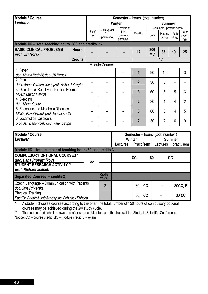| <b>Module / Course</b>                               |                |                |                    | <b>Semester</b> – hours (total number) |                |                  |                           |               |                         |
|------------------------------------------------------|----------------|----------------|--------------------|----------------------------------------|----------------|------------------|---------------------------|---------------|-------------------------|
| Lecturer                                             |                |                | Winter             |                                        | <b>Summer</b>  |                  |                           |               |                         |
|                                                      |                |                | Sem./pract         | Sem/pract                              |                |                  | Seminars, practice hereof |               |                         |
|                                                      |                | Sem/<br>pract. | from<br>pharmacol. | from<br>patology/<br>pathopys.         | <b>Credits</b> | Sum              | Pharma<br>cology          | Path<br>ology | Patho<br>physiol<br>ogy |
| Module IIC - total teaching hours 300 and credits 17 |                |                |                    |                                        |                |                  |                           |               |                         |
| <b>BASIC CLINICAL PROBLEMS</b><br>prof. Jiří Horák   | <b>Hours</b>   |                |                    |                                        | 17             | 300<br><b>MC</b> | 33                        | 19            | 25                      |
|                                                      | <b>Credits</b> |                |                    |                                        |                |                  | 17                        |               |                         |
| <b>Module Courses</b>                                |                |                |                    |                                        |                |                  |                           |               |                         |
| 1. Fever                                             |                |                |                    |                                        | 5              | 90               | 10                        |               | 3                       |
| doc. Marek Bednář, doc. Jiří Beneš                   |                |                |                    |                                        |                |                  |                           |               |                         |
| 2. Pain                                              |                |                |                    |                                        | $\overline{2}$ | 30               | 8                         |               |                         |
| docr. Anna Yamamotová, prof. Richard Rokyta          |                |                |                    |                                        |                |                  |                           |               |                         |
| 3. Disorders of Renal Function and Edemas            |                |                |                    |                                        | 3              | 60               | 6                         | 5             | $6\phantom{1}6$         |
| <b>MUDr. Martin Havrda</b>                           |                |                |                    |                                        |                |                  |                           |               |                         |
| 4. Bleeding                                          |                |                |                    |                                        | $\overline{2}$ | 30               | 1                         | 4             | $\overline{2}$          |
| doc. Milan Kment                                     |                |                |                    |                                        |                |                  |                           |               |                         |
| 5. Endocrine and Metabolic Diseases                  |                |                |                    |                                        | 3              | 60               | 6                         | 4             | 5                       |
| MUDr. Pavel Kraml, prof. Michal Anděl                |                |                |                    |                                        |                |                  |                           |               |                         |
| 6. Locomotion Disorders                              |                |                |                    |                                        | $\overline{2}$ | 30               | $\overline{2}$            | 6             | 9                       |
| prof. Jan Bartoníček, doc. Valér Džupa               |                |                |                    |                                        |                |                  |                           |               |                         |

| Module / Course                                                              |                         | <b>Semester</b> – hours (total number) |            |    |               |            |  |  |
|------------------------------------------------------------------------------|-------------------------|----------------------------------------|------------|----|---------------|------------|--|--|
| Lecturer                                                                     |                         | Winter                                 |            |    | <b>Summer</b> |            |  |  |
|                                                                              |                         | Lectures                               | Pract./sem |    | Lectures      | pract./sem |  |  |
| Module IID - total number of teaching hours 60 and credits 3                 |                         |                                        |            |    |               |            |  |  |
| <b>COMPULSORY OPTIONAL COURSES *</b><br>doc. Hana Provazníková<br>Οr         |                         |                                        | CC         | 60 | cc            |            |  |  |
| <b>STUDENT RESEARCH ACTIVITY **</b><br>prof. Richard Jelinek                 |                         |                                        |            |    |               |            |  |  |
| <b>Separated Courses - credits 2</b>                                         | <b>Credits</b><br>WS/SS |                                        |            |    |               |            |  |  |
| Czech Language - Communication with Patients<br>doc. Jana Přívratská         | $\overline{2}$          |                                        | 30         | cc |               | 30CC, E    |  |  |
| <b>Physical Training</b><br>PaedDr. Bohumil Hněvkovský, as. Bohuslav Příhoda |                         |                                        | 30         | cc |               | 30 CC      |  |  |

\* A student chooses courses according to the offer; the total number of 150 hours of compulsory optional courses may be achieved during the 2<sup>nd</sup> study cycle.

\*\* The course credit shall be awarded after successful defence of the thesis at the Students Scientific Conference. Notice: CC = course credit, MC = module credit, E = exam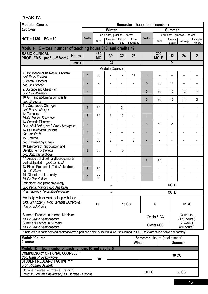| Module / Course                                                                                                                           |                | <b>Semester</b> – hours (total number) |                             |                |                     |                                        |                             |                   |                            |                      |
|-------------------------------------------------------------------------------------------------------------------------------------------|----------------|----------------------------------------|-----------------------------|----------------|---------------------|----------------------------------------|-----------------------------|-------------------|----------------------------|----------------------|
| Lecturer                                                                                                                                  |                |                                        | <b>Winter</b>               |                |                     |                                        |                             | <b>Summer</b>     |                            |                      |
|                                                                                                                                           |                |                                        | Seminars, practice - hereof |                |                     |                                        | Seminars, practice - hereof |                   |                            |                      |
| $HCT = 1130$ $EC = 60$                                                                                                                    | <b>Credits</b> | Sum                                    | Pharma-<br>cology           | Patho-<br>logy | Patho<br>physiology | <b>Credits</b>                         | Sum                         | Pharma<br>-cology | Pathology                  | Pathophy<br>-siology |
| Module IIC - total number of teaching hours 840 and credits 49                                                                            |                |                                        |                             |                |                     |                                        |                             |                   |                            |                      |
| <b>BASIC CLINICAL</b><br><b>Hours</b>                                                                                                     |                | 450                                    | 39                          | 32             | 28                  |                                        | 390                         | 12                | 24                         | $\overline{2}$       |
| PROBLEMS prof. Jiří Horák                                                                                                                 |                | <b>MC</b>                              |                             |                |                     |                                        | MC, E                       |                   |                            |                      |
| <b>Credits</b>                                                                                                                            |                |                                        | 24                          |                |                     |                                        |                             | 21                |                            |                      |
| 7. Disturbance of the Nervous system                                                                                                      |                |                                        | <b>Module Courses</b>       |                |                     |                                        |                             |                   |                            |                      |
| prof. Pavel Kalvach                                                                                                                       | $\overline{3}$ | 60                                     | 7                           | 6              | 11                  |                                        |                             |                   |                            |                      |
| 8. Mental Disorders                                                                                                                       | ٠              |                                        |                             |                |                     | 5                                      | 90                          | 10                |                            |                      |
| doc. Jiří Horáček<br>9. Dyspnoe and Chest Pain                                                                                            |                |                                        |                             |                |                     |                                        |                             |                   |                            |                      |
| prof. Petr Widimský                                                                                                                       | ٠              |                                        |                             |                |                     | 5                                      | 90                          | 12                | 12                         | 14                   |
| 10. GIT and abdominal complaints<br>prof. Jiří Horák                                                                                      |                |                                        |                             |                |                     | 5                                      | 90                          | 10                | 14                         | 3                    |
| 11. Cutaneous Changes                                                                                                                     | $\overline{2}$ |                                        |                             |                |                     |                                        |                             |                   |                            |                      |
| prof. Petr Arenberger                                                                                                                     |                | 30                                     | 1                           | $\overline{2}$ |                     |                                        |                             |                   |                            |                      |
| 12. Tumours<br>MUDr. Martina Kubecová                                                                                                     | 3              | 60                                     | 3                           | 12             |                     | н                                      |                             |                   |                            |                      |
| 13. Sensoric Disorders                                                                                                                    | ٠              |                                        |                             |                |                     | 3                                      | 60                          | $\overline{2}$    |                            |                      |
| Doc. Aleš Hahn, prof. Pavel Kuchynka<br>14. Failure of Vital Functions                                                                    |                |                                        |                             |                |                     |                                        |                             |                   |                            |                      |
| doc. Jan Pachl                                                                                                                            | $5\phantom{1}$ | 90                                     | $\overline{2}$              | -              |                     |                                        |                             |                   | $\overline{\phantom{a}}$   |                      |
| $\overline{15}$ . Trauma                                                                                                                  | 3              | 60                                     | $\overline{2}$              | -              | $\overline{2}$      |                                        |                             |                   |                            |                      |
| doc. František Vyhnánek<br>16. Disorders of Reproduction and                                                                              |                |                                        |                             |                |                     |                                        |                             |                   |                            |                      |
| Development of the fetus                                                                                                                  | 3              | 60                                     | $\overline{2}$              | 10             |                     |                                        |                             |                   |                            |                      |
| doc. Bohuslav Svoboda<br>17. Disorders of Growth and Development in                                                                       |                |                                        |                             |                |                     |                                        |                             |                   |                            |                      |
| postnatal period<br>prof. Jan Lebl                                                                                                        |                |                                        |                             |                |                     | 3                                      | 60                          |                   |                            |                      |
| 18. Ethical Problems in Today's Medicine                                                                                                  | 3              | 60                                     |                             |                |                     |                                        |                             |                   |                            |                      |
| doc. Jiří Šimek<br>19. Disorder of Immunity                                                                                               |                |                                        |                             |                |                     |                                        |                             |                   |                            |                      |
| MUDr. Petr Kučera                                                                                                                         | $\overline{2}$ | 30                                     |                             |                |                     |                                        |                             |                   |                            |                      |
| Pathology* and pathophysiology<br>prof. Václav Mandys, doc. Jan Mareš                                                                     |                |                                        |                             |                |                     | CC, E                                  |                             |                   |                            |                      |
| Pharmacology * prof. Miloslav Kršiak                                                                                                      |                |                                        |                             |                |                     |                                        |                             | CC, E             |                            |                      |
| Medical psychology and pathopsychology                                                                                                    |                |                                        |                             |                |                     |                                        |                             |                   |                            |                      |
| prof. Jiří Kožený, Mgr. Katarína Durecová,                                                                                                |                | 15                                     |                             |                | <b>15 CC</b>        |                                        | 6                           |                   | <b>12 CC</b>               |                      |
| doc. Karel Balcar                                                                                                                         |                |                                        |                             |                |                     |                                        |                             |                   |                            |                      |
| Summer Practice in Internal Medicine                                                                                                      |                |                                        |                             |                |                     |                                        |                             |                   | 3 weeks                    |                      |
| MUDr. Jolana Rambousková                                                                                                                  |                |                                        |                             |                |                     |                                        | Credits 6 CC                |                   | $(120$ hours               |                      |
| Summer Practice in Surgery<br>MUDr. Jolana Rambousková                                                                                    |                |                                        |                             |                |                     |                                        | Credits 4 CC                |                   | 2 weeks<br>$(80$ hours $)$ |                      |
| * Instruction in pathology and pharmacology is part and parcel of individual courses of module II C. The examination is taken separately. |                |                                        |                             |                |                     |                                        |                             |                   |                            |                      |
| <b>Module/ Course</b>                                                                                                                     |                |                                        |                             |                |                     | <b>Semester</b> – hours (total number) |                             |                   |                            |                      |
| Lecturer                                                                                                                                  |                |                                        |                             |                | <b>Winter</b>       |                                        |                             |                   | <b>Summer</b>              |                      |
| Module IID - total number of teaching hours 90 and credits 5                                                                              |                |                                        |                             |                |                     |                                        |                             |                   |                            |                      |
| <b>COMPULSORY OPTIONAL COURSES *</b>                                                                                                      |                |                                        |                             |                |                     |                                        |                             | 90 CC             |                            |                      |
| doc. Hana Provazníková<br><b>STUDENT RESEARCH ACTIVITY **</b>                                                                             |                | or                                     |                             |                |                     |                                        |                             |                   |                            |                      |
| prof. Richard Jelinek                                                                                                                     |                |                                        |                             |                |                     |                                        |                             |                   |                            |                      |
| Optional Course - Physical Training                                                                                                       |                |                                        |                             |                |                     | 30 CC                                  |                             |                   | 30 CC                      |                      |
| PaedDr. Bohumil Hněvkovský, as. Bohuslav Příhoda                                                                                          |                |                                        |                             |                |                     |                                        |                             |                   |                            |                      |

#### **YEAR IV.**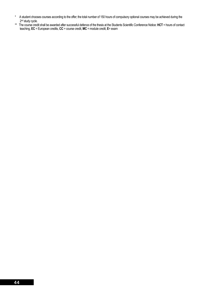- \* A student chooses courses according to the offer; the total number of 150 hours of compulsory optional courses may be achieved during the 2<sup>nd</sup> study cycle.
- \*\* The course credit shall be awarded after successful defence of the thesis at the Students Scientific Conference Notice: **HCT** = hours of contact teaching, **EC** = European credits, **CC** = course credit, **MC** = module credit, **E**= exam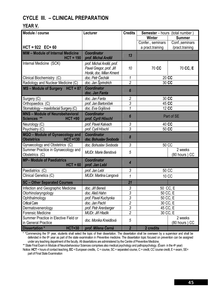## **CYCLE III. – CLINICAL PREPARATION**

### **YEAR V.**

| Module / course                                                     | Lecturer                                    | <b>Credits</b>        | <b>Semester</b> - hours (total number) |                          |  |  |
|---------------------------------------------------------------------|---------------------------------------------|-----------------------|----------------------------------------|--------------------------|--|--|
|                                                                     |                                             |                       | Winter                                 | <b>Summer</b>            |  |  |
|                                                                     |                                             |                       | Confer., seminars                      | Conf., seminars          |  |  |
| $HCT = 922$ $EC = 60$                                               |                                             |                       | a pract training                       | /pract.training          |  |  |
| <b>MIM - Module of Internal Medicine</b>                            | <b>Coordinator</b>                          | 13                    |                                        |                          |  |  |
| $HCT = 190$                                                         | prof. Michal Anděl                          |                       |                                        |                          |  |  |
| Internal Medicine (SCK)                                             | prof. Michal Anděl, prof.                   |                       |                                        |                          |  |  |
|                                                                     | Pavel Gregor, prof. Jiří                    | 10 <sup>10</sup>      | 70 CC                                  | 70 CC, E                 |  |  |
|                                                                     | Horák, doc. Milan Kment                     |                       |                                        |                          |  |  |
| Clinical Biochemistry (C)                                           | doc. Petr Čechák                            | 1                     | 20 CC                                  |                          |  |  |
| Radiology and Nuclear Medicine (C)                                  | doc. Jan Šprindrich                         | $\overline{2}$        | 30 CC                                  |                          |  |  |
| MS - Module of Surgery HCT = 87                                     | <b>Coordinator</b><br>doc. Jan Fanta        | 6                     |                                        |                          |  |  |
| Surgery (C)                                                         | doc. Jan Fanta                              | $\overline{2}$        | 30 CC                                  |                          |  |  |
| Orthopaedics (C)                                                    | prof. Jan Bartoníček                        | 3                     | 45 CC                                  |                          |  |  |
| Stomatology - maxilofacial Surgery (C)                              | doc. Eva Gojišová                           | 1                     | 12 CC                                  |                          |  |  |
| <b>MNS - Module of Neurobehavioral</b>                              | <b>Coordinator</b>                          | 6                     |                                        | Part of SE               |  |  |
| Sciences **<br>$HCT = 90$                                           | prof. Cyril Höschl                          |                       |                                        |                          |  |  |
| Neurology (C)                                                       | prof. Pavel Kalvach                         | $\mathfrak{Z}$        | 40 CC                                  |                          |  |  |
| Psychiatry (C)                                                      | prof. Cyril Höschl                          | 3                     | 50 CC                                  |                          |  |  |
| MGO - Module of Gynaecology and<br><b>Obstetrics</b><br>$HCT = 130$ | <b>Coordinator</b><br>doc. Bohuslav Svoboda | $\boldsymbol{\delta}$ |                                        |                          |  |  |
| Gynaecology and Obstetrics (C)                                      | doc. Bohuslav Svoboda                       | 3                     |                                        | 50 CC                    |  |  |
| Summer Practice in Gynaecology and<br>Obstetrics (C)                | <b>MUDr. Marie Bendová</b>                  | 5                     |                                        | 2 weeks<br>(80 hours) CC |  |  |
| <b>MP- Module of Paediatrics</b>                                    | <b>Coordinator</b>                          |                       |                                        |                          |  |  |
| $HCT = 60$                                                          | prof. Jan Lebl                              | 4                     |                                        |                          |  |  |
| Paediatrics (C)                                                     | prof. Jan Lebl                              | 3                     | 50 CC                                  |                          |  |  |
| Clinical Genetics (C)                                               | MUDr. Martina Langová                       | 1                     |                                        | 10 CC                    |  |  |
| <b>SC</b> - Other Separated Courses                                 |                                             | 21                    |                                        |                          |  |  |
| Infection and Geographic Medicine                                   | doc. Jiří Beneš                             | 3                     | 50 CC, E                               |                          |  |  |
| Otorhinolaryngology                                                 | doc. Aleš Hahn                              | 3                     |                                        | 50 CC, E                 |  |  |
| Ophthalmology                                                       | prof. Pavel Kuchynka                        | 3                     |                                        | 50 CC, E                 |  |  |
| <b>Critical Care</b>                                                | doc. Jan Pachl                              | $\overline{c}$        |                                        | 30 CC, E                 |  |  |
| Dermatovenerology                                                   | prof. Petr Arenberger                       | $\sqrt{3}$            |                                        | 45 CC, E                 |  |  |
| <b>Forensic Medicine</b>                                            | MUDr. Jiří Hladík                           | $\overline{2}$        |                                        | 30 CC, E                 |  |  |
| Summer Practice in Elective Field or                                | doc. Monika Kneidlová                       | 5                     |                                        | 2 weeks                  |  |  |
| in General Practice                                                 |                                             |                       |                                        | (80 hours) CC            |  |  |
| <b>HCT=30</b><br><b>Dissertation*</b>                               | prof. Milena Černá                          | $\overline{2}$        | 2 credits                              |                          |  |  |

 $*$  \*Commencing the 5<sup>th</sup> year, students shall select the topic of their dissertation. The dissertation shall be overseen by a supervisor and shall be defended in the 6<sup>th</sup> year as part of the state examination in Preventive medicine. The dissertation topic focused on prevention can be assigned under any teaching department of the faculty. All dissertations are administered by the Centre of Preventive Medicine.

\*\* State Final Exam in Module of Neurobehavoiour Sciences comprises also medical psychology and pathopsychology. (Exam in the 4<sup>th</sup> year) Notice: **HCT** = hours of contact teaching, **EC** = European credits, C = course, SC = separated course, C = credit, CC´course credit, E = exam, SE= part of Final State Examination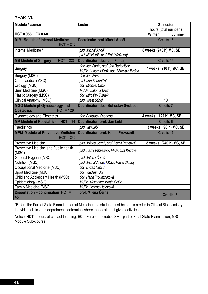| Module / course                                                          | Lecturer                                                                          | <b>Semester</b>                |
|--------------------------------------------------------------------------|-----------------------------------------------------------------------------------|--------------------------------|
|                                                                          |                                                                                   | hours (total number)           |
| $HCT = 955$ $EC = 60$                                                    |                                                                                   | <b>Winter</b><br><b>Summer</b> |
| <b>MIM Module of Internal Medicine</b><br>$HCT = 240$                    | Coordinator prof. Michal Anděl                                                    | <b>Credits 15</b>              |
| Internal Medicine *                                                      | prof. Michal Anděl<br>prof. Jiří Horák, prof. Petr Widimský                       | 8 weeks (240 h) MC, SE         |
| $HCT = 220$<br><b>MS Module of Surgery</b>                               | Coordinator doc. Jan Fanta                                                        | <b>Credits 14</b>              |
| Surgery                                                                  | doc. Jan Fanta, prof. Jan Bartoníček,<br>MUDr. Ludomír Brož, doc. Miroslav Tvrdek | 7 weeks (210 h) MC, SE         |
| Surgery (MSC)                                                            | doc. Jan Fanta                                                                    |                                |
| Orthopaedics (MSC)                                                       | prof. Jan Bartoníček                                                              |                                |
| Urology (MSC)                                                            | doc. Michael Urban                                                                |                                |
| Burn Medicine (MSC)                                                      | MUDr. Ludomír Brož                                                                |                                |
| Plastic Surgery (MSC)                                                    | doc. Miroslav Tvrdek                                                              |                                |
| Clinical Anatomy (MSC)                                                   | prof. Josef Stingl                                                                | 10                             |
| <b>MGO Module pf Gynaecology and</b><br>$HCT = 120$<br><b>Obstetrics</b> | Coordinator doc. Bohuslav Svoboda                                                 | <b>Credits 7</b>               |
| <b>Gynaecology and Obstetrics</b>                                        | doc. Bohuslav Svoboda                                                             | 4 weeks (120 h) MC, SE         |
| <b>MP Module of Paediatrics</b><br>$HCT = 90$                            | Coordinator prof. Jan Lebl                                                        | <b>Credits 6</b>               |
| Paediatrics                                                              | prof. Jan Lebl                                                                    | 3 weeks (90 h) MC, SE          |
| <b>MPM Module of Preventive Medicine</b><br>$HCT = 240$                  | Coordinator prof. Kamil Provazník                                                 | <b>Credits 15</b>              |
| <b>Preventive Medicine</b>                                               | prof. Milena Černá, prof. Kamil Provazník                                         | 8 weeks (240 h) MC, SE         |
| Preventive Medicine and Public health<br>(MSC)                           | prof. Kamil Provazník, PhDr. Eva Křížová                                          |                                |
| General Hygiene (MSC)                                                    | prof. Milena Černá                                                                |                                |
| Nutrition (MSC)                                                          | prof. Michal Anděl, MUDr. Pavel Dlouhý                                            |                                |
| Occupational Medicine (MSC)                                              | doc. Evžen Hrnčíř                                                                 |                                |
| Sport Medicine (MSC)                                                     | doc. Vladimír Štich                                                               |                                |
| Child and Adolescent Health (MSC)                                        | doc. Hana Provazníková                                                            |                                |
| Epidemiology (MSC)                                                       | MUDr. Alexander Martin Čelko                                                      |                                |
| Family Medicine (MSC)                                                    | MUDr. Helena Hovorová                                                             |                                |
| Dissertation - continuation HCT =<br>45                                  | prof. Milena Černá                                                                | <b>Credits 3</b>               |

\*Before the Part of State Exam in Internal Medicine, the student must be obtain credits in Clinical Biochemistry. Individual clinics and departments determine where the location of given activities.

Notice: **HCT** = hours of contact teaching, **EC** = European credits, SE = part of Final State Examination, MSC = Module Sub–course

**YEAR VI.**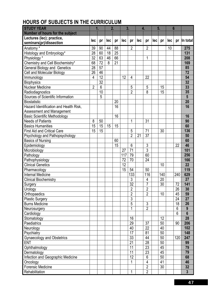# **HOURS OF SUBJECTS IN THE CURRICULUM**

| <b>STUDY YEAR</b>                                | 1.             |                | 2.  |    | 3.  |                |     | 4.                  |     | 5.  | 6   |     |                         |
|--------------------------------------------------|----------------|----------------|-----|----|-----|----------------|-----|---------------------|-----|-----|-----|-----|-------------------------|
| <b>Number of hours for the subject</b>           |                |                |     |    |     |                |     |                     |     |     |     |     |                         |
| Lectures (lec); practice,                        |                |                |     |    |     |                |     |                     |     |     |     |     |                         |
| seminars(pr)/dissection                          | lec            | pr             | lec | pr | lec | pr             | lec | pr                  | lec | pr  | lec | pr  | In total                |
| Anatomy*                                         | 39             | 90             | 44  | 88 |     | $\overline{2}$ |     | $\overline{2}$      |     |     | 10  |     | 275                     |
| Histology and Embryology*                        | 28             | 60             | 18  | 25 |     |                |     |                     |     |     |     |     | 131                     |
| Physiology*                                      | 32             | 63             | 46  | 66 |     |                |     | 1                   |     |     |     |     | 208                     |
| Chemistry and Cell Biochemistry*                 | 68             | 72             | 8   | 21 |     |                |     |                     |     |     |     |     | 169                     |
| <b>General Biology and Genetics</b>              | 28             | 57             |     |    |     |                |     |                     |     |     |     |     | 85                      |
| Cell and Molecular Biology                       | 26             | 46             |     |    |     |                |     |                     |     |     |     |     | 72                      |
| Immunology                                       | $\overline{4}$ | 12             |     |    | 12  | 4              |     | 22                  |     |     |     |     | 54                      |
| <b>Biophysics</b>                                |                | 32             |     |    |     |                |     |                     |     |     |     |     | 32                      |
| <b>Nuclear Medicine</b>                          | $\overline{2}$ | $6\phantom{1}$ |     |    |     | 5              |     | 5                   |     | 15  |     |     | 33                      |
| Radiodiagnostics                                 |                | 10             |     |    |     | $\overline{2}$ |     | 8                   |     | 15  |     |     | 35                      |
| Sources of Scientific Information                |                | 5              |     |    |     |                |     |                     |     |     |     |     | 5                       |
| <b>Biostatistic</b>                              |                |                |     | 20 |     |                |     |                     |     |     |     |     | 20                      |
| Hazard Identification and Health Risk,           |                |                |     | 16 |     |                |     |                     |     |     |     |     | 16                      |
| Assessment and Management                        |                |                |     |    |     |                |     |                     |     |     |     |     |                         |
| <b>Basic Scientific Methodology</b>              |                |                |     | 16 |     |                |     |                     |     |     |     |     | 16                      |
| <b>Needs of Patients</b>                         | 8              | 50             |     |    |     | 1              |     | 31                  |     |     |     |     | 90                      |
| <b>Basics Humanities</b>                         | 15             | 15             | 15  | 15 |     |                |     |                     |     |     |     |     | 60                      |
| <b>First Aid and Critical Care</b>               | 15             | 15             |     |    |     | 5              |     | 71                  |     | 30  |     |     | 136                     |
| Psychology and Pathopsychology                   |                |                |     |    |     | $\overline{2}$ | 21  | 37                  |     |     |     |     | 50                      |
| <b>Basics of Nursing</b>                         |                |                |     | 60 |     |                |     |                     |     |     |     |     | 60                      |
| Epidemiology                                     |                |                |     | 15 |     | $6\phantom{a}$ |     | $\overline{3}$      |     |     |     | 22  | 46                      |
| Microbiology                                     |                |                |     |    | 27  | 71             |     | 3                   |     |     |     |     | 101                     |
| Pathology                                        |                |                |     |    | 117 | 79             |     | 60                  |     |     |     |     | 256                     |
| Pathophysiology                                  |                |                |     |    | 72  | 70             |     | 24                  |     |     |     |     | 166                     |
| <b>Clinical Genetics</b>                         |                |                |     |    | 12  |                |     |                     |     | 10  |     |     | 22                      |
| Pharmacology                                     |                |                |     |    | 15  | 54             |     | 50                  |     |     |     |     | 119                     |
| <b>Internal Medicine</b>                         |                |                |     |    |     | 133            |     | 116                 |     | 140 |     | 240 | 629                     |
| <b>Clinical Biochemistry</b>                     |                |                |     |    |     | 3              |     | 4                   |     | 20  |     |     | 27                      |
| Surgery                                          |                |                |     |    |     | 32             |     | 7                   |     | 30  |     | 72  | 141                     |
| Urology                                          |                |                |     |    |     | $\overline{2}$ |     | $\overline{2}$      |     |     |     | 26  | 30                      |
| Orthopaedics                                     |                |                |     |    |     | $\overline{2}$ |     | $\overline{2}$      |     | 10  |     | 45  | 59                      |
| <b>Plastic Surgery</b>                           |                |                |     |    |     | 3              |     |                     |     |     |     | 24  | 27                      |
| <b>Burns Medicine</b>                            |                |                |     |    |     | 5              |     | $\mathfrak{Z}$      |     |     |     | 18  | 26                      |
| Neurosurgery                                     |                |                |     |    |     | 1              |     | $\overline{2}$      |     |     |     | 6   | 9                       |
| Cardiology                                       |                |                |     |    |     |                |     |                     |     |     |     | 6   | $6\phantom{1}$          |
| Stomatology                                      |                |                |     |    |     | 16             |     |                     |     | 12  |     |     | 28                      |
| Paediatrics                                      |                |                |     |    |     | 29             |     | 37                  |     | 50  |     | 90  | 206                     |
| Neurology                                        |                |                |     |    |     | 40             |     | 22                  |     | 40  |     |     | 102                     |
| Psychiatry                                       |                |                |     |    |     | 17             |     | 81                  |     | 50  |     |     | 148                     |
| <b>Gynaecology and Obstetrics</b>                |                |                |     |    |     | 33             |     | 44                  |     | 50  |     | 120 | 247                     |
| <b>ENT</b>                                       |                |                |     |    |     | 21             |     | 28                  |     | 50  |     |     | 99                      |
|                                                  |                |                |     |    |     | 11             |     | 23                  |     | 45  |     |     | 79                      |
| Ophthalmology                                    |                |                |     |    |     | 11             |     | 23                  |     | 45  |     |     | 79                      |
| Dermatology<br>Infection and Geographic Medicine |                |                |     |    |     | 12             |     | 6                   |     | 50  |     |     | 68                      |
|                                                  |                |                |     |    |     | 1              |     |                     |     | 41  |     |     | 46                      |
| Oncology                                         |                |                |     |    |     |                |     | 4<br>$\overline{2}$ |     |     |     |     |                         |
| <b>Forensic Medicine</b>                         |                |                |     |    |     |                |     |                     |     | 30  |     |     | 32                      |
| Rehabilitation                                   |                |                |     |    |     | 1              |     | $\overline{2}$      |     |     |     |     | $\overline{\mathbf{3}}$ |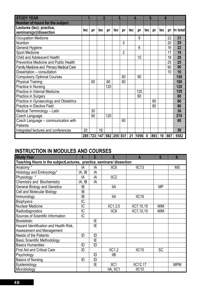| <b>STUDY YEAR</b>                                    |     |    | 2.  |     | 3.                          |                |     | 4.   |                  | 5.  | 6   |     |          |
|------------------------------------------------------|-----|----|-----|-----|-----------------------------|----------------|-----|------|------------------|-----|-----|-----|----------|
| Number of hours for the subject                      |     |    |     |     |                             |                |     |      |                  |     |     |     |          |
| Lectures (lec); practice,<br>seminars(pr)/dissection | lec | pr | lec | pr  | lec                         | pr             | lec | pr   | lec              | pr  | lec | pr  | In total |
| <b>Occupation Medicine</b>                           |     |    |     |     |                             |                |     | 9    |                  |     |     | 22  | 31       |
| Nutrition                                            |     |    |     |     |                             | 5              |     |      |                  |     |     | 20  | 25       |
| General Hygiene                                      |     |    |     |     |                             |                |     | 6    |                  |     |     | 16  | 22       |
| <b>Sport Medicine</b>                                |     |    |     |     |                             | $\overline{2}$ |     |      |                  |     |     | 17  | 19       |
| <b>Child and Adolescent Health</b>                   |     |    |     |     |                             |                |     | 10   |                  |     |     | 18  | 28       |
| Preventive Medicine and Public Health                |     |    |     |     |                             |                |     |      |                  |     |     | 25  | 25       |
| <b>Family Medicine and Primary Medical Care</b>      |     |    |     |     |                             |                |     |      |                  |     |     | 90  | 90       |
| Dissertation - consultation                          |     |    |     |     |                             |                |     |      |                  |     |     | 10  | 10       |
| <b>Compulsory Optional Courses</b>                   |     |    |     |     |                             | 60             |     | 90   |                  |     |     |     | 150      |
| <b>Physical Training</b>                             |     | 60 |     | 60  |                             | 60             |     |      |                  |     |     |     | 180      |
| Practice in Nursing                                  |     |    |     | 120 |                             |                |     |      |                  |     |     |     | 120      |
| Practice in Internal Medicine                        |     |    |     |     |                             |                |     | 120  |                  |     |     |     | 120      |
| Practice in Surgery                                  |     |    |     |     |                             |                |     | 80   |                  |     |     |     | 80       |
| Practice in Gynaecology and Obstetrics               |     |    |     |     |                             |                |     |      |                  | 80  |     |     | 80       |
| Practice in Elective Field                           |     |    |     |     |                             |                |     |      |                  | 80  |     |     | 80       |
| Medical Terminology - Latin                          |     | 30 |     |     |                             |                |     |      |                  |     |     |     | 30       |
| Czech Language                                       |     | 90 |     | 120 |                             |                |     |      |                  |     |     |     | 210      |
| Czech Language - communication with<br>Patients      |     |    |     |     |                             | 60             |     |      |                  |     |     |     | 60       |
| Integrated lectures and conferences                  | 20  |    | 16  |     |                             |                |     |      |                  |     |     |     | 36       |
|                                                      | 285 |    |     |     | 723   147   582   255   831 |                | 21  | 1056 | $\boldsymbol{0}$ | 893 | 10  | 887 | 5582     |

# **INSTRUCTION IN MODULES AND COURSES**

| <b>Study Year</b>                                                     | 1.     | 2. | 3.               | 4.                | 5 <sub>1</sub> | 6.         |
|-----------------------------------------------------------------------|--------|----|------------------|-------------------|----------------|------------|
| Teaching Hours in the subjectLectures, practice, seminars/ dissection |        |    |                  |                   |                |            |
| Anatomy *                                                             | ΙA     | ΙA | IIC <sub>6</sub> | IIC13             |                | <b>MS</b>  |
| Histology and Embryology*                                             | IA; IB | IA |                  |                   |                |            |
| Physiology *                                                          | IA     | IA | IIC <sub>2</sub> |                   |                |            |
| <b>Chemistry and Biochemistry</b>                                     | IA; IB | IA |                  |                   |                |            |
| <b>General Biology and Genetics</b>                                   | IB     |    | <b>IIA</b>       |                   | MΡ             |            |
| Cell and Molecular Biology                                            | IB     |    |                  |                   |                |            |
| Immunology                                                            | IB     |    | <b>IIA</b>       | IIC <sub>19</sub> |                |            |
| <b>Biophysics</b>                                                     | IC     |    |                  |                   |                |            |
| <b>Nuclear Medicine</b>                                               | IC     |    | IIC1, 3, 5       | IIC7, 10, 15      | <b>MIM</b>     |            |
| Radiodiagnostics                                                      | IC     |    | IIC <sub>6</sub> | IIC7,10,15        | <b>MIM</b>     |            |
| Sources of Scientific Information                                     | IC     |    |                  |                   |                |            |
| <b>Biostatistic</b>                                                   |        | IE |                  |                   |                |            |
| Hazard Identification and Health Risk,                                |        | ΙE |                  |                   |                |            |
| Assessment and Management                                             |        |    |                  |                   |                |            |
| <b>Needs of the Patients</b>                                          | ID     | ID |                  |                   |                |            |
| <b>Basic Scientific Methodology</b>                                   |        | IE |                  |                   |                |            |
| <b>Basics Humanities</b>                                              | ID     | ID |                  |                   |                |            |
| <b>First Aid and Critical Care</b>                                    | ID     |    | IIC1,2           | IIC15             | <b>SC</b>      |            |
| Psychology                                                            |        | ID | <b>IIB</b>       |                   |                |            |
| <b>Basics of Nursing</b>                                              | ID     | ID |                  |                   |                |            |
| Epidemiology                                                          |        | IE | IIC1             | IIC12,17          |                | <b>MPM</b> |
| Microbiology                                                          |        |    | IIA; IIC1        | IIC <sub>10</sub> |                |            |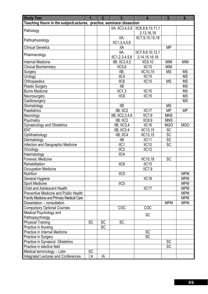| Teaching Hours in the subjectLectures, practice, seminars/ dissection<br>IIC6,8,9,10,11,1<br>IIA; IIC3,4,5,6<br>Pathology<br>2, 13, 16, 18 |                          |
|--------------------------------------------------------------------------------------------------------------------------------------------|--------------------------|
|                                                                                                                                            |                          |
|                                                                                                                                            |                          |
|                                                                                                                                            |                          |
| IIC7,9,10,15,18<br>IIA;<br>Pathophysiology                                                                                                 |                          |
| IC1, 3, 4, 5, 6                                                                                                                            |                          |
| <b>Clinical Genetics</b><br>IIА                                                                                                            | <b>MP</b>                |
| IIC7,8,9,10,12,1<br>IIA;<br>Pharmacology                                                                                                   |                          |
| IC1, 2, 3, 4, 5, 6<br>3, 14, 15, 16, 18                                                                                                    |                          |
| Internal Medicine<br>$IIB$ ; $IIC3,4,5$<br><b>IIC9,10</b>                                                                                  | <b>MIM</b><br><b>MIM</b> |
| IIC <sub>10</sub><br>IIC5,6<br><b>Clinical Biochemistry</b>                                                                                | <b>MIM</b>               |
| $IIB$ ;<br>IIC10,15<br>Surgery                                                                                                             | <b>MS</b><br><b>MS</b>   |
| IIC4<br>IIC15<br>Urology                                                                                                                   | <b>MS</b>                |
| IIC15<br>IIC <sub>6</sub><br>Orthopaedics                                                                                                  | <b>MS</b><br><b>MS</b>   |
| IIB<br><b>Plastic Surgery</b>                                                                                                              | <b>MS</b>                |
| <b>Burns Medicine</b><br>IIC1,3<br>IIC15                                                                                                   | <b>MS</b>                |
| IC15<br>IIC <sub>6</sub><br>Neurosurgery                                                                                                   | <b>MS</b>                |
| Cardiosurgery                                                                                                                              | <b>MS</b>                |
| <b>IIB</b><br>Stomatology                                                                                                                  | <b>MS</b>                |
| IIB; IIC2<br>IIC17<br>Paediatrics                                                                                                          | <b>MP</b><br><b>MP</b>   |
| IIB; IIC2,3,4,6<br>Neurology<br>IIC7.9                                                                                                     | <b>MNS</b>               |
| Psychiatry<br>$IIB$ ; $IIC2$<br>IIC8,9                                                                                                     | <b>MNS</b>               |
| IIC <sub>16</sub><br>IIB; IIC3,4<br><b>Gynaecology and Obstetrics</b>                                                                      | <b>MGO</b><br><b>MGO</b> |
| <b>ENT</b><br>IIB; IIC3,4<br>IIC13,15                                                                                                      | <b>SC</b>                |
| Ophthalmology<br>IIB; IIC4<br><b>IIC13,15</b>                                                                                              | SC                       |
| IIC11<br><b>IIB</b><br>Dermatology                                                                                                         | SC                       |
| IIC <sub>1</sub><br>IIC <sub>10</sub><br>Infection and Geographic Medicine                                                                 | <b>SC</b>                |
| IIC <sub>2</sub><br>IIC12<br>Oncology                                                                                                      |                          |
| IIC4<br>Haematology                                                                                                                        |                          |
| <b>Forensic Medicine</b><br><b>IIC15,18</b><br>IIC15                                                                                       | <b>SC</b>                |
| IIC <sub>6</sub><br>Rehabilitation                                                                                                         |                          |
| IIC7,9<br><b>Occupation Medicine</b><br>Nutrition                                                                                          |                          |
| IIC <sub>5</sub>                                                                                                                           | <b>MPM</b><br><b>MPM</b> |
| IIC <sub>18</sub><br>General Hygiene<br>IIC <sub>5</sub>                                                                                   | <b>MPM</b>               |
| Sport Medicine<br>IIC17<br><b>Child and Adolescent Health</b>                                                                              | <b>MPM</b>               |
| <b>Preventive Medicine and Public Health</b>                                                                                               | <b>MPM</b>               |
| Family Medicine and Primary Medical Care                                                                                                   | <b>MPM</b>               |
| Dissertation - consultation                                                                                                                | <b>MPM</b><br><b>MPM</b> |
| COC<br><b>COC</b><br><b>Compulsory Optional Courses</b>                                                                                    |                          |
| Medical Psychology and                                                                                                                     |                          |
| <b>SC</b><br>Pathopsychology                                                                                                               |                          |
| <b>SC</b><br><b>SC</b><br><b>Physical Training</b><br><b>SC</b>                                                                            |                          |
| <b>SC</b><br>Practice in Nursing                                                                                                           |                          |
| <b>SC</b><br>Practice in Internal Medicine                                                                                                 |                          |
| <b>SC</b><br>Practice in Surgery                                                                                                           |                          |
| Practice in Gynaecol. Obstetrics                                                                                                           | <b>SC</b>                |
| Practice in elective field                                                                                                                 | <b>SC</b>                |
| <b>SC</b><br>Medical terminology - Latin                                                                                                   |                          |
| <b>Integrated Lectures and Conferences</b><br>I.A<br>IA                                                                                    |                          |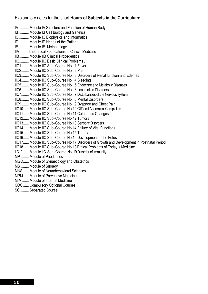### Explanatory notes for the chart **Hours of Subjects in the Curriculum:**

IA .......... Module IA Structure and Function of Human Body IB........... Module IB Cell Biology and Genetics IC........... Module IC Biophysics and Informatics ID........... Module ID Needs of the Patient IE........... Module IE Methodology IIA Theoretical Foundations of Clinical Medicine IIB.......... Module IIB Clinical Propedeutics IIC.......... Module IIC Basic Clinical Problems , IIC1........ Module IIC Sub–Course No. 1 Fever IIC2........ Module IIC Sub–Course No. 2 Pain IIC3........ Module IIC Sub–Course No. 3 Disorders of Renal function and Edemas IIC4........ Module IIC Sub–Course No. 4 Bleeding IIC5........ Module IIC Sub–Course No. 5 Endocrine and Metabolic Diseases IIC6........ Module IIC Sub–Course No. 6 Locomotion Disorders IIC7........ Module IIC Sub–Course No. 7 Disturbances of the Nervous system IIC8........ Module IIC Sub–Course No. 8 Mental Disorders IIC9........ Module IIC Sub–Course No. 9 Dyspnoe and Chest Pain IIC10...... Module IIC Sub–Course No.10 GIT and Abdominal Complaints IIC11...... Module IIC Sub–Course No.11 Cutaneous Changes IIC12...... Module IIC Sub–Course No.12 Tumors IIC13...... Module IIC Sub–Course No.13 Sensoric Disorders IIC14...... Module IIC Sub–Course No.14 Failure of Vital Functions IIC15...... Module IIC Sub–Course No.15 Trauma IIC16...... Module IIC Sub–Course No.16 Development of the Fetus IIC17...... Module IIC Sub–Course No.17 Disorders of Growth and Development in Postnatal Period IIC18...... Module IIC Sub–Course No.18 Ethical Problems of Today´s Medicine IIC19........Module IIC Sub–Course No. 19 Disorder of Immunity MP ........ Module of Paediatrics MGO...... Module of Gynaecology and Obstetrics MS ........ Module of Surgery MNS ..... Module of Neurobehavioral Sciences MPM. Module of Preventive Medicine MIM ....... Module of Internal Medicine COC ...... Compulsory Optional Courses SC ......... Separated Course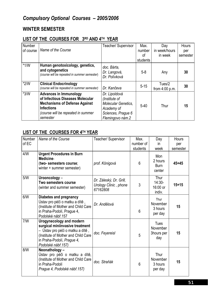## **WINTER SEMESTER**

## **LIST OF THE COURSES FOR 3RD AND 4TH YEAR**

| Number<br>of course | Name of the Course                                                                                                                                                               | Teacher/ Supervisor                                                                                                  | Max.<br>number<br>οf<br>students | Day<br>in week/hours<br>in week | Hours<br>per<br>semester |
|---------------------|----------------------------------------------------------------------------------------------------------------------------------------------------------------------------------|----------------------------------------------------------------------------------------------------------------------|----------------------------------|---------------------------------|--------------------------|
| $*1/W$              | Human genotoxicology, genetics,<br>and cytogenetics<br>(course will be repeated in summer semester)                                                                              | doc. Bárta,<br>Dr. Langová,<br>Dr. Polívková                                                                         | $5-8$                            | Any                             | 30                       |
| $*2/W$              | <b>Clinical Endocrinology</b><br>(course will be repeated in summer semester)                                                                                                    | Dr. Kančeva                                                                                                          | $5 - 15$                         | Tues/2<br>from $4:00$ p.m.      | 30                       |
| $*3/W$              | <b>Advances in Immunology</b><br>of Infectious Diseases Molecular<br><b>Mechanisms of Defense Against</b><br><b>Infections</b><br>(course will be repeated in summer<br>semester | Dr. Lipoldová<br>(Institute of<br><b>Molecular Genetics,</b><br>Academy of<br>Sciences, Prague 6<br>Flemingovo nám.2 | $5 - 40$                         | Thur                            | 15                       |

### **LIST OF THE COURSES FOR 4TH YEAR**

| Number<br>of EC | Name of the Course                                                                                                                                                                                 | Teacher/ Supervisor                                          | Max.<br>number of | Day<br>in.                              | Hours<br>per |
|-----------------|----------------------------------------------------------------------------------------------------------------------------------------------------------------------------------------------------|--------------------------------------------------------------|-------------------|-----------------------------------------|--------------|
|                 |                                                                                                                                                                                                    |                                                              | students          | week                                    | semester     |
| 4/N             | <b>Urgent Procedures in Burn</b><br>Medicine-<br>(two- semesters course;<br>winter + summer semester)                                                                                              | prof. Königová                                               | $6\phantom{1}$    | Mon<br>2 hours<br><b>Burn</b><br>center | $45 + 45$    |
| 5/N             | Urooncology -<br>Two semesters course<br>(winter and summer semester)                                                                                                                              | Dr. Záleský, Dr. Grill,<br>Urology Clinic, phone<br>67162808 | 3                 | Thur<br>$14:30-$<br>16:00 or<br>indiv.  | $15 + 15$    |
| 6/N             | <b>Diabetes and pregnancy</b><br>Ústav pro péči o matku a dítě,<br>(Institute of Mother and Child Care<br>in Praha-Podolí, Prague 4,<br>Podolské nábř.157                                          | Dr. Andělová                                                 | 6                 | Thur<br>November<br>3 hours<br>per day  | 15           |
| 7/N             | <b>Urogynecology and modern</b><br>surgical miniinvasive treatment<br>– Ústav pro péči o matku a dítě ,<br>(Institute of Mother and Child Care<br>in Praha-Podolí, Prague 4,<br>Podolské nábř.157) | doc. Feyereisl                                               | 5                 | Tues<br>November<br>3hours per<br>day   | 15           |
| 8/W             | Neonathology-<br>Ústav pro péči o matku a dítě,<br>(Institute of Mother and Child Care)<br>in Praha-Podolí<br>Prague 4, Podolské nábř.157)                                                         | doc. Straňák                                                 | 6                 | Thur<br>November<br>3 hours<br>per day  | 15           |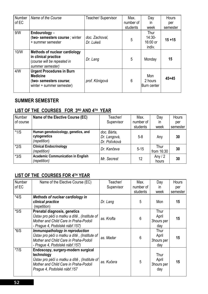| Number | Name of the Course                                                                                          | Teacher/ Supervisor         | Max.           | Day                                    | <b>Hours</b> |
|--------|-------------------------------------------------------------------------------------------------------------|-----------------------------|----------------|----------------------------------------|--------------|
| of EC  |                                                                                                             |                             | number of      | in                                     | per          |
|        |                                                                                                             |                             | students       | week                                   | semester     |
| 9/N    | Endourology -<br>(two- semesters course ; winter<br>+ summer semester                                       | doc. Zachoval,<br>Dr. Lukeš | 5              | Thur<br>$14:30-$<br>16:00 or<br>indiv. | $15 + 15$    |
| 10/W   | Methods of nuclear cardiology<br>in clinical practice<br>(course will be repeated in<br>summer semester)    | Dr. Lang                    | 5              | Monday                                 | 15           |
| 4/N    | <b>Urgent Procedures in Burn</b><br><b>Medicine</b><br>(two- semesters course;<br>winter + summer semester) | prof. Königová              | $6\phantom{1}$ | Mon<br>2 hours<br>Burn center          | $45 + 45$    |

## **SUMMER SEMESTER**

## LIST OF THE COURSES FOR 3RD AND 4TH YEAR

| Number    | Name of the Elective Course (EC)         | Teacher/      | Max.      | Day          | Hours    |
|-----------|------------------------------------------|---------------|-----------|--------------|----------|
| of course |                                          | Supervisor    | number of | in           | per      |
|           |                                          |               | students  | week         | semester |
| $*1/S$    | Human genotoxicology, genetics, and      | doc. Bárta,   |           |              |          |
|           | cytogenetics                             | Dr. Langová,  | $5 - 8$   | Any          | 30       |
|           | (repetition)                             | Dr. Polívková |           |              |          |
| $*2/S$    | <b>Clinical Endocrinology</b>            | Dr. Kančeva   | $5 - 15$  | Thur         | 30       |
|           | (repetition)                             |               |           | from $16:30$ |          |
| $*3/S$    | <b>Academic Communication in English</b> | Mr. Secrest   | 12        | Any $/2$     | 30       |
|           | (repetition)                             |               |           | hours        |          |

## **LIST OF THE COURSES FOR 4TH YEAR**

| Number | Name of the Elective Course (EC)             | Teacher/   | Max.            | Day        | <b>Hours</b> |
|--------|----------------------------------------------|------------|-----------------|------------|--------------|
| of EC  |                                              | Supervisor | number of       | in.        | per          |
|        |                                              |            | students        | week       | semester     |
| $*4/S$ | Methods of nuclear cardiology in             |            |                 |            |              |
|        | clinical practice                            | Dr. Lang   | 5               | Mon        | 15           |
|        | (repetition)                                 |            |                 |            |              |
| $*5/S$ | Prenatal diagnosis, genetics                 |            |                 | Thur       |              |
|        | Ústav pro péči o matku a dítě, (Institute of | as. Krofta | 6               | April      |              |
|        | Mother and Child Care in Praha-Podoli        |            |                 | 3hours per | 15           |
|        | - Prague 4, Podolské nábř.157)               |            |                 | day        |              |
| $*6/S$ | Immunopathology in reproduction              |            |                 | Thur       |              |
|        | Ústav pro péči o matku a dítě, (Institute of |            |                 | April      |              |
|        | Mother and Child Care in Praha-Podoli        | as. Madar  | $6\phantom{1}6$ | 3hours per | 15           |
|        | - Prague 4, Podolské nábř.157)               |            |                 | day        |              |
| $*7/S$ | Endoscopy, surgery-modern surgical           |            |                 |            |              |
|        | technology                                   |            |                 | Thur       |              |
|        | Ústav pro péči o matku a dítě, (Institute of |            |                 | April      |              |
|        | Mother and Child Care in Praha-Podolí        | as. Kučera | 5               | 3hours per | 15           |
|        | Prague 4, Podolské nábř.157                  |            |                 | day        |              |
|        |                                              |            |                 |            |              |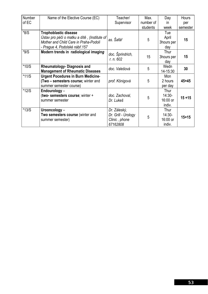| Number  | Name of the Elective Course (EC)             | Teacher/            | Max.      | Day        | <b>Hours</b> |
|---------|----------------------------------------------|---------------------|-----------|------------|--------------|
|         |                                              |                     |           |            |              |
| of EC   |                                              | Supervisor          | number of | in.        | per          |
|         |                                              |                     | students  | week       | semester     |
| $*8/S$  | <b>Trophoblastic disease</b>                 |                     |           | Tue        |              |
|         | Ústav pro péči o matku a dítě, (Institute of | as. Šafář           | 5         | April      | 15           |
|         | Mother and Child Care in Praha-Podolí        |                     |           | 3hours per |              |
|         | - Prague 4, Podolské nábř.157                |                     |           | day        |              |
| $*9/S$  | Modern trends in radiological imaging        |                     |           | Thur       |              |
|         |                                              | doc. Šprindrich,    | 15        | 3hours per | 15           |
|         |                                              | r. n. $602$         |           | day        |              |
| $*10/S$ | <b>Rheumatology- Diagnosis and</b>           |                     | 5         | Wedn       |              |
|         | <b>Management of Rheumatic Diseases</b>      | doc. Valešová       |           | 14-15:30   | 30           |
| $*11/S$ | <b>Urgent Pocedures in Burn Medicine-</b>    |                     |           | Mon        |              |
|         | (Two - semesters course; winter and          | prof. Königová      | 5         | 2 hours    | $45 + 45$    |
|         | summer semester course)                      |                     |           | per day    |              |
| $*12/S$ | Endourology -                                |                     |           | Thur       |              |
|         | (two- semesters course; winter +             | doc. Zachoval,      | 5         | $14:30-$   | $15 + 15$    |
|         | summer semester                              | Dr. Lukeš           |           | 16:00 or   |              |
|         |                                              |                     |           | indiv.     |              |
| $*13/S$ | Urooncology -                                | Dr. Záleský,        |           | Thur       |              |
|         | Two semesters course (winter and             | Dr. Grill - Urology |           | $14:30-$   |              |
|         | summer semester)                             | Clinic, phone       | 5         | 16:00 or   | $15 + 15$    |
|         |                                              | 67162808            |           | indiv.     |              |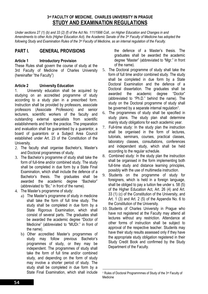### **3rd FACULTY OF MEDICINE, CHARLES UNIVERSITY IN PRAGUE STUDY AND EXAMINATION REGULATIONS**

*Under sections 27 (1) (b) and 33 (2) (f) of the Act No. 111/1998 Coll., on Higher Education and Changes in and Amendments to other Acts (Higher Education Act), the Academic Senate of the 3rd Faculty of Medicine has adopted the following Study and Examination Rules of the 3rd Faculty of Medicine, as an internal regulation of the Faculty.* 

### **PART I. GENERAL PROVISIONS**

#### **Article 1 Introductory Provision**

These Rules shall govern the course of study at the 3rd Faculty of Medicine of Charles University (hereinafter "the Faculty")

#### **Article 2 University Education**

1. University education shall be acquired by studying on an accredited programme of study according to a study plan in a prescribed form. Instruction shall be provided by professors, associate professors (Associate Professors) and senior lecturers, scientific workers of the faculty and outstanding external specialists from scientific establishments and from the practice. The preparation and evaluation shall be guaranteed by a guarantor, a board of guarantors or a Subject Area Council established under Art. 23 of the Constitution of the University.

- 2. The faculty shall organise Bachelor's, Master's and Doctoral programmes of study.
- 3. The Bachelor's programme of study shall take the form of full-time and/or combined study. The study shall be completed in due form by a State Final Examination, which shall include the defence of a Bachelor's thesis. The graduates shall be awarded the academic degree "Bachelor" (abbreviated to "Bc." in front of the name).
- 4. The Master's programme of study:
	- a) The Master's programme of study in medicine shall take the form of full time study. The study shall be completed in due form by a State Rigorous Examination, which shall consist of several parts. The graduates shall be awarded the academic degree "Doctor of Medicine" (abbreviated to "MUDr." in front of the name).
	- b) Other accredited Master's programmes of study may follow previous Bachelor's programmes of study, or they may be independent. The programmes of study shall take the form of full time and/or combined study, and depending on the form of study may involve a shorter period of study. The study shall be completed in due form by a State Final Examination, which shall include

the defence of a Master's thesis. The graduates shall be awarded the academic degree "Master" (abbreviated to "Mgr." in front of the name).

- 5. The Doctoral programme of study shall take the form of full time and/or combined study. The study shall be completed in due form by a State Doctoral Examination and the defence of a Doctoral dissertation. The graduates shall be awarded the academic degree "Doctor" (abbreviated to "Ph.D." behind the name). The study on the Doctoral programme of study shall be governed by a separate internal regulation<sup>1</sup>.
- 6. The programmes of study shall be specified in study plans. The study plan shall determine mainly study obligations for each academic year.
- 7. Full-time study: In the study plan the instruction shall be organised in the form of lectures. tutorials, seminars, courses, practical classes, laboratory classes, consultations, conferences and independent study, which shall be held according to the regular schedule.
- 8. Combined study: In the study plan the instruction shall be organised in the form implementing both full-time study and distance learning principles, possibly with the use of multimedia instruction.
- 9. Students on the programme of study for foreigners, which is held in a foreign language, shall be obliged to pay a tuition fee under s. 58 (5) of the Higher Education Act, Art. 26 (4) and Art. 33 (1) (c) of the Constitution of the University, and Art. 1 (3) and Art. 2 (5) of the Appendix No. 6 to the Constitution of the University.
- 10. Students of Charles University in Prague who have not registered at the Faculty may attend all lectures without any restriction. Attendance at other forms of instruction shall be subject to approval of the respective teacher. Students may have their study results assessed only if they have the appropriate study obligation registered in their Study Credit Book and confirmed by the Study Department of the Faculty.

<sup>1</sup> 1 Rules of Doctoral Programmmes of Study of the 3rd Faculty of Medicine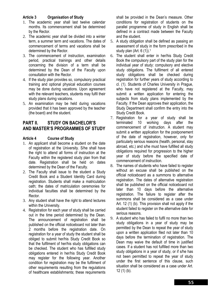#### **Article 3 Organisation of Study**

- 1. The academic year shall last twelve calendar months. Its commencement shall be determined by the Rector.
- 2. The academic year shall be divided into a winter term, a summer term and vacations. The dates of commencement of terms and vacations shall be determined by the Rector.
- 3. The commencement of instruction, examination period, practical trainings and other details concerning the division of a term shall be determined by the Dean of the Faculty upon consultation with the Rector.
- 4. If the study plan provides so, compulsory practical training and optional physical education courses may be done during vacations. Upon agreement with the relevant teachers, students may fulfil their study plans during vacations.
- 5. An examination may be held during vacations provided that it has been approved by the teacher (the board) and the student.

### **PART II. STUDY ON BACHELOR'S AND MASTER'S PROGRAMMES OF STUDY**

#### **Article 4 Course of Study**

- 1. An applicant shall become a student on the date of registration at the University. S/he shall have the right to attend all forms of instruction at the Faculty within the registered study plan from that date. Registration shall be held on dates determined by the Dean of the Faculty.
- 2. The Faculty shall issue to the student a Study Credit Book and a Student Identity Card during registration. Students shall make a matriculation oath; the dates of matriculation ceremonies for individual faculties shall be determined by the Rector.
- 3. Any student shall have the right to attend lectures within the University.
- 4. Registration for each year of study shall be carried out in the time period determined by the Dean. The announcement of registration shall be published on the official noticeboard not later than 2 months before the registration date. On registration for a year of study the student shall be obliged to submit her/his Study Credit Book so that the fulfilment of her/his study obligations can be checked. The student who has fulfilled study obligations entered in her/his Study Credit Book may register for the following year. Another condition for registration may be the fulfilment of other requirements resulting from the regulations of healthcare establishments; these requirements

shall be provided in the Dean's measure. Other conditions for registration of students on the parallel programme of study in English shall be defined in a contract made between the Faculty and the student.

- 5. A study obligation shall be defined as passing an assessment of study in the form prescribed in the study plan (Art.  $6(1)$ ).<sup>1</sup>
- 6. The student shall enter in her/his Study Credit Book the compulsory part of the study plan for the individual year of study: compulsory and elective study obligations. The fulfilment of all entered study obligations shall be checked during registration for further years of study according to cl. (1). Students of Charles University in Prague, who have not registered at the Faculty, may submit a written application for entering the subjects from study plans implemented by the Faculty. If the Dean approves their application, the Study Department shall confirm the entry into the Study Credit Book.
- 7. Registration for a year of study shall be terminated 10 working days after the commencement of instruction. A student may submit a written application for the postponement of the date of registration, however, only for particularly serious reasons (health, personal, stay abroad, etc.) and s/he must have fulfilled all study obligations required for progression to the higher year of study before the specified date of commencement of instruction.
- 8. The names of students who have failed to register without an excuse shall be published on the official noticeboard as a summons to alternative registration. The dates of alternative registration shall be published on the official noticeboard not later than 10 days before the alternative registration. The failure to register after the summons shall be considered as a case under Art. 12 (1) (b). This provision shall not apply if the student failed to register on the alternative date for serious reasons.
- 9. A student who has failed to fulfil no more than two study obligations in a year of study may be permitted by the Dean to repeat the year of study upon a written application filed not later than 10 days before the termination of registration. The Dean may waive the default of time in justified cases. If a student has not fulfilled more than two study obligations in a year of study, or if s/he has not been permitted to repeat the year of study under the first sentence of this clause, such situation shall be considered as a case under Art. 12 (1) (b).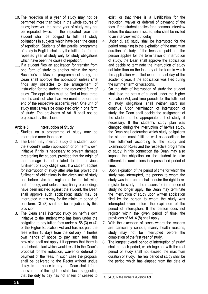- 10. The repetition of a year of study may not be permitted more than twice in the whole course of study; however, the same year of study may not be repeated twice. In the repeated year the student shall be obliged to fulfil all study obligations in subjects which have been the cause of repetition. Students of the parallel programme of study in English shall pay the tuition fee for the repeated year of study only for study obligations which have been the cause of repetition.
- 11. If a student files an application for transfer from one form of study to another within the same Bachelor's or Master's programme of study, the Dean shall approve the application unless s/he finds any obstacles to the arrangement of instruction for the student in the requested form of study. The application must be filed at least three months and not later than two months before the end of the respective academic year. One unit of study must always be completed only in one form of study. The provisions of Art. 9 shall not be prejudiced by this clause.

#### **Article 5 Interruption of Study**

- 1. Studies on a programme of study may be interrupted more than once.
- 2. The Dean may interrupt study of a student upon the student's written application or on her/his own initiative if this is necessary to prevent damage threatening the student, provided that the origin of the damage is not related to the previous fulfilment of study obligations. If a student applies for interruption of study after s/he has proved the fulfilment of obligations in the given unit of study and before s/he has registered for the following unit of study, and unless disciplinary proceedings have been initiated against the student, the Dean shall approve such application; study may be interrupted in this way for the minimum period of one term. Cl. (8) shall not be prejudiced by this provision.
- 3. The Dean shall interrupt study on her/his own initiative to the student who has been under the obligation to pay tuition fees under s. 58 (3) or (4) of the Higher Education Act and has not paid the fees within 15 days from the delivery in her/his own hands of notice to pay such fees; this provision shall not apply if it appears that there is a substantial fact which would result in the Dean's proposal for the reduction, waiver or deferral of payment of the fees. In such case the proposal shall be delivered to the Rector without undue delay. In the notice to pay the Dean shall inform the student of the right to state facts suggesting that the duty to pay has not arisen or ceased to

exist, or that there is a justification for the reduction, waiver or deferral of payment of the fees. If the student applies for a personal interview before the decision is issued, s/he shall be invited to an interview without delay.

- 4. Under cl. (3) study shall be interrupted for the period remaining to the expiration of the maximum duration of study. If the fees are paid and the person applies for the termination of interruption of study, the Dean shall approve the application and decide to terminate the interruption of study not later than on the last day of the term in which the application was filed or on the last day of the academic year, if the application was filed during the summer term or vacations.
- 5. On the date of interruption of study the student shall lose the status of student under the Higher Education Act, and time periods for the fulfilment of study obligations shall neither start nor continue. Upon termination of interruption of study, the Dean shall decide the assignment of the student to the appropriate unit of study, if necessary. If the student's study plan was changed during the interruption of her/his study, the Dean shall determine which study obligations the student must fulfil as well as deadlines for their fulfilment according to the Study and Examination Rules and the respective programme of study; in this connection the Dean may also impose the obligation on the student to take differential examinations in a prescribed period of time.
- 6. Upon expiration of the period of time for which the study was interrupted, the person to whom the study was interrupted shall acquire the right to reregister for study. If the reasons for interruption of study no longer apply, the Dean may terminate the interruption of study upon written application filed by the person to whom the study was interrupted even before the expiration of the period of interruption. If the person does not register within the given period of time, the provisions of Art. 4 (8) shall apply.
- 7. With the exception of cases where the reasons are particularly serious, mainly health reasons, study may not be interrupted before the completion of the first year of study.
- 8. The longest overall period of interruption of study2 shall be such period, which together with the real period of study shall not exceed the maximum duration of study. The real period of study shall be the period which has elapsed from the date of

1

<sup>2</sup> S. 54 (1) of the Higher Education Act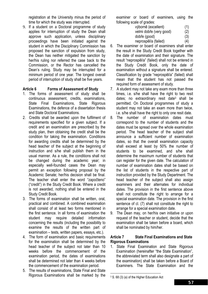registration at the University minus the period of time for which the study was interrupted.

9. If a student on a Doctoral programme of study applies for interruption of study the Dean shall approve such application, unless disciplinary proceedings have been initiated against the student in which the Disciplinary Commission has proposed the sanction of expulsion from study, the Dean has neither mitigated the sanction by her/his ruling nor referred the case back to the Commission, or the Rector has cancelled the Dean's ruling. Study may be interrupted for a minimum period of one year. The longest overall period of interruption of study shall be five years.

#### **Article 6 Forms of Assessment of Study**

- 1. The forms of assessment of study shall be continuous assessment, credits, examinations, State Final Examinations, State Rigorous Examinations, the defence of a dissertation thesis and State Doctoral Examinations.
- 2. Credits shall be awarded upon the fulfilment of requirements specified for a given subject. If a credit and an examination are prescribed by the study plan, then obtaining the credit shall be the condition for taking the examination. Conditions for awarding credits shall be determined by the head teacher of the subject at the beginning of instruction and s/he shall publish them in the usual manner. As a rule, the conditions shall not be changed during the academic year; in especially well-founded cases the Dean may permit an exception following proposal by the Academic Senate; her/his decision shall be final. The teacher shall enter the word "započteno" ("credit") in the Study Credit Book. Where a credit is not awarded, nothing shall be entered in the Study Credit Book.
- 3. The forms of examination shall be written, oral, practical and combined. A combined examination shall consist of at least two forms mentioned in the first sentence. In all forms of examination the student may require detailed information concerning the results (including the possibility to examine the results of the written part of examination – tests, written papers, essays, etc.).
- 4. The form of examination and basic requirements for the examination shall be determined by the head teacher of the subject not later than 10 weeks before the commencement of the examination period, the dates of examinations shall be determined not later than 4 weeks before the commencement of the examination period.
- 5. The results of examinations, State Final and State Rigorous Examinations shall be marked by the

examiner or board of examiners, using the following scale of grades:

- výborně (excellent) (1) velmi dobře (very good) (2) dobře (good) (3) neprospěl/a (failed) (4)
- 6. The examiner or board of examiners shall enter the result in the Study Credit Book together with the date of examination and their signature. The result "neprospěl/a" (failed) shall not be entered in the Study Credit Book, only the date of examination without a signature shall be entered. Classification by grade "neprospěl/a" (failed) shall mean that the student has not passed the required form of assessment of study.
- 7. A student may not take any exam more than three times, i.e. s/he shall have the right to two resit dates; no extraordinary resit date3 shall be permitted. On Doctoral programmes of study a student may not take an exam more than twice, i.e. s/he shall have the right to only one resit date.
- 8. The number of examination dates must correspond to the number of students and the dates must be spread over the whole examination period. The head teacher of the subject shall announce a sufficient number of examination dates, so that the overall examination capacity shall exceed at least by 50% the number of students to be examined, and s/he shall determine the maximum number of students that can register for the given date. The calculation of number of examination dates shall be based on the list of students in the respective part of instruction provided by the Study Department. The head teacher of the subject shall also assign examiners and their alternates for individual dates. The provision in the first sentence above shall not constitute the right to arrange for a special examination date. The provision in the first sentence of cl. (7) shall not constitute the right to arrange for a special examination date.
- 9. The Dean may, on her/his own initiative or upon request of the teacher or student, decide that the examination shall be taken before a board, which shall be nominated by him/her.

#### **Article 7 State Final Examinations and State Rigorous Examinations**

1. State Final Examination and State Rigorous Examination (hereinafter "the State Examination", the abbreviated term shall also designate a part of the examination) shall be taken before a Board of Examiners. The State Examination and the

<u>.</u>

<sup>3</sup> S. 68 (3) (a) of the Higher Education Act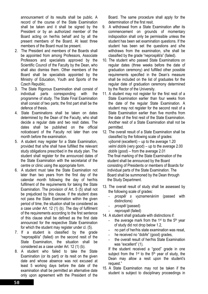announcement of its results shall be public. A record of the course of the State Examination shall be taken and it shall be signed by the President or by an authorized member of the Board acting on her/his behalf and by all the present members of the Board. At least three members of the Board must be present.

- 2. The President and members of the Boards shall be appointed from among Professors, Associate Professors and specialists approved by the Scientific Council of the Faculty by the Dean, who shall also dismiss them. Other members of the Board shall be specialists appointed by the Ministry of Education, Youth and Sports of the Czech Republic.
- 3. The State Rigorous Examination shall consist of individual parts corresponding with the programme of study. The State Final Examination shall consist of two parts; the first part shall be the defence of thesis.
- 4. State Examinations shall be taken on dates determined by the Dean of the Faculty, who shall decide a regular date and two resit dates. The dates shall be published on the official noticeboard of the Faculty not later than one month before the examination.
- 5. A student may register for a State Examination, provided that s/he shall have fulfilled the relevant study obligations prescribed in the study plan. The student shall register for the announced dates of the State Examination with the secretariat of the centre or clinic using the appropriate form.
- 6. A student must take the State Examination not later than two years from the first day of the calendar month following the day of her/his fulfilment of the requirements for taking the State Examination. The provision of Art. 5 (5) shall not be prejudiced by this clause. If the student does not pass the State Examination within the given period of time, the situation shall be considered as a case under Art. 12 (1) (b). The day of fulfilment of the requirements according to the first sentence of this clause shall be defined as the first date announced for the respective State Examination for which the student may register under cl. (5).
- 7. If a student is classified by the grade "neprospěl/a" (failed) on the second resit of the State Examination, the situation shall be considered as a case under Art. 12 (1) (b).
- 8. A student who failed to take the State Examination (or its part) or its resit on the given date and whose absence was not excused at least 5 working days before the date of the examination shall be permitted an alternative date only upon agreement with the President of the

Board. The same procedure shall apply for the determination of the first resit.

- 9. A withdrawal from a State Examination after its commencement on grounds of momentary indisposition shall only be permissible unless the student has been set examination questions. If the student has been set the questions and s/he withdraws from the examination, s/he shall be classified by the grade "neprospěl/a" (failed).
- 10. The student who passed State Examinations on regular dates (three weeks before the date of graduation ceremony) and fulfilled other possible requirements specified in the Dean's measure shall be included on the list of graduates for the regular date of graduation ceremony determined by the Rector of the University.
- 11. A student may not register for the first resit of a State Examination earlier than four weeks from the date of the regular State Examination. A student may not register for the second resit of a State Examination earlier than five months from the date of the first resit of the State Examination. Another resit of a State Examination shall not be permitted.
- 12. The overall result of a State Examination shall be classified by the following scale of grades: *výborně* (excellent) – up to the average 1.20 *velmi dobře* (very good) – up to the average 2.00 *dobře* (good) – from the average 2.01 The final marking of the State Examination of the student shall be announced by the Board consisting of Presidents or members of Boards for individual parts of the State Examination. The Board shall be summoned by the Dean through the Study Department.
- 13. The overall result of study shall be assessed by the following scale of grades:
	- *prospěl s vyznamenáním* (passed with distinctions)
	- *prospěl* (passed)
	- *neprospěl* (failed)
- 14. A student shall graduate with distinctions if:
	- the average mark from the  $1<sup>st</sup>$  to the  $5<sup>th</sup>$  year of study did not drop below 1.2,
	- no part of her/his state examination was resat,
	- he received no "dobře" (good) grades,
	- the overall result of her/his State Examination was "excellent" (1).

If the student received a "good" grade in one subject from the  $1<sup>st</sup>$  to the  $5<sup>th</sup>$  year of study, the Dean may allow a resit upon the student's request."

15. A State Examination may not be taken if the student is subject to disciplinary proceedings in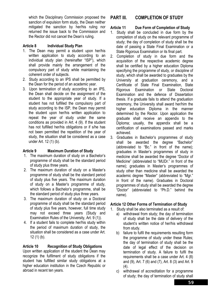which the Disciplinary Commission proposed the sanction of expulsion form study, the Dean neither mitigated the sanction by her/his ruling nor returned the issue back to the Commission and the Rector did not cancel the Dean's ruling.

#### **Article 8 Individual Study Plan**

- 1. The Dean may permit a student upon her/his written application to study according to an individual study plan (hereinafter "ISP"), which shall provide mainly the arrangement of the compulsory part of study while maintaining the coherent order of subjects.
- 2. Study according to an IPS shall be permitted by the Dean for the period of an academic year.
- 3. Upon termination of study according to an IPS, the Dean shall decide on the assignment of the student to the appropriate year of study. If a student has not fulfilled the compulsory part of study according to the ISP, the Dean may permit the student upon her/his written application to repeat the year of study under the same conditions as provided in Art. 4 (9). If the student has not fulfilled her/his obligations or if s/he has not been permitted the repetition of the year of study, the situation shall be considered as a case under Art. 12 (1) (b).

#### **Article 9 Maximum Duration of Study**

- 1. The maximum duration of study on a Bachelor's programme of study shall be the standard period of study plus three years.
- 2. The maximum duration of study on a Master's programme of study shall be the standard period of study plus five years. The maximum duration of study on a Master's programme of study, which follows a Bachelor's programme, shall be the standard period of study plus three years.
- 3. The maximum duration of study on a Doctoral programme of study shall be the standard period of study plus five years, however, full time study may not exceed three years (Study and Examination Rules of the University, Art. 9 (1)).
- 4. If a student fails to complete her/his study within the period of maximum duration of study, the situation shall be considered as a case under Art. 12 (1) (b).

#### **Article 10 Recognition of Study Obligations**

Upon written application of the student the Dean may recognize the fulfilment of study obligations if the student has fulfilled similar study obligations at a higher education institution in the Czech Republic or abroad in recent ten years.

### **PART III. COMPLETION OF STUDY**

#### **Article 11 Due Form of Completion of Study**

- 1. Study shall be concluded in due form by the completion of study on the relevant programme of study; the day of completion of study shall be the date of passing a State Final Examination or a State Rigorous Examination or its final part.
- 2. Completion of study in due form and the acquisition of the respective academic degree shall be certified by a higher education Diploma specifying the programme of study, or discipline of study, which shall be awarded to graduates by the University at graduation ceremony, and a Certificate of State Final Examination, State Rigorous Examination or State Doctoral Examination and the defence of Dissertation thesis. If a graduate fails to attend the graduation ceremony, the University shall award her/him the higher education Diploma in the manner determined by the Rector. Upon application the graduate shall receive an appendix to the Diploma; usually, the appendix shall be a certification of examinations passed and marks achieved.
- 3. Graduates in Bachelor's programmes of study shall be awarded the degree "Bachelor" (abbreviated to "Bc." in front of the name); graduates in Master's programmes of study in medicine shall be awarded the degree "Doctor of Medicine" (abbreviated to "MUDr." in front of the name); graduates in Master's programmes of study other than medicine shall be awarded the academic degree "Master" (abbreviated to "Mgr." in front of the name). Graduates in Doctoral programmes of study shall be awarded the degree "Doctor" (abbreviated to "Ph.D." behind the name).

#### **Article 12 Other Forms of Termination of Study**

1. Study shall be also terminated as a result of:

- a) withdrawal from study; the day of termination of study shall be the date of delivery of the student's written notice of her/his withdrawal from study.
- b) failure to fulfil the requirements resulting form the programme of study under these Rules; the day of termination of study shall be the date of legal effect of the decision on termination of study. A failure to fulfil the requirements shall be a case under Art. 4 (8) and (9), Art. 7 (6) and (7), Art. 8 (3) and Art. 9  $(4)$ .
- c) withdrawal of accreditation for a programme of study; the day of termination of study shall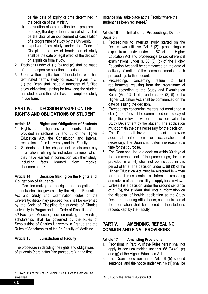be the date of expiry of time determined in the decision of the Ministry.

- d) termination of accreditation for a programme of study; the day of termination of study shall be the date of announcement of cancellation of a programme of study by the University.
- e) expulsion from study under the Code of Discipline; the day of termination of study shall be the date of legal effect of the decision on expulsion from study.
- 2. Decisions under cl. (1) (b) and (e) shall be made after the respective situation has arisen.
- 3. Upon written application of the student who has terminated her/his study for reasons given in cl. (1) the Dean shall issue a transcript of fulfilled study obligations, stating for how long the student has studied and that s/he has not completed study in due form.

### **PART IV. DECISION MAKING ON THE RIGHTS AND OBLIGATIONS OF STUDENT**

#### **Article 13 Rights and Obligations of Students**

- 1. Rights and obligations of students shall be provided in sections 62 and 63 of the Higher Education Act, the Constitution and internal regulations of the University and the Faculty.
- 2. Students shall be obliged not to disclose any information relating to individual patients which they have learned in connection with their study, including facts learned from medical documentation.4

#### **Article 14 Decision Making on the Rights and Obligations of Students**

Decision making on the rights and obligations of students shall be governed by the Higher Education Act and Study and Examination Rules of the University; disciplinary proceedings shall be governed by the Code of Discipline for students of Charles University in Prague and the Code of Discipline of the 3<sup>rd</sup> Faculty of Medicine; decision making on awarding scholarships shall be governed by the Rules of Scholarships of Charles University in Prague and the Rules of Scholarships of the 3rd Faculty of Medicine.

#### **Article 15 Jurisdiction of Faculty**

The procedure in deciding the rights and obligations of students (hereinafter "the procedure") in the first

instance shall take place at the Faculty where the student has been registered.<sup>5</sup>

#### **Article 16 Initiation of Proceedings, Dean's Decision**

- 1. Proceedings to interrupt study started on the Dean's own initiative (Art. 5 (2)), proceedings to expel from study under s. 67 of the Higher Education Act and proceedings to set differential examinations under s. 68 (3) (d) of the Higher Education Act shall be commenced on the date of delivery of notice of the commencement of such proceedings to the student.
- 2. Proceedings concerning failure to fulfil requirements resulting from the programme of study according to the Study and Examination Rules (Art. 13 (1) (b), under s. 68 (3) (f) of the Higher Education Act, shall be commenced on the date of issuing the decision.
- 3. Proceedings concerning matters not mentioned in cl. (1) and (2) shall be commenced on the day of filing the relevant written application with the Study Department by the student. The application must contain the data necessary for the decision.
- 4. The Dean shall invite the student to provide additional information or explanations, if necessary. The Dean shall determine reasonable time for that purpose.
- 5. The Dean shall issue a decision within 30 days of the commencement of the proceedings; the time provided in cl. (4) shall not be included in this period of time. The decision under s. 68 (3) of the Higher Education Act must be executed in written form and it must contain a statement, reasoning and advice of the possibility to apply for a review.
- 6. Unless it is a decision under the second sentence of cl. (5), the student shall obtain information on the disposal of her/his application at the Study Department during office hours; communication of the information shall be entered in the student's records kept by the Faculty.

### **PART V. AMENDING, REPEALING, COMMON AND FINAL PROVISIONS**

#### **Article 17 Amending Provisions**

- 1. Provisions in Part IV. of the Rules herein shall not apply to decision making under s. 68 (3) (a), (e) and (g) of the Higher Education Act.
- 2. The Dean's decision under Art. 16 (5) second sentence, and the notice under Art. 16 (1) shall be

 $\overline{\phantom{a}}$ 

<sup>4</sup> S. 67b (11) of the Act No. 20/1966 Coll., Health Care Act, as amended.

<sup>1</sup> 5 S. 51 (2) of the Higher Education Act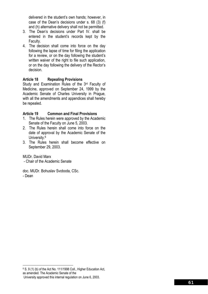delivered in the student's own hands; however, in case of the Dean's decisions under s. 68 (3) (f) and (h) alternative delivery shall not be permitted.

- 3. The Dean's decisions under Part IV. shall be entered in the student's records kept by the Faculty.
- 4. The decision shall come into force on the day following the lapse of time for filing the application for a review, or on the day following the student's written waiver of the right to file such application, or on the day following the delivery of the Rector's decision.

#### **Article 18 Repealing Provisions**

Study and Examination Rules of the 3<sup>rd</sup> Faculty of Medicine, approved on September 24, 1999 by the Academic Senate of Charles University in Prague, with all the amendments and appendices shall hereby be repealed.

#### **Article 19 Common and Final Provisions**

- 1. The Rules herein were approved by the Academic Senate of the Faculty on June 5, 2003.
- 2. The Rules herein shall come into force on the date of approval by the Academic Senate of the University.6
- 3. The Rules herein shall become effective on September 29, 2003.

MUDr. David Marx

- Chair of the Academic Senate

doc. MUDr. Bohuslav Svoboda, CSc. - Dean

<sup>1</sup> 6 S. 9 (1) (b) of the Act No. 111/1998 Coll., Higher Education Act, as amended. The Academic Senate of the

University approved this internal regulation on June 6, 2003.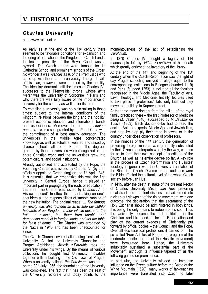# **V. HISTORICAL NOTES**

## *Charles University*

http://www.ruk.cuni.cz

As early as at the end of the  $13<sup>th</sup>$  century there seemed to be favorable conditions for expansion and fostering of education in the Kingdom of Czech Lands. Intellectual precocity of the Royal Court was a byword. The Czech Lands were famous for its Cathedral School and prominent schools of the Order. No wonder it was *Wenceslas II*. of the Přemyslids who came up with the idea of a university. The giant sails of his plan, however, were trimmed by the nobility. The idea lay dormant until the times of Charles IV., successor to the Přemyslids' throne, whose *alma mater* was the University of Sorbonne in Paris and who therefore was fully aware of the importance of university for the country as well as for its ruler.

To establish a university was no plain sailing in those times: subject to the internal conditions of the Kingdom, relations between the king and the nobility, present economic situation, and international bonds and associations. Moreover the name – *studium generale* – was a seal granted by the Papal Curia with the commitment of a best quality education. The universities in the Middle Ages concentrated knowledge as well as scholars, weaned and raised by diverse schools all round Europe. The degrees granted by these universities were recognized in the entire Christian world and the universities grew into potent cultural and social institutions.

Already authorized and accredited by the Pope, the Founding Charter was issued by Charles IV. (by then officially appointed Czech king) on the 7<sup>th</sup> April 1348. It is essential that we emphasize this was the first university in Central Europe, hence it played an important part in propagating the roots of education in this area. The Charter was issued *by Charles IV*. 'of His own accord'. In effect this meant taking on one's shoulders all the responsibilities of smooth running of the new institution. The original reads: '*... The famous university was also founded so as to aide our faithful habitants of our Kingdom in their infinite desire for the fruits of science, bar them from humble and demeaning conduct in foreign lands, and set the table for feast at home...'.* The Charter was arrogated by the Nazis in 1945 and has been unaccounted for since.

The Czech Church covered all running costs of the University. At first the University Chancellor and Prague Archbishop *Arnošt z Pardubic* took the University under his wings. By the means of various collections he bought first University movables together with a building in the Old Town of Prague. When a university college, *the Carolinum*, was set up on the 30<sup>th</sup> July 1366, the foundation of the University was completed. The fact that it has been the seat of the University rectorate until today points to the

momentousness of the act of establishing the *Carolinum*.

In 1370 Charles IV. bought a legacy of 114 manuscripts left by *Vilém z Lestkova* at his death which greatly enriched the inventory of the library.

At the end of the  $14<sup>th</sup>$  and beginning of the  $15<sup>th</sup>$ century when the Czech Reformation saw the light of day Prague schooling enjoyed privilege equal to the corresponding institutions in Bologne (founded 1119) and Paris (founded 1253). It included all the faculties recognized in the Middle Ages: the Faculty of Arts, Law, Theology, and Medicine. Initially, lectures used to take place in professors' flats, only later did they move to a building in Kaprova street.

At that time many doctors from the milieu of the royal family practiced there – the first Professor of Medicine *being M. Valter* (1348), succeeded by *M. Baltazar* de Tuscia (1353). Each doctor–to–be had to read the ancient Antique experts, Middle Age and Jewish files, and step–by–step ply their trade in towns or in the country under close observation of professors.

In the nineties of the  $14<sup>th</sup>$  century the generation of prevailing foreign masters was gradually substituted by their Czech counterparts who, by the way, went so far as to form their own concept of a critique of the Church as well as its entire decree so far. A key role in the process of Czech Reformation and Hussites' Ideology in general was the University translation of the Bible into Czech. Diverse as the audience were the Bible affected the cultural level of the whole Czech society before Jan Hus.

In 1415, after the death at stake of the present Rector of Charles University Mister *Jan Hus*, prevailing recalcitrant and turbulent discussions had turned into a clear–cut viewpoint of the rising movement, with one outcome: the declaration that the sacrament of the Holy Eucharist should be administered in both kinds, this being the only means to redeem one's soul. Thus the University became the first institution in the Christian world to stand up for the Reformation and play off the current exegesis of Chrisitanity put forward by official bodies – the Council and the Pope. Over all ecclesiastical prohibitions it carried on. The so–called 'Four Articles of Prague' (a program of the moderate middle current of the Hussite movement) were formulated here. Hence, the University indubitably sustained a substantial part of the Movement, although its influence tapered off as the left wing gained on prominence.

In particular, the University wielded an immense influence on the Czech culture before the Battle of the White Mountain (1620): many works of far–reaching importance were translated into Czech to later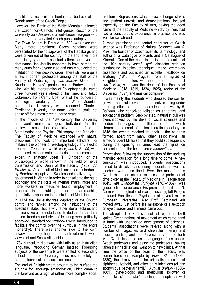constitute a rich cultural heritage, a bedrock of the Renaissance of the Czech People.

However, the Battle of the White Mountain, silenced the Czech non–Catholic intelligence. Rector of the University *Jan Jessenius*, a well–known surgeon who carried out the very first Czech public autopsy (at the Old Town Square in Prague in 1600) was executed. Many more prominent Czech scholars were persecuted for their disapproval of the Hapsburgs and were driven out of the country. In the end, after more than thirty years of constant altercation over the dominance, the Jesuits appeared to have carried too many guns for everyone else and easily subjected the institution to their pecking order. There still were quite a few important professors among the staff of the Faculty of Medicine, e.g*. Jan Marcus Marci* from Kronlandu, Harvey's predecessor in Embryogenesis, who, with his interpretation of Epileptogenesis, came three hundred years ahead of his time, and Jakub Dobřenský from Černý Most, one of the founders of pathological anatomy. After the White Mountain period the University was renamed Charles– Ferdinand University, the name which it could not shake off for almost three hundred years.

In the middle of the  $18<sup>th</sup>$  century the University underwent major changes. Individual faculties achieved recognition especially in the field of Mathematics and Physics, Philosophy, and Medicine. The Faculty of Medicine expanded with natural disciplines, and took on important scholars, for instance the pioneer of electorphysiology and electric treatment Czech and world–wide, *Jan K. Boháč*, who introduced experimental methods into research, an expert in anatomy Josef T. Klinkosch, or the physiologist of world renown in the field of nerve transmission and Dean of the Faculty (1789) *Jiří Procháska*. As a result of Medicare reform introduced by Boerhave's pupil van Swieten and realized by the government in Vienna in order to consolidate the state economy and the state of internal affairs, more and more workers in medicine found employment in practice, thus enabling rather a far–reaching quantitative expansion in the studies of Medicine*.* 

In 1774 the University was deprived of the Church control and ranked among the institutions of the absolutist state. That is why rather liberal lectures and seminars were restricted and limited as far as their subject freedom and style of lecturing went (officially approved, standardized textbooks were introduced to facilitate the control over the curricula in the entire monarchy). There was another side to the coin, however, i.e. getting rid of anti–reformist world viewpoint and Scholastic residue.

1784 curriculum did away with Latin as an instruction language, introducing German instead. Foregoing subjects of the seven arts were shifted to secondary schools and the University focus rested solely on natural, technical, and social sciences.

The end of Enlightenment brought to the surface the struggle for language emancipation, which came to the forefront as a sign of rather more complex social problems. Repressions, which followed hunger strikes and student unrests and demonstrations, focused especially on the Faculty of Arts, saving the good name of the Faculty of Medicine which, by then, had had a considerable experience in practice and was well–known abroad.

A most prominent and central character of Czech science was Professor of Natural Sciences *Jan S. Presl*, the founder of Czech scientific terminology, and author of a Catalogue of Plants and a Catalogue of Minerals. One of the most distinguished anatomists of the 19th century *Josef Hyrtl*, dissector with an outstanding injection technique, made exemplary dissections and published an excellent textbook on anatomy (1846) in Prague. From a myriad of Enlightenment doctors we need to name at least *Jan T. Held*, who was the dean of the Faculty of Medicine (1818, 1819, 1824, 1825), rector of the University (1827) and musical composer.

It was mainly the students who dressed the soil for growing national movement, themselves being under a strong influence of unorthodox lectures given by *B. Bolzano*, who conceived religion as an ethical and educational problem. Step by step, naturalist pull was overshadowed by the drive of social sciences and modern languages and literature, from which stemmed a current of nation–liberating ideology. In 1848 the events reached its peak – the students formed, apart from many other associations, an armed Student Militia so that they could subsequently, during the uprising in June, lead the fights on barricades from the beleaguered *Klementinum*.

Repressions following the suppression of the uprising mangled education for a long time to come. A new curriculum was introduced, students' associations forced to dissolve, and many students as well as teachers were disciplined. Even the most famous Czech expert on natural sciences and professor of physiology at the Faculty of Medicine in Prague from 1849, *Jan Evangelista Purkyně* (1787–1869), was under police surveillance. His prominent pupil, Jan N. Čermák, the originator of rear rhinoscopy, left Prague to found Faculties of Physiology at several middle European universities. Also Prof. Ferdinand Arlt moved away just before his milestone of a textbook on eye disorder and ailments came out.

The abrupt fall of Bach's absolutist regime in 1859 ignited Czech nationalist movement which came hand in hand with unshackled development of sciences. Students' associations were revived along with a number of magazines and chronicles, literary and musical parties, and the Universities ventured forth with Czech language as a language of instruction. Czech professors and associate professors, having taken their habilitations, went on to new clinics. At that time the office of the dean of the Faculty was administered for example by *Edwin Klebs* (1879– 1880)*,* the discoverer of the originating infection of diphtheria, typhoid, and other early infections (cf. the eponymous bacterial family)*, August Breisky* (1880– 1881), gynecologist and meticulous follower of Semmelweis' and Lister's teaching on aseptic, as well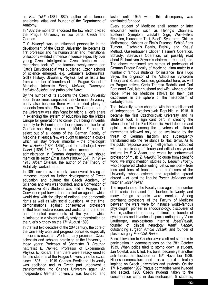as *Karl Toldt* (1881–1882), author of a famous anatomical atlas and founder of the Department of Anatomy*.* 

In 1882 the monarch endorsed the law which divided the Prague University in two parts: Czech and German.

*T. G. Masaryk* was an influential personality in the development of the Czech University: he became its first professor and his humanitarian and international philosophy wielded immense influence especially over young Czech intelligentsia. Czech textbooks and magazines took off, the famous twenty–seven part 'Otto's Encyclopaedia' was published, Czech schools of science emerged, e.g. Gebauer's Bohemistics, Goll's History, Strouhal's Physics. Let us list a few from a number of founders of the Prague School of Medicine: internists *Eiselt, Meixner, Thomayer, Ladislav Syllaba*, and pathologist *Hlava*.

By the number of its students the Czech University soon three times surpassed the German University, partly also because there were enrolled plenty of students from other Slav nations. The German part of the University was significant for taking a lion's share in extending the system of education into the Middle Europe for generations to come, thus being influential not only for Bohemia and other regions but also for all German–speaking nations in Middle Europe. To select out of all deans of the German Faculty of Medicine at least a few, we ought to mention a couple which will stay forever immortal – the physiologist *Ewald Hering* (1894–1895), and the pathologist *Hans Chiari* (1896–1897). As for other members of the administration in German departments, we should mention its rector *Ernst Mach* (1883–1884). In 1912– 1913 *Albert Einstein*, the author of the Theory of Relativity, worked here.

In 1891 several events took place overall having an immense impact on further development of Czech education and culture: the Czech Academy of Sciences and Arts was founded, and a Convention of Progressive Slav Students was held in Prague. The Convention put forward and ratified an agenda, which would deal with the plight of national and democratic rights as well as with social questions. At that time, demonstrations against conservative professors shifted from lecture rooms and auditoria in the street and fomented movements of the youth, which culminated in a violent anti–dynasty demonstration on the ruler's birthday on the 17th August 1893.

In the first two decades of the 20<sup>th</sup> century, the core of the University work and progress consisted especially in scientific research. We find many prominent Czech scientists and scholars practicing at the University in those years: Professor of Chemistry *B. Brauner*, naturalist *B. Němec*, Professor of Experimental Physics *B. Kučera*. Then there were already enrolled female students at the Prague University (to be exact, since 1897). In 1919 Charles–Ferdinand University was abolished and its Czech part underwent a transformation into Charles University again. An independent German university was founded, and lasted until 1945 when this discrepancy was terminated for good.

Every student of Medicine shall sooner or later encounter termini such as Hering's Channels, Epstein's Symptom, Zaufal's Sign, Weil–Felix's Reaction, Klausner's Test, Biedl's Syndrome, Chiari's Malformace, Kahler's or Pick's Disease, Schlof–Fer's Tumour, Elschnig's Pearls, Breisky and Knaus' Method, Gussenbauer's Clipper, Hasner's Operation, Schauty, Steinach's Operation, will possibly read about Richard von Zeynek's diatermal treatment, etc. The above mentioned are names of professors of German Prague Faculty of Medicine, alma mater to a number of famous students: for instance Hans Hugo Selye, the originator of the Adaptation Syndrome Theory and Stress Reaction, graduated here, as well as Prague natives Gerta Theresa Radnitz and Carl Ferdinand Cori, later husband and wife, winners of the Nobel Prize for Medicine (1947) for their joint discoveries in the sphere of the metabolism of carbohydrates.

The University status changed with the establishment of independent Czechoslovak Republic in 1918. It became the first Czechoslovak university and its students took a significant part in creating the 'atmosphere' of the First Republic. Acrid debates and opinion clashes among the devotees of different movements followed only to be swallowed by the threat of German fascism and subsequently transformed into the resistance to Nazi terror. As to the public response among intelligentsia, it redoubled with the publication of literary and critical essays and lectures by *F. X. Šalda*, and works by controversial professor of music *Z. Nejedlý*. To quote from scientific work, we might mention studies by *Bedřich Hrozný*, who deciphered Chetite writing. Let us mention – from tens and tens of teachers and professors of the University whose esteem and reputation spread abroad – at least the linguist *Roman Jakobson* and historian *Josef Pekař*.

The importance of the Faculty rose again, the number of its clinics increased from fourteen to twenty, and many foreign students were enrolled. Among prominent professors of the Faculty of Medicine between the wars were for instance world–famous physiologist, pioneer in endocrinology, discoverer of Ferritin, author of the theory of stimuli, co–founder of cybernetics and inventor of spaciocardiography Vilém Laufberger, ambidextrous internist *Josef Pelnář*, founder of clinical neurology *Kamil Henner*, outstanding surgeon *Arnold Jirásek*, and founder of plastic surgery *František Burian*.

Fascist invasion to Czechoslovakia stirred students to participation in demonstrations on the 28<sup>th</sup> October 1939. When police tried to stomp down, a student, Jan Opletal, was killed. His burial became yet another anti–fascist manifestation on 15th November 1939. Hitler's nomenclature used it as a pretext to brutally impinge on Czech universities and students. On the 17th November 1939 Prague dormitories were invaded and seized, 1200 Czech students taken to the concentration camp in Sachsenhausen, 9 students,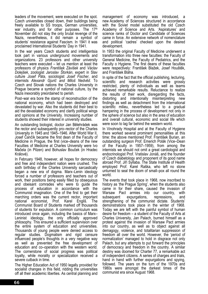leaders of the movement, were executed on the spot. Czech universities closed down, their buildings being freely available to SS troops, German universities, war industry, and for other purposes. The 17th November did not stay the only brutal revenge of the Nazis, nevertheless, it did remain a symbol of students' resistance against Fascism. In 1941 it was proclaimed International Students' Day in 1941.

In the war years Czech students and intelligentsia took part in various underground movements and organizations. 23 professors and other university teachers were executed – let us mention at least the professors of physics *František Závišek* and *Václav Dolejšek*, zoologist *Jaroslav Štorkán*, expert in Slav culture *Josef Páta*, sociologist *Josef Fischer*, and internists *Alexandr Gjurič and Miloš Nedvěd*. To Czech and Slovak nations the Charles University in Prague became a symbol of national culture, by the Nazis inexorably preordained to perish.

Post–war era bore the stamp of reconstruction of the national economy, which had been destroyed and devastated by war. Also the students did their best to aid the devastated economy and clarify political wings and opinions at the University. Increasing number of students showed their interest in university studies.

An outstanding biologist, doctor Jan Bělehrádek was the rector and subsequently pro–rector of the Charles University in 1945 and 1945–1946. After World War II, Josef Čančík became the first dean of the Faculty of Medicine in Prague, the first (vice–deans of the new Faculties of Medicine at Charles University were Ivo Mačela (in Pilzen) and Bohuslav Bouček (in Hradec Králové).

In February 1948, however, all hopes for democracy and free and independent nation were crushed. The sixth birthday of the Charles University sarcastically began a new era of dogma. Marx–Lenin ideology forced a number of professors and teachers out of work, their positions being easily filled by obsequious and obeisant comrades who were to guide the process of education in accordance with the Communist imagination. One of the first to get their marching orders was the current rector, important national economist, Prof. Karel Engliš. The Communist Board of Students marked off thousands of students for expulsion. A common curriculum was introduced once again, including the basics of Marx– Leninist ideology, the only officially approved philosophy. This ensured a sufficient supervision over the entire system of education and universities. Thousands of young people were denied access to regular studies. Dogmatism and rigid censure influenced people's thoughts in a very negative way as well as prevented the free development of education and co–operation with the western world. The cornerstone of social progress was political loyalty, while morality or specialization received a severe cutback in time.

The Higher Education Act of 1950 legally provided for socialist changes in this field, ridding the universities off all their academic liberties. As central planning and

management of economy was introduced, a new Academy of Sciences structured in accordance with the Soviet model substituted the old Czech Academy of Science and Arts. 'Aspiratures' and science ranks of Doctor and Candidate of Sciences came in force. An extensive network of nomenclature and political 'cadres' checked upon the desired development.

In 1953 the original Faculty of Medicine underwent a transformation into three new faculties: the Faculty of General Medicine, the Faculty of Pediatrics, and the Faculty o Hygiene. The first deans of these faculties were respectively: František Blažek, Josef Houštěk, and František Bláha.

In spite of the fact that the official publishing, lecturing, scientific and research activities were grossly restricted, plenty of individuals as well as teams achieved remarkable results. Reluctance to realize the results of their work, disregarding the facts, distorting and intentionally misinterpreting new findings as well as detachment from the international scientific milieu, nevertheless led to a gradual hampering in the process of development not only in the sphere of science but also in the area of education and overall cultural, economic and social life which were soon to lag far behind the western world.

In Vinohrady Hospital and at the Faculty of Hygiene there worked several prominent personalities at this time: the above mentioned Prof. František Burian, an outstanding surgeon Prof. Emerich Polák (Vice–Dean of the Faculty in 1957–1959), from among the internists we should not omit a great cardiologist and endocrinologist Prof. Vratislav Jonáš, and the founder of Czech diabetology and proponent of its good name abroad Prof. Jiří Syllaba. The State Institute of Health employed Prof. Karel Raška, who left no stone unturned to seal the doom of small–pox all round the world.

The events that took place in 1968, now inscribed to history as 'the Prague Spring', when the students also came in for their share, caused the invasion of Warsaw Pact armies into our country, with subsequent expurgations, repressions, and strengthening of the communist dictate. Students' demonstrations took place in the winter of 1968. Today we are left with the painful symbol of human desire for freedom – a student of the Faculty of Arts at Charles University, Jan Palach, burned himself as a protest against the invasion of Warsaw Pact armies into our country, as well as to object against all demagogy, violence, and totalitarian suppression of freedom all over the world. However, the 'period of normalization' managed to hold in disgrace not only Palach, but any attempts to put forward the principles of democracy and freedom in the country. A similar destiny was doomed for Charter 77, a remarkable act of independent citizens. A series of charges and trials, hand in hand with further expurgations and spying, followed. The years on the turn of the 1970s and 1980s were amongst the darkest times of the communist era since August 1968.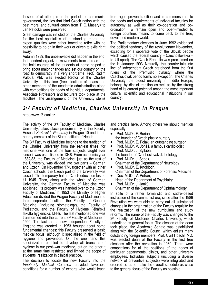In spite of all attempts on the part of the communist government, the ties that bind Czech nation with the best moral and cultural canon from T. G. Masaryk to Jan Patočka were preserved.

Great damage was inflicted on the Charles University, for the best specialists of outstanding moral and expert qualities were either forced to retire with no possibility to go on in their work or driven to exile right away.

Autumn 1989: the unbelievable did happen in the end. Independent organized movements from abroad and the bold courage of the students at home helped to bring about major changes and set our country on the road to democracy in a very short time. Prof. Radim Palouš, PhD was elected Rector of the Charles University at this time (free elections of deans and other members of the academic administration along with competitions for heads of individual departments, Associate Professors and lecturers took place at the faculties. The arrangement of the University stems from ages–proven tradition and is commensurate to the needs and requirements of individual faculties for autonomy as well as their co–operation and co– ordination. To remain open and open–minded to foreign countries means to come back to the free, developed modern world.

The Parliamentary elections in June 1992 evidenced the political tendency of the revolutionary November, excepting for a separate vote of the Slovak people which caused the federal country – Czechoslovakia – to fall apart). The Czech Republic was proclaimed on the 1st January 1993. Naturally, this country falls into line of independent Czech statehood from the first rulers of the Přemyslid dynasty where the Czechoslovak period forms no exception. The Charles University, the oldest university in middle Europe, belongs by dint of tradition as well as by the strong hand of its current potential among the most important cultural, scientific and educational institutions in our country.

## *3r d Faculty of Medicine, Charles University in Prague*

http://www.lf3.cuni.cz

The activity of the 3rd Faculty of Medicine, Charles University, takes place predominantly in the Faculty Hospital *Královské Vinohrady* in Prague 10 and in the nearby complex of the State Institute of Health.

The 3rd Faculty of Medicine belongs to the tradition of the Charles University from the earliest times, for medicine was one of the four subjects taught ever since it was established in 1348. From academic year 1882/83, the Faculty of Medicine, just as the rest of the University, was divided into two parts – German and Czech. On November  $17<sup>th</sup>$ , together with all other Czech schools, the Czech part of the University was closed. This temporary halt in Czech education lasted till 1945. Then, along with the whole of German University, the German Faculty of Medicine was abolished. Its property was handed over to the Czech Faculty of Medicine. In 1953 the Ministry of Higher Education divided the Prague Faculty of Medicine into three separate faculties: the Faculty of General Medicine (including stomatology), the Faculty of Pediatrics, and the Faculty of Hygiene (lékařská fakulta hygienická, LFH). The last mentioned one was transformed into the current 3rd Faculty of Medicine in 1990. The fact that a new independent Faculty of Hygiene was created in 1953 brought about some fundamental changes: this Faculty preserved a basic medical focus, although it specialized in the field of hygiene and prevention. On the one hand this specialization enabled to develop all branches of hygiene in our post–war medicine, but on the other it at the same time restricted and limited the scope of students' realization in clinical practice.

The decision to locate the new Faculty into the *Vinohrady Medical* Complex provided favorable conditions for a number of experts who would teach and practice here. Among others we should mention especially:

- Prof. MUDr. F. Burian, the founder of Czech plastic surgery
- Prof. MUDr. E. Polák, an outstanding surgeon
- Prof. MUDr. V. Jonáš, a famous cardiologist • Prof. MUDr. J. Syllaba,
- the founder of Czechoslovak diabetology • Prof. MUDr. J. Šebek,
- Chairman of the Department of Neurology • Prof. MUDr. E. Knobloch,
- Chairman of the Department of Forensic Medicine
- Doc. MUDr. V. Petráň, Head of the Department of Psychiatry
- Prof. MUDr. J. Janků, Chairman of the Department of Ophthalmology

In spite of a rather formalistic and cadre–based instruction of the communist era, since after the 1989 Revolution we were able to carry out all substantial changes in the organization of the Faculty requisite for the realization of the new curriculum and study reforms. The name of the Faculty was changed to the 3<sup>rd</sup> Faculty of Medicine, Charles University, which underlined its general focus. The election of the dean took place, the Academic Senate was established along with the Scientific Council which enlists many outstanding foreign members. Prof. Cyril Höschl, MD, was elected dean of the Faculty in the first free elections after the revolution in 1989. There were competitions for all the positions of the heads of particular departments, clinics, and other university employees. Individual subjects (including a diverse network of preventive subjects) were integrated and ordered so as to make the overall schedule as close to the general focus of the Faculty as possible.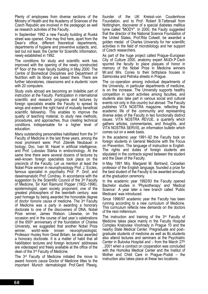Plenty of employees from diverse sections of the Ministry of Health and the Academy of Sciences of the Czech Republic are involved in the pedagogic as well as research activities of the Faculty.

In September 1992 a new Faculty building at Ruská street was opened. One may find here, apart from the Dean's office, different theoretical departments, departments of hygiene and preventive subjects, and, last but not least, the Center for Scientific Information, newly established in 1992.

The conditions for study and scientific work has improved with the opening of the newly constructed 6th floor of the main faculty building in May 2000. The Centre of Biomedical Disciplines and Department of Nutrition with its library are based there. There are further laboratories, classrooms and a students' room with 20 computers.

Study visits abroad are becoming an Indelible part of instruction at the Faculty. Participation in international scientific and research programs and lectures by foreign specialists enable the Faculty to spread its wings and extend the right hand of mutually beneficial scientific fellowship. This enables to improve the quality of teaching material, to study new methods, procedures, and approaches, thus creating technical conditions indispensable for a higher level of education.

Many outstanding personalities habilitated from the 3rd Faculty of Medicine in the last three years, among the most prominent were: Prof. Zdeněk Neubauer in biology, Doc. Ivan M. Havel in artificial intelligence, and Prof. Luboslav Stárka in endocrinology. At the same time there were several dozens of lectures by well–known foreign specialists took place on the precincts of the Faculty. Let us mention at least the Nobel Prize winner in neurophysiology Prof. J. Eccles, famous specialist in psychiatry Prof. P. Grof, and daseinsanalytic Prof. Condrau. In accordance with the suggestion by the Scientific Council of the 3<sup>rd</sup> Faculty of Medicine, Sir Karl Raimund Popper (1902–1996), epistemologist, open society proponent, one of the greatest philosophers of the twentieth century, was paid homage by being awarded the honorable degree of *doctor honoris causa* of medicine. The 3rd Faculty of Medicine was a party in awarding a honorary doctorate to one of the discoverers of DNA, Nobel Prize winner, James Watson. Likewise, on the occasion and in the course of last year´s celebrations of the 650th anniversary of the foundation of Charles University, we suggested that another Nobel Prize winner, world–wide known neurophysiologist, Professor Huxley from Great Britain, be also awarded a honorary doctorate. It is a matter of habit that all habilitation lectures and foreign lecturers' addresses are videotaped and freely available at the office of the dean of the 3rd Faculty of Medicine.

The 3rd Faculty of Medicine initiated the move to award *honoris causa* Doctor of Medicine titles to the important Munich dermatologist Prof.Gerd Plewig,

founder of the UK Kreissl–von Coudenhove Foundation, and to Prof. Robert B.Tattersall from Nottingham, discoverer of a special diabetes mellitus tyme called "MODY". In 2000, the Faulty suggested that the director of the National Science Foundation of the United States, Prof.Rita Colwell, be awarded a golden medal of Charles University for her scientific activities in the field of microbilology and her support of Czech researchers.

As part of the huge project called Prague–European City of Culture 2000, anatomy expert MUDr.P.Čech spurred the faculty to place plaques of honor in memory of the Nobel Prize in Medicine winners Mr.and Mrs. Cories to their birthplace houses in Salmovska and Petrska streets in Prague.

The co–operation among individual departments of the University, in particular departments of medicine, is on the increase. The University supports healthy competition in sport activities among faculties, and students also take part in various social and cultural events not only in this country but abroad. The Faculty publishes VITA NOSTRA magazine, reflecting the academic life of the community and representing diverse sides of the Faculty in two functionally distinct issues: VITA NOSTRA REVUE, a quarterly which gathers articles, commentaries, and thoughts, and VITA NOSTRA SERVIS, an information bulletin which comes out on a week basis.

In the academic year 1991–92 the Faculty took on foreign students in General Medicine with the Focus on Prevention. The language of instruction is English. The rights and duties of foreign students are stipulated in the contracts signed between the student and the Dean of the Faculty.

In May 1991 Mrs. Margaret M. Bertrand, Canadian professor of the English language, founded a prize for the best student of the Faculty to be awarded annually at the graduation ceremony.

In the academic year 1992/93 the Faculty opened Bachelor studies in 'Physiotherapy' and 'Medical Science'. A year later a new branch called 'Public Medicare' was introduced.

Since 1996/97 academic year the Faculty has been running according to a new curriculum of Medicine. This curriculum reflects new demands on the doctors of the next millennium.

The instruction and training of the 3<sup>rd</sup> Faculty of Medicine takes place mainly in the Faculty Hospital Complex Kralovske Vinohrady in Prague 10 and the nearby State Medical Center. Pregraduate and post– graduate students of medicine as well as Bc.students also attend lectures and seminars at the Psychiatric Center in Bulovka Hospital and  $-$  from the March 27<sup>th</sup> , 2001 when a contract on cooperation was concluded with the Homolka Medical Center and the Institut of Mother and Child Care in Prague–Podoli – the instruction also takes place at these two locations.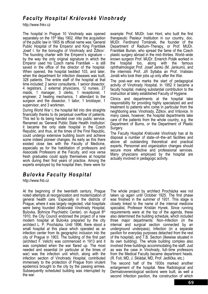## *Faculty Hospital Královské Vinohrady*

http://www.fnkv.cz

The hospital in Prague 10 Vinohrady was opened separately on the  $15<sup>th</sup>$  May 1902. After the acquisition of the public law in 1905 its official name was 'General Public Hospital of the Emperor and King František Josef I. for the boroughs of Vinohrady and Žižkov'. The founding charter with the Emperor's signature – by the way the only original signature in which the Emperor used his Czech name František – is still saved in the office of the director of the hospital. When opened, the hospital bedded 103, and later, when the department for infection diseases was built, 328 patients. The entire staff of the hospital at that time included: 2 senior consultants, 1 senior dissector, 4 registrars, 2 external physicians, 12 nurses, 27 maids, 1 manager, 3 clerks, 1 receptionist, 1 engineer, 2 heating mechanics, 1 attendant to the surgeon and the dissector, 1 tailor, 1 bricklayer, 1 supervisor, and 3 workmen.

During World War I, the hospital fell into dire straights financially thanks to its perpetual overflow of patients. This led to its being handed over into public service. Renamed as 'General Public State Health Institution' it became the only state hospital in the Czech Republic, and thus, at the times of the First Republic, could undergo extensive building boom and achieve some indeed pioneer changes. As early as this there existed close ties with the Faculty of Medicine, especially as for the habilitation of professors and Associate Professors at the Faculty, and vice versa fresh graduates could apply themselves at hospital work during their first years of practice. Among the experts employed by the hospital then, there were for

### *Bulovka Faculty Hospital*

http://www.fnb.cz

At the beginning of the twentieth century, Prague noted attempts at reorganization and modernization of general health care. Especially in the districts of Prague, where it was largely neglected, vital hospitals were being founded (Královské Vinohrady Hospital, Bulovka, Bohnice Psychiatric Center). on August 8th 1910, the City Council endorsed the project of a new modern hospital at Bulovka prepared by the city architect L. P. Procházka. Until 1896, there stood a small hospital at this place which operated as an infection center from its geographic inclusion into the city of Prague in 1903. The building of the first part (architect F. Velich) was commenced in 1913 and it was completed when the war flared up. The most needed and essential (in particular at the times of war) was the infection unit which, along with the infection section of Vinohrady Hospital, contributed immensely to the protection of Praque from virulent epidemics brought to the city by the passing armies. Subsequently scheduled building was interrupted by the war.

example: Prof. MUDr. Ivan Honl, who built the first therapeutic Pasteur Institution in our country, doc. MUDr. Ferdinand Tománek, the founder of the Department of Radium–Therapy, or Prof. MUDr. František Burian, who spread the fame of the Czech plastic surgery abroad in the mid–thirties. World–wide known surgeon Prof. MUDr. Emerich Polák worked in the hospital too, along with the famous ophthalmologist Prof. Josef Janků (M. Jankumi), and the internists Prof. Jiří Syllaba an Prof. Vratislav Jonáš who took their jobs up only after the War.

The post–war era marks the start of pedagogical activity of Vinohrady Hospital. In 1952 it became a faculty hospital, making substantial contribution to the instruction at lately established Faculty of Hygiene.

Clinics and departments at the hospital take responsibility for providing highly specialized aid and treatment to patients who come in particular from the neighboring area: Vinohrady, Žižkov, and Vršovice. In many cases, however, the hospital departments take care of the patients from the whole country, e.g. the Department of Burns, or the Department of Plastic Surgery.

The Faculty Hospital *Královské Vinohrady* has at its disposal a number of state–of–the–art facilities and above all outstanding theoretical and practical experts. Personnel and organization changes should secure more effective and professional services. Many physicians employed by the hospital are actually involved in pedagogic activity.

The whole project by architect Procházka was not taken up again until October 1925. The first phase was finished in the summer of 1931. This stage is closely linked to the name of the internal medicine specialist, Professor Kristián Hynek. Since running requirements were at the top of the agenda, these also determined the building schedule, which included three major departments: Non–Infection (in the internal and surgical section connected by an underground underpass), Infection (in a separate pavilion for everyday purposes detached from the rest of the hospital), and T.B. Section (likewise situated in its own building). The whole building complex also involved three buildings accommodating the staff. Just as was the case in Vinohrady, full–time professors from the Medical Faculty became department heads. (R. Foit, MD, J. Skládal, MD, Prof. Jedlička, etc.)

The second half of the 1930s marked another enlargement of the hospital. New Radiological and Dermatovenerological sections were built, as well a second Infection pavilion, the construction of which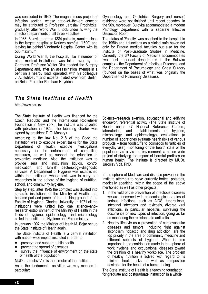was concluded in 1940. The magnanimous project of Infection section, whose state–of–the–art concept may be attributed to Professor Jaroslav Procházka, gradually, after World War II, took under its wing the infection departments of all three Faculties.

In 1938, Bulovka berthed 1384 patients, running close to the largest hospital at Karlovo náměstí (1690) and leaving far behind Vinohrady Hospital Center with its 580 maximum.

During World War II, the hospital, like a number of other medical institutions, was taken over by the Germans. Professor Walter Dick headed the Surgery Department and, after an assassination attempt in a bent on a nearby road, operated, with his colleague J. A. Hohlbaum and experts invited over from Berlin, on Reich Protector Reinhard Heydrich.

Gynaecology and Obstetrics, Surgery and nurses' residence were not finished until recent decades. In the 90s, moreover, Bulovka accommodated a modern Pathology Department with a separate Infective Dissection Room.

The status of 'Faculty' was ascribed to the hospital in the 1950s and it functions as a clinical safe haven not only for Prague medical faculties but also for the Institute of Post–Graduate Studies in Medicine. Currently, the 3rd Faculty of Medicine accommodates two most important departments in the Bulovka complex – the Department of Infectious Diseases, and the Department of Pneumology and Chest Surgery (founded on the bases of what was originally the Department of Pulmonary Diseases).

## *The State Institute of Health*

http://www.szu.cz

The State Institute of Health was financed by the Czech Republic and the International Rockefeller Foundation in New York. The institute was unveiled with jubilation in 1925. The founding charter was signed by president T. G. Masaryk.

According to the law No. 218 of the Code the Institution was to execute expert tasks for the State Department of Health, execute investigations necessary for the enforcement of compelling measures, as well as support the education in preventive medicine. Also, the Institution was to provide sera and inoculation liquids, control medication, and furnish bacteriology–diagnostic services. A Department of Hygiene was established within the Institution whose task was to carry out researches in the sphere of the hygiene of nutrition, school, and community hygiene.

Step by step, after 1945 the complex was divided into separate institutions of the Ministry of Health, that became part and parcel of the teaching ground of the Faculty of Hygiene, Charles University. In 1971 all the institutions were united into one science–and– research establishment of the Ministry of Health in the fields of hygiene, epidemiology, and microbiology called the Institute of Hygiene and Epidemiology.

In January 1992 the Minister of Health M. Bojar set up the State Institute of Health again.

The State Institute of Health is a central institution with nation–wide impact instituted in order to:

- preserve and support public health
- prevent the spread of diseases
- survey the influence of environment on the state of health of the population

MUDr. Jaroslav Volf is the director of the Institute.

As to the fundamental activities we may mention in particular:

Science–research exertion, educational and edifying endeavor, referential activity (The State Institute of Health unites 47 National Reference Centers, laboratories, and establishments of hygiene, microbiology, and epidemiology), evaluations (a number of laboratories evaluate health risks of various products – from foodstuffs to cosmetics to 'articles of everyday use'), monitoring of the health state of the population vis–a–vis the environment, a nation–wide project of studying the impact of harmful particles on human health. The institute is directed by MUDr. Jaroslav Volf, PhD.

In the sphere of Medicare and disease prevention the Institute attempts to solve currently hottest potatoes, medically speaking, within the scope of the above mentioned as well as other projects:

- 1. In the field of the prevention of infectious diseases we are concerned with epidemiological studies of serious infections, such as AIDS, tuberculosis, intestinal infections and toxicosis, diverse viral afflictions, in particular hepatitis, surveying the occurrence of new types of infection, going as far as monitoring the resistance to antibiotics.
- 2. Healthy lifestyle as a prevention of cardiovascular diseases and tumors, including fight against alcoholism, tobacco and drug addiction, are the top priority in the area of community medicine and different subjects of hygiene. What is also important is the contribution made in the sphere of work hygiene and occupational diseases toward the creation of a healthy workplace. The problem of healthy nutrition is solved with regard to its minimal health risks as well as composition desirable for the health of a human being.

The State Institute of Health is a teaching foundation for graduate and postgraduate instruction in a whole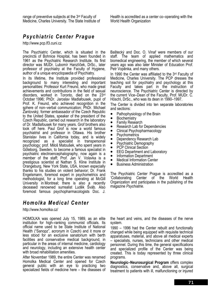# *Psychiatric Center Prague*

http://www.pcp.lf3.cuni.cz

The Psychiatric Center, which is situated in the precincts of Bohnice Hospital, has been founded in 1961 as the Psychiatric Research Institute. Its first director was MUDr. Lubomír Hanzlíček, DrSc., later professor of psychiatry at the Faculty of Hygiene, author of a unique encyclopaedia of Psychiatry.

In its lifetime, the Institute provided professional background to many interesting and important personalities: Professor Kurt Freund, who made great achievements and contributions in the field of sexual disorders, worked in Toronto, died on the 23rd October 1996; PhDr. Jaroslav Madlafousek, pupil of Prof. K. Freund, who achieved recognition in the sphere of non-verbal communication; PhDr. Michael Žantovský, former ambassador of the Czech Republic to the United States, speaker of the president of the Czech Republic, carried out research in the laboratory of Dr. Madlafousek for many years. Grof brothers also took off here. Paul Grof is now a world famous psychiatrist and professor in Ottawa. His brother Stanislav lives in California today, and is widely recognized as a specialist in transpersonal psychology; prof. Miloš Matoušek, who spent years in Göteborg, Sweden, to become a famous specialist in psychiatric electroencephalography, now again is a member of the staff; Prof. Jan V. Volavka is a prestigious scientist at Nathan S. Kline Institute in Orangeburg, New York State, USA, known especially thanks to his studies on violent behavior; Dr. Frank Engelsmann, foremost expert in psychometrics and methodologist, for a long time operating at McGill University in Montreal; there is also a recently deceased renowned surrealist Luděk Šváb. Also foremost famous psychopharmacologists Doc. J.

# *Homolka Medical Center*

http://www.homolka.cz/

HOMOLKA was opened July 15, 1989, as an elite institution for high–ranking communist officials. Its official name used to be State Institute of National Health ("Sanopz", acronym in Czech) and it more or less stood for an exclusive sanatorium with berth facilities and conservative medical background, in particular in the areas of internal medicine, cardiology and neurology, including an extensive health center with broad rehabilitation amenities.

After November 1989, the entire Center was renamed Homolka Medical Center and opened for Czech general public with an eye to practicing two specialized fields of medicine here – the diseases of Baštecký and Doc. O. Vinař were members of our staff. The team of applied mathematics and biomedical engineering, the member of which several years ago was also later Minister of Education Prof. Petr Vopěnka, and many others.

In 1990 the Center was affiliated to the 3rd Faculty of Medicine, Charles University. The PCP dresses the teaching soil for psychiatry and psychology at this Faculty and takes part in the instruction of neuroscience. The Psychiatric Center is directed by the current Vice–Dean of the Faculty, Prof. MUDr. C. Höschl, DrSc., who was its dean in 1990–1997.

The Center is divided into ten separate laboratories and sections:

- Pathophysiology of the Brain
- Biochemistry
- Family Research
- Research Lab for Dependencies
- Clinical Psychopharmacology
- Psychometrics<br>• Dependency R
- Dependency Research Lab<br>• Psychiatric Demography
- Psychiatric Demography<br>• PCP Clinical Section
- PCP Clinical Section<br>• FFG Denartment and
- EEG Department and Laboratory<br>• Information Department
- Information Department<br>• Medical Information Cen
- Medical Information Center
- Business Administration

The Psychiatric Center Prague is accredited as a 'Collaborating Center of the World Health Organization and participates in the publishing of the magazine *Psychiatrie*.

the heart and veins, and the diseases of the nerve system.

1990 – 1996 had the Center rebuilt and functionally changed while being equipped with requisite technical apparatuses, material, and above all medical experts – specialists, nurses, technicians and other medical personnel. During this time, the general specifications and specialized profile of the Center was being created. This is today represented by three clinical programs.

**Neurologic–Neurosurgical Program** offers complex diagnostics, conservative and, above all, surgical treatment to patients with ill, malfunctioning or injured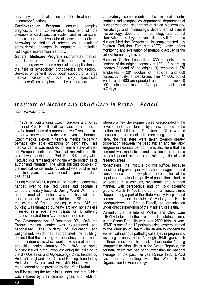nerve system. It also include the treatment of locomotory functions.

**Cardiovascular Program** ensures complex diagnostics and conservative treatment of the diseases of cardiovascular system and, in particular, surgical treatment of vascular diseases – primarily the narrowing or clotting of arteries as a result of aterosclerotic changes in organism – including radiological intervention methods.

**General Medicare Program** incorporates medical care focus on the area of internal medicine and general surgery with some specialized applications in the field of gynecology, orthopaedics and urology. Services of general focus boast support of a large medical center of over sixty specialized surgeries/offices complemented by a laboratory.

**Laboratory** complementing the medical center contains radiodiagnostics department, department of nuclear medicine, department of clinical biochemistry, hematology and immunology, department of clinical microbiology, department of pathology and central sterilization and hygiene unit. Since Fall 1999, the Nuclear Medicine Department is complemented by Positron Emission Tomograf (PET), which offers monitoring and evaluation of metabolic activity of the cells of human organism.

Homolka Center hospitalizes 330 patients today (instead of the original capacity of 190), 10 operating theatres (instead of the original 3), employs 1 370 employees – 201 doctors of medicine, and 680 nurses. Annualy, it hospitalizes over 14 000, out of which ca. 11 000 are operated, and it offers over 670 000 medical examinations. Average treatment period is 7 days.

#### *Institute of Mother and Child Care in Praha – Podolí*

http://www.upmd.cz

In 1909 an outstanding Czech surgeon and X–ray specialist Prof. Rudolf Jedlicka made up his mind to lay the foundations of a representative Czech medical center which would provide safe haven for foremost Czech medical experts in nearly all medical fields with perhaps one sole exception of psychiatry. This medical center was modeled on similar state–of–the– art European institutes. The final realization of this project was consigned to Prof. Rud. Krizenecky while Prof.Jedlicka remained behind the whole project as its author and manager. The whole building complex of the medical center under Vysehrad was build in less than four years and was opened for public on June 28th, 1914.

During World War I, a part of the medical center was handed over to the Red Cross and became a temporary military hospital. During World War II, the entire medical center was confiscated and transformed into a war hospital for the SS troops. In the course of Prague uprising in May 1945 the building was damaged by heavy artillery, nonetheless it served as a repatriation hospital for TB suffering inmates liberated from Nazi concentration camps.

The Government Act of December 20<sup>th</sup>, 1946, the Prague medical center was expropriated and nationalized. The Ministry of Education and Enlightment, which had appropriated the building, decided that the building be reconstructed and made into a modern clinic which would take care of mother– and–child health. January 23rd, 1948, the same Ministry issued a regulation assigning the building to the 3rd Obstetrics and Gyneacology Clinic headed by Prof. Jiří Trapl and the Clinic of Nursing, founded by Prof. Josef Švejcar and Prof. Jiří Blecha with the management being presided by doc. Kamil Kubát.

As if by placing the two clinics under one roof (which was inspired by their common goals and fields of

interest) a new development was foregrounded – the development characterized by a new attitude to the mother–and–child care. The Nursing Clinic was to focus on the basics of child caretaking and nursing. Here, the first steps were taken towards greater cooperation between the paediatrician and the labor surgeon in neonatal period. It was also here that the demand was made to extend this cooperation on to prenatal period in the organizational, clinical and research areas.

Nonetheless, the institute did not suffice, because questions of grave import with national magnitude and consequence – not only optimal repreoduction of the population but also the quality of population – had to be solved in a complex, systematic and planned manner, with perspective and on solid scientific ground. March 1st 1951, the current university clinics stopped being a part of the State Faculty Hospital and became a resort institute of Ministry of Health headquartered in Prague–Podolí, an organization under direct supervision of the Ministery of Health.

Currently, the Institute of Mother and Child Care (ÚPMD) belongs to the four largest obstetrics clinics in the Czech Republic with over 2500 births a year. ÚPMD is one of the 12 perinatological centers created by the Ministery of Health with an eye to concentrate women with serious pathological states in pregnancy, including untimely births. Although ÚPMD gives brith to three times more high–risk babies under 1000 g compared to other clinics in the Czech Republic, the perinatal death rate has been lower than the national average for the past five years.Since 1988, ÚPDM has been cooperating with the World Health Organization for Perinatology.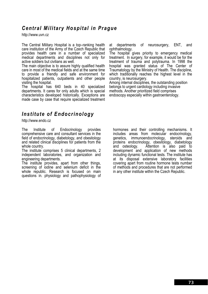# *Central Military Hospital in Prague*

http://www.uvn.cz

The Central Military Hospital is a top–ranking health care institution of the Army of the Czech Republic that provides health care in a number of specialized medical departments and disciplines not only for active soldiers but civilians as well.

The main objective is to assure highly qualified health care in most of the medical fields and at the same time to provide a friendly and safe environment for hospitalized patients, outpatients and other people visiting the hospital.

The hospital has 640 beds in 40 specialized departments. It cares for only adults which is special characteristics developed historically. Exceptions are made case by case that require specialized treatment

*Institute of Endocrinology* 

http://www.endo.cz

The Institute of Endocrinology provides comprehensive care and consultant services in the field of endocrinology, diabetology, and obesitology and related clinical disciplines for patients from the whole country.

The institute comprises 5 clinical departments, 2 independent laboratories, and organization and engineering departments.

The institute provides, apart from other things, screening of iodine and selenium deficit in the whole republic. Research is focused on main questions in. physiology and pathophysiology of at departments of neurosurgery, ENT, and ophthalmology.

The hospital gives priority to emergency medical treatment. In surgery, for example, it would be for the treatment of trauma and polytrauma. In 1998 the hospital was granted status of The Center of Traumatology by the Ministry of Health. The discipline, which traditionally reaches the highest level in the country, is neurosurgery.

Among internal disciplines, the outstanding position belongs to urgent cardiology including invasive methods. Another prioritized field comprises endoscopy especially within gastroenterology.

hormones and their controlling mechanisms. It includes areas from molecular endocrinology, genetics, immunoendocrinology, steroids and proteins endocrinology, obesitology, diabetology and osteology. Attention is also paid to development and application of new methods including dynamic functional tests. The institute has at its disposal extensive laboratory facilities covering apart from routine hormone tests number of methods and procedures that are not performed in any other institute within the Czech Republic.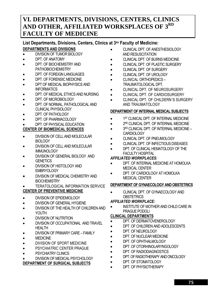# **VI. DEPARTMENTS, DIVISIONS, CENTERS, CLINICS AND OTHER, AFFILIATED WORKSPLACES OF 3RD FACULTY OF MEDICINE**

# List Departments, Divisions, Centers, Clinics at 3<sup>RD</sup> Faculty of Medicine:

#### **DEPARTMENTS AND DIVISIONS**

- DIVISION OF TUMOR BIOLOGY
- DPT. OF ANATOMY
- DPT. OF BIOCHEMISTRY AND **PATHOBIOCHEMISTRY**
- DPT. OF FOREIGN LANGUAGES
- DPT. OF FORENSIC MEDICINE
- DPT OF MEDICAL BIOPHYSICS AND **INFORMATICS**
- DPT. OF MEDICAL ETHICS AND NURSING
- DPT. OF MICROBIOLOGY
- DPT. OF NORMAL, PATHOLOGICAL AND CLINICAL PHYSIOLOGY
- DPT. OF PATHOLOGY
- DPT. OF PHARMACOLOGY
- DPT. OF PHYSICAL EDUCATION

#### **CENTER OF BIOMEDICAL SCIENCES**

- DIVISION OF CELL AND MOLECULAR BIOLOGY
- DIVISION OF CELL AND MOLECULAR **IMMUNOLOGY**
- DIVISION OF GENERAL BIOLOGY AND **GENETICS**
- DIVISION OF HISTOLOGY AND EMBRYOLOGY
- DIVISION OF MEDICAL CHEMISTRY AND **BIOCHEMISTRY**
- **TERATOLOGICAL INFORMATION SERVICE**

#### **CENTER OF PREVENTIVE MEDICINE**

- DIVISION OF EPIDEMIOLOGY
- DIVISION OF GENERAL HYGIENE
- DIVISION OF THE HEALTH OF CHILDREN AND YOUTH
- DIVISION OF NUTRITION
- DIVISION OF OCCUPATIONAL AND TRAVEL HEALTH
- DIVISION OF PRIMARY CARE FAMILY
- **MEDICINE**
- DIVISION OF SPORT MEDICINE
- PSYCHIATRIC CENTER PRAGUE
- **PSYCHIATRY CLINICS**
- DIVISION OF MEDICAL PSYCHOLOGY

#### **DEPARTMENT OF SURGICAL SUBJECTS**

- CLINICAL DPT. OF ANESTHESIOLOGY AND RESUSCITATION
- CLINICAL DPT. OF BURNS MEDICINE
- CLINICAL DPT. OF PLASTIC SURGERY
- CLINICAL DPT. OF SURGERY
- CLINICAL DPT. OF UROLOGY
- CLINICAL ORTHOPEDICS TRAUMATOLOGICAL DPT.
- CLINICAL DPT. OF NEUROSURGERY
- CLINICAL DPT. OF CARDIOSURGERY
- CLINICAL DPT. OF CHILDERN´S SURGERY AND TRAUMATOLOGY

#### **DEPARTMENT OF INTERNAL MEDICAL SUBJECTS**

- 1ST CLINICAL DPT. OF INTERNAL MEDICINE
- $\bullet$  2<sup>ND</sup> CLINICAL DPT. OF INTERNAL MEDICINE
- 3RD CLINICAL DPT. OF INTERNAL MEDICINE **CARDIOLOGY**
- CLINICAL DPT. OF PNEUMOLOGY
- CLINICAL DPT. OF INFECTIOUS DISEASES
- DPT. OF CLINICAL HEMATOLOGY OF THE FACULTY HOSPITAL

#### *AFFILIATED WORKPLACES:*

- DPT. OF INTERNAL MEDICINE AT HOMOLKA MEDICAL CENTER
- DPT. OF CARDIOLOGY AT HOMOLKA MEDICAL CENTER

#### **DEPARTMENT OF GYNAECOLOGY AND OBSTETRICS**

• CLINICAL DPT. OF GYNAECOLOGY AND **OBSTETRICS** 

#### *AFFILIATED WORKPLACE:*

• INSTITUTE OF MOTHER AND CHILD CARE IN PRAGUE PODOLI

#### **CLINICAL DEPARTMENTS**

- DPT. OF DERMATOVENEROLOGY
- DPT. OF CHILDREN AND ADOLESCENTS
- DPT. OF NEUROLOGY
- DPT. OF NUCLEAR MEDICINE
- DPT. OF OPHTHALMOLOGY
- DPT. OF OTORHINOLARYNGOLOGY
- DPT. OF RADIODIAGNOSTICS
- DPT. OF RADIOTHERAPY AND ONCOLOGY
- DPT. OF STOMATOLOGY
- DPT. OF PHYSIOTHERAPY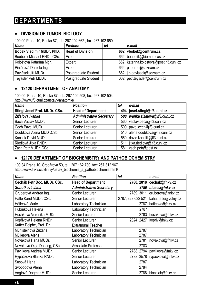# **DEPARTMENTS**

#### • **DIVISION OF TUMOR BIOLOGY**

100 00 Praha 10, Ruská 87, tel.: 267 102 662 , fax: 267 102 650

| <b>Name</b>                 | <b>Position</b>         | tel. | e-mail                                    |
|-----------------------------|-------------------------|------|-------------------------------------------|
| Bobek Vladimír MUDr. PhD.   | <b>Head of Division</b> |      | 662 vbobek@centrum.cz                     |
| Boubelik Michael RNDr. CSc. | Expert                  |      | 662   boubelik@biomed.cas.cz              |
| Kološtová Katarína Mgr.     | Expert                  |      | 662   katarina.kolostova@post.lf3.cuni.cz |
| Pintérová Daniela Ing.      | Expert                  |      | 662   pinterod@seznam.cz                  |
| Pavlásek Jiří MUDr.         | Postgraduate Student    |      | 662   jiri-pavlasek@seznam.cz             |
| Teyssler Petr MUDr.         | Postgraduate Student    |      | 662   petr.teyssler@centrum.cz            |

#### • **12120 DEPARTMENT OF ANATOMY**

100 00 Praha 10, Ruská 87, tel.: 267 102 508, fax: 267 102 504 http://www.lf3.cuni.cz/ustavy/anatomie/

| <b>Name</b>                   | <b>Position</b>                 | tel. | e-mail                            |
|-------------------------------|---------------------------------|------|-----------------------------------|
| Stingl Josef Prof. MUDr. CSc. | <b>Head of Department</b>       |      | 494   josef.stingl@lf3.cuni.cz    |
| Žížalová Ivanka               | <b>Administrative Secretary</b> |      | 508   ivanka.zizalova@lf3.cuni.cz |
| Báča Václav MUDr.             | Senior Lecturer                 |      | 560 vaclav.baca@lf3.cuni.cz       |
| Čech Pavel MUDr.              | Senior Lecturer                 |      | 509   pavel.cech@lf3.cuni.cz      |
| Doubková Alena MUDr.CSc.      | Senior Lecturer                 |      | 510 alena.doubkova@lf3.cuni.cz    |
| Kachlík David MUDr.           | Senior Lecturer                 |      | 560 david.kachlik@lf3.cuni.cz     |
| Riedlová Jitka RNDr.          | Senior Lecturer                 |      | 511   jitka.riedlova@lf3.cuni.cz  |
| Zach Petr MUDr. CSc.          | Senior Lecturer                 |      | 581 zach.petr@post.cz             |

#### • **12170 DEPARTMENT OF BIOCHEMISTRY AND PATHOBIOCHEMISTRY**

100 34 Praha 10, Šrobárova 50, tel.: 267 162 780, fax: 267 312 967 http://www.fnkv.cz/kliniky/ustav\_biochemie\_a\_pathobiochemie/html/

| <b>Name</b>                  | <b>Position</b>                 | tel.              | e-mail              |
|------------------------------|---------------------------------|-------------------|---------------------|
| Čechák Petr Doc. MUDr. CSc.  | <b>Head of Department</b>       | 2780, 2818        | cechak@fnkv.cz      |
| Sobotková Jana               | <b>Administrative Secretary</b> | 2780              | biosec@fnkv.cz      |
| Gruberová Andrea Ing.        | Senior Lecturer                 | 2789, 3011        | gruberova@fnkv.cz   |
| Hátle Karel MUDr. CSc.       | Senior Lecturer                 | 2787, 323 632 521 | kaha.hatle@volny.cz |
| Hátleová Marie               | Laboratory Technician           | 2787              | hatleova@fnkv.cz    |
| Hubínková Helena             | Laboratory Technician           | 2787              |                     |
| Husáková Veronika MUDr.      | Senior Lecturer                 | 2783              | husakova@fnkv.cz    |
| Kopřivová Helena RNDr.       | Senior Lecturer                 | 2824, 2427        | kopriv@fnkv.cz      |
| Kutter Dolphe, Prof. Dr.     | <b>Extramural Teacher</b>       |                   |                     |
| Mühlsteinová Zuzana          | Laboratory Technician           | 2787              |                     |
| Müllerová Alena              | Laboratory Technician           | 2787              |                     |
| Nováková Hana MUDr.          | Senior Lecturer                 | 2781              | novakova@fnkv.cz    |
| Nováková Olga Doc. Ing, CSc. | <b>Associate Professor</b>      | 2783              |                     |
| Pavlíková Andrea MUDr.       | Senior Lecturer                 | 2788, 2794        | pavlikova@fnkv.cz   |
| Rypáčková Blanka RNDr.       | Senior Lecturer                 | 2788, 3578        | rypackova@fnkv.cz   |
| Susová Hana                  | Laboratory Technician           | 2787              |                     |
| Svobodová Alena              | Laboratory Technician           | 2784              |                     |
| Vogtová Dagmar MUDr.         | Senior Lecturer                 | 2788              | biochlab@fnkv.cz    |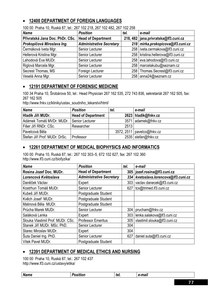### • **12400 DEPARTMENT OF FOREIGN LANGUAGES**

| TUU UU PIJAIJA TU, KUSKA 07, IUI ZO7 TUZ ZTO, ZO7 TUZ 402, ZO7 TUZ ZJO |                                 |      |                                        |  |
|------------------------------------------------------------------------|---------------------------------|------|----------------------------------------|--|
| <b>Name</b>                                                            | <b>Position</b>                 | tel. | e-mail                                 |  |
| Přívratská Jana Doc. PhDr. CSc.                                        | <b>Head of Department</b>       |      | 218, 482   jana.privratska@lf3.cuni.cz |  |
| Prokopičová Miroslava Ing.                                             | <b>Administrative Secretary</b> |      | 218 mirka.prokopicova@lf3.cuni.cz      |  |
| Čermáková Iveta Mgr.                                                   | Senior Lecturer                 |      | 258   iveta.cermakova@lf3.cuni.cz      |  |
| Hellerová Kristina Mgr.                                                | Senior Lecturer                 |      | 258   kristina.hellerova@lf3.cuni.cz   |  |
| Lahodová Eva MUDr.                                                     | Senior Lecturer                 |      | 258 eva.lahodova@lf3.cuni.cz           |  |
| Riglová Marcela Mgr.                                                   | Senior Lecturer                 |      | 258   marcelakubu@seznam.cz            |  |
| Secrest Thomas, MS                                                     | Foreign Lecturer                |      | 258   Thomas.Secrest@lf3.cuni.cz       |  |
| Veselá Anna Mgr.                                                       | Senior Lecturer                 |      | 258   anna24@seznam.cz                 |  |

100 00 Praha 10, Ruská 87, tel.: 267 102 218, 267 102 482, 267 102 258

#### • **12191 DEPARTMENT OF FORENSIC MEDICINE**

100 34 Praha 10, Šrobárova 50, tel.: Head Physician 267 162 535, 272 743 836, sekretariát 267 162 505, fax: 267 162 505

http://www.fnkv.cz/kliniky/ustav\_soudniho\_lekarstvi/html/

| <b>Name</b>                              | <b>Position</b>           | tel. | e-mail                       |
|------------------------------------------|---------------------------|------|------------------------------|
| Hladík Jiří MUDr.                        | <b>Head of Department</b> |      | 2623   hladik@fnkv.cz        |
| Adámek Tomáš MVDr. MUDr. Senior Lecturer |                           |      | 3571 adamek@fnkv.cz          |
| Fišer Jiří RNDr. CSc.                    | Researcher                | 2513 |                              |
| Pavelcová Běla                           |                           |      | 3572, 2511   pavelco@fnkv.cz |
| Štefan Jiří Prof. MUDr. DrSc.            | Professor                 |      | 2535 stefan@fnkv.cz          |

#### • **12261 DEPARTMENT OF MEDICAL BIOPHYSICS AND INFORMATICS**

100 00 Praha 10, Ruská 87, tel.: 267 102 303–5, 672 102 627, fax: 267 102 360 http://www.lf3.cuni.cz/biofyzika/

| <b>Name</b>                       | <b>Position</b>                 | tel. | e-mail                                 |
|-----------------------------------|---------------------------------|------|----------------------------------------|
| Rosina Jozef Doc. MUDr.           | <b>Head of Department</b>       |      | 305   jozef.rosina@lf3.cuni.cz         |
| Lorencová Květoslava              | <b>Administrative Secretary</b> |      | 334   kvetoslava.lorencova@lf3.cuni.cz |
| Daněček Václav                    | Expert                          | 303  | vaclav.danecek@lf3.cuni.cz             |
| Kostrhun Tomáš MUDr.              | <b>Senior Lecturer</b>          | 627  | tcx@trimed.lf3.cuni.cz                 |
| Kubeš Jiří MUDr.                  | Postgraduate Student            |      |                                        |
| Kvěch Josef MUDr.                 | Postgraduate Student            |      |                                        |
| Malinová Běla MUDr.               | Postgraduate Student            |      |                                        |
| Průcha Marek MUDr.                | Senior Lecturer                 | 304  | prucham@fnkv.cz                        |
| Saláková Lenka                    | Expert                          | 303  | lenka.salakova@lf3.cuni.cz             |
| Slouka Vlastimil Prof. MUDr. CSc. | <b>Professor Emeritus</b>       | 305  | vlastimil.slouka@lf3.cuni.cz           |
| Stanek Jiří MUDr. MSc. PhD.       | Senior Lecturer                 | 304  |                                        |
| Starec Miroslav MUDr.             | Expert                          | 304  |                                        |
| Suta Daniel Ing. PhD.             | Senior Lecturer                 | 627  | daniel.suta@lf3.cuni.cz                |
| Vítek Pavel MUDr.                 | Postgraduate Student            |      |                                        |

#### • **12391 DEPARTMENT OF MEDICAL ETHICS AND NURSING**

100 00 Praha 10, Ruská 87, tel.: 267 102 437 http://www.lf3.cuni.cz/ustavy/etika/

|--|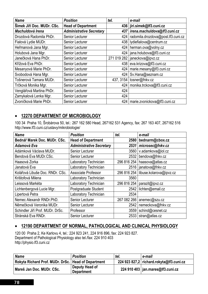| <b>Name</b>                | <b>Position</b>                 | tel. | e-mail                             |
|----------------------------|---------------------------------|------|------------------------------------|
| Šimek Jiří Doc. MUDr. CSc. | <b>Head of Department</b>       |      | 436   jiri.simek@lf3.cuni.cz       |
| Machuldová Irena           | <b>Administrative Secretary</b> |      | 437   irena.machuldova@lf3.cuni.cz |
| Drozdová Radomila PhDr.    | Senior Lecturer                 | 424  | radomila.drozdova@post.lf3.cuni.cz |
| Fialová Lydie MUDr.        | Senior Lecturer                 |      | 438   lydiefialova@centrum.cz      |
| Heřmanová Jana Mgr.        | Senior Lecturer                 |      | 424   herman.ova@volny.cz          |
| Holubová Jana Mgr.         | Senior Lecturer                 |      | 424   jana.holubova@lf3.cuni.cz    |
| Janečková Hana PhDr.       | Senior Lecturer                 |      | 271 019 282   janeckova@ipvz.cz    |
| Křížová Eva PhDr.          | Senior Lecturer                 |      | 438 eva.krizova@lf3.cuni.cz        |
| Mesanyová Marie PhDr.      | Senior Lecturer                 | 424  | marie.mesany@lf3.cuni.cz           |
| Svobodová Hana Mgr.        | Senior Lecturer                 | 424  | Sv.Hana@seznam.cz                  |
| Tošnerová Tamara MUDr.     | Senior Lecturer                 |      | 437, 3154   tosner@fnkv.cz         |
| Trčková Monika Mgr.        | Senior Lecturer                 |      | 424   monika.trckova@lf3.cuni.cz   |
| Venglářová Martina PhDr.   | Senior Lecturer                 | 424  |                                    |
| Zamykalová Lenka Mgr.      | Senior Lecturer                 | 424  |                                    |
| Zvoníčková Marie PhDr.     | Senior Lecturer                 | 424  | marie.zvonickova@lf3.cuni.cz       |

### • **12270 DEPARTMENT OF MICROBIOLOGY**

100 34 Praha 10, Šrobárova 50, tel.: 267 162 580 Head, 267162 531 Agency, fax: 267 163 407, 267162 516 http://www.lf3.cuni.cz/ustavy/mikrobiologie/

| <b>Name</b>                      | <b>Position</b>                 | tel.        | e-mail                  |
|----------------------------------|---------------------------------|-------------|-------------------------|
| Bednář Marek Doc. MUDr. CSc.     | <b>Head of Department</b>       | 2580        | bednarm@cbox.cz         |
| Adamová Eva                      | <b>Administrative Secretary</b> | 2531        | microsec@fnkv.cz        |
| Adámková Václava MUDr.           | Senior Lecturer                 | 3560        | v.adamkova@iol.cz       |
| Bendová Eva MUDr.CSc.            | Senior Lecturer                 | 2532        | bendova@fnkv.cz         |
| Haasová Zorka                    | Laboratory Technician           | 296 816 254 | haasova@atlas.cz        |
| Janatová Eva                     | Laboratory Technician           |             | 2516 anatova@fnkv.cz    |
| Kolářová Libuše Doc. RNDr. CSc.  | Associate Professor             | 296 816 254 | libuse.kolarova@ipvz.cz |
| Krištofová Milena                | Laboratory Technician           | 3560        |                         |
| Leissová Markéta                 | Laboratory Technician           | 296 816 254 | parazit@ipvz.cz         |
| Lichtenbergová Lucie Mgr.        | Postgraduate Student            | 2542        | lichten@email.cz        |
| Lipertová Petra                  | Laboratory Technician           | 2534        |                         |
| Nemec Alexandr RNDr.PhD.         | Senior Lecturer                 | 267 082 266 | anemec@szu.cz           |
| Němečková Veronika MUDr.         | Senior Lecturer                 | 2542        | nemeckova@fnkv.cz       |
| Schindler Jiří Prof. MUDr. DrSc. | Professor                       | 3559        | schind@cesnet.cz        |
| Stránská Eva RNDr.               | Senior Lecturer                 | 2533        | stran@atlas.cz          |

#### • **12190 DEPARTMENT OF NORMAL, PATHOLOGICAL AND CLINICAL PHYSIOLOGY**

120 00 Praha 2, Ke Karlovu 4, tel.: 224 923 241, 224 916 896, fax: 224 923 827. Department of Pathological Physiology also tel./fax: 224 910 403 http://physio.lf3.cuni.cz

| <b>Name</b>                                           | <b>Position</b>              | tel. | e-mail                                   |
|-------------------------------------------------------|------------------------------|------|------------------------------------------|
| Rokyta Richard Prof. MUDr. DrSc.   Head of Department |                              |      | 224 923 827,2 richard.rokyta@lf3.cuni.cz |
| Mareš Jan Doc. MUDr. CSc.                             | Deputy Head of<br>Department |      | 224 910 403   jan.mares@lf3.cuni.cz      |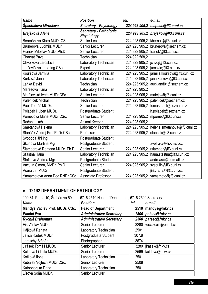| <b>Name</b>                   | <b>Position</b>                             | tel.          | e-mail                        |
|-------------------------------|---------------------------------------------|---------------|-------------------------------|
| Šplíchalová Miroslava         | <b>Secretary - Physiology</b>               | 224 923 905,2 | msplich@lf3.cuni.cz           |
| Brejšková Alena               | Secretary - Pathologic<br><b>Physiology</b> | 224 923 905,2 | brejskov@lf3.cuni.cz          |
| Bernášková Klára MUDr.CSc.    | Senior Lecturer                             | 224 923 905,2 | kbernas@lf3.cuni.cz           |
| Brunerová Ludmila MUDr.       | Senior Lecturer                             | 224 923 905,2 | brunerova@seznam.cz           |
| Franěk Miloslav MUDr.Ph.D.    | <b>Senior Lecturer</b>                      | 224 923 905,2 | franek@lf3.cuni.cz            |
| Charvát Pavel                 | Technician                                  | 224 922 568,2 |                               |
| Chvojková Jaroslava           | Laboratory Technician                       | 224 923 905,2 | jchvoj@lf3.cuni.cz            |
| Jurčovičová Jana Ing.CSc.     | Expert                                      | 224 923 905,2 | jurcovic@lf3.cuni.cz          |
| Kouřilová Jarmila             | Laboratory Technician                       | 224 923 905,2 | jarmila.kourilova@lf3.cuni.cz |
| Kůrková Jana                  | Laboratory Technician                       | 224 923 905,2 | jana.kurkova@lf3.cuni.cz      |
| Laňka David                   | Technician                                  | 224 923 905,2 | auckland01@seznam.cz          |
| Marešová Hana                 | Laboratory Technician                       | 224 923 905,2 |                               |
| Matějovská Iveta MUDr.CSc.    | <b>Senior Lecturer</b>                      | 224 923 905,2 | matejov@lf3.cuni.cz           |
| Páleníček Michal              | Technician                                  | 224 923 905,2 | palenicek@seznam.cz           |
| Paul Tomáš MUDr.              | <b>Senior Lecturer</b>                      | 224 923 905,2 | tomas.paul@seznam.cz          |
| Poláček Hubert MUDr.          | Postgraduate Student                        |               | h.polacek@seznam.cz           |
| Pometlová Marie MUDr.CSc.     | <b>Senior Lecturer</b>                      | 224 923 905,2 | mpomet@lf3.cuni.cz            |
| Račan Lukáš                   | <b>Animal Keeper</b>                        | 224 923 905,2 |                               |
| Smetanová Helena              | Laboratory Technician                       | 224 923 905,2 | helena.smetanova@lf3.cuni.cz  |
| Stančák Andrej Prof.PhDr.CSc. | Professor                                   | 224 923 905,2 | stancak@lf3.cuni.cz           |
| Svoboda Jiří Ing.             | Postgraduate Student                        |               |                               |
| Škurlová Martina Mgr.         | Postgraduate Student                        |               | avolruks@hotmail.cz           |
| Šlamberová Romana MUDr. Ph.D. | <b>Senior Lecturer</b>                      | 224 923 905,2 | rslamber@lf3.cuni.cz          |
| Šťastná Hana                  | Laboratory Technician                       | 224 923 905,2 | hana.stastna@lf3.cuni.cz      |
| Štofková Andrea Mgr.          | Postgraduate Student                        |               | andreastt@hotmail.cz          |
| Vaculín Šimon, MVDr. Ph.D.    | Senior Lecturer                             | 224 923 905,2 | svaculin@lf3.cuni.cz          |
| Vrána Jiří MUDr.              | Postgraduate Student                        |               | jiri.vrana@lf3.cuni.cz        |
| Yamamotová Anna Doc.RNDr.CSc. | Associate Professor                         | 224 923 905,2 | yamamoto@lf3.cuni.cz          |

# • **12192 DEPARTMENT OF PATHOLOGY**

100 34 Praha 10, Šrobárova 50, tel.: 6716 2510 Head of Department, 6716 2500 Secretary

| <b>Name</b>                    | <b>Position</b>                 | tel.  | e-mail              |
|--------------------------------|---------------------------------|-------|---------------------|
| Mandys Václav Prof. MUDr. CSc. | <b>Head of Department</b>       | 2510  | mandys@fnkv.cz      |
| Plachá Eva                     | <b>Administrative Secretary</b> | 2500  | patsec@fnkv.cz      |
| Rychlá Drahomíra               | <b>Administrative Secretary</b> | 2500  | patsec@fnkv.cz      |
| Eis Václav MUDr.               | Senior Lecturer                 | 3280  | vaclav.eis@email.cz |
| Hájková Renata                 | Laboratory Technician           | 2501  |                     |
| Jakša Radek MUDr.              | Postgraduate Student            | 307,8 |                     |
| Jaroschy Štěpán                | Photographer                    | 3674  |                     |
| Jirásek Tomáš MUDr.            | Senior Lecturer                 | 3280  | jirasek@fnkv.cz     |
| Koldová Lidmila MUDr.          | Senior Lecturer                 | 2569  | koldova@fnkv.cz     |
| Kotková Ilona                  | Laboratory Technician           | 2501  |                     |
| Kubálek Vojtěch MUDr.CSc.      | Senior Lecturer                 | 2508  |                     |
| Kutnohorská Dana               | Laboratory Technician           | 2501  |                     |
| Lísová Soňa MUDr.              | Senior Lecturer                 |       |                     |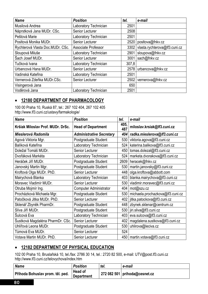| <b>Name</b>                      | <b>Position</b>       | tel.  | e-mail                        |
|----------------------------------|-----------------------|-------|-------------------------------|
| Musilová Andrea                  | Laboratory Technician | 2501  |                               |
| Náprstková Jana MUDr. CSc.       | Senior Lecturer       | 2508  |                               |
| Peštová Marie                    | Laboratory Technician | 2501  |                               |
| Posltová Monika MUDr.            | Senior Lecturer       | 2520  | positova@fnkv.cz              |
| Rychterová Vlasta Doc.MUDr. CSc. | Associate Professor   | 3302  | vlasta.rychterova@lf3.cuni.cz |
| Sloupová Miluše                  | Laboratory Technician | 2901  | sloupova@fnkv.cz              |
| Šach Josef MUDr.                 | Senior Lecturer       | 3001  | sach@fnkv.cz                  |
| Tučková Ivana                    | Laboratory Technician | 307,8 |                               |
| Urbancová Hana MUDr.             | Senior Lecturer       | 2578  | urbancova@fnkv.cz             |
| Vadinská Kateřina                | Laboratory Technician | 2501  |                               |
| Vernerová Zdeňka MUDr.CSc.       | Senior Lecturer       | 2502  | vernerova@fnkv.cz             |
| Visingerová Jana                 |                       | 650   |                               |
| Voděrová Jana                    | Laboratory Technician | 2501  |                               |

#### • **12180 DEPARTMENT OF PHARMACOLOGY**

100 00 Praha 10, Ruská 87, tel.: 267 102 404, 267 102 405 http://www.lf3.cuni.cz/ustavy/farmakologie/

| <b>Name</b>                       | <b>Position</b><br>tel.         |             | e-mail                           |
|-----------------------------------|---------------------------------|-------------|----------------------------------|
| Kršiak Miloslav Prof. MUDr. DrSc. | <b>Head of Department</b>       | 405,<br>487 | miloslav.krsiak@lf3.cuni.cz      |
| Mieslerová Radomila               | <b>Administrative Secretary</b> | 404         | radka.mieslerova@lf3.cuni.cz     |
| Agová Viktoria Mgr.               | Postgraduate Student            | 530         | viktoria.agova@lf3.cuni.cz       |
| Balíková Kateřina                 | Laboratory Technician           | 524         | katerina.balikova@lf3.cuni.cz    |
| Doležal Tomáš MUDr.               | Senior Lecturer                 | 450         | tomas.dolezal@lf3.cuni.cz        |
| Dvořáková Markéta                 | Laboratory Technician           | 524         | marketa.dvorakova@lf3.cuni.cz    |
| Heráček Jiří MUDr.                | Postgraduate Student            | 2609        | heracek@fnkv.cz                  |
| Janovský Martin Mgr.              | Postgraduate Student            | 530         | martin.janovsky@lf3.cuni.cz      |
| Kroftová Olga MUDr. PhD.          | Senior Lecturer                 | 448         | olga.kroftova@abbott.com         |
| Mairychová Blanka                 | Laboratory Technician           | 403         | blanka.mairychova@lf3.cuni.cz    |
| Moravec Vladimír MUDr.            | Senior Lecturer                 | 530         | vladimir.moravec@lf3.cuni.cz     |
| Otruba Mojmír Ing.                | <b>Computer Administrator</b>   | 404         | mot@szu.cz                       |
| Procházková Michaela Mgr.         | Postgraduate Student            | 530         | michaela.prochazkova@lf3.cuni.cz |
| Patočková Jitka MUDr. PhD.        | Senior Lecturer                 | 402         | jitka.patockova@lf3.cuni.cz      |
| Sklenář Zbyněk PharmDr.           | Postgraduate Student            | 448         | zbynek.sklenar@centrum.cz        |
| Slíva Jiří MUDr.                  | Postgraduate Student            | 530         | jiri.sliva@lf3.cuni.cz           |
| Šulcová Eva                       | Laboratory Technician           | 403         | eva.sulcova@lf3.cuni.cz          |
| Šustková Magdaléna PharmDr. CSc.  | Senior Lecturer                 | 402         | magdalena.sustkova@lf3.cuni.cz   |
| Uhlířová Leona MUDr.              | Postgraduate Student            | 530         | uhlirova@leciva.cz               |
| Tůmová Eva MUDr.                  | Senior Lecturer                 | 524         |                                  |
| Votava Martin MUDr. PhD.          | Senior Lecturer                 |             | 450   martin votava@lf3.cuni.cz  |

# • **12182 DEPARTMENT OF PHYSICAL EDUCATION**

102 00 Praha 10, Bruslařská 10, tel./fax: 2786 30 14, tel.: 2720 82 500, e-mail: UTV@post.lf3.cuni.cz http://www.lf3.cuni.cz/telovychova/index.htm

| <b>Name</b>                      | <b>Position</b>              | tel. | e-mail                          |
|----------------------------------|------------------------------|------|---------------------------------|
| Příhoda Bohuslav prom. těl. ped. | Head of<br><b>Department</b> |      | 272 082 501   prihoda@cesnet.cz |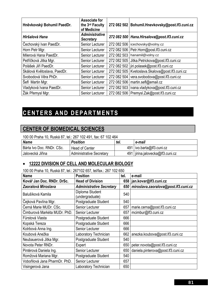| Hněvkovský Bohumil PaedDr.  | <b>Associate for</b><br>the 3rd Faculty<br>of Medicine |             | 272 082 502   Bohumil.Hnevkovsky@post.If3.cuni.cz |
|-----------------------------|--------------------------------------------------------|-------------|---------------------------------------------------|
| Hiršalová Hana              | <b>Administrative</b><br><b>Secretary</b>              |             | 272 082 500   Hana.Hirsalova@post.If3.cuni.cz     |
| Cechovský Ivan PaedDr.      | Senior Lecturer                                        |             | 272 082 506   icechovsky@volny.cz                 |
| Horn Petr Mgr.              | Senior Lecturer                                        |             | 272 082 506   Petr. Horn@post. If 3. cuni.cz      |
| Milerová Hana PaedDr.       | Senior Lecturer                                        |             | 272 082 503   hanamil@volny.cz                    |
| Petříčková Jitka Mgr.       | Senior Lecturer                                        |             | 272 082 505   Jitka.Petrickova@post.lf3.cuni.cz   |
| Polášek Jiří PaedDr.        | Senior Lecturer                                        |             | 272 082 502   jiri.polasek@post.lf3.cuni.cz       |
| Skálová Květoslava, PaedDr. | Senior Lecturer                                        | 272 082 505 | Kvetoslava.Skalova@post.lf3.cuni.cz               |
| Svobodová Věra PhDr.        | Senior Lecturer                                        | 272 082 504 | vera.svobodova@post.lf3.cuni.cz                   |
| Šefl Martin Mgr.            | Senior Lecturer                                        | 272 082 506 | martin.sefl@email.cz                              |
| Vladyková Ivana PaedDr.     | Senior Lecturer                                        |             | 272 082 503   ivana.vladykova@post.lf3.cuni.cz    |
| Žák Přemysl Mgr.            | Senior Lecturer                                        |             | 272 082 506   Premysl.Zak@post.If3.cuni.cz        |

# **CENTERS AND DEPARTMENTS**

# **CENTER OF BIOMEDICAL SCIENCES**

100 00 Praha 10, Ruská 87, tel.: 267 102 491, fax: 67 102 464

| <b>Name</b>               | <b>Position</b>                 | ter. | e-mail                             |
|---------------------------|---------------------------------|------|------------------------------------|
| Bárta Ivo Doc. RNDr. CSc. | <b>Head of Center</b>           |      | 491   ivo.barta@lf3.cuni.cz        |
| Jalovecká Jiřina          | <b>Administrative Secretary</b> |      | 491   jirina.jalovecka@lf3.cuni.cz |

#### • **12222 DIVISION OF CELL AND MOLECULAR BIOLOGY**

100 00 Praha 10, Ruská 87, tel.: 267102 657, tel/fax.: 267 102 650

| <b>Name</b>                   | <b>Position</b>                    | tel. | e-mail                                     |
|-------------------------------|------------------------------------|------|--------------------------------------------|
| Kovář Jan Doc. RNDr. DrSc.    | <b>Head of Division</b>            |      | 658   jan.kovar@lf3.cuni.cz                |
| Zaoralová Miroslava           | <b>Administrative Secretary</b>    |      | 650   miroslava.zaoralova@post.lf3.cuni.cz |
| Balušíková Kamila             | Diploma Student<br>(undergraduate) | 540  |                                            |
| Čejková Pavlína Mgr.          | Postgraduate Student               | 540  |                                            |
| Černá Marie MUDr. CSc.        | Senior Lecturer                    | 657  | marie.cerna@post.lf3.cuni.cz               |
| Čimburová Markéta MUDr. PhD.  | Senior Lecturer                    | 657  | mcimbur@lf3.cuni.cz                        |
| Fürstová Vlasta               | Postgraduate Student               | 666  |                                            |
| Kopská Tereza                 | Postgraduate Student               | 666  |                                            |
| Kotrbová Anna Ing.            | Senior Lecturer                    | 666  |                                            |
| Koubová Anežka                | Laboratory Technician              | 662  | anezka.koubova@post.lf3.cuni.cz            |
| Neubauerová Jitka Mgr.        | Postgraduate Student               | 540  |                                            |
| Novota Peter RNDr.            | Expert                             | 650  | peter.novota@post.lf3.cuni.cz              |
| Pintérová Daniela Ing.        | Senior Lecturer                    | 650  | daniela.pinterova@post.lf3.cuni.cz         |
| Romžová Mariana Mgr.          | Postgraduate Student               | 540  |                                            |
| Vobořilová Jana PharmDr. PhD. | Senior Lecturer                    | 657  |                                            |
| Visingerová Jana              | Laboratory Technician              | 650  |                                            |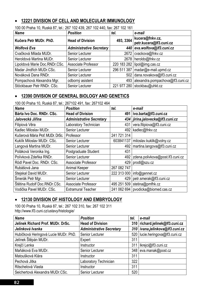#### • **12221 DIVISION OF CELL AND MOLECULAR IMMUNOLOGY**

| <b>Name</b>                   | <b>Position</b>                 | tel.      | e-mail                                     |
|-------------------------------|---------------------------------|-----------|--------------------------------------------|
| Kučera Petr MUDr. PhD.        | <b>Head of Division</b>         | 493, 3364 | kucera@fnkv.cz,<br>petr.kucera@lf3.cuni.cz |
| Wolfová Eva                   | <b>Administrative Secretary</b> |           | 440 eva.wolfova@lf3.cuni.cz                |
| Cvačková Milada MUDr.         | Senior Lecturer                 |           | 2672   cvackova@fnkv.cz                    |
| Heroldová Martina MUDr.       | Senior Lecturer                 |           | 2678   heroldo@fnkv.cz                     |
| Lipoldová Marie Doc.RNDr.CSc. | Associate Professor             |           | 220 183 282 lipol@img.cas.cz               |
| Madar Jindřich MUDr.CSc.      | Senior Lecturer                 |           | 296 511 387   madar@e-mail.upmd.cz         |
| Nováková Dana RNDr.           | Senior Lecturer                 |           | 502 dana.novakova@lf3.cuni.cz              |
| Pompachová Alexandra Mgr.     | odborný asistent                |           | 493 alexandra.pompachova@lf3.cuni.cz       |
| Stöckbauer Petr RNDr. CSc.    | Senior Lecturer                 |           | 221 977 280 stockbau@uhkt.cz               |

100 00 Praha 10, Ruská 87, tel.: 267 102 439, 267 102 440, fax: 267 102 161

### • **12390 DIVISION OF GENERAL BIOLOGY AND GENETICS**

100 00 Praha 10, Ruská 87, tel.: 267102 491, fax: 267102 464

| <b>Name</b>                      | <b>Position</b>                 | tel.        | e-mail                           |
|----------------------------------|---------------------------------|-------------|----------------------------------|
| Bárta Ivo Doc. RNDr. CSc.        | <b>Head of Division</b>         | 491         | ivo.barta@lf3.cuni.cz            |
| Jalovecká Jiřina                 | <b>Administrative Secretary</b> |             | 434 jirina.jalovecka@lf3.cuni.cz |
| Filipiová Věra                   | Laboratory Technician           | 431         | vera.filipiova@lf3.cuni.cz       |
| Kadlec Miloslav MUDr.            | Senior Lecturer                 | 492         | kadlec@fnkv.cz                   |
| Kučerová Mária Prof. MUDr. DrSc. | Professor                       | 241 721 314 |                                  |
| Kuklík Miloslav MUDr. CSc.       | Senior Lecturer                 | 603841137   | miloslav.kuklik@volny.cz         |
| Langová Martina MUDr.            | Senior Lecturer                 | 492         | martina.langova@lf3.cuni.cz      |
| Poláková Veronika Ing.           | Postgraduate Student            | 431         |                                  |
| Polívková Zdeňka RNDr.           | Senior Lecturer                 | 492         | zdena.polivkova@post.lf3.cuni.cz |
| Rödl Pavel Doc. RNDr. CSc.       | Associate Professor             | 429         | prodl@szu.cz                     |
| Rubášová Jana                    | Animal Keeper                   | 267 082 747 |                                  |
| Stejskal David MUDr.             | Senior Lecturer                 | 222 313 000 | info@gennet.cz                   |
| Šmerák Petr Mgr.                 | Senior Lecturer                 | 429         | petr.smerak@lf3.cuni.cz          |
| Štětina Rudolf Doc.RNDr.CSc.     | Associate Professor             | 495 251 509 | stetina@pmfhk.cz                 |
| Vodička Pavel MUDr. CSc.         | <b>Extramural Teacher</b>       | 241 062 694 | pvodicka@biomed.cas.cz           |

# • **12130 DIVISION OF HISTOLOGY AND EMBRYOLOGY**

100 00 Praha 10, Ruská 87, tel.: 267 102 310, fax: 267 102 311 http://www.lf3.cuni.cz/ustavy/histologie/

| <b>Name</b>                          | <b>Position</b>                 | tel. | e-mail                            |
|--------------------------------------|---------------------------------|------|-----------------------------------|
| Jelinek Richard Prof. MUDr. DrSc.    | <b>Head of Division</b>         | 310  | richard.jelinek@lf3.cuni.cz       |
| Jelínková Ivanka                     | <b>Administrative Secretary</b> |      | 310   ivana.jelinkova@lf3.cuni.cz |
| Hubičková Heringová Lucie MUDr. PhD. | Senior Lecturer                 |      | 520   lucie.heringova@lf3.cuni.cz |
| Jelínek Štěpán MUDr.                 | Expert                          | 311  |                                   |
| Krejčí Lenka                         | Instructor                      | 311  | Ikrejci@lf3.cuni.cz               |
| Maňáková Eva MUDr.                   | Senior Lecturer                 | 348  | eva.manak@post.cz                 |
| Matoušková Klára                     | Instructor                      | 311  |                                   |
| Pechová Jitka                        | Laboratory Technician           | 322  |                                   |
| Ritschelová Vlasta                   | Instructor                      | 311  |                                   |
| Seichertová Alexandra MUDr.CSc.      | Senior Lecturer                 | 520  |                                   |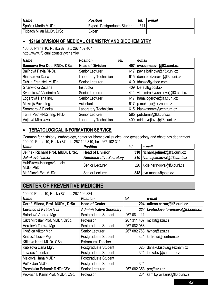| Name                       | <b>Position</b>              | tel. | e-mail |
|----------------------------|------------------------------|------|--------|
| Špaček Martin MUDr.        | Expert, Postgraduate Student | 311  |        |
| Titlbach Milan MUDr. DrSc. | Expert                       |      |        |

#### • **12160 DIVISION OF MEDICAL CHEMISTRY AND BIOCHEMISTRY**

100 00 Praha 10, Ruská 87, tel.: 267 102 407 http://www.lf3.cuni.cz/ustavy/chemie/

| <b>Name</b>                 | <b>Position</b>         | tel. | e-mail                           |
|-----------------------------|-------------------------|------|----------------------------------|
| Samcová Eva Doc. RNDr. CSc. | <b>Head of Division</b> | 407  | eva.samcova@lf3.cuni.cz          |
| Balínová Pavla RNDr.        | Senior Lecturer         | 617  | pavla.balinova@lf3.cuni.cz       |
| Bindzarová Dana             | Laboratory Technician   | 615  | dana.bindzarova@lf3.cuni.cz      |
| Duška František MUDr.       | Senior Lecturer         |      | 410   fduska@yahoo.com           |
| Ghanwiová Zuzana            | Instructor              | 409  | Default@post.sk                  |
| Kvasnicová Vladimíra Mgr.   | Senior Lecturer         | 411  | vladimira.kvasnicova@lf3.cuni.cz |
| Logerová Hana Ing.          | Senior Lecturer         | 617  | hana.logerova@lf3.cuni.cz        |
| Mokrejš Pavel Ing.          | Asisstant               | 617  | p.mokrejs@seznam.cz              |
| Sommerová Blanka            | Laboratory Technician   | 615  | blankasomm@centrum.cz            |
| Tůma Petr RNDr. Ing. Ph.D.  | Senior Lecturer         |      | 585   petr.tuma@lf3.cuni.cz      |
| Vojtová Miroslava           | Laboratory Technician   |      | 409 mirka.vojtova@lf3.cuni.cz    |

#### • **TERATOLOGICAL INFORMATION SERVICE**

Common for histology, embryology, center for biomedical studies, and gynaecology and obstetrics department 100 00 Praha 10, Ruská 87, tel.: 267 102 310, fax: 267 102 311

| <b>Name</b>                            | <b>Position</b>                 | tel. | e-mail                            |
|----------------------------------------|---------------------------------|------|-----------------------------------|
| Jelinek Richard Prof. MUDr. DrSc.      | <b>Head of Division</b>         |      | 310 richard.jelinek@lf3.cuni.cz   |
| Jelínková Ivanka                       | <b>Administrative Secretary</b> |      | 310   ivana.jelinkova@lf3.cuni.cz |
| Hubičková-Heringová Lucie<br>MUDr.PhD. | Senior Lecturer                 |      | 520   lucie heringova@lf3.cuni.cz |
| Maňáková Eva MUDr.                     | Senior Lecturer                 |      | 348 eva.manak@post.cz             |

# **CENTER OF PREVENTIVE MEDICINE**

100 00 Praha 10, Ruská 87, tel.: 267 102 334

| <b>Name</b>                      | <b>Position</b>                 | tel.        | e-mail                           |
|----------------------------------|---------------------------------|-------------|----------------------------------|
| Černá Milena, Prof. MUDr., DrSc. | <b>Head of Center</b>           | 204         | milena.cerna@lf3.cuni.cz         |
| Lorencová Květoslava             | <b>Administrative Secretary</b> | 334         | kvetoslava.lorencova@lf3.cuni.cz |
| Batariová Andrea Mgr.            | Postgraduate Student            | 267 081 111 |                                  |
| Cikrt Miroslav Prof. MUDr. DrSc. | Professor                       | 267 311 467 | mcikrt@szu.cz                    |
| Herotová Tereza Mgr.             | Postgraduate Student            | 267 082 968 |                                  |
| Hynčica Viktor Mgr.              | Senior Lecturer                 | 267 082 768 | hynca@szu.cz                     |
| Kintrová Lucie Mgr.              | Postgraduate Student            | 324         | kintrova@centrum.cz              |
| Křikava Karel MUDr. CSc.         | <b>Extramural Teacher</b>       |             |                                  |
| Kubisová Dana Mgr.               | Postgraduate Student            | 625         | danakubisova@seznam.cz           |
| Lovasová Lenka                   | Postgraduate Student            | 324         | lenkalov@centrum.cz              |
| Malcová Hana MUDr.               | Postgraduate Student            |             |                                  |
| Polák Jan MUDr.                  | Postgraduate Student            | 324         |                                  |
| Procházka Bohumír RNDr.CSc.      | Senior Lecturer                 | 267 082 353 | pro@szu.cz                       |
| Provazník Kamil Prof. MUDr. CSc. | Professor                       | 264         | kamil.provaznik@lf3.cuni.cz      |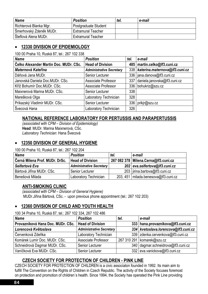| Name                    | <b>Position</b>           | tel. | e-mail |
|-------------------------|---------------------------|------|--------|
| Richterová Blanka Mgr.  | Postgraduate Student      |      |        |
| Šmerhovský Zdeněk MUDr. | Extramural Teacher        |      |        |
| Šteflová Alena MUDr.    | <b>Extramural Teacher</b> |      |        |

#### • **12330 DIVISION OF EPIDEMIOLOGY**

100 00 Praha 10, Ruská 87, tel.: 267 102 338

| <b>Name</b>                            | <b>Position</b>                 | tel. | e-mail                               |
|----------------------------------------|---------------------------------|------|--------------------------------------|
| Čelko Alexander Martin Doc. MUDr. CSc. | <b>Head of Division</b>         |      | 485   martin.celko@lf3.cuni.cz       |
| <b>Maternová Kateřina</b>              | <b>Administrative Secretary</b> |      | 338   katerina.maternova@lf3.cuni.cz |
| Dáňová Jana MUDr.                      | Senior Lecturer                 |      | 336   jana.danova@lf3.cuni.cz        |
| Janovská Daniela Doc. MUDr. CSc.       | Associate Professor             |      | 337 daniela.janovska@lf3.cuni.cz     |
| Kříž Bohumír Doc. MUDr. CSc.           | Associate Professor             |      | 336 bohukriz@szu.cz                  |
| Maixnerová Marina MUDr. CSc.           | Senior Lecturer                 | 338  |                                      |
| Marešková Olga                         | Laboratory Technician           | 328  |                                      |
| Príkazský Vladimír MUDr. CSc.          | Senior Lecturer                 |      | 336   prikjr@szu.cz                  |
| Švecová Hana                           | Laboratory Technician           | 326  |                                      |

#### **NATIONAL REFERENCE LABORATORY FOR PERTUSSIS AND PARAPERTUSSIS**

*(associated with CPM – Division of Epidemiology)*  **Head**: MUDr. Marina Maixnerová, CSc. *Laboratory Technician*: Hana Švecová

#### • **12350 DIVISION OF GENERAL HYGIENE**

100 00 Praha 10, Ruská 87, tel.: 267 102 204

| <b>Name</b>                    | <b>Position</b>                 | tel. | e-mail                                 |
|--------------------------------|---------------------------------|------|----------------------------------------|
| Černá Milena Prof. MUDr. DrSc. | <b>Head of Division</b>         |      | 267 082 378   Milena.Cerna@lf3.cuni.cz |
| Seifertová Eva                 | <b>Administrative Secretary</b> |      | 202 eva.seifertova@lf3.cuni.cz         |
| Bártová Jiřina MUDr. CSc.      | Senior Lecturer                 |      | 203   jirina.bartova@lf3.cuni.cz       |
| Benešová Milada                | Laboratory Technician           |      | 203, 451 milada.benesova@lf3.cuni.cz   |

#### **ANTI-SMOKING CLINIC**

*(associated with CPM – Division of General Hygiene)*  MUDr.Jiřina Bártová, CSc. - upon previous phone appointment (tel.: 267 102 203)

#### • **12360 DIVISION OF CHILD AND YOUTH HEALTH**

100 34 Praha 10, Ruská 87, tel.: 267 102 334, 267 102 486

| <b>Name</b>                                          | <b>Position</b>                 | tel. | e-mail                               |
|------------------------------------------------------|---------------------------------|------|--------------------------------------|
| Provazníková Hana Doc. MUDr. CSc.   Head of Division |                                 |      | 333 hana.provaznikova@lf3.cuni.cz    |
| Lorencová Květoslava                                 | <b>Administrative Secretary</b> |      | 334 kvetoslava.lorencova@lf3.cuni.cz |
| Červenková Zdeňka                                    | Laboratory Technician           |      | 339 zdenka.cervenkova@lf3.cuni.cz    |
| Komárek Lumír Doc. MUDr. CSc.                        | Associate Professor             |      | 267 310 291   komarek@szu.cz         |
| Schneidrová Dagmar MUDr. CSc.                        | Senior Lecturer                 |      | 340 dagmar.schneidrova@lf3.cuni.cz   |
| Vaníčková Eva MUDr. CSc.                             | Senior Lecturer                 |      | 332 eva.vanickova@lf3.cuni.cz        |

#### **CZECH SOCIETY FOR PROTECTION OF CHILDREN - PINK LINE**

CZECH SOCIETY FOR PROTECTION OF CHILDREN is a civic associaton founded in 1992. Its main aim to fulfill The Convention on the Rights of Children in Czech Republic. The activity of the Society focuses foremost on protection and promotion of children´s health. Since 1994, the Society has operated the Pink Line providing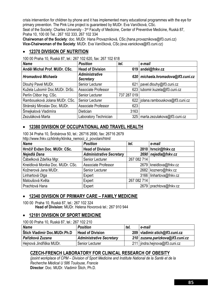crisis intervention for children by phone and it has implemented many educational programmes with the eye for primary prevention. The Pink Line project is guaranteed by MUDr. Eva Vaníčková, CSc.

Seat of the Society: Charles University - 3<sup>rd</sup> Faculty of Medicine, Center of Preventive Medicine, Ruská 87, Praha 10, 100 00 Tel.: 267 102 333, 267 102 334

**Chairwoman of the Society**: doc. MUDr. Hana Provazníková, CSc.(hana.provaznikova@lf3.cuni.cz) **Vice-Chairwoman of the Society**: MUDr. Eva Vaníčková, CSc.(eva.vanickova@lf3.cuni.cz)

#### • **12370 DIVISION OF NUTRITION**

| 100 00 F14114 10, NUSKA 07, ICI 207 102 020, IAX. 207 102 010<br>Name | <b>Position</b>                           | tel.        | e-mail                               |
|-----------------------------------------------------------------------|-------------------------------------------|-------------|--------------------------------------|
| Anděl Michal Prof. MUDr. CSc.                                         | <b>Head of Division</b>                   | 619         | andel@fnkv.cz                        |
| Hromadová Michaela                                                    | <b>Administrative</b><br><b>Secretary</b> |             | 620 michaela.hromadova@lf3.cuni.cz   |
| Dlouhý Pavel MUDr.                                                    | Senior Lecturer                           | 621         | pavel.dlouhy@lf3.cuni.cz             |
| Kužela Lubomír Doc.MUDr. DrSc.                                        | Associate Professor                       |             | 623   lubomir.kuzela@lf3.cuni.cz     |
| Perlín Ctibor Ing. CSc.                                               | Senior Lecturer                           | 737 287 019 |                                      |
| Rambousková Jolana MUDr. CSc.                                         | Senior Lecturer                           |             | 622   jolana.rambouskova@lf3.cuni.cz |
| Stránský Miroslav Doc. MUDr.                                          | Associate Professor                       | 623         |                                      |
| Šmejkalová Vladimíra                                                  | Dietician                                 | 3163        |                                      |
| Zezuláková Marta                                                      | Laboratory Technician                     |             | 325   marta.zezulakova@lf3.cuni.cz   |

100 00 Praha 10, Ruská 87, tel.: 267 102 620, fax: 267 102 618

# • **12380 DIVISION OF OCCUPATIONAL AND TRAVEL HEALTH**

100 34 Praha 10, Šrobárova 50, tel.: 26716 2690, fax: 26716 2679 http://www.fnky.cz/kliniky/klinika\_nemoci\_z\_povolani/html/

| <b>Name</b>                      | <b>Position</b>                 | tel.        | e-mail                   |
|----------------------------------|---------------------------------|-------------|--------------------------|
| Hrnčíř Evžen Doc. MUDr. CSc.     | <b>Head of Division</b>         |             | 2810   hrncir@fnkv.cz    |
| Nejedlá Dana                     | <b>Administrative Secretary</b> |             | 2690 nejedla@fnkv.cz     |
| Čábelková Zdeňka Mgr.            | Senior Lecturer                 | 267 082 714 |                          |
| Kneidlová Monika Doc. MUDr. CSc. | Associate Professor             |             | 2679   kneidlova@fnkv.cz |
| Kožnerová Jana MUDr.             | Senior Lecturer                 |             | 2682 koznero@fnkv.cz     |
| Linhartová Olga                  | Expert                          |             | 3166 linhartova@fnkv.cz  |
| Matoušová Květa                  | Expert                          | 267 082 714 |                          |
| Prachtová Hana                   | Expert                          |             | 2679   prachtova@fnkv.cz |

#### • **12340 DIVISION OF PRIMARY CARE – FAMILY MEDICINE**

100 00 Praha 10, Ruská 87, tel.: 267 102 324 **Head of Division:** MUDr. Helena Hovorová tel.: 267 910 944

#### • **12181 DIVISION OF SPORT MEDICINE**

100 00 Praha 10, Ruská 87, tel.: 267 102 210

| <b>Name</b>                         | <b>Position</b>                 | tel. | e-mail                           |
|-------------------------------------|---------------------------------|------|----------------------------------|
| <b>Stich Vladimír Doc.MUDr.Ph.D</b> | <b>Head of Division</b>         |      | 209   vladimir.stich@lf3.cuni.cz |
| Pařízková Zuzana                    | <b>Administrative Secretary</b> |      | 210 zuzana.parizkova@lf3.cuni.cz |
| Hejnová Jindřiška MUDr.             | Senior Lecturer                 |      | 211   jindra.hejnova@lf3.cuni.cz |

#### **CZECH-FRENCH LABORATORY FOR CLINICAL RESEARCH OF OBESITY**

*(jooint workplace of CPM – Division of Sport Medicine and Institute National de la Santé et de la Recherche Médical U 586 Toulouse, Francie*  **Director**: Doc. MUDr. Vladimír Štich, Ph.D.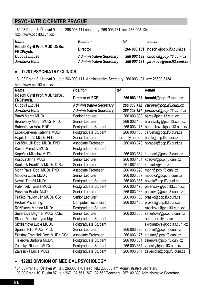# **PSYCHIATRIC CENTER PRAGUE**

181 03 Praha 8, Ústavní 91, tel.: 266 003 111 secretary, 266 003 131, fax: 266 003 134 http://www.pcp.lf3.cuni.cz

| <b>Name</b>                                | <b>Position</b>                 | tel. | e-mail                                 |
|--------------------------------------------|---------------------------------|------|----------------------------------------|
| Höschl Cyril Prof. MUDr.DrSc.<br>FRCPsych. | <b>Director</b>                 |      | 266 003 131   hoschl@pcp.lf3.cuni.cz   |
| Cucová Libuše                              | <b>Administrative Secretary</b> |      | 266 003 132   cucova@pcp.lf3.cuni.cz   |
| Jarošová Hana                              | <b>Administrative Secretary</b> |      | 266 003 131   jarosova@pcp.lf3.cuni.cz |

#### • **12281 PSYCHIATRY CLINICS**

181 03 Praha 8, Ústavní 91, tel.: 266 003 111, Administrative Secretary, 266 003 131, fax: 26600 3134 http://www.pcp.lf3.cuni.cz

| $11.49.77$ www.pop.110.00111.02            |                                 |                  |                             |
|--------------------------------------------|---------------------------------|------------------|-----------------------------|
| <b>Name</b>                                | <b>Position</b>                 | tel.             | e-mail                      |
| Höschl Cyril Prof. MUDr.DrSc.<br>FRCPsych. | <b>Director of PCP</b>          | 266 003 131      | hoschl@pcp.lf3.cuni.cz      |
| Cucová Libuše                              | <b>Administrative Secretary</b> | 266 003 132      | cucova@pcp.lf3.cuni.cz      |
| Jarošová Hana                              | <b>Administrative Secretary</b> | 266 003 131      | jarosova@pcp.lf3.cuni.cz    |
| Bareš Martin MUDr.                         | Senior Lecturer                 | 266 003 330      | bares@pcp.lf3.cuni.cz       |
| Brunovský Martin MUDr. PhD.                | Senior Lecturer                 | 266 003 155      | brunovsky@pcp.lf3.cuni.cz   |
| Bubeníková Věra RNDr.                      | Postgraduate Student            | 266 003 173      | bubenikova@pcp.lf3.cuni.cz  |
| Espa-Červená Kateřina MUDr.                | Postgraduate Student            | 266 003 155      | cervena@pcp.lf3.cuni.cz     |
| Hájek Tomáš MUDr. PhD.                     | Senior Lecturer                 | currently abroad | hajek@pcp.lf3.cuni.cz       |
| Horáček Jiří Doc. MUDr. PhD.               | <b>Associate Professor</b>      | 266 003 370      | horacek@pcp.lf3.cuni.cz     |
| Kaiser Miroslav MUDr.                      | Postgraduate Student            |                  |                             |
| Kopeček Miloslav MUDr.                     | Senior Lecturer                 | 266 003 364      | kopecek@pcp.lf3.cuni.cz     |
| Kosová Jiřina MUDr.                        | Senior Lecturer                 | 266 003 101      | kosova@pcp.lf3.cuni.cz      |
| Koukolík František MUDr. DrSc.             | <b>Senior Lecturer</b>          | 261 082 340      | koukolik@ftn.cz             |
| Mohr Pavel Doc. MUDr. PhD.                 | Associate Professor             | 266 003 320      | mohr@pcp.lf3.cuni.cz        |
| Motlová Lucie MUDr.                        | <b>Senior Lecturer</b>          | 266 003 387      | motlova@pcp.lf3.cuni.cz     |
| Novák Tomáš MUDr.                          | Postgraduate Student            | 266 003 386      | novak@pcp.lf3.cuni.cz       |
| Páleníček Tomáš MUDr.                      | Postgraduate Student            | 266 003 173      | palenicek@pcp.lf3.cuni.cz   |
| Pašková Beáta. MUDr.                       | Senior Lecturer                 | 266 003 136      | paskova@pcp.lf3.cuni.cz     |
| Praško Pavlov Ján MUDr. CSc.               | Senior Lecturer                 | 266 003 100      | prasko@pcp.lf3.cuni.cz      |
| Prokeš Michal Ing.                         | Computer Technician             | 266 003 180      | prokes@pcp.lf3.cuni.cz      |
| Růžičková Martina MUDr.                    | Postgraduate Student            |                  | ruzickova@pcp.lf3.cuni.cz   |
| Seifertová Dagmar MUDr. CSc.               | Senior Lecturer                 | 266 003 360      | seifertova@pcp.lf3.cuni.cz  |
| Skuba-Motsiuk Iryna Mgr.                   | Postgraduate Student            |                  | on maternity leave          |
| Škrdlantová Lucie MUDr.                    | Postgraduate Student            |                  | skrdlantova@pcp.lf3.cuni.cz |
| Španiel Filip MUDr. PhD.                   | Senior Lecturer                 | 266 003 390      | spaniel@pcp.lf3.cuni.cz     |
| Šťastný František Doc. MUDr. CSc.          | Associate Professor             | 266 003 175      | stastny@pcp.lf3.cuni.cz     |
| Tišlerová Barbora MUDr.                    | Postgraduate Student            | 266 003 381      | tislerova@pcp.lf3.cuni.cz   |
| Záleský. Richard MUDr.                     | Postgraduate Student            | 266 003 381      | zalesky@pcp.lf3.cuni.cz     |
| Závěšická Lucie MUDr.                      | Postgraduate Student            | 266 003 311      | zavesicka@pcp.lf3.cuni.cz   |

#### • **12282 DIVISION OF MEDICAL PSYCHOLOGY**

181 03 Praha 8, Ústavní 91, tel.: 266003 170 Head, tel.: 266003 171 Administrative Secretary 100 00 Praha 10, Ruská 87, tel.: 267 102 561, 267 102 562 Teachers, 267102 339 Administrative Secretary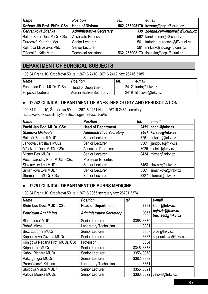| <b>Name</b>                                    | <b>Position</b>                 | tel. | e-mail                                    |
|------------------------------------------------|---------------------------------|------|-------------------------------------------|
| Kožený Jiří Prof. PhDr. CSc.   Head of Divison |                                 |      | 562, 266003170   kozeny@pcp.lf3.cuni.cz   |
| Červenková Zdeňka                              | <b>Administrative Secretary</b> |      | 339 zdenka.cervenkova@lf3.cuni.cz         |
| Balcar Karel Doc. PhDr. CSc.                   | Associate Professor             |      | 562   karel.balcar@lf3.cuni.cz            |
| Durecová Katarína Mgr.                         | Senior Lecturer                 |      | 561   katarina.durecova@lf3.cuni.cz       |
| Kolínová Miroslava, PhDr.                      | Senior Lecturer                 |      | 561   mirka.kolinova@lf3.cuni.cz          |
| Tišanská Lýdie Mgr.                            | <b>Technical Assistant</b>      |      | 562, 266003170   tisanska@pcp.lf3.cuni.cz |

# **DEPARTMENT OF SURGICAL SUBJECTS**

100 34 Praha 10, Šrobárova 50, tel.: 26716 2410, 26716 2412, fax: 26716 3185

| <b>Name</b>                | <b>Position</b>                 | tel. | e-mail                 |
|----------------------------|---------------------------------|------|------------------------|
| Fanta Jan Doc. MUDr. DrSc. | <b>Head of Department</b>       |      | $2412$ fanta@fnkv.cz   |
| Filipcová Ludmila          | <b>Administrative Secretary</b> |      | 2419 filipcova@fnkv.cz |

#### • **12242 CLINICAL DEPARTMENT OF ANESTHESIOLOGY AND RESUSCITATION**

100 34 Praha 10, Šrobárova 50, tel.: 26716 2451 Head, 26716 2461 secretary http://www.fnkv.cz/kliniky/anesteziologie\_resuscitace/html

| <b>Name</b>                     | <b>Position</b>                 | tel. | e-mail                  |
|---------------------------------|---------------------------------|------|-------------------------|
| Pachl Jan Doc. MUDr. CSc.       | <b>Head of Department</b>       | 2451 | pachl@fnkv.cz           |
| Slámová Michaela                | <b>Administrative Secretary</b> | 2461 | karsec@fnkv.cz          |
| Bakalář Bohumil MUDr.           | Senior Lecturer                 | 3261 | bakalar@fnkv.cz         |
| Jandová Jaroslava MUDr.         | Senior Lecturer                 |      | 3361   jjandova@fnkv.cz |
| Málek Jiří Doc. MUDr. CSc.      | Associate Professor             |      | 3025   malekj@fnkv.cz   |
| Mizner Petr MUDr.               | Senior Lecturer                 |      | 8434 mizner@fnkv.cz     |
| Počta Jaroslav Prof. MUDr. CSc. | <b>Professor Emeritus</b>       |      |                         |
| Slavkovský Leo MUDr.            | Senior Lecturer                 | 3458 | slavkov@fnkv.cz         |
| Šimánková Eva MUDr.             | Senior Lecturer                 | 3361 | simankova@fnkv.cz       |
| Šturma Jan MUDr. CSc.           | Senior Lecturer                 | 3327 | sturma@fnkv.cz          |

#### • **12251 CLINICAL DEPARTMENT OF BURNS MEDICINE**

100 34 Praha 10, Šrobárova 50, tel.: 26716 3365 secretary fax: 26731 3374

| <b>Name</b>                      | <b>Position</b>                 | tel.       | e-mail                              |
|----------------------------------|---------------------------------|------------|-------------------------------------|
| Klein Leo Doc. MUDr. CSc.        | <b>Head of Department</b>       |            | 3362 klein@fnkv.cz                  |
| Pehrizyan Anahit Ing.            | <b>Administrative Secretary</b> | 3365       | pejrizia@fnkv.cz<br>burnsec@fnkv.cz |
| Bláha Josef MUDr.                | Senior Lecturer                 | 3368, 3370 |                                     |
| Boháč Michal                     | Laboratory Technician           | 3381       |                                     |
| Brož Ludomír MUDr.               | Senior Lecturer                 | 3367       | broz@fnkv.cz                        |
| Kapounková Zuzana MUDr.          | Senior Lecturer                 | 3367       | kapounkova@fnkv.cz                  |
| Königová Radana Prof. MUDr. CSc. | Professor                       | 3354       |                                     |
| Kripner Jiří MUDr.               | Senior Lecturer                 | 3346, 3378 |                                     |
| Kubok Richard MUDr.              | Senior Lecturer                 | 3353, 3378 |                                     |
| Pafčuga Igor MUDr.               | Senior Lecturer                 | 3382, 3392 |                                     |
| Procházková Kristina             | Laboratory Technician           | 3381       |                                     |
| Štolbová Vlasta MUDr.            | Senior Lecturer                 | 3355, 3391 |                                     |
| Valová Monika MUDr.              | Senior Lecturer                 |            | 3383, 3392 valova@fnkv.cz           |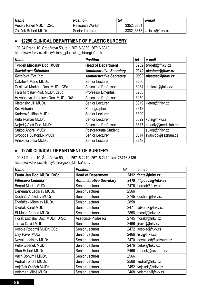| <b>Name</b>             | <b>Position</b>        | tel.       | e-mail                       |
|-------------------------|------------------------|------------|------------------------------|
| Veselý Pavel MUDr. CSc. | <b>Research Worker</b> | 3352, 3381 |                              |
| Zajíček Robert MUDr.    | <b>Senior Lecturer</b> |            | 3382, 3378   zajicek@fnkv.cz |

#### • **12250 CLINICAL DEPARTMENT OF PLASTIC SURGERY**

100 34 Praha 10, Šrobárova 50, tel.: 26716 3030, 26716 3310 http://www.fnkv.cz/kliniky/klinika\_plasticke\_chirurgie/html/

| <b>Name</b>                           | <b>Position</b>                 | tel. | e-mail                |
|---------------------------------------|---------------------------------|------|-----------------------|
| <b>Tvrdek Miroslav Doc. MUDr.</b>     | <b>Head of Department</b>       |      | 3252   tvrdek@fnkv.cz |
| Slavíčková Štěpánka                   | <b>Administrative Secretary</b> | 3310 | plastsec@fnkv.cz      |
| Šotolová Eva Ing.                     | <b>Administrative Secretary</b> |      | 3030 plastsec@fnkv.cz |
| Čakrtová Marie MUDr.                  | Senior Lecturer                 | 3256 |                       |
| Dušková Markéta Doc. MUDr. CSc.       | <b>Associate Professor</b>      | 3234 | duskova@fnkv.cz       |
| Fára Miroslav Prof. MUDr. DrSc.       | <b>Professor Emeritus</b>       | 3263 |                       |
| Hrivnáková Jaroslava Doc. MUDr. DrSc. | <b>Associate Professor</b>      | 3250 |                       |
| Kletenský Jiří MUDr.                  | Senior Lecturer                 |      | 3319   kleten@fnkv.cz |
| Krč Antonín                           | Photographer                    | 3312 |                       |
| Kuderová Jiřina MUDr.                 | Senior Lecturer                 | 3320 |                       |
| Kufa Roman MUDr.                      | Senior Lecturer                 | 3322 | kufa@fnkv.cz          |
| Nejedlý Aleš Doc. MUDr.               | Associate Professor             | 3317 | nejedly@mediclub.cz   |
| Sukop Andrej MUDr.                    | Postgraduate Student            |      | sukop@fnkv.cz         |
| Svoboda Svatopluk MUDr.               | Senior Lecturer                 | 3314 | svasvob@seznam.cz     |
| Vrtišková Jitka MUDr.                 | Senior Lecturer                 | 3248 |                       |

#### • **12240 CLINICAL DEPARTMENT OF SURGERY**

100 34 Praha 10, Šrobárova 50, tel.: 26716 2410, 26716 2412, fax: 26716 3185 http://www.fnkv.cz/kliniky/chirurgicka\_klinika/html/

| <b>Name</b>                     | <b>Position</b>                 | tel. | e-mail                |
|---------------------------------|---------------------------------|------|-----------------------|
| Fanta Jan Doc. MUDr. DrSc.      | <b>Head of Department</b>       | 2412 | fanta@fnkv.cz         |
| Filipcová Ludmila               | <b>Administrative Secretary</b> | 2419 | filipcova@fnkv.cz     |
| Bernat Martin MUDr.             | Senior Lecturer                 | 2476 | bernat@fnkv.cz        |
| Denemark Ladislav MUDr.         | <b>Senior Lecturer</b>          | 2566 |                       |
| Ducháč Vítězslav MUDr.          | <b>Senior Lecturer</b>          | 2745 | duchac@fnkv.cz        |
| Dvořáček Miroslav MUDr.         | Senior Lecturer                 | 2858 |                       |
| Dvořák Karel MUDr.              | Senior Lecturer                 | 2471 | kdvorak@fnkv.cz       |
| El-Masri Ahmad MUDr.            | Senior Lecturer                 | 2858 | masri@fnkv.cz         |
| Horák Ladislav Doc. MUDr. DrSc. | Associate Professor             | 2745 | horakl@fnkv.cz        |
| Jirava David MUDr.              | Senior Lecturer                 |      | 2466   jirava@fnkv.cz |
| Kostka Rodomil MUDr. CSc.       | Senior Lecturer                 | 2472 | kostka@fnkv.cz        |
| Lisý Pavel MUDr.                | Senior Lecturer                 | 2466 | lisy@fnkv.cz          |
| Novák Ladislav MUDr.            | Senior Lecturer                 | 2470 | novak.lad@seznam.cz   |
| Pelák Zdeněk MUDr.              | <b>Senior Lecturer</b>          | 2476 | pelak@fnkv.cz         |
| Ston Robert MUDr.               | Senior Lecturer                 | 2466 | robeek@seznam.cz      |
| Vach Bohumil MUDr.              | Senior Lecturer                 | 2566 |                       |
| Vedral Tomáš MUDr.              | Senior Lecturer                 | 2566 | vedral@fnkv.cz        |
| Vojtíšek Oldřich MUDr.          | Senior Lecturer                 | 2452 | vojtisek@fnkv.cz      |
| Voleman Miloš MUDr.             | <b>Senior Lecturer</b>          | 2468 | voleman@fnkv.cz       |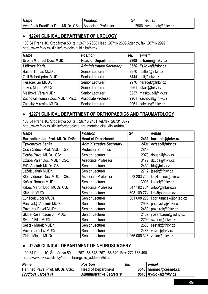| <b>Name</b>                        | Position            | tel.   | e-mail           |
|------------------------------------|---------------------|--------|------------------|
| Vyhnánek František Doc. MUDr. CSc. | Associate Professor | 2966 l | vyhnanek@fnkv.cz |

#### • **12241 CLINICAL DEPARTMENT OF UROLOGY**

100 34 Praha 10, Šrobárova 50, tel.: 26716 2808 Head, 26716 2609 Agency, fax: 26716 2999 http://www.fnkv.cz/kliniky/urologicka\_klinika/html/

| <b>Name</b>                     | <b>Position</b>                 | tel. | e-mail                 |
|---------------------------------|---------------------------------|------|------------------------|
| Urban Michael Doc. MUDr.        | <b>Head of Department</b>       |      | 2808   urbanm@fnkv.cz  |
| Lišková Marie                   | <b>Administrative Secretary</b> |      | 3550 liskova@fnkv.cz   |
| Baitler Tomáš MUDr.             | Senior Lecturer                 |      | 2970   baitler@fnkv.cz |
| Grill Robert prim. MUDr.        | Senior Lecturer                 |      | 3444 grill@fnkv.cz     |
| Heráček Jiří MUDr.              | Senior Lecturer                 |      | 2970   heracek@fnkv.cz |
| Lukeš Martin MUDr.              | Senior Lecturer                 |      | 2961 lukes@fnkv.cz     |
| Mašková Věra MUDr.              | Senior Lecturer                 |      | 3237   maskova@fnkv.cz |
| Zachoval Roman Doc. MUDr. Ph.D. | Associate Professor             |      | 2961 zachoval@fnkv.cz  |
| Záleský Miroslav MUDr.          | Senior Lecturer                 |      | 2961 zalesky@fnkv.cz   |

#### • **12271 CLINICAL DEPARTMENT OF ORTHOPAEDICS AND TRAUMATOLOGY**

100 34 Praha 10, Šrobárova 50, tel.: 26716 2431, tel./fax: 26731 3372 http://www.fnkv.cz/kliniky/ortopedicko\_traumatologicka\_klinika/html/

| <b>Name</b>                      | <b>Position</b>                 | tel.        | e-mail                      |
|----------------------------------|---------------------------------|-------------|-----------------------------|
| Bartoníček Jan Prof. MUDr. DrSc. | <b>Head of Department</b>       | 2431        | bartonic@fnkv.cz            |
| Tyrichtrová Lenka                | <b>Administrative Secretary</b> | 2431        | ortsec@fnkv.cz              |
| Čech Oldřich Prof. MUDr. DrSc.   | <b>Professor Emeritus</b>       | 2813        |                             |
| Douša Pavel MUDr. CSc.           | Senior Lecturer                 | 2978        | dousa@fnkv.cz               |
| Džupa Valér Doc. MUDr. CSc.      | Associate Professor             | 3172        | dzupa@fnkv.cz               |
| Frič Vladimír MUDr. CSc.         | Senior Lecturer                 | 2430        | fric@fnkv.cz                |
| Ježek Jakub MUDr.                | <b>Senior Lecturer</b>          | 2712        | jezek@fnkv.cz               |
| Klézl Zdeněk Doc. MUDr. CSc.     | Associate Professor             | 973 203 720 | klezl.spine@uvn.cz          |
| Košťál Roman MUDr.               | Senior Lecturer                 | 3003        | kostal@fnkv.cz              |
| Krbec Martin Doc. MUDr. CSc.     | <b>Associate Professor</b>      | 547 192 704 | ortop@fnbrno.cz             |
| Kříž Jiří MUDr.                  | Senior Lecturer                 | 603 169 774 | kriz@paraple.cz             |
| Luňáček Libor MUDr.              | Senior Lecturer                 | 381 608 206 | libor.lunacek@ontab.cz      |
| Pacovský Vladimír MUDr.          | Senior Lecturer                 | 2903        | pacovsky@fnkv.cz            |
| Pazdírek Pavel MUDr.             | Senior Lecturer                 | 2489        | pazdirek@fnkv.cz            |
| Skála-Rosenbaum Jiří MUDr.       | Senior Lecturer                 | 2489        | jrosenbaum@volny.cz         |
| Svatoš Filip MUDr.               | Senior Lecturer                 | 2799        | svatos@fnkv.cz              |
| Šesták Marek MUDr.               | Senior Lecturer                 | 2583        | sestak@fnkv.cz              |
| Vávra Jaroslav MUDr.             | Senior Lecturer                 | 2483        | vavra@fnkv.cz               |
| Zídka Michal MUDr.               | <b>Senior Lecturer</b>          |             | 266 006 318   zidka@fnkv.cz |

#### • **12245 CLINICAL DEPARTMENT OF NEUROSURGERY**

100 34 Praha 10, Šrobárova 50, tel. 267 168 548, 267 168 540, Fax: 272 738 490 http://www.fnkv.cz/kliniky/neurochirurgicke\_oddeleni/html/

| <b>Name</b>                    | <b>Position</b>                 | tel. | e-mail                   |
|--------------------------------|---------------------------------|------|--------------------------|
| Haninec Pavel Prof. MUDr. CSc. | <b>Head of Department</b>       |      | 8540   haninec@cesnet.cz |
| Frýdlová Jaroslava             | <b>Administrative Secretary</b> |      | 8548   frydlova@fnkv.cz  |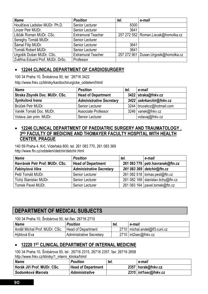| Name                             | <b>Position</b>           | tel. | e-mail                                  |
|----------------------------------|---------------------------|------|-----------------------------------------|
| Houšťava Ladislav MUDr. Ph.D.    | Senior Lecturer           | 8300 |                                         |
| Linzer Petr MUDr.                | Senior Lecturer           | 3641 |                                         |
| Liščák Roman MUDr. CSc.          | <b>Extramural Teacher</b> |      | 257 272 552   Roman.Liscak@homolka.cz   |
| Sereghy Tomáš MUDr.              | Senior Lecturer           |      |                                         |
| Šámal Filip MUDr.                | Senior Lecturer           | 3641 |                                         |
| Tomáš Robert MUDr.               | Senior Lecturer           | 3641 |                                         |
| Urgošík Dušan MUDr. CSc.         | <b>Extramural Teacher</b> |      | 257 272 901   Dusan. Urgosik@homolka.cz |
| Zvěřina Eduard Prof. MUDr. DrSc. | Professor                 |      |                                         |

#### • **12244 CLINICAL DEPARTMENT OF CARDIOSURGERY**

100 34 Praha 10, Šrobárova 50, tel: ¨26716 3422 http://www.fnkv.cz/kliniky/kardiochirurgicke\_oddeleni/html/

| <b>Name</b>                   | <b>Position</b>                 | tel. | e-mail                      |
|-------------------------------|---------------------------------|------|-----------------------------|
| Straka Zbyněk Doc. MUDr. CSc. | <b>Head of Department</b>       |      | 3422 straka@fnkv.cz         |
| Synkulová Ivana               | <b>Administrative Secretary</b> |      | 3422 sekrkarchir@fnkv.cz    |
| Brůček Petr MUDr.             | Senior Lecturer                 |      | 3244   brucekcz@hotmail.com |
| Vaněk Tomáš Doc. MUDr.        | Associate Professor             |      | 3246 vanek@fnkv.cz          |
| Votava Jan prim. MUDr.        | Senior Lecturer                 |      | votavaj@fnkv.cz             |

#### • **12246 CLINICAL DEPARTMENT OF PAEDIATRIC SURGERY AND TRAUMATOLOGY , 3RD FACULTY OF MEDICINE AND THOMAYER FACULTY HOSPITAL WITH HEALTH CENTER, PRAGUE**

140 59 Praha 4, Krč, Vídeňská 800, tel. 261 083 770, 261 083 369 http://www.ftn.cz/oddeleni/detchir/detchir.html

| <b>Name</b>                    | <b>Position</b>                 | tel. | e-mail                             |
|--------------------------------|---------------------------------|------|------------------------------------|
| Havránek Petr Prof. MUDr. CSc. | <b>Head of Department</b>       |      | 261 083 770 petr.havranek@ftn.cz   |
| Fabinyiová Věra                | <b>Administrative Secretary</b> |      | 261 083 369 detchir@ftn.cz         |
| Pešl Tomáš MUDr.               | Senior Lecturer                 |      | 261 082 518   tomas.pesl@ftn.cz    |
| Tichý Stanislav MUDr.          | Senior Lecturer                 |      | 261 082 169 stanislav.tichy@ftn.cz |
| Tomek Pavel MUDr.              | Senior Lecturer                 |      | 261 083 164   pavel.tomek@ftn.cz   |

# **DEPARTMENT OF MEDICAL SUBJECTS**

100 34 Praha 10, Šrobárova 50, tel./fax: 26716 2710

| Name                          | <b>Position</b>                 | tel. | e-mail                          |
|-------------------------------|---------------------------------|------|---------------------------------|
| Anděl Michal Prof. MUDr. CSc. | <b>Head of Department</b>       |      | 2710   michal.andel@lf3.cuni.cz |
| Hýblová Eva                   | <b>Administrative Secretary</b> |      | 2710   int2sec@fnkv.cz          |

# • **12220 1ST CLINICAL DEPARTMENT OF INTERNAL MEDICINE**

100 34 Praha 10, Šrobárova 50, tel.: 26716 2315, 26716 2357, fax: 26716 2658 http://www.fnkv.cz/kliniky/1\_interni\_klinika/html/

| <b>Name</b>                 | <b>Position</b>           | ter. | e-mail               |
|-----------------------------|---------------------------|------|----------------------|
| Horák Jiří Prof. MUDr. CSc. | <b>Head of Department</b> |      | 2357   horak@fnkv.cz |
| Sodomková Marcela           | <b>Administrative</b>     |      | 2315 int1sec@fnkv.cz |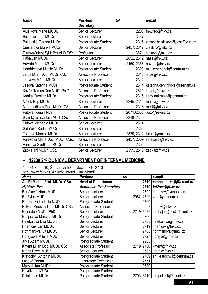| <b>Name</b>                             | <b>Position</b>            | tel.       | e-mail                                   |
|-----------------------------------------|----------------------------|------------|------------------------------------------|
|                                         | <b>Secretary</b>           |            |                                          |
| Alušíková Marie MUDr.                   | Senior Lecturer            |            | 2200   fnkvred@fnkv.cz                   |
| Bělinová Jana MUDr.                     | Senior Lecturer            | 3437       |                                          |
| Bukovská Zuzana MUDr.                   | Postgraduate Student       |            | 2315   zuzana.bezdekova@post.lf3.cuni.cz |
| Cieslarová Blanka MUDr.                 | Senior Lecturer            | 2457, 2317 | cieslaro@fnkv.cz                         |
| Dusilová-Sulková Sylvie Prof.MUDr.DrSc. | Professor                  | 3671       | sulkova@fnkv.cz                          |
| Háša Jan MUDr.                          | Senior Lecturer            |            | 2852, 2612   hasa@fnkv.cz                |
| Havrda Martin MUDr.                     | Senior Lecturer            |            | 2460, 2358   havrda@fnkv.cz              |
| Hendrichová Miluše MUDr.                | Postgraduate Student       |            | 2399   milusehendrich@centrum.cz         |
| Jaroš Milan Doc. MUDr. CSc.             | <b>Associate Professor</b> |            | 2318   jaros@fnkv.cz                     |
| Jíravová Mária MUDr.                    | Senior Lecturer            | 2312       |                                          |
| Jirsová Kateřina MUDr.                  | Postgraduate Student       | 2314       | katerina.cervinkova@seznam.cz            |
| Kozák Tomáš Doc. MUDr. Ph.D.            | Associate Professor        | 2821       | kozak@fnkv.cz                            |
| Krátká Karolina MUDr.                   | Postgraduate Student       | 2315       | karolinakratka@seznam.cz                 |
| Málek Filip MUDr.                       | Senior Lecturer            |            | 2245, 2312   malek@fnkv.cz               |
| Mertl Ladislav Doc. MUDr. CSc.          | <b>Associate Professor</b> |            | 2318   mertl@fnkv.cz                     |
| Půtová Ivana RNDr.                      | Postgraduate Student       |            | 267102650   puto@revma.cz                |
| Stránský Jaroslav Doc. MUDr. CSc.       | Associate Professor        | 2318, 2359 |                                          |
| Striová Michaela MUDr.                  | Senior Lecturer            | 2314       |                                          |
| Šafářová Radka MUDr.                    | Senior Lecturer            | 2356       |                                          |
| Tóthová Monika MUDr.                    | Senior Lecturer            |            | 2329, 2312   tutoth@email.cz             |
| Valešová Marie Doc. MUDr. CSc.          | Associate Professor        |            | 2457, 2359   valesova@fnkv.cz            |
| Vaňková Světlana. MUDr.                 | Senior Lecturer            | 2356       |                                          |
| Žabka Jiří MUDr. CSc.                   | <b>Senior Lecturer</b>     |            | 2399, 2318   zabka@fnkv.cz               |

# • **12230 2ND CLINICAL DEPARTMENT OF INTERNAL MEDICINE**

100 34 Praha 10, Šrobárova 50, tel./fax: 26716 2710 http://www.fnkv.cz/kliniky/2\_interni\_klinika/html/

| <b>Name</b>                     | <b>Position</b>                 | tel.       | e-mail                             |
|---------------------------------|---------------------------------|------------|------------------------------------|
| Anděl Michal Prof. MUDr. CSc.   | <b>Head of Department</b>       | 2710       | michal.andel@lf3.cuni.cz           |
| Hýblová Eva                     | <b>Administrative Secretary</b> |            | 2710   int2sec@fnkv.cz             |
| Bartáková Hana MUDr.            | <b>Senior Lecturer</b>          | 2702       | bartakov@yahoo.com                 |
| Brož Jan MUDr.                  | <b>Senior Lecturer</b>          |            | 2982, 2709 zorb@seznam.cz          |
| Brunerová Ludmila MUDr.         | Postgraduate Student            | 2760       |                                    |
| Bulvas Miroslav Doc. MUDr. CSc. | <b>Associate Professor</b>      | 2668       | mbulv@fnkv.cz                      |
| Hajer Jan MUDr. PhD.            | Senior Lecturer                 | 2719, 3680 | jan.hajer@post.lf3.cuni.cz         |
| Hašpicová Marcela MUDr.         | Postgraduate Student            | 2760       |                                    |
| Helekalová Eva MUDr.            | Senior Lecturer                 | 2703       | helekalova@fnkv.cz                 |
| Hnaníček Jan MUDr.              | Senior Lecturer                 | 2719       | hnanicek@fnkv.cz                   |
| Hoffmanová Iva MUDr.            | Senior Lecturer                 | 2703       | hoffmanova@fnkv.cz                 |
| Hořejšová Milena MUDr.          | <b>Senior Lecturer</b>          | 2727       | horejso@fnkv.cz                    |
| Jirka Adam MUDr.                | Postgraduate Student            | 2983       |                                    |
| Kment Milan Doc. MUDr. CSc.     | Associate Professor             | 2719, 2706 | kment@fnkv.cz                      |
| Kraml Pavel MUDr.               | <b>Senior Lecturer</b>          | 3683       | kraml@fnkv.cz                      |
| Kratochvíl Antonín MUDr.        | Postgraduate Student            | 2709       | ant.kratochvil@centrum.cz          |
| Losová Zdena                    | Laboratory Technician           | 2751       |                                    |
| Matouš Jan MUDr.                | Postgraduate Student            | 3680       |                                    |
| Novák Jan MUDr.                 | Postgraduate Student            |            |                                    |
| Polák Jan MUDr.                 | Postgraduate Student            |            | 2703, 3419   jan.polak@lf3.cuni.cz |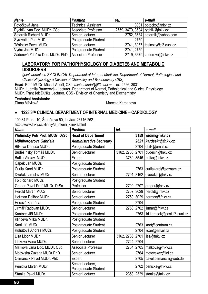| <b>Name</b>                                         | <b>Position</b>            | tel.                               | e-mail                            |
|-----------------------------------------------------|----------------------------|------------------------------------|-----------------------------------|
| Potočková Jana                                      | <b>Technical Assistant</b> |                                    | 3031   potocko@fnkv.cz            |
| Rychlík Ivan Doc. MUDr. CSc.                        | <b>Associate Professor</b> | 2759, 3479, 3684   rychlik@fnkv.cz |                                   |
| Sotorník Richard MUDr.                              | Senior Lecturer            |                                    | 2752, 3684   sotornik@yahoo.com   |
| Syrovátka Petr MUDr.                                | Postgraduate Student       | 2759                               |                                   |
| Těšínský Pavel MUDr.                                | Senior Lecturer            |                                    | $2741, 3057$ tesinsky@lf3.cuni.cz |
| Vydra Jan MUDr.                                     | Postgraduate Student       | 2741, 2759                         |                                   |
| Zádorová Zdeňka Doc. MUDr. PhD. Associate Professor |                            |                                    | 2719, 3679 $zadorova@fnkv.cz$     |

#### **LABORATORY FOR PATHOPHYSIOLOGY OF DIABETES AND METABOLIC DISORDERS**

*(joint workplace 2nd CLINICAL Department of Internal Medicine, Department of Normal, Pathological and Clinical Physiology a Division of Chemistry and Biochemistry CBS)* 

**Head**: Prof. MUDr. Michal Anděl, CSc. *michal.andel@lf3.cuni.cz* – ext.2526, 3031 MUDr. Ludmila Brunerová - Lecturer, Department of Normal, Pathological and Clinical Physiology MUDr. František Duška Lecturer, CBS - Division of Chemistry and Biochemistry

**Technical Assistants:** 

Diana Mžyková **Marcela Karbanová** Marcela Karbanová

#### • **1223 3RD CLINICAL DEPARTMENT OF INTERNAL MEDICINE – CARDIOLOGY**

100 34 Praha 10, Šrobárova 50, tel./fax: 26716 2621 http://www.fnkv.cz/kliniky/3\_interni\_klinika/html

| <b>Name</b>                     | <b>Position</b>                          | tel.                            | e-mail                               |
|---------------------------------|------------------------------------------|---------------------------------|--------------------------------------|
| Widimský Petr Prof. MUDr. DrSc. | <b>Head of Department</b>                |                                 | 3159   widim@fnkv.cz                 |
| Mühlbergerová Gabriela          | <b>Administrative Secretary</b>          |                                 | 2621   kardsekr@fnkv.cz              |
| Bílková Danuše MUDr.            | Postgraduate Student                     | 2704                            | dbilk@email.cz                       |
| Buděšínský Tomáš MUDr.          | Senior Lecturer                          | 3162, 2766, 2701                | budesin@fnkv.cz                      |
| Bufka Václav, MUDr.             | Expert                                   |                                 | 3760, 3546 bufka@fnkv.cz             |
| Čapek Jan MUDr.                 | Postgraduate Student                     |                                 |                                      |
| Čurila Karol MUDr.              | Postgraduate Student                     | 2763                            | curilakarol@seznam.cz                |
| Dvořák Jaroslav MUDr.           | Senior Lecturer                          | 2701, 3162                      | dvorakja@fnkv.cz                     |
| Fojt Richard MUDr.              | Postgraduate Student                     |                                 |                                      |
| Gregor Pavel Prof. MUDr. DrSc.  | Professor                                |                                 | 2700, 2707   gregor@fnkv.cz          |
| Herold Martin MUDr.             | Senior Lecturer                          |                                 | 2757, 3029   herold@fnkv.cz          |
| Heřman Dalibor MUDr.            | Senior Lecturer                          |                                 | 2750, 3029   herman@fnkv.cz          |
| Hesová Kateřina                 | Postgraduate Student                     | 2704                            |                                      |
| Jirmář Radovan MUDr.            | Senior Lecturer                          |                                 | 2750, 2762   jirmar@fnkv.cz          |
| Karásek Jiří MUDr.              | Postgraduate Student                     |                                 | 2763   jiri.karasek@post.lf3.cuni.cz |
| Klinčeva Milka MUDr.            | Postgraduate Student                     |                                 |                                      |
| Knot Jiří, MUDr.                | Postgraduate Student                     | 2763                            | knot@centrum.cz                      |
| Kohutová Andrea MUDr.           | Postgraduate Student                     |                                 | 2704   koan@email.cz                 |
| Lisa Libor MUDr.                | Senior Lecturer                          | 3162, 2766, 2701   lisa@fnkv.cz |                                      |
| Línková Hana MUDr.              | Senior Lecturer                          | 2724, 2704                      |                                      |
| Málková Jana Doc. MUDr. CSc.    | Associate Professor                      |                                 | 2704, 2705   malkova@fnkv.cz         |
| Moťovská Zuzana MUDr.PhD.       | <b>Senior Lecturer</b>                   | 2764                            | motovskaz@iol.cz                     |
| Osmančík Pavel MUDr. PhD.       | Expert                                   | 2705                            | pavel.osmancik@web.de                |
| Pěnička Martin MUDr.            | Senior Lecturer,<br>Postgraduate Student | 2762                            | penicka@fnkv.cz                      |
| Stanka Pavel MUDr.              | Senior Lecturer                          |                                 | 2353, 2329   stanka@fnkv.cz          |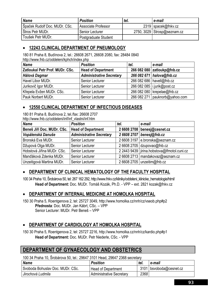| <b>Name</b>                   | <b>Position</b>      | tel. | e-mail                      |
|-------------------------------|----------------------|------|-----------------------------|
| Špaček Rudolf Doc. MUDr. CSc. | Associate Professor  |      | 2319 spacek@fnkv.cz         |
| Štros Petr MUDr.              | Senior Lecturer      |      | 2750, 3029 Strosp@seznam.cz |
| Toušek Petr MUDr.             | Postgraduate Student |      |                             |

#### • **12243 CLINICAL DEPARTMENT OF PNEUMOLOGY**

180 81 Praha 8, Budínova 2, tel.: 26608 2671, 26608 2080, fax: 28484 0840 http://www.fnb.cz/oddeleni/kphch/index.php

| <b>Name</b>                            | <b>Position</b>                 | tel. | e-mail                           |
|----------------------------------------|---------------------------------|------|----------------------------------|
| <b>Zatloukal Petr Prof. MUDr. CSc.</b> | <b>Head of Department</b>       |      | 266 082 080 zatioukp@fnb.cz      |
| <b>Hálová Dagmar</b>                   | <b>Administrative Secretary</b> |      | 266 082 671 halova@fnb.cz        |
| Havel Libor MUDr.                      | Senior Lecturer                 |      | 266 082 686   havell@fnb.cz      |
| Jurikovič Igor MUDr.                   | Senior Lecturer                 |      | 266 082 085   i.jurik@post.cz    |
| Křepela Evžen MUDr. CSc.               | Senior Lecturer                 |      | 266 082 080   krepelae@fnb.cz    |
| <b>Pauk Norbert MUDr.</b>              | Senior Lecturer                 |      | 266 082 271   pauknorb@yahoo.com |

#### • **12550 CLINICAL DEPARTMENT OF INFECTIOUS DISEASES**

180 81 Praha 8, Budínova 2, tel./fax: 26608 2707 http://www.fnb.cz/oddeleni/inf/inf\_vlastni/inf.htm

| <b>Name</b>                | <b>Position</b>                 | tel. | e-mail                                        |
|----------------------------|---------------------------------|------|-----------------------------------------------|
| Beneš Jiří Doc. MUDr. CSc. | <b>Head of Department</b>       |      | 2 6608 2708   benesj@cesnet.cz                |
| Vopálenská Danuše          | <b>Administrative Secretary</b> |      | 2 6608 2707 benesj@fnb.cz                     |
| Bronská Eva MUDr.          | Senior Lecturer                 |      | 26608 3197   e.bronska@seznam.cz              |
| Džupová Olga MUDr.         | Senior Lecturer                 |      | 2 6608 2705 dzupovao@fnb.cz                   |
| Hobstová Jiřina MUDr. CSc. | Senior Lecturer                 |      | 2 2443 9439   jirina.hobstova@lfmotol.cuni.cz |
| Manďáková Zdenka MUDr.     | Senior Lecturer                 |      | 2 6608 2713   mandakovaz@seznam.cz            |
| Unzeitigová Martina MUDr.  | Senior Lecturer                 |      | 2 6608 2705   unzeitim@fnb.cz                 |

#### • **DEPARTMENT OF CLINICAL HEMATOLOGY OF THE FACULTY HOSPITAL**

100 34 Praha 10, Šrobárova 50, tel: 267 162 292, http://www.fnkv.cz/kliniky/oddeleni\_klinicke\_hematologie/html/ **Head of Department:** Doc. MUDr. Tomáš Kozák, Ph.D. - VPP – ext. 2821 kozak@fnkv.cz

#### • **DEPARTMENT OF INTERNAL MEDICINE AT HOMOLKA HOSPITAL**

150 30 Praha 5, Roentgenova 2, tel: 25727 3049, http://www.homolka.cz/nnh/cz/vseob.php#p2 **Přednosta**: Doc. MUDr. Jan Kábrt, CSc. – VPP Senior Lecturer: MUDr. Petr Beneš – VPP

# • **DEPARTMENT OF CARDIOLOGY AT HOMOLKA HOSPITAL**

150 30 Praha 5, Roentgenova 2, tel: 25727 2216, http://www.homolka.cz/nnh/cz/kardio.php#p1 **Head of Department:** Doc. MUDr. Petr Niederle, CSc. - VPP

# **DEPARTMENT OF GYNAECOLOGY AND OBSTETRICS**

100 34 Praha 10, Šrobárova 50, tel.: 29647 3101 Head, 29647 2368 secretary

| <b>Name</b>                      | <b>Position</b>                 | tel. | e-mail                    |
|----------------------------------|---------------------------------|------|---------------------------|
| Svoboda Bohuslav Doc. MUDr. CSc. | <b>Head of Department</b>       |      | $3101$ bsvoboda@cesnet.cz |
| Jirochová Ludmila                | <b>Administrative Secretary</b> | 2368 |                           |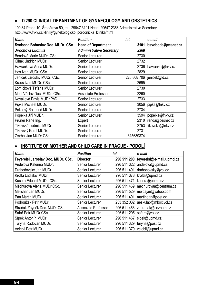#### • **12290 CLINICAL DEPARTMENT OF GYNAECOLOGY AND OBSTETRICS**

100 34 Praha 10, Šrobárova 50, tel.: 29647 3101 Head, 29647 2368 Administrative Secretary http://www.fnkv.cz/kliniky/gynekologicko\_porodnicka\_klinika/html

| <b>Name</b>                      | <b>Position</b>                 | tel.      | e-mail                      |
|----------------------------------|---------------------------------|-----------|-----------------------------|
| Svoboda Bohuslav Doc. MUDr. CSc. | <b>Head of Department</b>       | 3101      | bsvoboda@cesnet.cz          |
| Jirochová Ludmila                | <b>Administrative Secretary</b> | 2368      |                             |
| Bendová Marie MUDr. CSc.         | Senior Lecturer                 | 2730      |                             |
| Čihák Jindřich MUDr.             | Senior Lecturer                 | 2732      |                             |
| Havránková Anna MUDr.            | Senior Lecturer                 |           | 2736   havranko@fnkv.cz     |
| Hes Ivan MUDr. CSc.              | Senior Lecturer                 | 2829      |                             |
| Jeníček Jaroslav MUDr. CSc.      | Senior Lecturer                 |           | 220 808 706   jenicek@ld.cz |
| Kraus Ivan MUDr. CSc.            | Senior Lecturer                 | 2695      |                             |
| Lomíčková Taťána MUDr.           | Senior Lecturer                 | 2730      |                             |
| Mottl Václav Doc. MUDr. CSc.     | Associate Professor             | 2260      |                             |
| Nováková Pavla MUDr.PhD.         | Senior Lecturer                 | 2733      |                             |
| Pipka Michael MUDr.              | Senior Lecturer                 |           | 3056   pipka@fnkv.cz        |
| Pokorný Rajmund MUDr.            | Senior Lecturer                 | 2734      |                             |
| Popelka Jiří MUDr.               | Senior Lecturer                 | 3594      | popelka@fnkv.cz             |
| Pruner René Ing.                 | Expert                          |           | 2310   renda@cesnet.cz      |
| Tikovská Ludmila MUDr.           | Senior Lecturer                 |           | 2753   tikovska@fnkv.cz     |
| Tikovský Karel MUDr.             | Senior Lecturer                 | 2731      |                             |
| Zmrhal Jan MUDr.CSc.             | Senior Lecturer                 | 315639374 |                             |

#### • **INSTITUTE OF MOTHER AND CHILD CARE IN PRAGUE - PODOLÍ**

| <b>Name</b>                        | <b>Position</b>            | tel.        | e-mail                                 |
|------------------------------------|----------------------------|-------------|----------------------------------------|
| Feyereisl Jaroslav Doc. MUDr. CSc. | <b>Director</b>            |             | 296 511 200   feyereisl@e-mail.upmd.cz |
| Andělová Kateřina MUDr.            | Senior Lecturer            | 296 511 322 | andelova@upmd.cz                       |
| Drahoňovský Jan MUDr.              | Senior Lecturer            | 296 511 491 | drahonovsky@vol.cz                     |
| Krofta Ladislav MUDr.              | Senior Lecturer            | 296 511 378 | krofta@upmd.cz                         |
| Kučera Eduard MUDr. CSc.           | Senior Lecturer            | 296 511 471 | kucera@upmd.cz                         |
| Měchurová Alena MUDr.CSc.          | Senior Lecturer            | 296 511 469 | mechurovaa@centrum.cz                  |
| Melichar Jan MUDr.                 | Senior Lecturer            | 296 511 529 | meldajan@yahoo.com                     |
| Pán Martin MUDr.                   | Senior Lecturer            | 296 511 491 | martinpan@post.cz                      |
| Podroužek Petr MUDr.               | Senior Lecturer            | 233 352 032 | aeskulab@mbox.vol.cz                   |
| Straňák Zbyněk Doc. MUDr.CSc.      | <b>Associate Professor</b> |             | 296 511 466   z.stranak@seznam.cz      |
| Šafář Petr MUDr.CSc.               | Senior Lecturer            | 296 511 205 | safarp@vol.cz                          |
| Šípek Antonín MUDr.                | Senior Lecturer            | 296 511 467 | sipek@upmd.cz                          |
| Turyna Radovan MUDr.               | Senior Lecturer            | 296 511 329 | turyna@post.cz                         |
| Velebil Petr MUDr.                 | Senior Lecturer            | 296 511 379 | velebil@upmd.cz                        |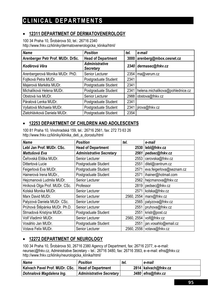# **CLINICAL DEPARTMENTS**

### • **12311 DEPARTMENT OF DERMATOVENEROLOGY**

100 34 Praha 10, Šrobárova 50, tel.: 26716 2340 http://www.fnkv.cz/kliniky/dermatovenerologicka\_klinika/html/

| <b>Name</b>                       | <b>Position</b>                           | tel. | e-mail                           |
|-----------------------------------|-------------------------------------------|------|----------------------------------|
| Arenberger Petr Prof. MUDr. DrSc. | <b>Head of Department</b>                 | 3000 | arenberg@mbox.cesnet.cz          |
| Koděrová Věra                     | <b>Administrative</b><br><b>Secretary</b> | 2340 | dermasec@fnkv.cz                 |
| Arenbergerová Monika MUDr. PhD.   | Senior Lecturer                           | 2354 | ma@verum.cz                      |
| Fojtková Petra MUDr.              | Postgraduate Student                      | 2341 |                                  |
| Majerová Markéta MUDr.            | Postgraduate Student                      | 2341 |                                  |
| Michalíková Helena MUDr.          | Postgraduate Student                      | 2341 | helena.michalikova@pohlednice.cz |
| Obstová Iva MUDr.                 | Senior Lecturer                           | 2988 | obstova@fnkv.cz                  |
| Páralová Lenka MUDr.              | Postgraduate Student                      | 2341 |                                  |
| Vyšatová Michaela MUDr.           | Postgraduate Student                      | 2341 | irova@fnkv.cz                    |
| Zlatohlávková Daniela MUDr.       | Postgraduate Student                      | 2354 |                                  |

#### • **12253 DEPARTMENT OF CHILDREN AND ADOLESCENTS**

100 81 Praha 10, Vinohradská 159, tel.: 26716 2561, fax: 272 73 63 26 http://www.fnkv.cz/kliniky/klinika\_deti\_a\_dorostu/html

| <b>Name</b>                   | <b>Position</b>                 | tel.       | e-mail                   |
|-------------------------------|---------------------------------|------------|--------------------------|
| Lebl Jan Prof. MUDr. CSc.     | <b>Head of Department</b>       | 2530       | lebl@fnkv.cz             |
| Mattušová Eva                 | <b>Administrative Secretary</b> | 2561       | pedsec@fnkv.cz           |
| Čeřovská Eliška MUDr.         | Senior Lecturer                 | 2553       | cerovska@fnkv.cz         |
| Dittertová Lucie              | Postgraduate Student            | 2551       | ditel@centrum.cz         |
| Feigerlová Eva MUDr.          | Postgraduate Student            | 2571       | eva.feigerlova@seznam.cz |
| Hainerová Irena MUDr.,        | Postgraduate Student            | 2571       | ihainer@hotmail.com      |
| Hejcmanová Ludmila MUDr.      | Senior Lecturer                 | 2562       | hejcmanova@fnkv.cz       |
| Hníková Olga Prof. MUDr. CSc. | Professor                       | 2819       | pedsec@fnkv.cz           |
| Kolská Monika MUDr.           | Senior Lecturer                 | 2571       | kolska@fnkv.cz           |
| Marx David MUDr.              | Senior Lecturer                 | 2560, 2554 | marx@fnkv.cz             |
| Palyzová Daniela MUDr. CSc.   | <b>Senior Lecturer</b>          | 2565       | palyzova@fnkv.cz         |
| Průhová Štěpánka MUDr. Ph.D.  | Senior Lecturer                 | 2551       | pruhova@fnkv.cz          |
| Strnadová Kristýna MUDr.      | Postgraduate Student            | 2551       | kristr@post.cz           |
| Volf Vladimír MUDr.           | Senior Lecturer                 | 2560, 2554 | volf@fnkv.cz             |
| Vosáhlo Jan MUDr.             | Postgraduate Student            | 2551       | jan.vosahlo@email.cz     |
| Votava Felix MUDr.            | Senior Lecturer                 | 2560, 2556 | votava@fnkv.cz           |

#### • **12272 DEPARTMENT OF NEUROLOGY**

100 34 Praha 10, Šrobárova 50, 26716 2380 Agency of Department, fax: 26716 2377, e–e-mail: neursec@fnkv.cz, Administrative Secretary – tel.: 26716 3480, fax: 26716 3563, e–e-mail: efns@fnkv.cz http://www.fnkv.cz/kliniky/neurologicka\_klinika/html/

| <b>Name</b>                                         | <b>Position</b>                 | tel. | e-mail               |
|-----------------------------------------------------|---------------------------------|------|----------------------|
| Kalvach Pavel Prof. MUDr. CSc.   Head of Department |                                 |      | 2814 kalvach@fnkv.cz |
| Dohnalová Magdalena Ing.                            | <b>Administrative Secretary</b> |      | $3480$ efns@fnkv.cz  |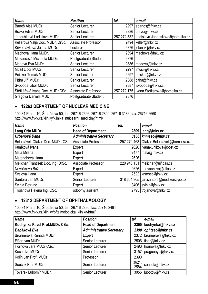| <b>Name</b>                      | <b>Position</b>        | tel.        | e-mail                                    |
|----------------------------------|------------------------|-------------|-------------------------------------------|
| Bartoš Aleš MUDr.                | Senior Lecturer        | 2297        | abartos@fnkv.cz                           |
| Bravo Edina MUDr.                | Senior Lecturer        |             | 2386   bravo@fnkv.cz                      |
| Janoušková Ladislava MUDr.       | Senior Lecturer        | 257 272 532 | Ladislava.Janouskova@homolka.cz           |
| Kellerová Valja Doc. MUDr. DrSc. | Associate Professor    |             | 2494 keller@fnkv.cz                       |
| Křivohlávková Jolana MUDr.       | Lecturer               |             | 2376   jolanak@fnkv.cz                    |
| Machová Hana MUDr.               | Senior Lecturer        |             | 2394   machova@fnkv.cz                    |
| Mazancová Michaela MUDr.         | Postgraduate Student   | 2376        |                                           |
| Medová Eva MUDr.                 | Senior Lecturer        | 2386        | medova@fnkv.cz                            |
| Musil Libor MUDr.                | Senior Lecturer        | 2297        | lmusil@fnkv.cz                            |
| Peisker Tomáš MUDr.              | Senior Lecturer        | 2297        | peisker@fnkv.cz                           |
| Piťha Jiří MUDr.                 | <b>Senior Lecturer</b> | 2388        | pitha@fnkv.cz                             |
| Svoboda Libor MUDr.              | Senior Lecturer        | 2387        | Isvoboda@fnkv.cz                          |
| Štětkářová Ivana Doc. MUDr.CSc.  | Associate Professor    |             | 257 272 175   Ivana.Stetkarova@homolka.cz |
| Gregová Daniela MUDr.            | Postgraduate Student   | 2376        |                                           |

# • **12263 DEPARTMENT OF NUCLEAR MEDICINE**

100 34 Praha 10, Šrobárova 50, tel.: 26716 2626, 26716 2809, 26716 3186, fax: 26716 2660 http://www.fnkv.cz/kliniky/klinika\_nuklearni\_mediciny/html/

| <b>Name</b>                        | <b>Position</b>                 | tel.        | e-mail                                      |
|------------------------------------|---------------------------------|-------------|---------------------------------------------|
| Lang Otto MUDr.                    | <b>Head of Department</b>       | 2809        | lang@fnkv.cz                                |
| Urbanová Dana                      | <b>Administrative Secretary</b> |             | 3186 knmsec@fnkv.cz                         |
| Bělohlávek Otakar Doc. MUDr. CSc.  | Associate Professor             |             | 257 272 463   Otakar. Belohlavek@homolka.cz |
| Kuníková Ivana                     | Expert                          |             | 2626   ivanakunikova@post.cz                |
| Malá Milena                        | Expert                          | 2477        | $ $ mala@fnkv.cz                            |
| Matonohová Hana                    | Expert                          | 2626        |                                             |
| Melichar František Doc. ing. DrSc. | Associate Professor             | 220 940 151 | melichar@ujf.cas.cz                         |
| Nováčková Božena                   | Expert                          |             | 2626   bnovackova@atlas.cz                  |
| Syslová Hana                       | Expert                          | 2522        | knmsec@fnkv.cz                              |
| Šantora Jan MUDr.                  | Senior Lecturer                 |             | 318 654 305   jan.santora@medizunz-pb.cz    |
| Švihla Petr Ing.                   | Expert                          |             | 3406   svihla@fnkv.cz                       |
| Trojanová Helena Ing. CSc.         | odborný asistent                |             | 2795   trojanova@fnkv.cz                    |

#### • **12312 DEPARTMENT OF OPHTHALMOLOGY**

100 34 Praha 10, Šrobárova 50, tel.: 26716 2390, fax: 26716 2491 http://www.fnkv.cz/kliniky/oftalmologicka\_klinika/html/

| <b>Name</b>                    | <b>Position</b>                 | tel.          | e-mail                    |
|--------------------------------|---------------------------------|---------------|---------------------------|
| Kuchynka Pavel Prof.MUDr. CSc. | <b>Head of Department</b>       |               | 2390 kuchynka@fnkv.cz     |
| Babáková Eva                   | <b>Administrative Secretary</b> | 2390          | ophtsec@fnkv.cz           |
| Brunnerová Renata MUDr.        | Expert                          |               | 2372   brunnerova@fnkv.cz |
| Fišer Ivan MUDr.               | Senior Lecturer                 |               | 2506   fiser@fnkv.cz      |
| Hornová Jara MUDr.CSc.         | Senior Lecturer                 | 2493          | hornova@fnkv.cz           |
| Kocur Ivo MUDr.                | Senior Lecturer                 | 3157          | pragueeye@fnkv.cz         |
| Kolín Jan Prof. MUDr.          | Professor                       | 2390          |                           |
| Souček Petr MUDr.              | Senior Lecturer                 | 3621,<br>2584 | soucek@fnkv.cz            |
| Továrek Lubomír MUDr.          | Senior Lecturer                 |               | 3055   lubotov@fnkv.cz    |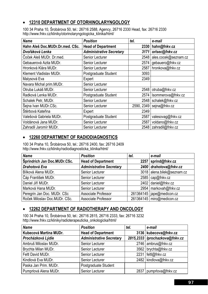#### • **12310 DEPARTMENT OF OTORHINOLARYNGOLOGY**

100 34 Praha 10, Šrobárova 50, tel.: 26716 2588, Agency, 26716 2330 Head, fax: 26716 2330 http://www.fnkv.cz/kliniky/otorinolaryngologicka\_klinika/html/

| <b>Name</b>                     | <b>Position</b>                 | tel. | e-mail                     |
|---------------------------------|---------------------------------|------|----------------------------|
| Hahn Aleš Doc.MUDr.Dr.med. CSc. | <b>Head of Department</b>       | 2330 | hahn@fnkv.cz               |
| Dvořáková Lenka                 | <b>Administrative Secretary</b> | 3171 | orlsec@fnkv.cz             |
| Čoček Aleš MUDr. Dr.med.        | <b>Senior Lecturer</b>          | 2548 | ales.cocek@seznam.cz       |
| Gebauerová Azita MUDr.          | Senior Lecturer                 |      | 2574 gebauero@fnkv.cz      |
| Hronková Klára MUDr.            | <b>Senior Lecturer</b>          | 2587 | hronkova@fnkv.cz           |
| Klement Vladislav MUDr.         | Postgraduate Student            | 3093 |                            |
| Malysová Eva                    | Expert                          | 2349 |                            |
| Navara Michal prim.MUDr.        | Senior Lecturer                 |      |                            |
| Otruba Lukáš MUDr.              | Senior Lecturer                 | 2548 | otruba@fnkv.cz             |
| Radková Lenka MUDr.             | Postgraduate Student            |      | 2574   Isommerova@fnkv.cz  |
| Schalek Petr, MUDr.             | Senior Lecturer                 | 2548 | schalek@fnkv.cz            |
| Šejna Ivan MUDr.CSc.            | Senior Lecturer                 |      | 2590, 2349   sejna@fnkv.cz |
| Štěrbová Kateřina               | Expert                          | 2349 |                            |
| Valešová Gabriela MUDr.         | Postgraduate Student            | 2587 | valesovag@fnkv.cz          |
| Voldánová Jana MUDr.            | Senior Lecturer                 | 2587 | voldano@fnkv.cz            |
| Zahradil Jaromír MUDr.          | Senior Lecturer                 |      | 2548 zahradil@fnkv.cz      |

#### • **12260 DEPARTMENT OF RADIODIAGNOSTICS**

100 34 Praha 10, Šrobárova 50, tel.: 26716 2400, fax: 26716 2409 http://www.fnkv.cz/kliniky/radiodiagnosticka\_klinika/html/

| <b>Name</b>                   | <b>Position</b>                 | tel. | e-mail                      |
|-------------------------------|---------------------------------|------|-----------------------------|
| Šprindrich Jan Doc.MUDr.CSc.  | <b>Head of Department</b>       |      | 2257   sprind@fnkv.cz       |
| Drahotová Eva                 | <b>Administrative Secretary</b> |      | 2400 drahotova@fnkv.cz      |
| Bílková Alena MUDr.           | Senior Lecturer                 |      | 3018 alena.bilek@seznam.cz  |
| Čáp František MUDr.           | Senior Lecturer                 |      | $2585$ $cap@fnkv.cz$        |
| Daniel Jiří MUDr.             | Senior Lecturer                 |      | 2402 daniel@fnkv.cz         |
| Marková Hana MUDr.            | Senior Lecturer                 |      | 2954   markovah@fnkv.cz     |
| Peregrin Jan Doc. MUDr. CSc   | Associate Professor             |      | 261364145   jape@medicon.cz |
| Roček Miloslav Doc.MUDr. CSc. | Associate Professor             |      | 261364145   miro@medicon.cz |

#### • **12262 DEPARTMENT OF RADIOTHERAPY AND ONCOLOGY**

100 34 Praha 10, Šrobárova 50, tel.: 26716 2815, 26716 2333, fax: 26716 3232 http://www.fnkv.cz/kliniky/radioterapeuticka\_onkologicka/html/

| <b>Name</b>            | <b>Position</b>                 | tel. | e-mail                           |
|------------------------|---------------------------------|------|----------------------------------|
| Kubecová Martina MUDr. | <b>Head of Department</b>       |      | 3136 kubecova@fnkv.cz            |
| Procházková Lýdie      | <b>Administrative Secretary</b> |      | 2815,2333   Iprochazkova@fnkv.cz |
| Ambruš Miloslav MUDr.  | Senior Lecturer                 |      | 2746   ambrus@fnkv.cz            |
| Brychta Milan MUDr.    | Senior Lecturer                 |      | 3562 brychta@fnkv.cz             |
| Feltl David MUDr.      | Senior Lecturer                 |      | 2231 feltl@fnkv.cz               |
| Kindlová Eva MUDr.     | Senior Lecturer                 |      | 2482   kindlova@fnkv.cz          |
| Paska Jan Prim. MUDr.  | Postgraduate Student            |      |                                  |
| Pumprlová Alena MUDr.  | Senior Lecturer                 |      | 2837   pumprlova@fnkv.cz         |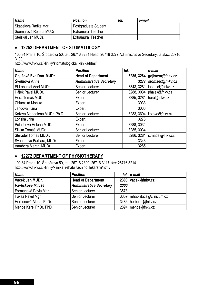| <b>Name</b>            | <b>Position</b>           | tel. | e-mail |
|------------------------|---------------------------|------|--------|
| Skácelová Radka Mgr.   | Postgraduate Student      |      |        |
| Soumarová Renata MUDr. | <b>Extramural Teacher</b> |      |        |
| Steiskal Jan MUDr.     | <b>Extramural Teacher</b> |      |        |

#### • **12252 DEPARTMENT OF STOMATOLOGY**

100 34 Praha 10, Šrobárova 50, tel.: 26716 3284 Head, 26716 3277 Administrative Secretary, tel./fax: 26716 3109

http://www.fnkv.cz/kliniky/stomatologicka\_klinika/html/

| <b>Name</b>                  | <b>Position</b>                 | tel.       | e-mail           |
|------------------------------|---------------------------------|------------|------------------|
| Gojišová Eva Doc. MUDr.      | <b>Head of Department</b>       | 3285, 3284 | gojisova@fnkv.cz |
| Švehlová Anna                | <b>Administrative Secretary</b> | 3277       | stomsec@fnkv.cz  |
| El-Lababidi Adel MUDr.       | Senior Lecturer                 | 3343, 3281 | lababidi@fnkv.cz |
| Hájek Pavel MUDr.            | Senior Lecturer                 | 3288, 3034 | phajek@fnkv.cz   |
| Hora Tomáš MUDr.             | Expert                          | 3285, 3281 | hora@fnkv.cz     |
| Chlumská Monika              | Expert                          | 3033       |                  |
| Jandová Hana                 | Expert                          | 3033       |                  |
| Koťová Magdalena MUDr. Ph.D. | Senior Lecturer                 | 3283, 3604 | kotova@fnkv.cz   |
| Lonská Jitka                 | Expert                          | 3276       |                  |
| Polachová Helena MUDr.       | Expert                          | 3288, 3034 |                  |
| Slivka Tomáš MUDr.           | Senior Lecturer                 | 3285, 3034 |                  |
| Strnadel Tomáš MUDr.         | Senior Lecturer                 | 3286, 3281 | strnadel@fnkv.cz |
| Svobodová Barbara, MUDr.     | Expert                          | 3343       |                  |
| Vambera Martin, MUDr.        | Expert                          | 3285       |                  |

#### • **12272 DEPARTMENT OF PHYSIOTHERAPY**

100 34 Praha 10, Šrobárova 50, tel.: 26716 2300, 26716 3117, fax: 26716 3214 http://www.fnkv.cz/kliniky/klinika\_rehabilitacniho\_lekarstvi/html/

| <b>Name</b>            | <b>Position</b>                 |      | tel. e-mail                     |
|------------------------|---------------------------------|------|---------------------------------|
| Vacek Jan MUDr.        | <b>Head of Department</b>       |      | 2300 vacek@fnkv.cz              |
| Pavlíčková Miluše      | <b>Administrative Secretary</b> | 2300 |                                 |
| Formanová Pavla Mgr.   | Senior Lecturer                 | 3573 |                                 |
| Fuksa Pavel Mgr.       | Senior Lecturer                 |      | 3359   rehabilitace@clinicum.cz |
| Herbenová Alena, PhDr. | Senior Lecturer                 |      | 3486   herbeno@fnkv.cz          |
| Mende Karel PhDr. PhD. | Senior Lecturer                 |      | 2894   mende@fnkv.cz            |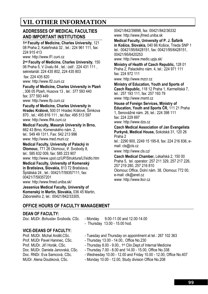# **VII. OTHER INFORMATION**

#### **ADDRESSES OF MEDICAL FACULTIES AND IMPORTANT INSTITUTIONS**

**1st Faculty of Medicine, Charles University**, 121 08 Praha 2, Kateřinská 32 , tel.: 224 961 111, fax: 224 915 413

www: http://www.lf1.cuni.cz

**2nd Faculty of Medicine, Charles University**, 150 06 Praha 5, V Úvalu 84 , tel.: ústř.: 224 431 111 , sekretariát: 224 435 802, 224 435 803

 fax: 224 435 820 www: http://www.lf2.cuni.cz

**Faculty of Medicine, Charles University in Plzeň** , 306 05 Plzeň, Husova 13 , tel.: 377 593 440 fax: 377 593 449 www: http://www.lfp.cuni.cz

**Faculty of Medicine, Charles University in Hradec Králové,** 500 01 Hradec Králové, Šimkova 870 , tel.: 495 816 111 , tel./fax: 495 513 597 www: http://www.lfhk.cuni.cz

**Medical Faculty, Masaryk University in Brno,**  662 43 Brno, Komenského nám. 2, tel.: 549 49 1311, Fax: 542 213 996 www: http://www.med.muni.cz

**Medical Faculty, University of Palacký in Olomouc**, 771 26 Olomouc, tř. Svobody 8, tel.: 585 632 009, fax: 585 223 907 www: http://www.upol.cz/UP/Struktura/Lf/sidlo.htm

**Medical Faculty, University of Komenský in Bratislava, Slovakia,** 813 72 Bratislava, Špitálská 24 , tel.: 00421/7/59357111, fax: 00421/7/59357201 www: http://www.fmed.uniba.sk/

**Jessenius Medical Faculty, University of Komenský in Martin, Slovakia,** 036 45 Martin, Záborského 2, tel.: 00421/842/33305,

00421/842/39898, fax: 00421/842/36332 www: http://www.jfmed.uniba.sk

**Medical Faculty, University of P. J. Šafárik in Košice, Slovakia,** 040 66 Košice, Trieda SNP 1 tel.: 00421/95/6428151, fax: 00421/95/6428151, 00421/95/6420253 www: http://www.medic.upjs.sk/

**Ministry of Health of Czech Republic,** 128 01 Praha 2, Palackého nám. 4, tel.: 224 971 111 fax: 224 972 111

www: http://www.mzcr.cz

**Ministry of Education, Youth and Sports of Czech Republic,** 118 12 Praha 1, Karmelitská 7, tel.: 257 193 111, fax: 257 193 79 www: http://www.msmt.cz

**House of Foreign Services, Ministry of Education, Youth and Sports ČR,** 111 21 Praha 1, Senovážné nám. 26, tel.: 224 398 111 fax: 224 229 697 www: http://www.dzs.cz

**Czech Medical Association of Jan Evangelista Purkyně, Medical House,** Sokolská 31, 120 26 Praha 2

tel.: 2290 900, 2249 15 195-8, fax: 224 216 836, email: cls@cls.cz

www: http://www.cls.cz/

**Czech Medical Chamber,** Lékařská 2, 150 00 Praha 5, tel. operator: 257 211 329, 257 217 226, 257 219 280, 257 216 810 Olomouc Office, Dolní nám. 38, Olomouc 772 00, e-mail: clk@anet.cz www: http://www.lkcr.cz

#### **OFFICE HOURS OF FACULTY MANAGEMENT**

#### **DEAN OF FACULTY:**

*Doc. MUDr. Bohuslav Svoboda, CSc.* - Monday 9.00-11.00 and 12.00-14.00

- Thursday 13.00 - 15.00 hod.

#### **VICE-DEANS OF FACULTY:**

- Prof. MUDr. Michal Anděl, CSc. Tuesday and Thursday on appointment at tel.: 267 102 363
- Prof. MUDr Pavel Haninec, CSc. Thursday 13.00 14.00., Office No.230
- Prof. MUDr. Jiří Horák, CSc. Thursday 8.00 9.00., 1<sup>st</sup> Clin.Dept.of Internal Medicine
- Doc. MUDr. Daniela Janovská, CSc. Thursday 7.00 8.00 and 14.00 15.00, Office No.338
- Doc. RNDr. Eva Samcová, CSc. Wednesday 10.00 12.00 and Friday 10.00 12.00, Office No.407
- MUDr. Alena Doubková, CSc. Monday 10.00 12.00, Study division Office No.208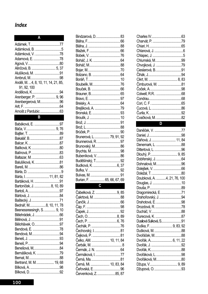# Index

| Adámková, B. 5                       |  |
|--------------------------------------|--|
| Adámková, V. 78                      |  |
|                                      |  |
|                                      |  |
| Alinčová, B.  5, 37                  |  |
| Alušíková, M. 91                     |  |
|                                      |  |
| Anděl, M.  4, 8, 10, 11, 14, 21, 85, |  |
| 91, 92, 100                          |  |
| Andělová, K94                        |  |
| Arenberger, P.  9, 96                |  |
| Arenbergerová, M96                   |  |
|                                      |  |
|                                      |  |

#### $\overline{B}$

| Babáková, E. 97            |  |
|----------------------------|--|
|                            |  |
|                            |  |
|                            |  |
|                            |  |
|                            |  |
|                            |  |
|                            |  |
| Balušíková, K. 81          |  |
|                            |  |
|                            |  |
| Bárta, I.  11, 81, 82      |  |
| Bartáková, H. 91           |  |
| Bartoníček, J.  8, 10, 89  |  |
|                            |  |
|                            |  |
|                            |  |
| Bednář, M8, 10, 11, 78     |  |
| Beenessreesingh, S.  9, 10 |  |
|                            |  |
| Bělinová, J……………………………91   |  |
| Bělohlávek, O97            |  |
| Bendová, E. 78             |  |
| Bendová, M94               |  |
|                            |  |
|                            |  |
| Benešová, M, 84            |  |
| Bernášková, K. 79          |  |
|                            |  |
| Bertrand, M. M.  19, 68    |  |
|                            |  |
|                            |  |

| Brejšková, A. 79           |  |
|----------------------------|--|
|                            |  |
|                            |  |
|                            |  |
|                            |  |
|                            |  |
| Brunerová, L.  79, 91, 92  |  |
| Brunnerová, R. 97          |  |
| Brunovský, M86             |  |
|                            |  |
| Bubeníková, V.  86         |  |
| Buděšínský, T92            |  |
| Budková, K. 6, 37          |  |
|                            |  |
|                            |  |
|                            |  |
| Burian, F.  65, 66, 67, 69 |  |
| C                          |  |
|                            |  |
| Čábelková, Z. 9, 85        |  |
| Čakrtová, M.  88           |  |
|                            |  |
|                            |  |
|                            |  |
|                            |  |

Černá, Mi. ....................... 10, 83, 84 Červenková, Z. .........................85, 87

| Chvojková, J. 79       |  |
|------------------------|--|
|                        |  |
|                        |  |
|                        |  |
| Cimburová, M. 81       |  |
| Coček, A………………………………98 |  |
|                        |  |
|                        |  |
|                        |  |
|                        |  |
|                        |  |
| Cvačková, M. 82        |  |
|                        |  |
| Daněček. V. 77         |  |

| Dáňová, J.  11, 84          |  |
|-----------------------------|--|
|                             |  |
|                             |  |
| Dlouhý, P 9, 85             |  |
|                             |  |
| Dohnalová, M96              |  |
|                             |  |
|                             |  |
| Doubková, A. 4, 21, 76, 100 |  |
|                             |  |
|                             |  |
| Dragomirecká, E71           |  |
| Drahoňovský, J. 94          |  |
| Drahotová, E. 98            |  |
| Drozdová, R. 78             |  |
|                             |  |
| Durecová, K. 87             |  |
| Dusilová Sulková, S91       |  |
| Duška, F.  9, 83, 92        |  |
|                             |  |
| Dvořáček, M88               |  |
| Dvořák, A 6, 11, 22         |  |
|                             |  |
|                             |  |
| Dvořáková, L. 98            |  |
| Dvořáková, M80              |  |
| Džupa, V 9,89               |  |
|                             |  |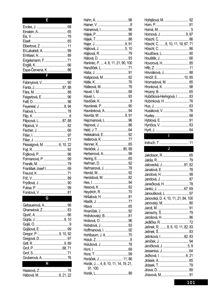| Ε                                                                                                                                                                        |  |  |
|--------------------------------------------------------------------------------------------------------------------------------------------------------------------------|--|--|
| Elbertová, Z.  11<br>El-Lababidi, A.  99<br>Engelsmann, F 71<br>Espa-Červená, K.  86                                                                                     |  |  |
| $\mathbf{F}$                                                                                                                                                             |  |  |
| Feigerlová, E.  96<br>Feyereisl, J.  8, 94<br>Filipcová, L87, 88<br>Fleissigová, M. 6, 10, 22<br>Formanová, P.  99<br>František Josef I.  69<br>Frič, V…………………………………… 89 |  |  |
| $\overline{\mathsf{G}}$                                                                                                                                                  |  |  |
| Gebauerová, A.  98<br>Ghanwiová, Z.  83<br>Gregor, P. 9, 10, 92                                                                                                          |  |  |
|                                                                                                                                                                          |  |  |

 $\overline{\mathbf{H}}$ 

| Hájková, J. 5, 10                       |  |
|-----------------------------------------|--|
|                                         |  |
|                                         |  |
| Haninec, P.  4, 8, 11, 21, 90, 100      |  |
| Hanzlíček, L. 71                        |  |
|                                         |  |
|                                         |  |
| Hašpicová, M. 92                        |  |
|                                         |  |
| Hátleová, M76                           |  |
|                                         |  |
|                                         |  |
|                                         |  |
|                                         |  |
| Havránková, A. 94                       |  |
| Havrda, M. 9, 91                        |  |
| Hejcmanová, L. 96                       |  |
|                                         |  |
|                                         |  |
| Helekalová, E92                         |  |
| Hellerová, K. 77                        |  |
|                                         |  |
| Heráček, J.  80, 89                     |  |
|                                         |  |
|                                         |  |
| Herbenová, A99                          |  |
|                                         |  |
|                                         |  |
| Heřmanová, J. 78                        |  |
| Herold, M.                              |  |
| Heroldová, M. 82                        |  |
|                                         |  |
|                                         |  |
|                                         |  |
|                                         |  |
|                                         |  |
|                                         |  |
|                                         |  |
| Hněvkovský, B81                         |  |
|                                         |  |
|                                         |  |
|                                         |  |
| Hoffmanová, I. 92<br>Hohlbaum, J. A. 70 |  |
|                                         |  |
|                                         |  |
|                                         |  |
|                                         |  |
|                                         |  |
| Horáček, J.  11, 86                     |  |
| Horák, J.  4, 8, 10, 11, 14, 19, 21,    |  |
| 91, 100                                 |  |

| Hořejšová, M.  92                   |  |
|-------------------------------------|--|
|                                     |  |
|                                     |  |
| Hornová, J. 9, 97                   |  |
|                                     |  |
| Höschl, C. 8, 10, 11, 19, 67, 71    |  |
|                                     |  |
| Houšťava, L.  90                    |  |
| Houštěk, J……………………………… 66           |  |
| Hovorová, H.  85                    |  |
|                                     |  |
| Hrivnáková, J 88                    |  |
| Hrnčíř, E 10, 85                    |  |
| Hromadová, M.  85                   |  |
| Hronková, K.  98                    |  |
| Hrozný, B……………………………… 65            |  |
| Hubičková-Heringová, I.  83         |  |
|                                     |  |
| Hubínková, H.  76                   |  |
|                                     |  |
| Husáková, V.  76                    |  |
|                                     |  |
|                                     |  |
|                                     |  |
|                                     |  |
|                                     |  |
|                                     |  |
|                                     |  |
|                                     |  |
|                                     |  |
| Jakobson, R.  65                    |  |
|                                     |  |
| Jalovecká, J81, 82                  |  |
|                                     |  |
|                                     |  |
| Jandová, H.  99                     |  |
|                                     |  |
| Janečková, H.  78                   |  |
|                                     |  |
| Janoušková, L.  97                  |  |
| Janovská, D. 4, 10, 11, 21, 84, 100 |  |
|                                     |  |
|                                     |  |
|                                     |  |
| Jarošová, H.  86                    |  |
|                                     |  |
| Jelínek, R8, 9, 10, 11, 82, 83      |  |
|                                     |  |
| Jelínková, I82, 83                  |  |
|                                     |  |
| Jeníčková, J.  5, 9                 |  |
|                                     |  |
| Ježková, I.  6, 21                  |  |
|                                     |  |
|                                     |  |
|                                     |  |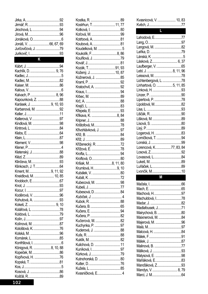| Jurčovičová, J. 79 |  |
|--------------------|--|
|                    |  |

# $\overline{\mathsf{K}}$

| Kachlík, D.  9, 76       |  |
|--------------------------|--|
|                          |  |
|                          |  |
|                          |  |
|                          |  |
| Kalvach, P.  8, 96       |  |
| Kapounková, Z. 88        |  |
| Karásek, J. 9, 10, 93    |  |
| Karbanová, M. 92         |  |
| Keller, J…………………………………11 |  |
|                          |  |
|                          |  |
|                          |  |
|                          |  |
|                          |  |
|                          |  |
|                          |  |
|                          |  |
|                          |  |
|                          |  |
|                          |  |
| Kment, M9, 11, 92        |  |
| Kneidlová, M.  10, 85    |  |
|                          |  |
|                          |  |
|                          |  |
| Koděrová, V. 96          |  |
| Kohutová, A. 93          |  |
|                          |  |
|                          |  |
|                          |  |
|                          |  |
| Kolínová, M. 87          |  |
| Kološtová, K. 76         |  |
|                          |  |
|                          |  |
|                          |  |
| Königová, R. 8, 10, 88   |  |
|                          |  |
| Kopřivová, H. 76         |  |
|                          |  |
|                          |  |
|                          |  |
|                          |  |

| Kostrhun, T. 11, 77        |  |
|----------------------------|--|
|                            |  |
|                            |  |
|                            |  |
|                            |  |
| Koudelková, M. 5           |  |
| Koukolík, F…………………………8, 86 |  |
|                            |  |
|                            |  |
| Kozák, T91, 93             |  |
| Kožený, J.  10, 87         |  |
| Kožnerová, J. 85           |  |
|                            |  |
| Kratochvíl, A. 92          |  |
|                            |  |
|                            |  |
|                            |  |
|                            |  |
|                            |  |
|                            |  |
| Křikava, K. 8, 84          |  |
|                            |  |
| Krištofová, M78            |  |
| Křivohlávková, J.  97      |  |
|                            |  |
|                            |  |
| Kříženecký, R. 72          |  |
|                            |  |
|                            |  |
|                            |  |
|                            |  |
| Kršiak, M. 8, 11, 80       |  |
| Krumlová, H9, 10           |  |
|                            |  |
|                            |  |
| Kubecová, M. 98            |  |
|                            |  |
| Kubesová, D.  84           |  |
|                            |  |
|                            |  |
|                            |  |
|                            |  |
|                            |  |
| Kučerová, M. 82            |  |
| Kuchynka, P. 97            |  |
| Kuderová, J. 88            |  |
|                            |  |
|                            |  |
| Kulichová, D.  11          |  |
|                            |  |
|                            |  |
| Kutnohorská, D. 80         |  |
|                            |  |
|                            |  |
| Kvasničková, E 4           |  |

| Kvasnicová, V.  10, 83    |  |
|---------------------------|--|
|                           |  |
| $\overline{\mathbf{L}}$   |  |
| Lahodová, E77             |  |
|                           |  |
| Langová, M. 82            |  |
|                           |  |
|                           |  |
| Lásková, Z 6, 37          |  |
|                           |  |
| Lebl, J. 8, 11, 96        |  |
|                           |  |
| Lichtenbergová, L. 78     |  |
| Linhartová, O.  5, 11, 85 |  |
|                           |  |
|                           |  |
|                           |  |
| Lipoldová, M82            |  |
|                           |  |
|                           |  |
|                           |  |
|                           |  |
|                           |  |
| Logerová, H. 83           |  |
| Lomíčková, T. 94          |  |
|                           |  |
| Lorencová, K77, 83, 84    |  |
|                           |  |
| Lovasová, L……………………………84  |  |
|                           |  |
|                           |  |
| Lvončík, M……………………………10   |  |
| M                         |  |
|                           |  |
|                           |  |
| Machová, H97              |  |
| Machuldová, I78           |  |
|                           |  |
| Madlafousek, J71          |  |
| Mairychová, B. 80         |  |
| Maixnerová, M. 84         |  |
|                           |  |
|                           |  |
|                           |  |
|                           |  |
|                           |  |
| Malinová, B. 77           |  |
|                           |  |
| Malysová, E. 98           |  |
| Maňáková, E. 83           |  |
| Manďáková, Z93            |  |
| Mandys, V.  8, 79         |  |
|                           |  |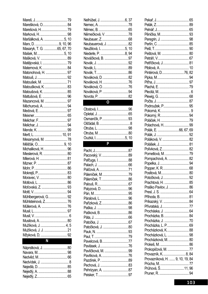| Marešková, O 84           |  |  |
|---------------------------|--|--|
| Marešová, H.  79          |  |  |
|                           |  |  |
| Maršálková, A. 5, 10      |  |  |
| Marx, D. 9, 10, 96        |  |  |
| Masaryk, T. G. 65, 67, 70 |  |  |
| Mašek, M.  5, 10          |  |  |
| Mašková, V.  89           |  |  |
| Matějovská, I.  79        |  |  |
| Maternová, K.  84         |  |  |
| Matonohová, H.  97        |  |  |
|                           |  |  |
| Matoušek, M.  71          |  |  |
| Matoušková, K.  83        |  |  |
| Matoušová, K.  85         |  |  |
| Mattušová, E.  96         |  |  |
| Mazancová, M.  97         |  |  |
| Měchurová, A.  94         |  |  |
|                           |  |  |
|                           |  |  |
| Melichar, F 97            |  |  |
|                           |  |  |
|                           |  |  |
| Mertl, L.  10, 91         |  |  |
| Mesanyová, M.  78         |  |  |
| Měšťák, O9, 10            |  |  |
| Michaliková, H.  96       |  |  |
| Mieslerová, R.  80        |  |  |
|                           |  |  |
|                           |  |  |
|                           |  |  |
|                           |  |  |
|                           |  |  |
|                           |  |  |
|                           |  |  |
|                           |  |  |
| Mühlbergerová, G.  92     |  |  |
| Mühlsteinová, Z 76        |  |  |
| Müllerová, A.  76         |  |  |
|                           |  |  |
|                           |  |  |
|                           |  |  |
| Mužíková, J.  4, 5        |  |  |
| Mužíková, J. J.  21       |  |  |
| Mžyková, D,  92           |  |  |
| N                         |  |  |
|                           |  |  |

| Náprstková, J.  80 |  |
|--------------------|--|
|                    |  |
|                    |  |
|                    |  |
|                    |  |
|                    |  |
|                    |  |

| Nelhübel, J. 6, 37  |  |
|---------------------|--|
|                     |  |
|                     |  |
| Němečková, V. 78    |  |
|                     |  |
| Neubauerová, J. 82  |  |
| Neužilová, I. 5, 10 |  |
| Niederle, P. 8, 94  |  |
| Nováčková, B. 97    |  |
|                     |  |
|                     |  |
| Novák, T…86         |  |
| Nováková, D. 82     |  |
| Nováková, H. 76     |  |
| Nováková, O. 76     |  |
| Nováková, P. 94     |  |
|                     |  |
|                     |  |

# $\overline{P}$

| Páleníček, M. 79                   |  |
|------------------------------------|--|
| Páleníček, T…………………………86           |  |
|                                    |  |
| Palyzová, D96                      |  |
|                                    |  |
|                                    |  |
| Pařízková, Z…………………………86           |  |
|                                    |  |
| Pašková, B86                       |  |
|                                    |  |
|                                    |  |
| Patočková, J. 80                   |  |
|                                    |  |
|                                    |  |
| Pavelcová, B. 77                   |  |
|                                    |  |
| Pavlásek, J76<br>Pavlíčková, M. 99 |  |
|                                    |  |
| Pavlíková, A. 76                   |  |
| Pazdírek, P. 89                    |  |
| Pechová, J. 83                     |  |
| Pehrizyan, A. 87                   |  |
|                                    |  |

|                                 | Pekař, J………………………………… 65 |
|---------------------------------|--------------------------|
|                                 |                          |
|                                 |                          |
| Pěnička, M 93                   |                          |
|                                 |                          |
|                                 |                          |
|                                 |                          |
| Peštová, M.  80                 |                          |
|                                 |                          |
| Petříčková, J 81                |                          |
|                                 |                          |
|                                 |                          |
| Pintérová, D76, 82              |                          |
|                                 |                          |
|                                 |                          |
|                                 |                          |
|                                 |                          |
|                                 |                          |
|                                 |                          |
| Podroužek, P 95                 |                          |
|                                 |                          |
|                                 |                          |
|                                 |                          |
| Polachová, H.  99               |                          |
| Polák, E. 66, 67, 69            |                          |
|                                 |                          |
| Poláková, V.  82                |                          |
|                                 |                          |
| Polívková, Z………………………… 82       |                          |
|                                 |                          |
|                                 |                          |
|                                 |                          |
| Pompachová, A.  82              |                          |
|                                 |                          |
|                                 |                          |
|                                 |                          |
| Potočková, J 92                 |                          |
| Prachtová, H.  85               |                          |
| Praško Pavlov, J.  86           |                          |
|                                 |                          |
|                                 |                          |
| Príkazský, V.  84               |                          |
| Přívratská, J77                 |                          |
| Procháska, J.  64               |                          |
|                                 |                          |
|                                 |                          |
| Procházka, L. P 69              |                          |
| Procházková, K 88               |                          |
| Procházková, L.  98             |                          |
| Procházková, M.  80             |                          |
|                                 |                          |
| Prokopičová, M.  77             |                          |
| Provazník, K.  8, 84            |                          |
| Provazníková, H.  9, 10, 19, 84 |                          |
|                                 |                          |
| Průhová, Š11, 96                |                          |
|                                 |                          |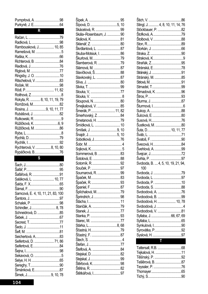| Pumprlová, A. 98                         |  |
|------------------------------------------|--|
|                                          |  |
| $\overline{R}$                           |  |
|                                          |  |
|                                          |  |
|                                          |  |
| Rambousková, J 10, 85                    |  |
| Ramešová, M. 5                           |  |
|                                          |  |
| Richterová, B. 84                        |  |
|                                          |  |
|                                          |  |
| Ringsby, J. O. 10                        |  |
| Ritschelová, V. 83                       |  |
|                                          |  |
| Rödl, P…………………………… 11, 82                |  |
|                                          |  |
| Rokyta, R.  8, 10, 11, 19, 79            |  |
|                                          |  |
| Romžová, M82<br>Rosina, J. 9, 10, 11, 77 |  |
| Rubášová, J. 82                          |  |
|                                          |  |
| Růžičková, K. 6, 9                       |  |
|                                          |  |
| Růžičková, M. 86                         |  |
|                                          |  |
|                                          |  |
|                                          |  |
| Rychterová, V.  8, 10, 80                |  |
|                                          |  |
| Rypáčková, B76                           |  |
| $\mathbf S$                              |  |
|                                          |  |
|                                          |  |
|                                          |  |
| Šafářová, R. 91                          |  |
| Saláková, L.  10, 77                     |  |
|                                          |  |
|                                          |  |
| Samcová, E. 4, 10, 11, 21, 83, 100       |  |
|                                          |  |
|                                          |  |
| Schindler, J 8, 78                       |  |
| Schneidrová, D. 85                       |  |
|                                          |  |
|                                          |  |
|                                          |  |
|                                          |  |
| Seichertová, A83                         |  |
| Seifertová, D.  71, 86                   |  |
| Seifertová, E84                          |  |
|                                          |  |
| Sekavová, O. 5                           |  |
|                                          |  |
|                                          |  |
| Šimánková, E87                           |  |

| Šípová, D. 5, 10          |  |
|---------------------------|--|
| Skácelová, R. 99          |  |
| Skála-Rosenbaum, J. 90    |  |
|                           |  |
|                           |  |
|                           |  |
| Škrdlantová, L. 87        |  |
| Skuba-Motsiuk, I. 86      |  |
| Škurlová, M79             |  |
| Šlamberová, R. 79         |  |
| Slámová, M. 87            |  |
| Slavíčková, Š88           |  |
| Slavkovský, L. 87         |  |
|                           |  |
|                           |  |
|                           |  |
|                           |  |
|                           |  |
|                           |  |
| Šmejkalová, V. 85         |  |
| Šmerák, P……………………….11, 82 |  |
| Šmerhovský, Z. 84         |  |
| Smetanová, H. 79          |  |
| Šmídková, L.  10          |  |
|                           |  |
|                           |  |
| Sobotková, J76            |  |
|                           |  |
|                           |  |
|                           |  |
| Sommerová, B. 83          |  |
|                           |  |
|                           |  |
|                           |  |
| Soumarová, R. 99          |  |
|                           |  |
|                           |  |
|                           |  |
|                           |  |
|                           |  |
|                           |  |
|                           |  |
|                           |  |
|                           |  |
|                           |  |
|                           |  |
|                           |  |
|                           |  |
|                           |  |
|                           |  |
|                           |  |
|                           |  |
|                           |  |
|                           |  |
|                           |  |
|                           |  |
| Štětkářová, I97           |  |
|                           |  |

|             | Stingl, J.  4, 8, 10, 11, 14, 76   |
|-------------|------------------------------------|
|             | Stöckbauer, P. 82                  |
|             | Štofková, A…79                     |
|             | Štolbová, V…88                     |
|             |                                    |
|             |                                    |
|             |                                    |
|             |                                    |
|             |                                    |
|             |                                    |
|             |                                    |
|             |                                    |
|             |                                    |
|             |                                    |
|             |                                    |
|             | Strnadová, K. 96                   |
|             |                                    |
|             |                                    |
|             |                                    |
|             |                                    |
|             |                                    |
|             |                                    |
|             | Šustková, M. 80                    |
|             | Suta, D 10, 11, 77                 |
|             |                                    |
|             |                                    |
|             |                                    |
|             | Švecová, H84                       |
|             |                                    |
|             |                                    |
|             |                                    |
|             |                                    |
|             | Svoboda, B.  4, 5, 10, 19, 21, 94, |
| 100         |                                    |
| Svoboda, J. | 79                                 |
|             |                                    |
|             |                                    |
|             | Svoboda, P. 10                     |
|             |                                    |
|             | Svobodová, A. 76                   |
|             | Svobodová, B. 99                   |
|             | Svobodová, H.  10, 78              |
|             | Svobodová, J. 4                    |
|             | Svobodová, V. 81                   |
|             | Syllaba, J. 66, 67, 69             |
|             |                                    |
|             | Synkulová, I90                     |
|             | Syrovátka, P92                     |
|             |                                    |
|             | $\mathbf{T}$                       |
|             |                                    |
|             |                                    |
|             | Tejkalová, H. 11                   |
|             |                                    |
|             | Tešlěrová, B. 87                   |
|             |                                    |
|             |                                    |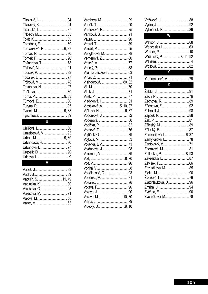| Tišanská, L.  87     |  |
|----------------------|--|
|                      |  |
|                      |  |
|                      |  |
| Tománková, R.  6, 37 |  |
|                      |  |
|                      |  |
| Tošnerová, T.  78    |  |
|                      |  |
|                      |  |
|                      |  |
|                      |  |
|                      |  |
|                      |  |
| Tůma, P… 9, 83       |  |
| Tůmová, E… 80        |  |
|                      |  |
|                      |  |
| Tyrichtrová, L 89    |  |
|                      |  |

| Urbancová, H.  80 |  |
|-------------------|--|
|                   |  |
|                   |  |
|                   |  |
|                   |  |

| Vaculín, Š.  11, 79 |  |
|---------------------|--|
|                     |  |
|                     |  |
|                     |  |
|                     |  |
|                     |  |

| Vaníčková, E85           |  |
|--------------------------|--|
|                          |  |
|                          |  |
|                          |  |
|                          |  |
| Venglářová, M. 78        |  |
|                          |  |
|                          |  |
|                          |  |
| Vilém z Lestkova 63      |  |
|                          |  |
| Visingerová, J.  80, 82  |  |
|                          |  |
|                          |  |
|                          |  |
|                          |  |
| Vlasáková, A.  5, 10, 37 |  |
|                          |  |
| Vobořilová, J. 82        |  |
| Voděrová, J80            |  |
|                          |  |
|                          |  |
|                          |  |
|                          |  |
|                          |  |
| Voldánová, J. 98         |  |
|                          |  |
|                          |  |
|                          |  |
|                          |  |
| Vopálenská, D. 93        |  |
| Vopěnka, P. 71           |  |
|                          |  |
|                          |  |
|                          |  |
| Votava, M.  10, 80       |  |
|                          |  |
|                          |  |

| Vrtišková, J.  88<br>Vyhnánek, F.  89                                            |  |
|----------------------------------------------------------------------------------|--|
| <b>W</b>                                                                         |  |
| Widimský, P. 8, 11, 92                                                           |  |
| $\mathbf{Y}$                                                                     |  |
| Yamamotová, A.  79                                                               |  |
|                                                                                  |  |
| $\overline{z}$                                                                   |  |
| Zachoval, R.  89<br>Zádorová, Z.  92<br>Zamrazilová, L 6, 37                     |  |
| Zamykalová, L 78                                                                 |  |
| Żantovský, M.  71                                                                |  |
| Zaoralová, M.  81<br>Zatloukal, P 8, 93<br>Závěšická, L.  87<br>Zezuláková, M 85 |  |
| Zlatohlávková, D.  96                                                            |  |
|                                                                                  |  |
|                                                                                  |  |
| Zvoníčková, M 78                                                                 |  |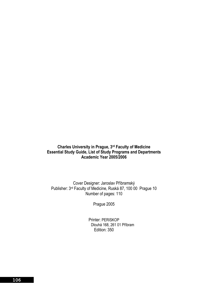#### **Charles University in Prague, 3rd Faculty of Medicine Essential Study Guide, List of Study Programs and Departments Academic Year 2005/2006**

Cover Designer: Jaroslav Příbramský Publisher: 3rd Faculty of Medicine, Ruská 87, 100 00 Prague 10 Number of pages: 110

Prague 2005

Printer: PERISKOP Dlouhá 168, 261 01 Příbram Edition: 350